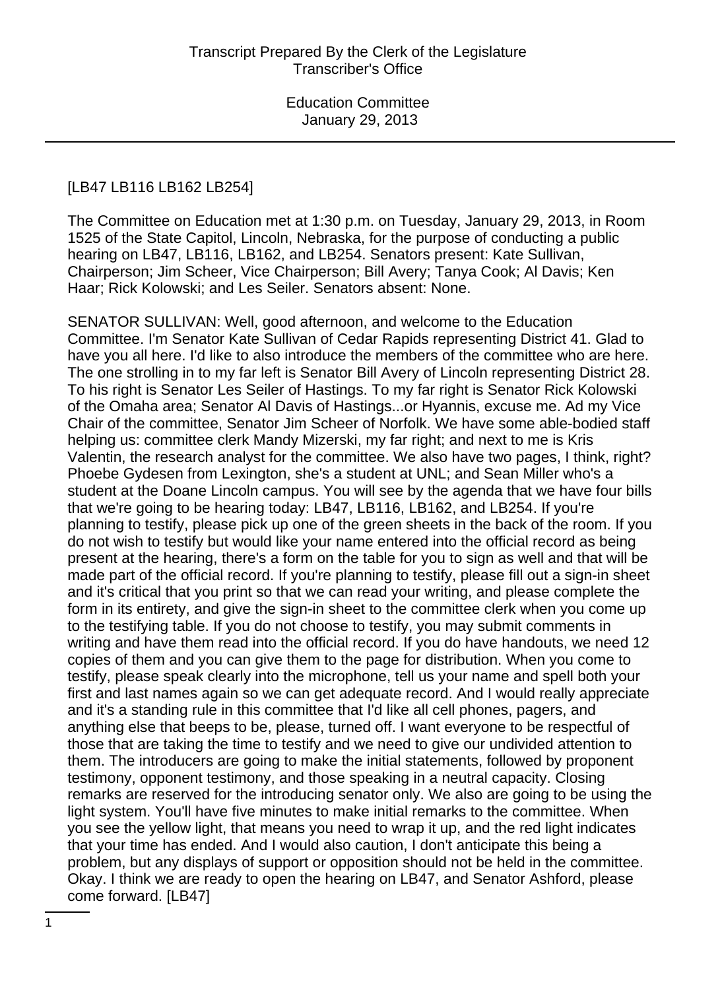#### [LB47 LB116 LB162 LB254]

The Committee on Education met at 1:30 p.m. on Tuesday, January 29, 2013, in Room 1525 of the State Capitol, Lincoln, Nebraska, for the purpose of conducting a public hearing on LB47, LB116, LB162, and LB254. Senators present: Kate Sullivan, Chairperson; Jim Scheer, Vice Chairperson; Bill Avery; Tanya Cook; Al Davis; Ken Haar; Rick Kolowski; and Les Seiler. Senators absent: None.

SENATOR SULLIVAN: Well, good afternoon, and welcome to the Education Committee. I'm Senator Kate Sullivan of Cedar Rapids representing District 41. Glad to have you all here. I'd like to also introduce the members of the committee who are here. The one strolling in to my far left is Senator Bill Avery of Lincoln representing District 28. To his right is Senator Les Seiler of Hastings. To my far right is Senator Rick Kolowski of the Omaha area; Senator Al Davis of Hastings...or Hyannis, excuse me. Ad my Vice Chair of the committee, Senator Jim Scheer of Norfolk. We have some able-bodied staff helping us: committee clerk Mandy Mizerski, my far right; and next to me is Kris Valentin, the research analyst for the committee. We also have two pages, I think, right? Phoebe Gydesen from Lexington, she's a student at UNL; and Sean Miller who's a student at the Doane Lincoln campus. You will see by the agenda that we have four bills that we're going to be hearing today: LB47, LB116, LB162, and LB254. If you're planning to testify, please pick up one of the green sheets in the back of the room. If you do not wish to testify but would like your name entered into the official record as being present at the hearing, there's a form on the table for you to sign as well and that will be made part of the official record. If you're planning to testify, please fill out a sign-in sheet and it's critical that you print so that we can read your writing, and please complete the form in its entirety, and give the sign-in sheet to the committee clerk when you come up to the testifying table. If you do not choose to testify, you may submit comments in writing and have them read into the official record. If you do have handouts, we need 12 copies of them and you can give them to the page for distribution. When you come to testify, please speak clearly into the microphone, tell us your name and spell both your first and last names again so we can get adequate record. And I would really appreciate and it's a standing rule in this committee that I'd like all cell phones, pagers, and anything else that beeps to be, please, turned off. I want everyone to be respectful of those that are taking the time to testify and we need to give our undivided attention to them. The introducers are going to make the initial statements, followed by proponent testimony, opponent testimony, and those speaking in a neutral capacity. Closing remarks are reserved for the introducing senator only. We also are going to be using the light system. You'll have five minutes to make initial remarks to the committee. When you see the yellow light, that means you need to wrap it up, and the red light indicates that your time has ended. And I would also caution, I don't anticipate this being a problem, but any displays of support or opposition should not be held in the committee. Okay. I think we are ready to open the hearing on LB47, and Senator Ashford, please come forward. [LB47]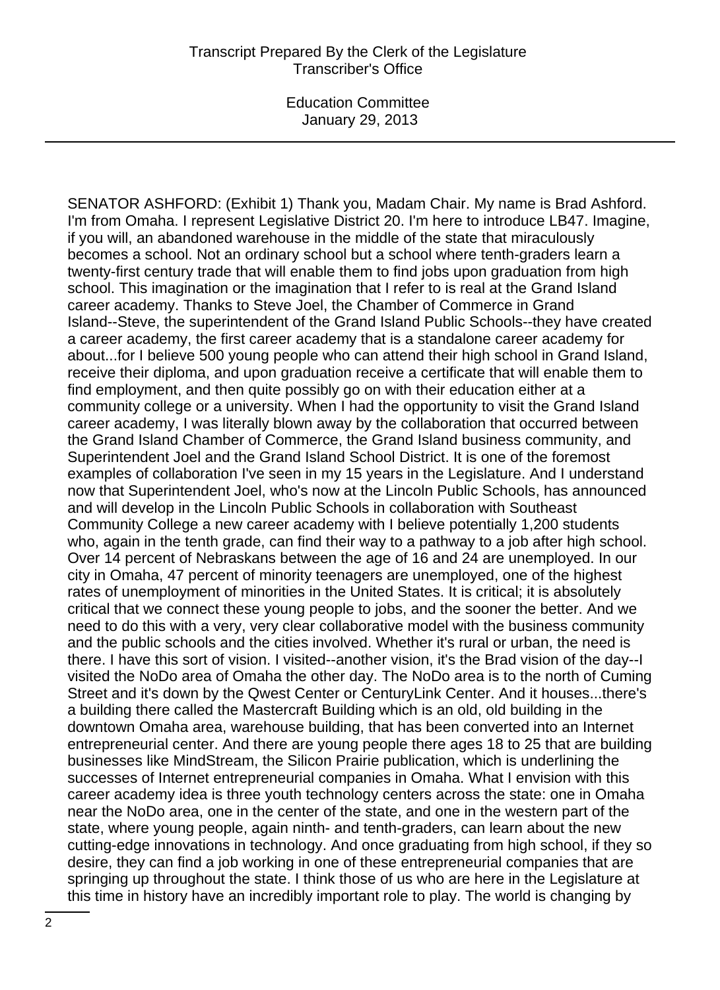SENATOR ASHFORD: (Exhibit 1) Thank you, Madam Chair. My name is Brad Ashford. I'm from Omaha. I represent Legislative District 20. I'm here to introduce LB47. Imagine, if you will, an abandoned warehouse in the middle of the state that miraculously becomes a school. Not an ordinary school but a school where tenth-graders learn a twenty-first century trade that will enable them to find jobs upon graduation from high school. This imagination or the imagination that I refer to is real at the Grand Island career academy. Thanks to Steve Joel, the Chamber of Commerce in Grand Island--Steve, the superintendent of the Grand Island Public Schools--they have created a career academy, the first career academy that is a standalone career academy for about...for I believe 500 young people who can attend their high school in Grand Island, receive their diploma, and upon graduation receive a certificate that will enable them to find employment, and then quite possibly go on with their education either at a community college or a university. When I had the opportunity to visit the Grand Island career academy, I was literally blown away by the collaboration that occurred between the Grand Island Chamber of Commerce, the Grand Island business community, and Superintendent Joel and the Grand Island School District. It is one of the foremost examples of collaboration I've seen in my 15 years in the Legislature. And I understand now that Superintendent Joel, who's now at the Lincoln Public Schools, has announced and will develop in the Lincoln Public Schools in collaboration with Southeast Community College a new career academy with I believe potentially 1,200 students who, again in the tenth grade, can find their way to a pathway to a job after high school. Over 14 percent of Nebraskans between the age of 16 and 24 are unemployed. In our city in Omaha, 47 percent of minority teenagers are unemployed, one of the highest rates of unemployment of minorities in the United States. It is critical; it is absolutely critical that we connect these young people to jobs, and the sooner the better. And we need to do this with a very, very clear collaborative model with the business community and the public schools and the cities involved. Whether it's rural or urban, the need is there. I have this sort of vision. I visited--another vision, it's the Brad vision of the day--I visited the NoDo area of Omaha the other day. The NoDo area is to the north of Cuming Street and it's down by the Qwest Center or CenturyLink Center. And it houses...there's a building there called the Mastercraft Building which is an old, old building in the downtown Omaha area, warehouse building, that has been converted into an Internet entrepreneurial center. And there are young people there ages 18 to 25 that are building businesses like MindStream, the Silicon Prairie publication, which is underlining the successes of Internet entrepreneurial companies in Omaha. What I envision with this career academy idea is three youth technology centers across the state: one in Omaha near the NoDo area, one in the center of the state, and one in the western part of the state, where young people, again ninth- and tenth-graders, can learn about the new cutting-edge innovations in technology. And once graduating from high school, if they so desire, they can find a job working in one of these entrepreneurial companies that are springing up throughout the state. I think those of us who are here in the Legislature at this time in history have an incredibly important role to play. The world is changing by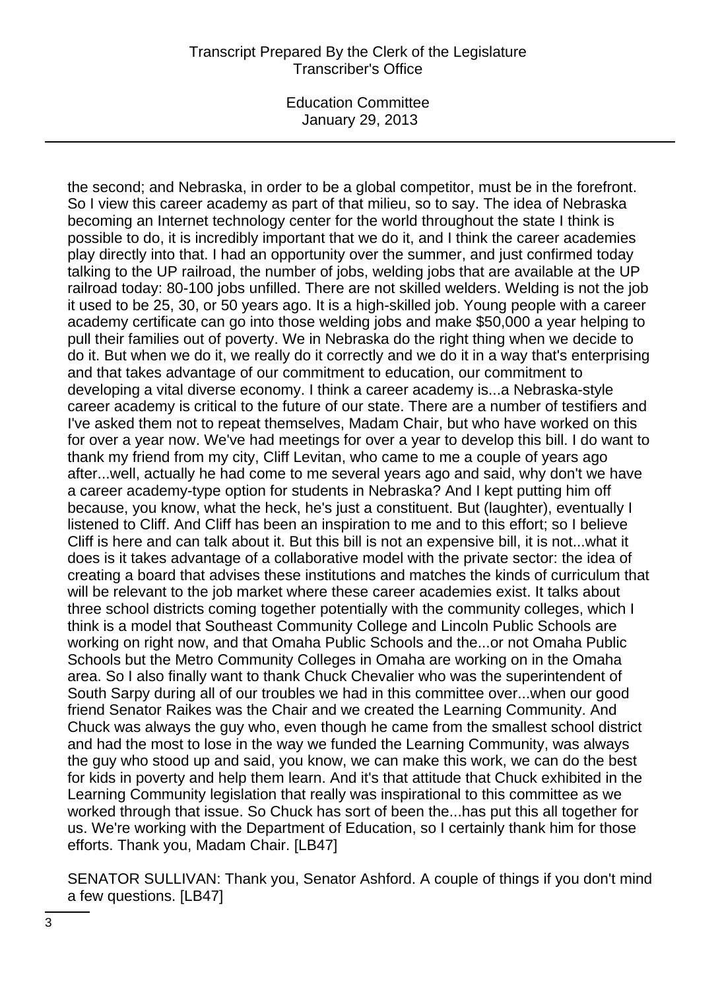## Transcript Prepared By the Clerk of the Legislature Transcriber's Office

Education Committee January 29, 2013

the second; and Nebraska, in order to be a global competitor, must be in the forefront. So I view this career academy as part of that milieu, so to say. The idea of Nebraska becoming an Internet technology center for the world throughout the state I think is possible to do, it is incredibly important that we do it, and I think the career academies play directly into that. I had an opportunity over the summer, and just confirmed today talking to the UP railroad, the number of jobs, welding jobs that are available at the UP railroad today: 80-100 jobs unfilled. There are not skilled welders. Welding is not the job it used to be 25, 30, or 50 years ago. It is a high-skilled job. Young people with a career academy certificate can go into those welding jobs and make \$50,000 a year helping to pull their families out of poverty. We in Nebraska do the right thing when we decide to do it. But when we do it, we really do it correctly and we do it in a way that's enterprising and that takes advantage of our commitment to education, our commitment to developing a vital diverse economy. I think a career academy is...a Nebraska-style career academy is critical to the future of our state. There are a number of testifiers and I've asked them not to repeat themselves, Madam Chair, but who have worked on this for over a year now. We've had meetings for over a year to develop this bill. I do want to thank my friend from my city, Cliff Levitan, who came to me a couple of years ago after...well, actually he had come to me several years ago and said, why don't we have a career academy-type option for students in Nebraska? And I kept putting him off because, you know, what the heck, he's just a constituent. But (laughter), eventually I listened to Cliff. And Cliff has been an inspiration to me and to this effort; so I believe Cliff is here and can talk about it. But this bill is not an expensive bill, it is not...what it does is it takes advantage of a collaborative model with the private sector: the idea of creating a board that advises these institutions and matches the kinds of curriculum that will be relevant to the job market where these career academies exist. It talks about three school districts coming together potentially with the community colleges, which I think is a model that Southeast Community College and Lincoln Public Schools are working on right now, and that Omaha Public Schools and the...or not Omaha Public Schools but the Metro Community Colleges in Omaha are working on in the Omaha area. So I also finally want to thank Chuck Chevalier who was the superintendent of South Sarpy during all of our troubles we had in this committee over...when our good friend Senator Raikes was the Chair and we created the Learning Community. And Chuck was always the guy who, even though he came from the smallest school district and had the most to lose in the way we funded the Learning Community, was always the guy who stood up and said, you know, we can make this work, we can do the best for kids in poverty and help them learn. And it's that attitude that Chuck exhibited in the Learning Community legislation that really was inspirational to this committee as we worked through that issue. So Chuck has sort of been the...has put this all together for us. We're working with the Department of Education, so I certainly thank him for those efforts. Thank you, Madam Chair. [LB47]

SENATOR SULLIVAN: Thank you, Senator Ashford. A couple of things if you don't mind a few questions. [LB47]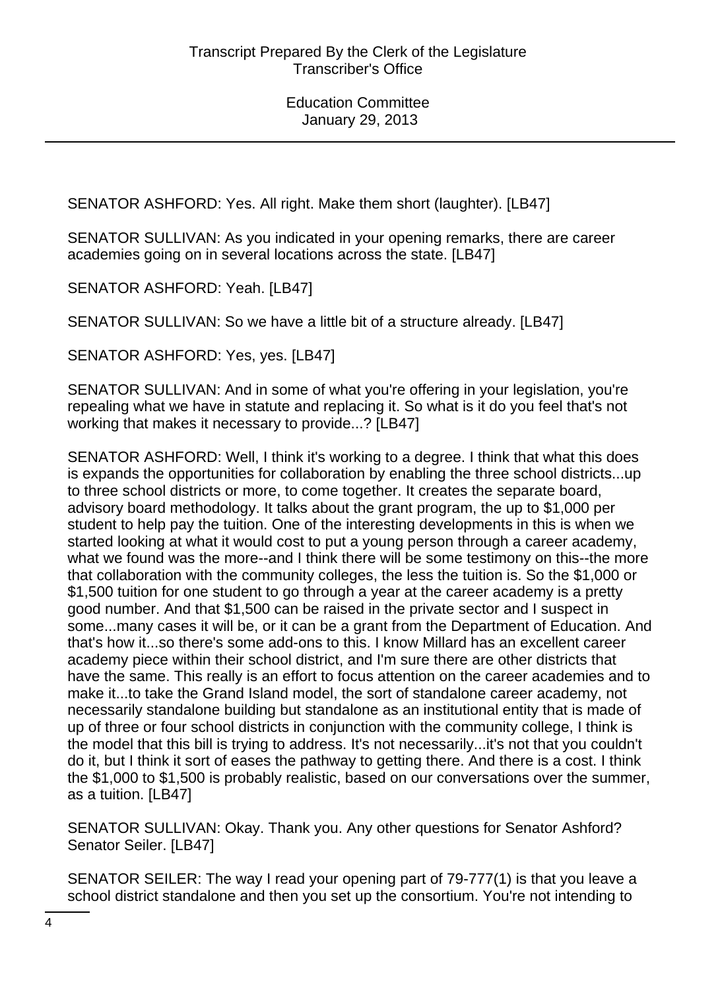SENATOR ASHFORD: Yes. All right. Make them short (laughter). [LB47]

SENATOR SULLIVAN: As you indicated in your opening remarks, there are career academies going on in several locations across the state. [LB47]

SENATOR ASHFORD: Yeah. [LB47]

SENATOR SULLIVAN: So we have a little bit of a structure already. [LB47]

SENATOR ASHFORD: Yes, yes. [LB47]

SENATOR SULLIVAN: And in some of what you're offering in your legislation, you're repealing what we have in statute and replacing it. So what is it do you feel that's not working that makes it necessary to provide...? [LB47]

SENATOR ASHFORD: Well, I think it's working to a degree. I think that what this does is expands the opportunities for collaboration by enabling the three school districts...up to three school districts or more, to come together. It creates the separate board, advisory board methodology. It talks about the grant program, the up to \$1,000 per student to help pay the tuition. One of the interesting developments in this is when we started looking at what it would cost to put a young person through a career academy, what we found was the more--and I think there will be some testimony on this--the more that collaboration with the community colleges, the less the tuition is. So the \$1,000 or \$1,500 tuition for one student to go through a year at the career academy is a pretty good number. And that \$1,500 can be raised in the private sector and I suspect in some...many cases it will be, or it can be a grant from the Department of Education. And that's how it...so there's some add-ons to this. I know Millard has an excellent career academy piece within their school district, and I'm sure there are other districts that have the same. This really is an effort to focus attention on the career academies and to make it...to take the Grand Island model, the sort of standalone career academy, not necessarily standalone building but standalone as an institutional entity that is made of up of three or four school districts in conjunction with the community college, I think is the model that this bill is trying to address. It's not necessarily...it's not that you couldn't do it, but I think it sort of eases the pathway to getting there. And there is a cost. I think the \$1,000 to \$1,500 is probably realistic, based on our conversations over the summer, as a tuition. [LB47]

SENATOR SULLIVAN: Okay. Thank you. Any other questions for Senator Ashford? Senator Seiler. [LB47]

SENATOR SEILER: The way I read your opening part of 79-777(1) is that you leave a school district standalone and then you set up the consortium. You're not intending to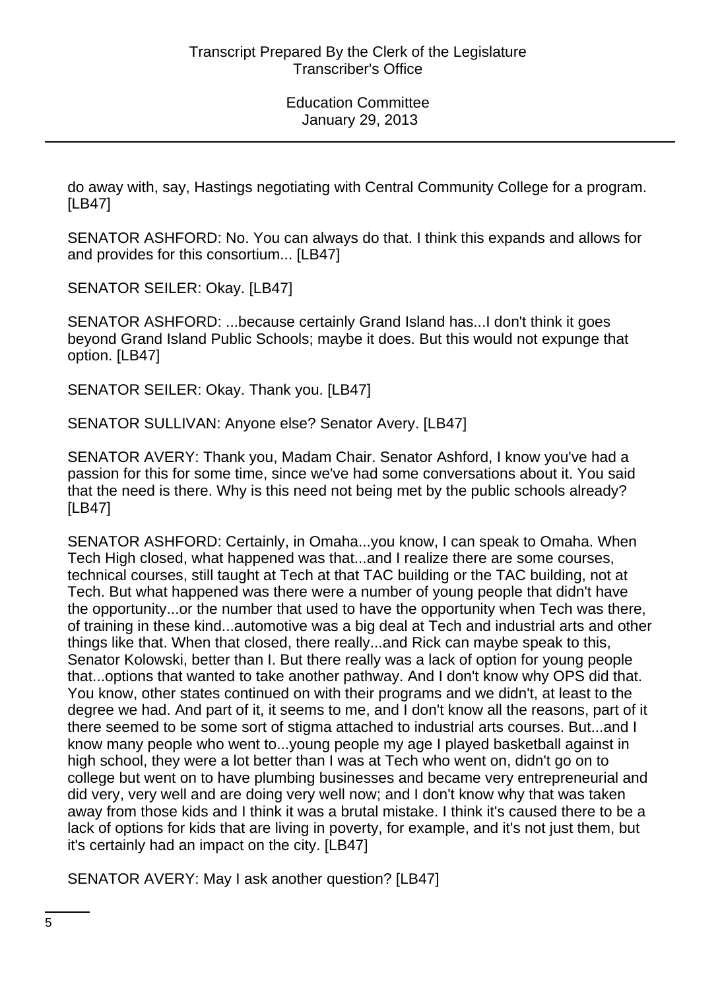do away with, say, Hastings negotiating with Central Community College for a program. [LB47]

SENATOR ASHFORD: No. You can always do that. I think this expands and allows for and provides for this consortium... [LB47]

SENATOR SEILER: Okay. [LB47]

SENATOR ASHFORD: ...because certainly Grand Island has...I don't think it goes beyond Grand Island Public Schools; maybe it does. But this would not expunge that option. [LB47]

SENATOR SEILER: Okay. Thank you. [LB47]

SENATOR SULLIVAN: Anyone else? Senator Avery. [LB47]

SENATOR AVERY: Thank you, Madam Chair. Senator Ashford, I know you've had a passion for this for some time, since we've had some conversations about it. You said that the need is there. Why is this need not being met by the public schools already? [LB47]

SENATOR ASHFORD: Certainly, in Omaha...you know, I can speak to Omaha. When Tech High closed, what happened was that...and I realize there are some courses, technical courses, still taught at Tech at that TAC building or the TAC building, not at Tech. But what happened was there were a number of young people that didn't have the opportunity...or the number that used to have the opportunity when Tech was there, of training in these kind...automotive was a big deal at Tech and industrial arts and other things like that. When that closed, there really...and Rick can maybe speak to this, Senator Kolowski, better than I. But there really was a lack of option for young people that...options that wanted to take another pathway. And I don't know why OPS did that. You know, other states continued on with their programs and we didn't, at least to the degree we had. And part of it, it seems to me, and I don't know all the reasons, part of it there seemed to be some sort of stigma attached to industrial arts courses. But...and I know many people who went to...young people my age I played basketball against in high school, they were a lot better than I was at Tech who went on, didn't go on to college but went on to have plumbing businesses and became very entrepreneurial and did very, very well and are doing very well now; and I don't know why that was taken away from those kids and I think it was a brutal mistake. I think it's caused there to be a lack of options for kids that are living in poverty, for example, and it's not just them, but it's certainly had an impact on the city. [LB47]

SENATOR AVERY: May I ask another question? [LB47]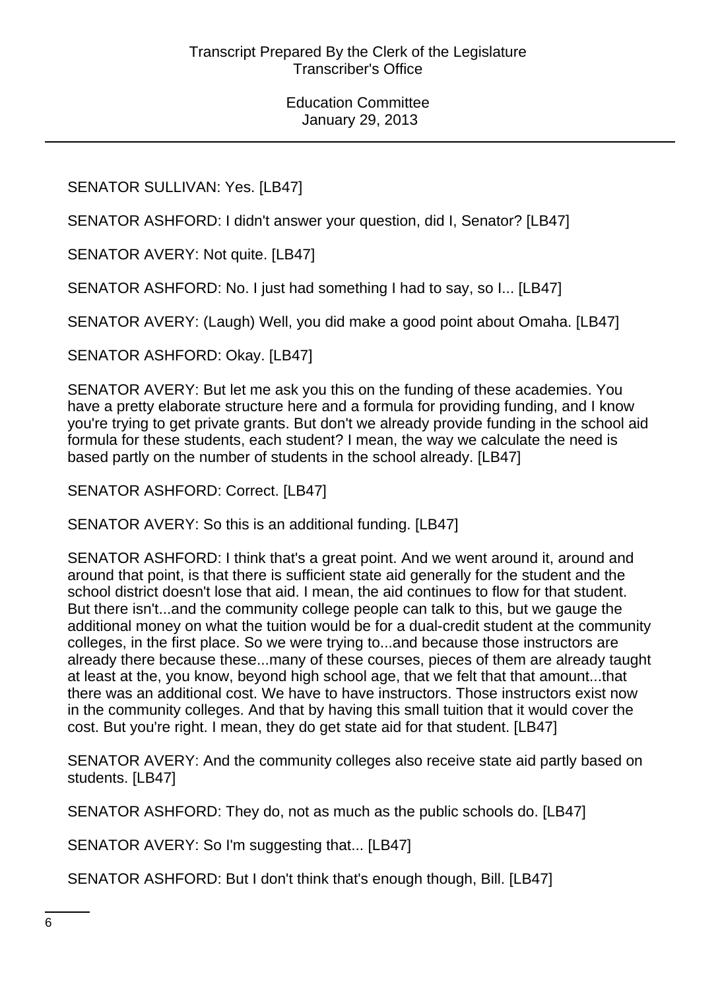# SENATOR SULLIVAN: Yes. [LB47]

SENATOR ASHFORD: I didn't answer your question, did I, Senator? [LB47]

SENATOR AVERY: Not quite. [LB47]

SENATOR ASHFORD: No. I just had something I had to say, so I... [LB47]

SENATOR AVERY: (Laugh) Well, you did make a good point about Omaha. [LB47]

SENATOR ASHFORD: Okay. [LB47]

SENATOR AVERY: But let me ask you this on the funding of these academies. You have a pretty elaborate structure here and a formula for providing funding, and I know you're trying to get private grants. But don't we already provide funding in the school aid formula for these students, each student? I mean, the way we calculate the need is based partly on the number of students in the school already. [LB47]

SENATOR ASHFORD: Correct. [LB47]

SENATOR AVERY: So this is an additional funding. [LB47]

SENATOR ASHFORD: I think that's a great point. And we went around it, around and around that point, is that there is sufficient state aid generally for the student and the school district doesn't lose that aid. I mean, the aid continues to flow for that student. But there isn't...and the community college people can talk to this, but we gauge the additional money on what the tuition would be for a dual-credit student at the community colleges, in the first place. So we were trying to...and because those instructors are already there because these...many of these courses, pieces of them are already taught at least at the, you know, beyond high school age, that we felt that that amount...that there was an additional cost. We have to have instructors. Those instructors exist now in the community colleges. And that by having this small tuition that it would cover the cost. But you're right. I mean, they do get state aid for that student. [LB47]

SENATOR AVERY: And the community colleges also receive state aid partly based on students. [LB47]

SENATOR ASHFORD: They do, not as much as the public schools do. [LB47]

SENATOR AVERY: So I'm suggesting that... [LB47]

SENATOR ASHFORD: But I don't think that's enough though, Bill. [LB47]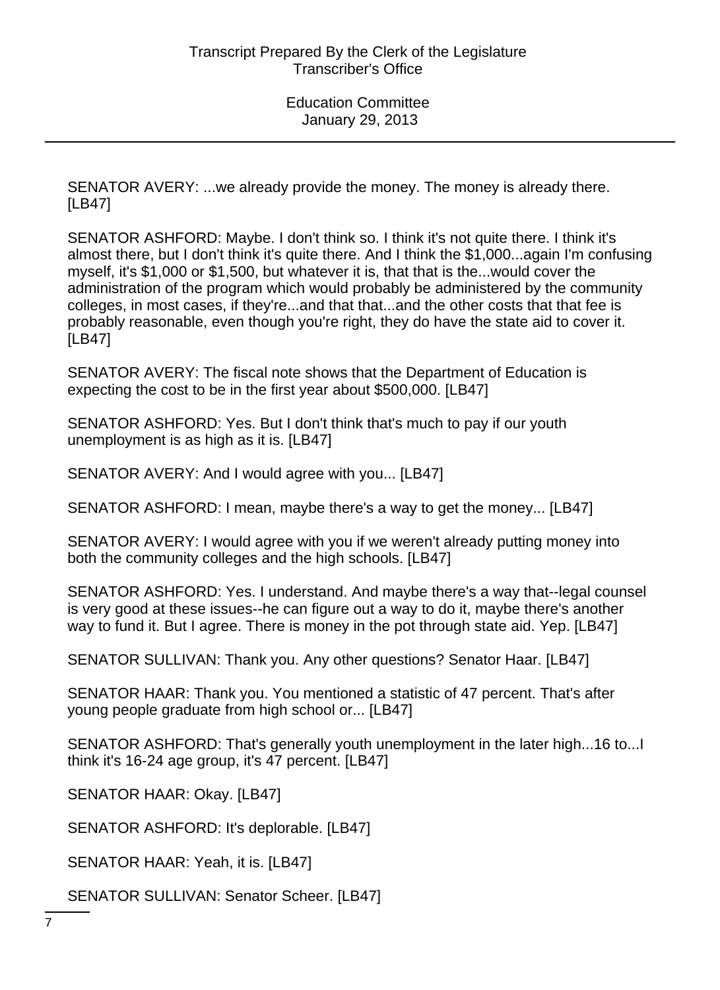SENATOR AVERY: ...we already provide the money. The money is already there. [LB47]

SENATOR ASHFORD: Maybe. I don't think so. I think it's not quite there. I think it's almost there, but I don't think it's quite there. And I think the \$1,000...again I'm confusing myself, it's \$1,000 or \$1,500, but whatever it is, that that is the...would cover the administration of the program which would probably be administered by the community colleges, in most cases, if they're...and that that...and the other costs that that fee is probably reasonable, even though you're right, they do have the state aid to cover it. [LB47]

SENATOR AVERY: The fiscal note shows that the Department of Education is expecting the cost to be in the first year about \$500,000. [LB47]

SENATOR ASHFORD: Yes. But I don't think that's much to pay if our youth unemployment is as high as it is. [LB47]

SENATOR AVERY: And I would agree with you... [LB47]

SENATOR ASHFORD: I mean, maybe there's a way to get the money... [LB47]

SENATOR AVERY: I would agree with you if we weren't already putting money into both the community colleges and the high schools. [LB47]

SENATOR ASHFORD: Yes. I understand. And maybe there's a way that--legal counsel is very good at these issues--he can figure out a way to do it, maybe there's another way to fund it. But I agree. There is money in the pot through state aid. Yep. [LB47]

SENATOR SULLIVAN: Thank you. Any other questions? Senator Haar. [LB47]

SENATOR HAAR: Thank you. You mentioned a statistic of 47 percent. That's after young people graduate from high school or... [LB47]

SENATOR ASHFORD: That's generally youth unemployment in the later high...16 to...I think it's 16-24 age group, it's 47 percent. [LB47]

SENATOR HAAR: Okay. [LB47]

SENATOR ASHFORD: It's deplorable. [LB47]

SENATOR HAAR: Yeah, it is. [LB47]

SENATOR SULLIVAN: Senator Scheer. [LB47]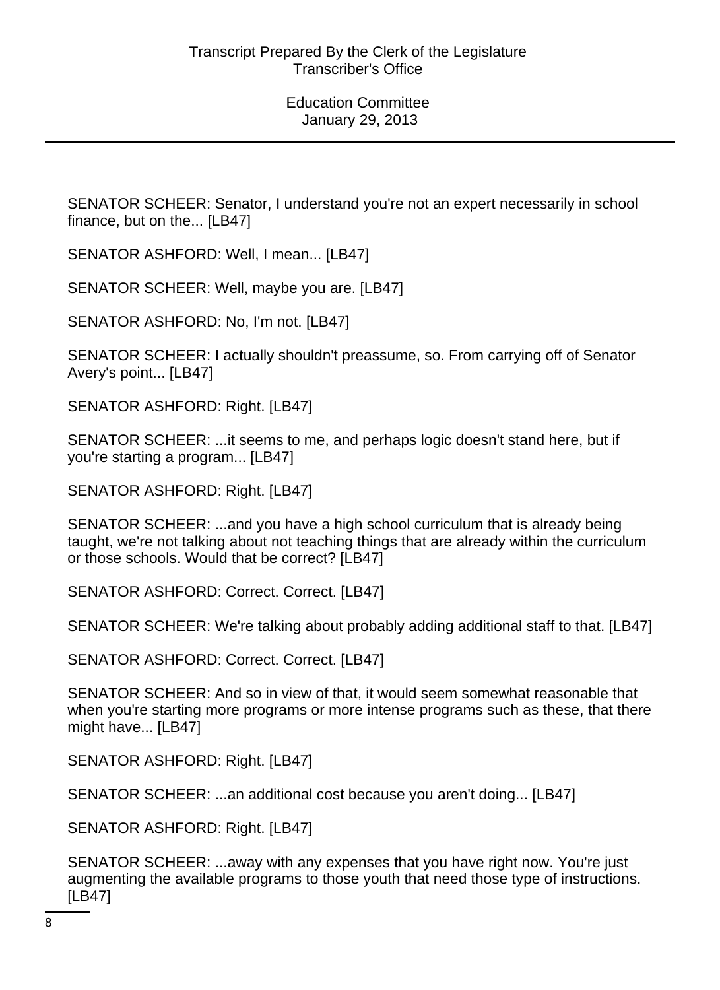SENATOR SCHEER: Senator, I understand you're not an expert necessarily in school finance, but on the... [LB47]

SENATOR ASHFORD: Well, I mean... [LB47]

SENATOR SCHEER: Well, maybe you are. [LB47]

SENATOR ASHFORD: No, I'm not. [LB47]

SENATOR SCHEER: I actually shouldn't preassume, so. From carrying off of Senator Avery's point... [LB47]

SENATOR ASHFORD: Right. [LB47]

SENATOR SCHEER: ...it seems to me, and perhaps logic doesn't stand here, but if you're starting a program... [LB47]

SENATOR ASHFORD: Right. [LB47]

SENATOR SCHEER: ...and you have a high school curriculum that is already being taught, we're not talking about not teaching things that are already within the curriculum or those schools. Would that be correct? [LB47]

SENATOR ASHFORD: Correct. Correct. [LB47]

SENATOR SCHEER: We're talking about probably adding additional staff to that. [LB47]

SENATOR ASHFORD: Correct. Correct. [LB47]

SENATOR SCHEER: And so in view of that, it would seem somewhat reasonable that when you're starting more programs or more intense programs such as these, that there might have... [LB47]

SENATOR ASHFORD: Right. [LB47]

SENATOR SCHEER: ...an additional cost because you aren't doing... [LB47]

SENATOR ASHFORD: Right. [LB47]

SENATOR SCHEER: ...away with any expenses that you have right now. You're just augmenting the available programs to those youth that need those type of instructions. [LB47]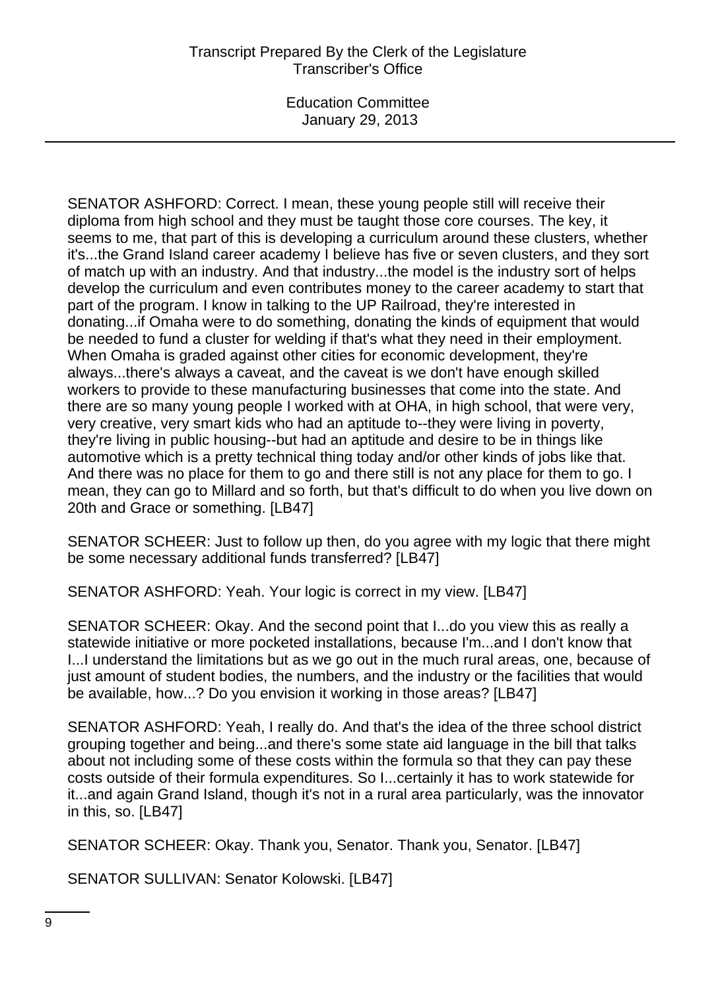SENATOR ASHFORD: Correct. I mean, these young people still will receive their diploma from high school and they must be taught those core courses. The key, it seems to me, that part of this is developing a curriculum around these clusters, whether it's...the Grand Island career academy I believe has five or seven clusters, and they sort of match up with an industry. And that industry...the model is the industry sort of helps develop the curriculum and even contributes money to the career academy to start that part of the program. I know in talking to the UP Railroad, they're interested in donating...if Omaha were to do something, donating the kinds of equipment that would be needed to fund a cluster for welding if that's what they need in their employment. When Omaha is graded against other cities for economic development, they're always...there's always a caveat, and the caveat is we don't have enough skilled workers to provide to these manufacturing businesses that come into the state. And there are so many young people I worked with at OHA, in high school, that were very, very creative, very smart kids who had an aptitude to--they were living in poverty, they're living in public housing--but had an aptitude and desire to be in things like automotive which is a pretty technical thing today and/or other kinds of jobs like that. And there was no place for them to go and there still is not any place for them to go. I mean, they can go to Millard and so forth, but that's difficult to do when you live down on 20th and Grace or something. [LB47]

SENATOR SCHEER: Just to follow up then, do you agree with my logic that there might be some necessary additional funds transferred? [LB47]

SENATOR ASHFORD: Yeah. Your logic is correct in my view. [LB47]

SENATOR SCHEER: Okay. And the second point that I...do you view this as really a statewide initiative or more pocketed installations, because I'm...and I don't know that I...I understand the limitations but as we go out in the much rural areas, one, because of just amount of student bodies, the numbers, and the industry or the facilities that would be available, how...? Do you envision it working in those areas? [LB47]

SENATOR ASHFORD: Yeah, I really do. And that's the idea of the three school district grouping together and being...and there's some state aid language in the bill that talks about not including some of these costs within the formula so that they can pay these costs outside of their formula expenditures. So I...certainly it has to work statewide for it...and again Grand Island, though it's not in a rural area particularly, was the innovator in this, so. [LB47]

SENATOR SCHEER: Okay. Thank you, Senator. Thank you, Senator. [LB47]

SENATOR SULLIVAN: Senator Kolowski. [LB47]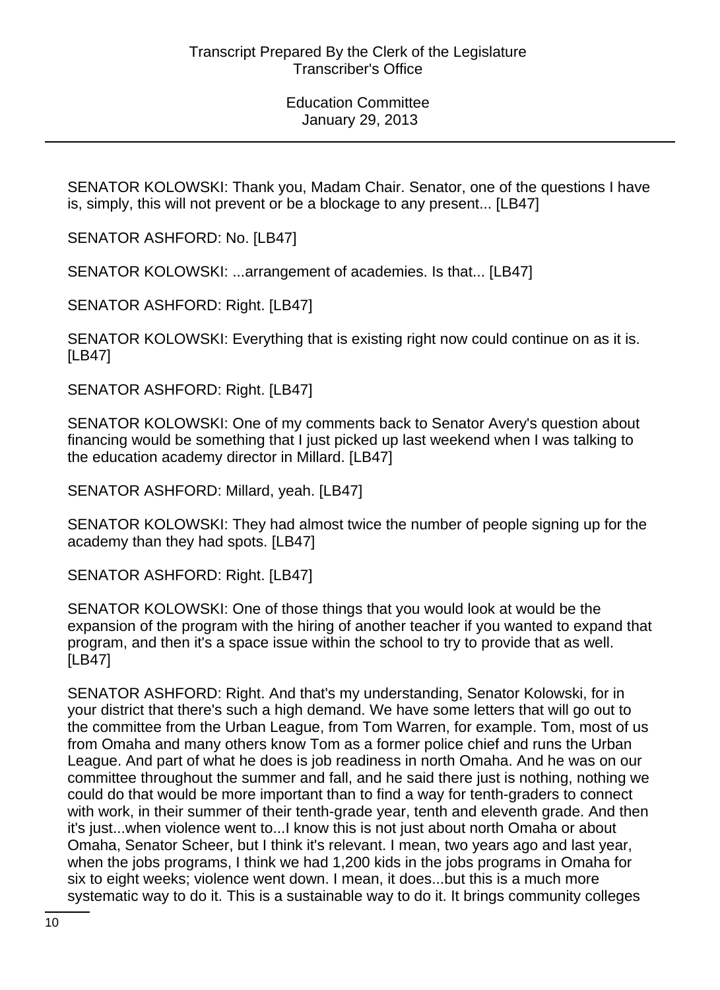SENATOR KOLOWSKI: Thank you, Madam Chair. Senator, one of the questions I have is, simply, this will not prevent or be a blockage to any present... [LB47]

SENATOR ASHFORD: No. [LB47]

SENATOR KOLOWSKI: ...arrangement of academies. Is that... [LB47]

SENATOR ASHFORD: Right. [LB47]

SENATOR KOLOWSKI: Everything that is existing right now could continue on as it is. [LB47]

SENATOR ASHFORD: Right. [LB47]

SENATOR KOLOWSKI: One of my comments back to Senator Avery's question about financing would be something that I just picked up last weekend when I was talking to the education academy director in Millard. [LB47]

SENATOR ASHFORD: Millard, yeah. [LB47]

SENATOR KOLOWSKI: They had almost twice the number of people signing up for the academy than they had spots. [LB47]

SENATOR ASHFORD: Right. [LB47]

SENATOR KOLOWSKI: One of those things that you would look at would be the expansion of the program with the hiring of another teacher if you wanted to expand that program, and then it's a space issue within the school to try to provide that as well. [LB47]

SENATOR ASHFORD: Right. And that's my understanding, Senator Kolowski, for in your district that there's such a high demand. We have some letters that will go out to the committee from the Urban League, from Tom Warren, for example. Tom, most of us from Omaha and many others know Tom as a former police chief and runs the Urban League. And part of what he does is job readiness in north Omaha. And he was on our committee throughout the summer and fall, and he said there just is nothing, nothing we could do that would be more important than to find a way for tenth-graders to connect with work, in their summer of their tenth-grade year, tenth and eleventh grade. And then it's just...when violence went to...I know this is not just about north Omaha or about Omaha, Senator Scheer, but I think it's relevant. I mean, two years ago and last year, when the jobs programs, I think we had 1,200 kids in the jobs programs in Omaha for six to eight weeks; violence went down. I mean, it does...but this is a much more systematic way to do it. This is a sustainable way to do it. It brings community colleges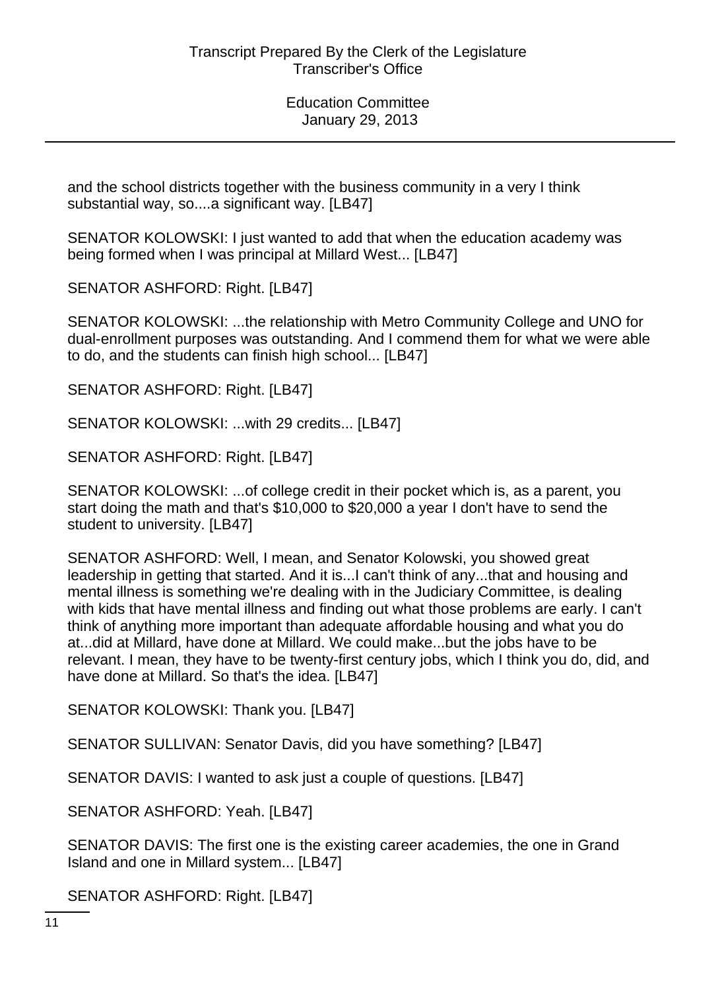and the school districts together with the business community in a very I think substantial way, so....a significant way. [LB47]

SENATOR KOLOWSKI: I just wanted to add that when the education academy was being formed when I was principal at Millard West... [LB47]

SENATOR ASHFORD: Right. [LB47]

SENATOR KOLOWSKI: ...the relationship with Metro Community College and UNO for dual-enrollment purposes was outstanding. And I commend them for what we were able to do, and the students can finish high school... [LB47]

SENATOR ASHFORD: Right. [LB47]

SENATOR KOLOWSKI: ...with 29 credits... [LB47]

SENATOR ASHFORD: Right. [LB47]

SENATOR KOLOWSKI: ...of college credit in their pocket which is, as a parent, you start doing the math and that's \$10,000 to \$20,000 a year I don't have to send the student to university. [LB47]

SENATOR ASHFORD: Well, I mean, and Senator Kolowski, you showed great leadership in getting that started. And it is...I can't think of any...that and housing and mental illness is something we're dealing with in the Judiciary Committee, is dealing with kids that have mental illness and finding out what those problems are early. I can't think of anything more important than adequate affordable housing and what you do at...did at Millard, have done at Millard. We could make...but the jobs have to be relevant. I mean, they have to be twenty-first century jobs, which I think you do, did, and have done at Millard. So that's the idea. [LB47]

SENATOR KOLOWSKI: Thank you. [LB47]

SENATOR SULLIVAN: Senator Davis, did you have something? [LB47]

SENATOR DAVIS: I wanted to ask just a couple of questions. [LB47]

SENATOR ASHFORD: Yeah. [LB47]

SENATOR DAVIS: The first one is the existing career academies, the one in Grand Island and one in Millard system... [LB47]

SENATOR ASHFORD: Right. [LB47]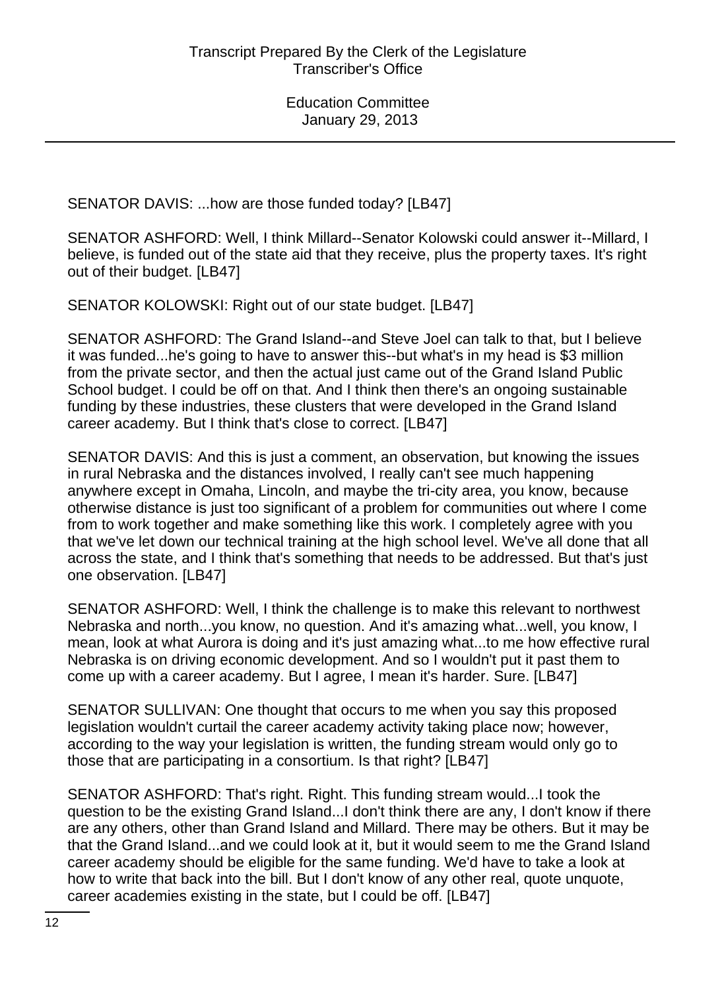SENATOR DAVIS: ...how are those funded today? [LB47]

SENATOR ASHFORD: Well, I think Millard--Senator Kolowski could answer it--Millard, I believe, is funded out of the state aid that they receive, plus the property taxes. It's right out of their budget. [LB47]

SENATOR KOLOWSKI: Right out of our state budget. [LB47]

SENATOR ASHFORD: The Grand Island--and Steve Joel can talk to that, but I believe it was funded...he's going to have to answer this--but what's in my head is \$3 million from the private sector, and then the actual just came out of the Grand Island Public School budget. I could be off on that. And I think then there's an ongoing sustainable funding by these industries, these clusters that were developed in the Grand Island career academy. But I think that's close to correct. [LB47]

SENATOR DAVIS: And this is just a comment, an observation, but knowing the issues in rural Nebraska and the distances involved, I really can't see much happening anywhere except in Omaha, Lincoln, and maybe the tri-city area, you know, because otherwise distance is just too significant of a problem for communities out where I come from to work together and make something like this work. I completely agree with you that we've let down our technical training at the high school level. We've all done that all across the state, and I think that's something that needs to be addressed. But that's just one observation. [LB47]

SENATOR ASHFORD: Well, I think the challenge is to make this relevant to northwest Nebraska and north...you know, no question. And it's amazing what...well, you know, I mean, look at what Aurora is doing and it's just amazing what...to me how effective rural Nebraska is on driving economic development. And so I wouldn't put it past them to come up with a career academy. But I agree, I mean it's harder. Sure. [LB47]

SENATOR SULLIVAN: One thought that occurs to me when you say this proposed legislation wouldn't curtail the career academy activity taking place now; however, according to the way your legislation is written, the funding stream would only go to those that are participating in a consortium. Is that right? [LB47]

SENATOR ASHFORD: That's right. Right. This funding stream would...I took the question to be the existing Grand Island...I don't think there are any, I don't know if there are any others, other than Grand Island and Millard. There may be others. But it may be that the Grand Island...and we could look at it, but it would seem to me the Grand Island career academy should be eligible for the same funding. We'd have to take a look at how to write that back into the bill. But I don't know of any other real, quote unquote, career academies existing in the state, but I could be off. [LB47]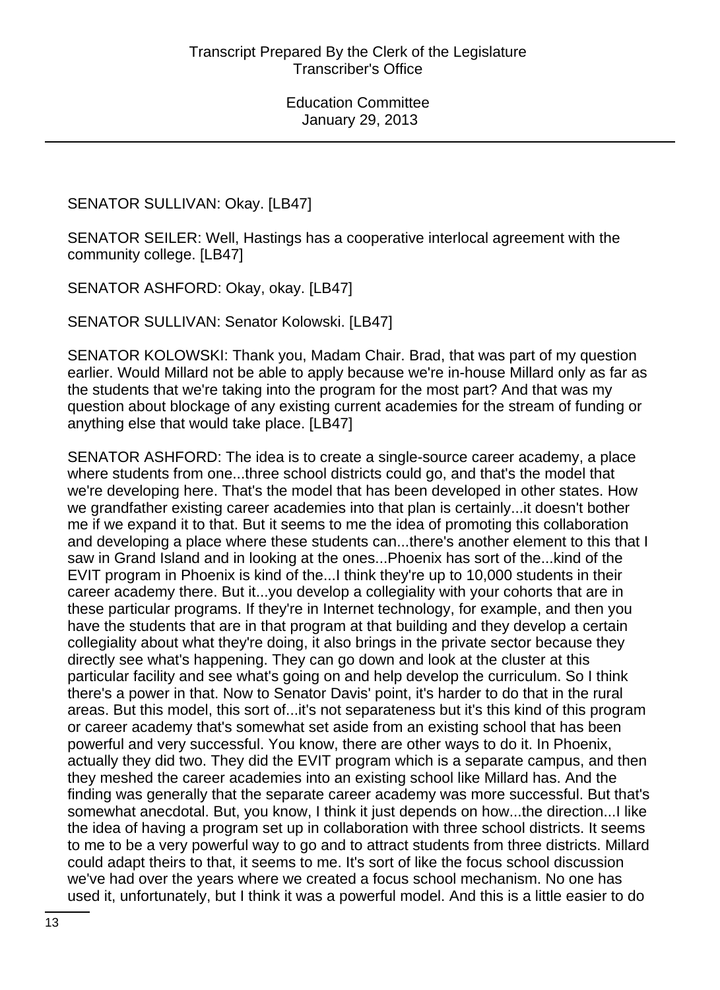SENATOR SULLIVAN: Okay. [LB47]

SENATOR SEILER: Well, Hastings has a cooperative interlocal agreement with the community college. [LB47]

SENATOR ASHFORD: Okay, okay. [LB47]

SENATOR SULLIVAN: Senator Kolowski. [LB47]

SENATOR KOLOWSKI: Thank you, Madam Chair. Brad, that was part of my question earlier. Would Millard not be able to apply because we're in-house Millard only as far as the students that we're taking into the program for the most part? And that was my question about blockage of any existing current academies for the stream of funding or anything else that would take place. [LB47]

SENATOR ASHFORD: The idea is to create a single-source career academy, a place where students from one...three school districts could go, and that's the model that we're developing here. That's the model that has been developed in other states. How we grandfather existing career academies into that plan is certainly...it doesn't bother me if we expand it to that. But it seems to me the idea of promoting this collaboration and developing a place where these students can...there's another element to this that I saw in Grand Island and in looking at the ones...Phoenix has sort of the...kind of the EVIT program in Phoenix is kind of the...I think they're up to 10,000 students in their career academy there. But it...you develop a collegiality with your cohorts that are in these particular programs. If they're in Internet technology, for example, and then you have the students that are in that program at that building and they develop a certain collegiality about what they're doing, it also brings in the private sector because they directly see what's happening. They can go down and look at the cluster at this particular facility and see what's going on and help develop the curriculum. So I think there's a power in that. Now to Senator Davis' point, it's harder to do that in the rural areas. But this model, this sort of...it's not separateness but it's this kind of this program or career academy that's somewhat set aside from an existing school that has been powerful and very successful. You know, there are other ways to do it. In Phoenix, actually they did two. They did the EVIT program which is a separate campus, and then they meshed the career academies into an existing school like Millard has. And the finding was generally that the separate career academy was more successful. But that's somewhat anecdotal. But, you know, I think it just depends on how...the direction...I like the idea of having a program set up in collaboration with three school districts. It seems to me to be a very powerful way to go and to attract students from three districts. Millard could adapt theirs to that, it seems to me. It's sort of like the focus school discussion we've had over the years where we created a focus school mechanism. No one has used it, unfortunately, but I think it was a powerful model. And this is a little easier to do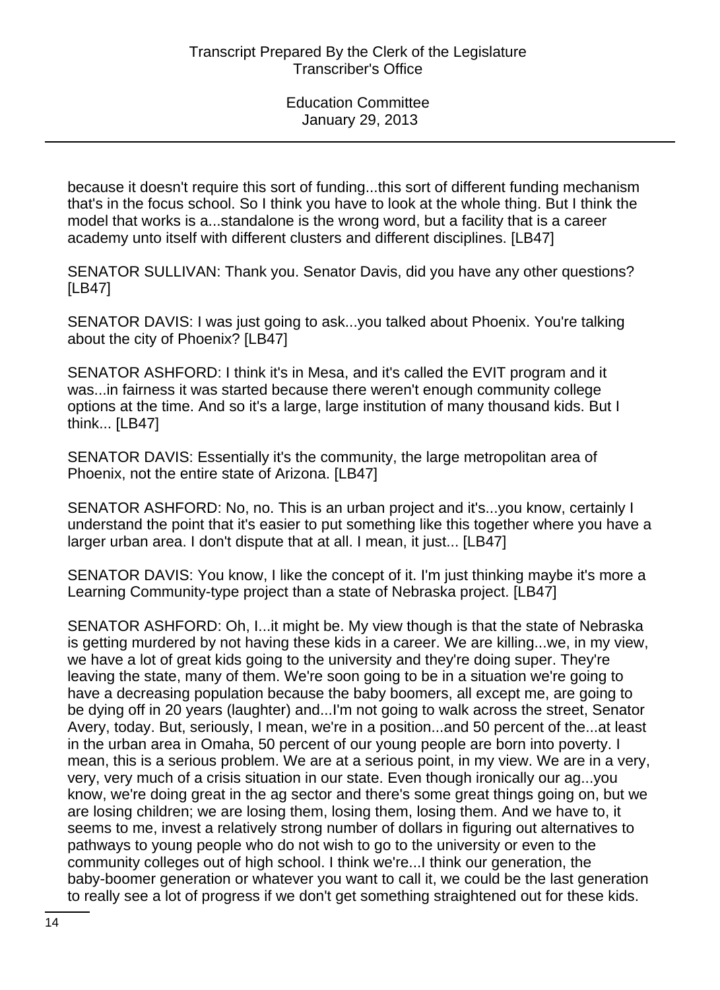because it doesn't require this sort of funding...this sort of different funding mechanism that's in the focus school. So I think you have to look at the whole thing. But I think the model that works is a...standalone is the wrong word, but a facility that is a career academy unto itself with different clusters and different disciplines. [LB47]

SENATOR SULLIVAN: Thank you. Senator Davis, did you have any other questions? [LB47]

SENATOR DAVIS: I was just going to ask...you talked about Phoenix. You're talking about the city of Phoenix? [LB47]

SENATOR ASHFORD: I think it's in Mesa, and it's called the EVIT program and it was...in fairness it was started because there weren't enough community college options at the time. And so it's a large, large institution of many thousand kids. But I think... [LB47]

SENATOR DAVIS: Essentially it's the community, the large metropolitan area of Phoenix, not the entire state of Arizona. [LB47]

SENATOR ASHFORD: No, no. This is an urban project and it's...you know, certainly I understand the point that it's easier to put something like this together where you have a larger urban area. I don't dispute that at all. I mean, it just... [LB47]

SENATOR DAVIS: You know, I like the concept of it. I'm just thinking maybe it's more a Learning Community-type project than a state of Nebraska project. [LB47]

SENATOR ASHFORD: Oh, I...it might be. My view though is that the state of Nebraska is getting murdered by not having these kids in a career. We are killing...we, in my view, we have a lot of great kids going to the university and they're doing super. They're leaving the state, many of them. We're soon going to be in a situation we're going to have a decreasing population because the baby boomers, all except me, are going to be dying off in 20 years (laughter) and...I'm not going to walk across the street, Senator Avery, today. But, seriously, I mean, we're in a position...and 50 percent of the...at least in the urban area in Omaha, 50 percent of our young people are born into poverty. I mean, this is a serious problem. We are at a serious point, in my view. We are in a very, very, very much of a crisis situation in our state. Even though ironically our ag...you know, we're doing great in the ag sector and there's some great things going on, but we are losing children; we are losing them, losing them, losing them. And we have to, it seems to me, invest a relatively strong number of dollars in figuring out alternatives to pathways to young people who do not wish to go to the university or even to the community colleges out of high school. I think we're...I think our generation, the baby-boomer generation or whatever you want to call it, we could be the last generation to really see a lot of progress if we don't get something straightened out for these kids.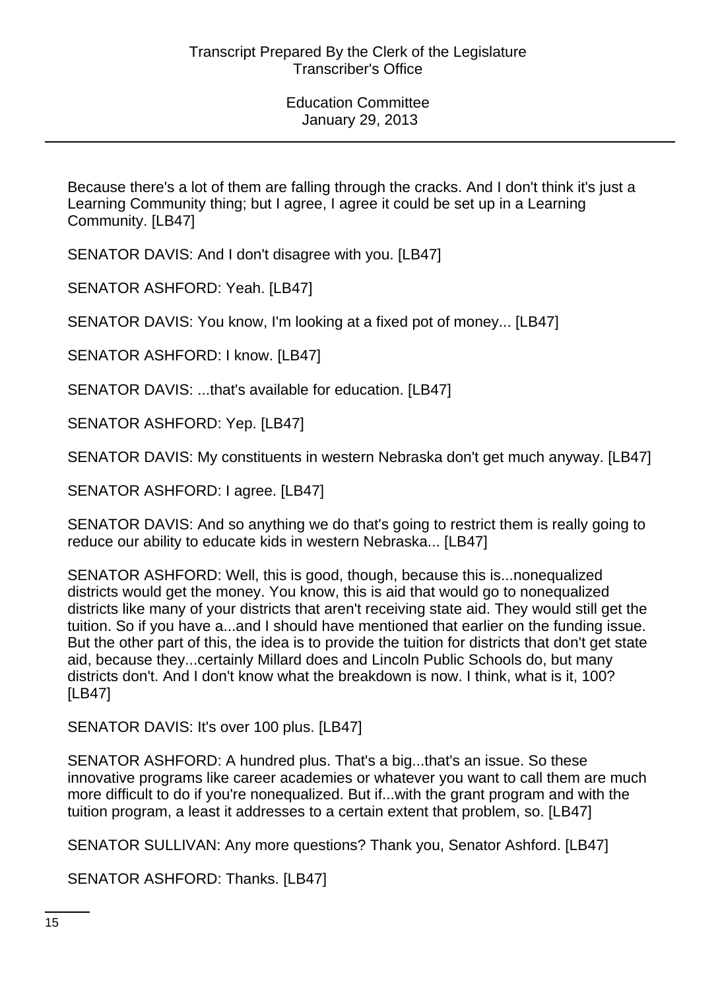Because there's a lot of them are falling through the cracks. And I don't think it's just a Learning Community thing; but I agree, I agree it could be set up in a Learning Community. [LB47]

SENATOR DAVIS: And I don't disagree with you. [LB47]

SENATOR ASHFORD: Yeah. [LB47]

SENATOR DAVIS: You know, I'm looking at a fixed pot of money... [LB47]

SENATOR ASHFORD: I know. [LB47]

SENATOR DAVIS: ...that's available for education. [LB47]

SENATOR ASHFORD: Yep. [LB47]

SENATOR DAVIS: My constituents in western Nebraska don't get much anyway. [LB47]

SENATOR ASHFORD: I agree. [LB47]

SENATOR DAVIS: And so anything we do that's going to restrict them is really going to reduce our ability to educate kids in western Nebraska... [LB47]

SENATOR ASHFORD: Well, this is good, though, because this is...nonequalized districts would get the money. You know, this is aid that would go to nonequalized districts like many of your districts that aren't receiving state aid. They would still get the tuition. So if you have a...and I should have mentioned that earlier on the funding issue. But the other part of this, the idea is to provide the tuition for districts that don't get state aid, because they...certainly Millard does and Lincoln Public Schools do, but many districts don't. And I don't know what the breakdown is now. I think, what is it, 100? [LB47]

SENATOR DAVIS: It's over 100 plus. [LB47]

SENATOR ASHFORD: A hundred plus. That's a big...that's an issue. So these innovative programs like career academies or whatever you want to call them are much more difficult to do if you're nonequalized. But if...with the grant program and with the tuition program, a least it addresses to a certain extent that problem, so. [LB47]

SENATOR SULLIVAN: Any more questions? Thank you, Senator Ashford. [LB47]

SENATOR ASHFORD: Thanks. [LB47]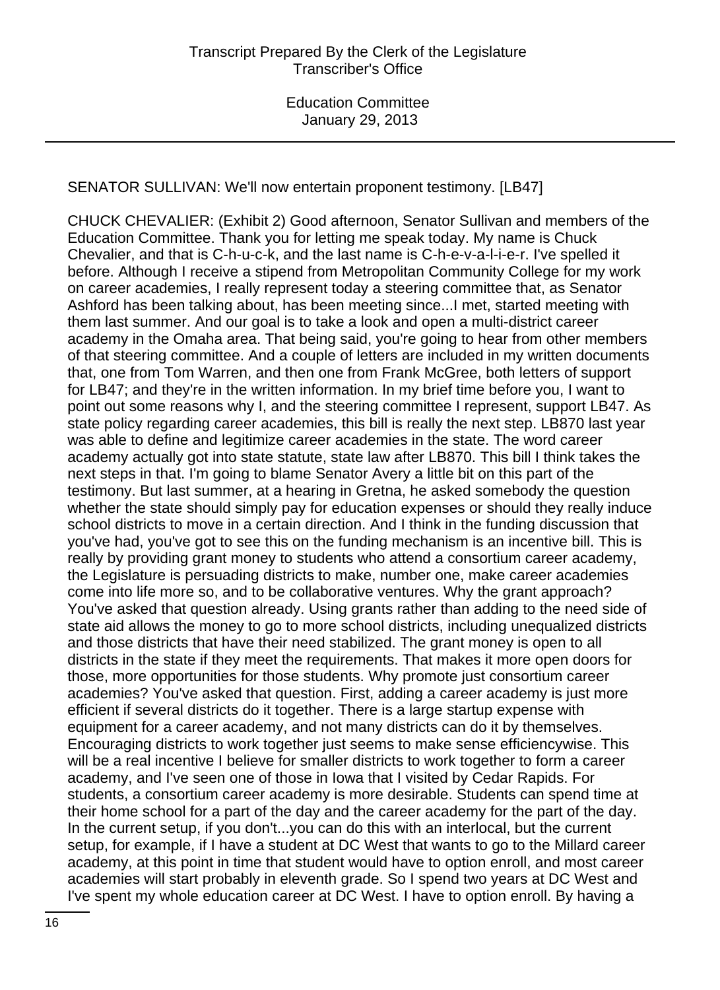#### SENATOR SULLIVAN: We'll now entertain proponent testimony. [LB47]

CHUCK CHEVALIER: (Exhibit 2) Good afternoon, Senator Sullivan and members of the Education Committee. Thank you for letting me speak today. My name is Chuck Chevalier, and that is C-h-u-c-k, and the last name is C-h-e-v-a-l-i-e-r. I've spelled it before. Although I receive a stipend from Metropolitan Community College for my work on career academies, I really represent today a steering committee that, as Senator Ashford has been talking about, has been meeting since...I met, started meeting with them last summer. And our goal is to take a look and open a multi-district career academy in the Omaha area. That being said, you're going to hear from other members of that steering committee. And a couple of letters are included in my written documents that, one from Tom Warren, and then one from Frank McGree, both letters of support for LB47; and they're in the written information. In my brief time before you, I want to point out some reasons why I, and the steering committee I represent, support LB47. As state policy regarding career academies, this bill is really the next step. LB870 last year was able to define and legitimize career academies in the state. The word career academy actually got into state statute, state law after LB870. This bill I think takes the next steps in that. I'm going to blame Senator Avery a little bit on this part of the testimony. But last summer, at a hearing in Gretna, he asked somebody the question whether the state should simply pay for education expenses or should they really induce school districts to move in a certain direction. And I think in the funding discussion that you've had, you've got to see this on the funding mechanism is an incentive bill. This is really by providing grant money to students who attend a consortium career academy, the Legislature is persuading districts to make, number one, make career academies come into life more so, and to be collaborative ventures. Why the grant approach? You've asked that question already. Using grants rather than adding to the need side of state aid allows the money to go to more school districts, including unequalized districts and those districts that have their need stabilized. The grant money is open to all districts in the state if they meet the requirements. That makes it more open doors for those, more opportunities for those students. Why promote just consortium career academies? You've asked that question. First, adding a career academy is just more efficient if several districts do it together. There is a large startup expense with equipment for a career academy, and not many districts can do it by themselves. Encouraging districts to work together just seems to make sense efficiencywise. This will be a real incentive I believe for smaller districts to work together to form a career academy, and I've seen one of those in Iowa that I visited by Cedar Rapids. For students, a consortium career academy is more desirable. Students can spend time at their home school for a part of the day and the career academy for the part of the day. In the current setup, if you don't...you can do this with an interlocal, but the current setup, for example, if I have a student at DC West that wants to go to the Millard career academy, at this point in time that student would have to option enroll, and most career academies will start probably in eleventh grade. So I spend two years at DC West and I've spent my whole education career at DC West. I have to option enroll. By having a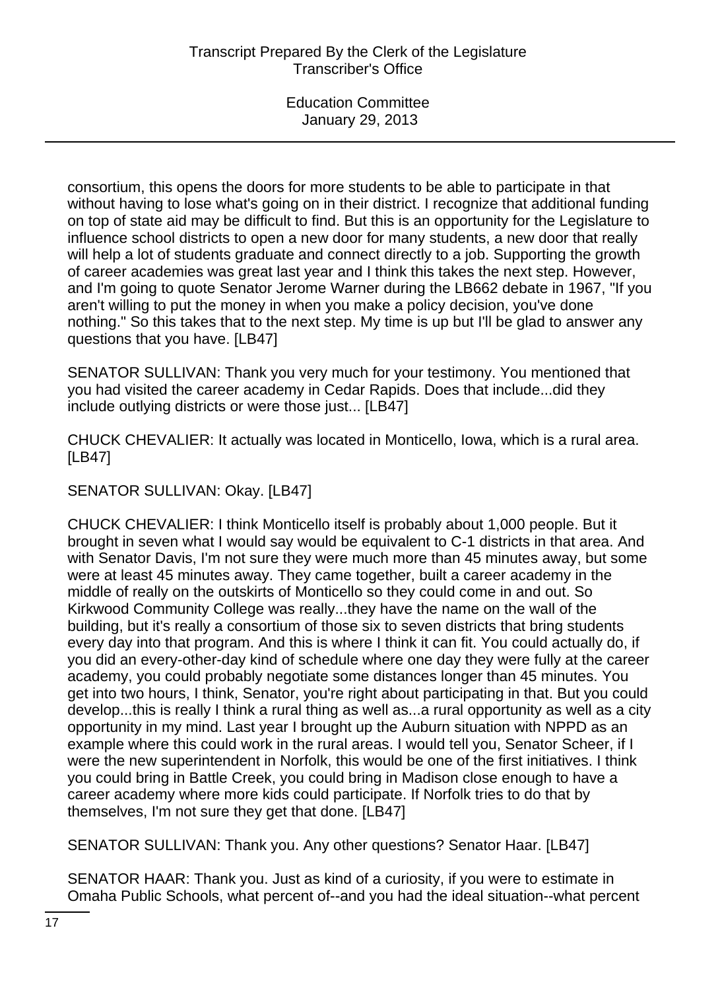consortium, this opens the doors for more students to be able to participate in that without having to lose what's going on in their district. I recognize that additional funding on top of state aid may be difficult to find. But this is an opportunity for the Legislature to influence school districts to open a new door for many students, a new door that really will help a lot of students graduate and connect directly to a job. Supporting the growth of career academies was great last year and I think this takes the next step. However, and I'm going to quote Senator Jerome Warner during the LB662 debate in 1967, "If you aren't willing to put the money in when you make a policy decision, you've done nothing." So this takes that to the next step. My time is up but I'll be glad to answer any questions that you have. [LB47]

SENATOR SULLIVAN: Thank you very much for your testimony. You mentioned that you had visited the career academy in Cedar Rapids. Does that include...did they include outlying districts or were those just... [LB47]

CHUCK CHEVALIER: It actually was located in Monticello, Iowa, which is a rural area. [LB47]

SENATOR SULLIVAN: Okay. [LB47]

CHUCK CHEVALIER: I think Monticello itself is probably about 1,000 people. But it brought in seven what I would say would be equivalent to C-1 districts in that area. And with Senator Davis, I'm not sure they were much more than 45 minutes away, but some were at least 45 minutes away. They came together, built a career academy in the middle of really on the outskirts of Monticello so they could come in and out. So Kirkwood Community College was really...they have the name on the wall of the building, but it's really a consortium of those six to seven districts that bring students every day into that program. And this is where I think it can fit. You could actually do, if you did an every-other-day kind of schedule where one day they were fully at the career academy, you could probably negotiate some distances longer than 45 minutes. You get into two hours, I think, Senator, you're right about participating in that. But you could develop...this is really I think a rural thing as well as...a rural opportunity as well as a city opportunity in my mind. Last year I brought up the Auburn situation with NPPD as an example where this could work in the rural areas. I would tell you, Senator Scheer, if I were the new superintendent in Norfolk, this would be one of the first initiatives. I think you could bring in Battle Creek, you could bring in Madison close enough to have a career academy where more kids could participate. If Norfolk tries to do that by themselves, I'm not sure they get that done. [LB47]

SENATOR SULLIVAN: Thank you. Any other questions? Senator Haar. [LB47]

SENATOR HAAR: Thank you. Just as kind of a curiosity, if you were to estimate in Omaha Public Schools, what percent of--and you had the ideal situation--what percent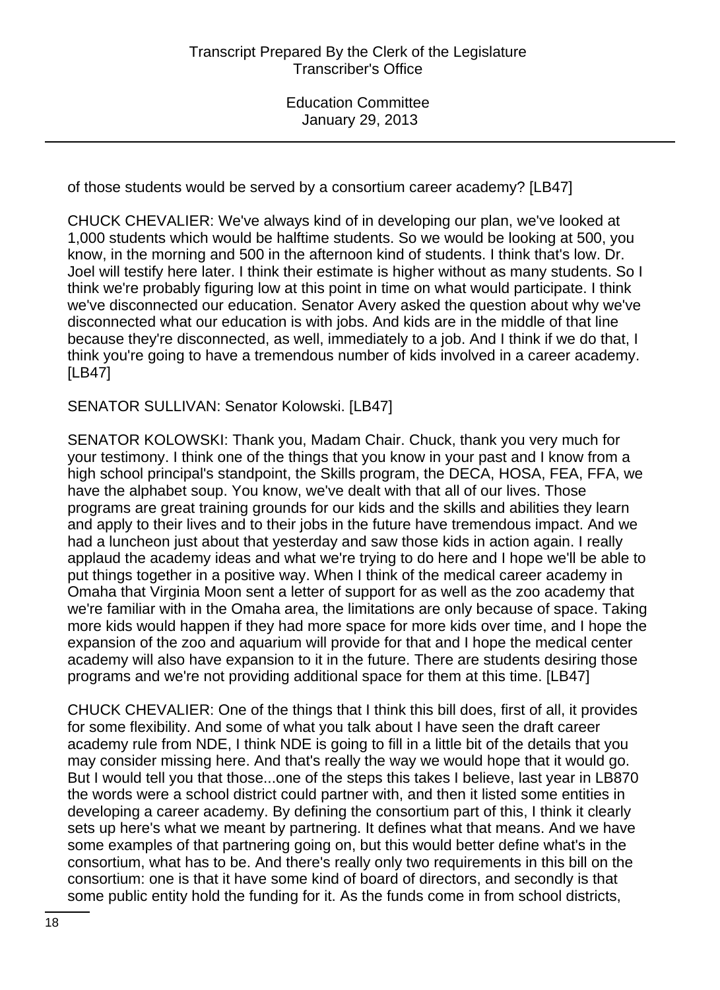of those students would be served by a consortium career academy? [LB47]

CHUCK CHEVALIER: We've always kind of in developing our plan, we've looked at 1,000 students which would be halftime students. So we would be looking at 500, you know, in the morning and 500 in the afternoon kind of students. I think that's low. Dr. Joel will testify here later. I think their estimate is higher without as many students. So I think we're probably figuring low at this point in time on what would participate. I think we've disconnected our education. Senator Avery asked the question about why we've disconnected what our education is with jobs. And kids are in the middle of that line because they're disconnected, as well, immediately to a job. And I think if we do that, I think you're going to have a tremendous number of kids involved in a career academy. [LB47]

SENATOR SULLIVAN: Senator Kolowski. [LB47]

SENATOR KOLOWSKI: Thank you, Madam Chair. Chuck, thank you very much for your testimony. I think one of the things that you know in your past and I know from a high school principal's standpoint, the Skills program, the DECA, HOSA, FEA, FFA, we have the alphabet soup. You know, we've dealt with that all of our lives. Those programs are great training grounds for our kids and the skills and abilities they learn and apply to their lives and to their jobs in the future have tremendous impact. And we had a luncheon just about that yesterday and saw those kids in action again. I really applaud the academy ideas and what we're trying to do here and I hope we'll be able to put things together in a positive way. When I think of the medical career academy in Omaha that Virginia Moon sent a letter of support for as well as the zoo academy that we're familiar with in the Omaha area, the limitations are only because of space. Taking more kids would happen if they had more space for more kids over time, and I hope the expansion of the zoo and aquarium will provide for that and I hope the medical center academy will also have expansion to it in the future. There are students desiring those programs and we're not providing additional space for them at this time. [LB47]

CHUCK CHEVALIER: One of the things that I think this bill does, first of all, it provides for some flexibility. And some of what you talk about I have seen the draft career academy rule from NDE, I think NDE is going to fill in a little bit of the details that you may consider missing here. And that's really the way we would hope that it would go. But I would tell you that those...one of the steps this takes I believe, last year in LB870 the words were a school district could partner with, and then it listed some entities in developing a career academy. By defining the consortium part of this, I think it clearly sets up here's what we meant by partnering. It defines what that means. And we have some examples of that partnering going on, but this would better define what's in the consortium, what has to be. And there's really only two requirements in this bill on the consortium: one is that it have some kind of board of directors, and secondly is that some public entity hold the funding for it. As the funds come in from school districts,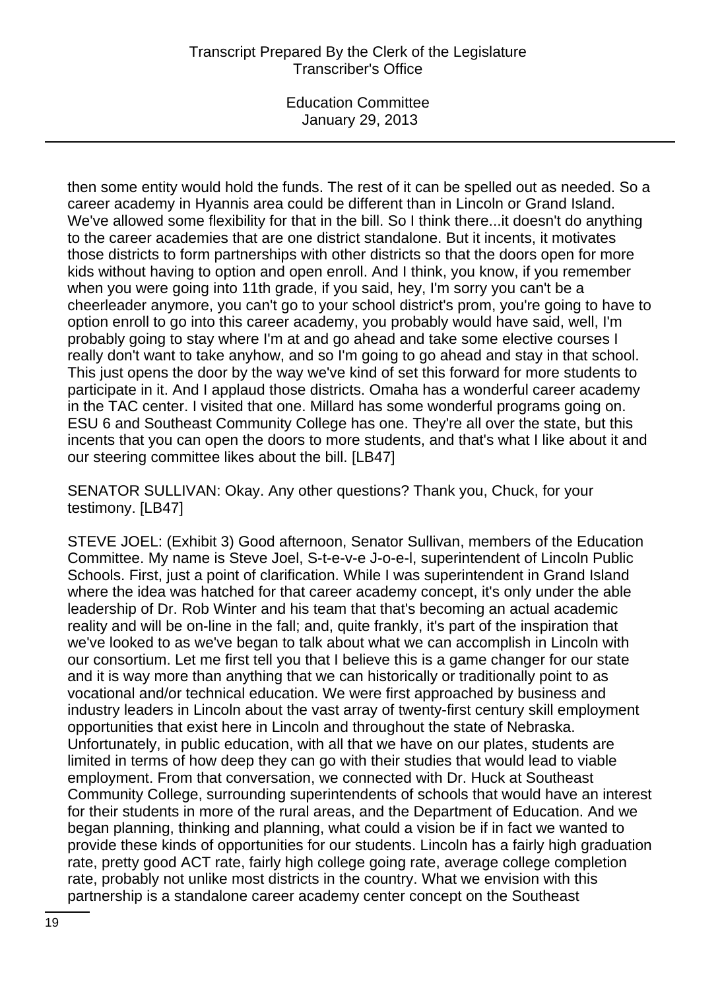## Transcript Prepared By the Clerk of the Legislature Transcriber's Office

Education Committee January 29, 2013

then some entity would hold the funds. The rest of it can be spelled out as needed. So a career academy in Hyannis area could be different than in Lincoln or Grand Island. We've allowed some flexibility for that in the bill. So I think there... it doesn't do anything to the career academies that are one district standalone. But it incents, it motivates those districts to form partnerships with other districts so that the doors open for more kids without having to option and open enroll. And I think, you know, if you remember when you were going into 11th grade, if you said, hey, I'm sorry you can't be a cheerleader anymore, you can't go to your school district's prom, you're going to have to option enroll to go into this career academy, you probably would have said, well, I'm probably going to stay where I'm at and go ahead and take some elective courses I really don't want to take anyhow, and so I'm going to go ahead and stay in that school. This just opens the door by the way we've kind of set this forward for more students to participate in it. And I applaud those districts. Omaha has a wonderful career academy in the TAC center. I visited that one. Millard has some wonderful programs going on. ESU 6 and Southeast Community College has one. They're all over the state, but this incents that you can open the doors to more students, and that's what I like about it and our steering committee likes about the bill. [LB47]

SENATOR SULLIVAN: Okay. Any other questions? Thank you, Chuck, for your testimony. [LB47]

STEVE JOEL: (Exhibit 3) Good afternoon, Senator Sullivan, members of the Education Committee. My name is Steve Joel, S-t-e-v-e J-o-e-l, superintendent of Lincoln Public Schools. First, just a point of clarification. While I was superintendent in Grand Island where the idea was hatched for that career academy concept, it's only under the able leadership of Dr. Rob Winter and his team that that's becoming an actual academic reality and will be on-line in the fall; and, quite frankly, it's part of the inspiration that we've looked to as we've began to talk about what we can accomplish in Lincoln with our consortium. Let me first tell you that I believe this is a game changer for our state and it is way more than anything that we can historically or traditionally point to as vocational and/or technical education. We were first approached by business and industry leaders in Lincoln about the vast array of twenty-first century skill employment opportunities that exist here in Lincoln and throughout the state of Nebraska. Unfortunately, in public education, with all that we have on our plates, students are limited in terms of how deep they can go with their studies that would lead to viable employment. From that conversation, we connected with Dr. Huck at Southeast Community College, surrounding superintendents of schools that would have an interest for their students in more of the rural areas, and the Department of Education. And we began planning, thinking and planning, what could a vision be if in fact we wanted to provide these kinds of opportunities for our students. Lincoln has a fairly high graduation rate, pretty good ACT rate, fairly high college going rate, average college completion rate, probably not unlike most districts in the country. What we envision with this partnership is a standalone career academy center concept on the Southeast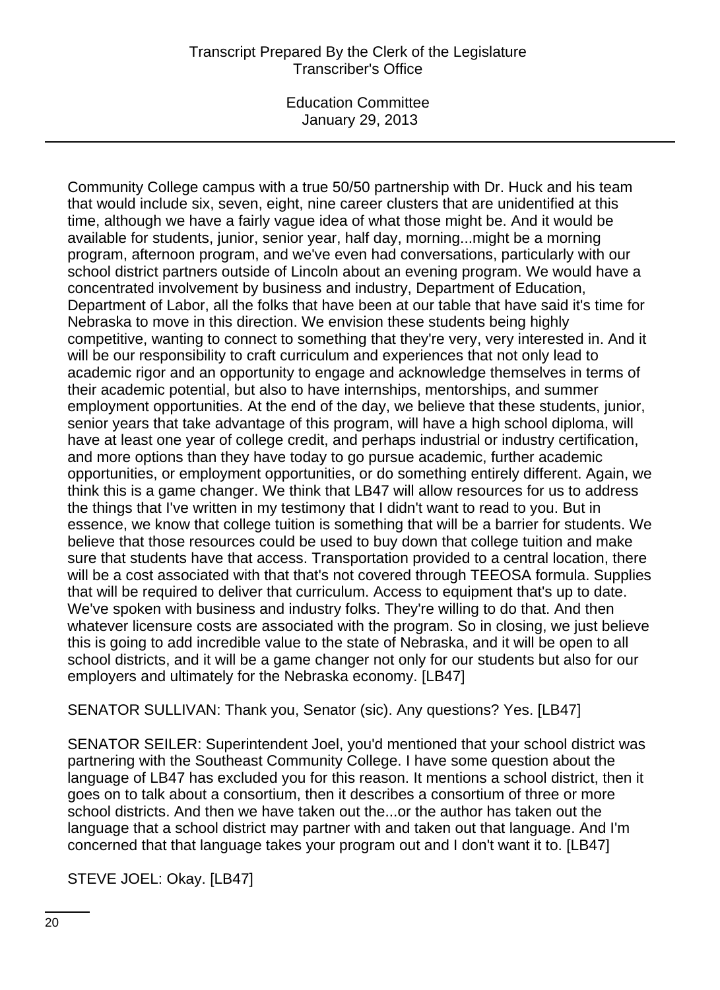# Transcript Prepared By the Clerk of the Legislature Transcriber's Office

Education Committee January 29, 2013

Community College campus with a true 50/50 partnership with Dr. Huck and his team that would include six, seven, eight, nine career clusters that are unidentified at this time, although we have a fairly vague idea of what those might be. And it would be available for students, junior, senior year, half day, morning...might be a morning program, afternoon program, and we've even had conversations, particularly with our school district partners outside of Lincoln about an evening program. We would have a concentrated involvement by business and industry, Department of Education, Department of Labor, all the folks that have been at our table that have said it's time for Nebraska to move in this direction. We envision these students being highly competitive, wanting to connect to something that they're very, very interested in. And it will be our responsibility to craft curriculum and experiences that not only lead to academic rigor and an opportunity to engage and acknowledge themselves in terms of their academic potential, but also to have internships, mentorships, and summer employment opportunities. At the end of the day, we believe that these students, junior, senior years that take advantage of this program, will have a high school diploma, will have at least one year of college credit, and perhaps industrial or industry certification, and more options than they have today to go pursue academic, further academic opportunities, or employment opportunities, or do something entirely different. Again, we think this is a game changer. We think that LB47 will allow resources for us to address the things that I've written in my testimony that I didn't want to read to you. But in essence, we know that college tuition is something that will be a barrier for students. We believe that those resources could be used to buy down that college tuition and make sure that students have that access. Transportation provided to a central location, there will be a cost associated with that that's not covered through TEEOSA formula. Supplies that will be required to deliver that curriculum. Access to equipment that's up to date. We've spoken with business and industry folks. They're willing to do that. And then whatever licensure costs are associated with the program. So in closing, we just believe this is going to add incredible value to the state of Nebraska, and it will be open to all school districts, and it will be a game changer not only for our students but also for our employers and ultimately for the Nebraska economy. [LB47]

SENATOR SULLIVAN: Thank you, Senator (sic). Any questions? Yes. [LB47]

SENATOR SEILER: Superintendent Joel, you'd mentioned that your school district was partnering with the Southeast Community College. I have some question about the language of LB47 has excluded you for this reason. It mentions a school district, then it goes on to talk about a consortium, then it describes a consortium of three or more school districts. And then we have taken out the...or the author has taken out the language that a school district may partner with and taken out that language. And I'm concerned that that language takes your program out and I don't want it to. [LB47]

STEVE JOEL: Okay. [LB47]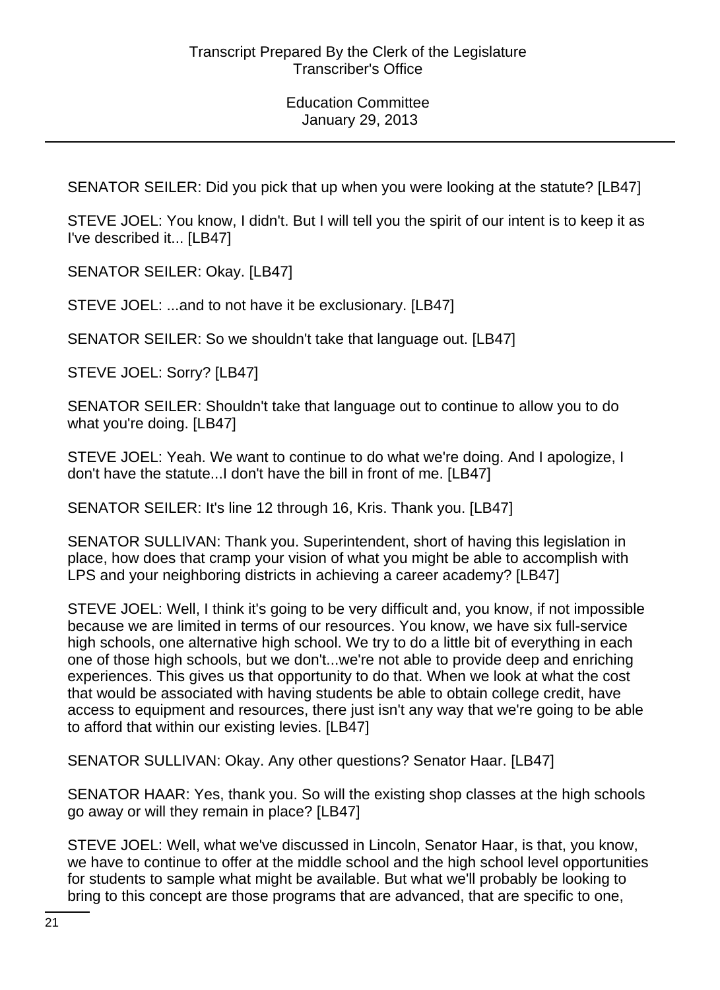SENATOR SEILER: Did you pick that up when you were looking at the statute? [LB47]

STEVE JOEL: You know, I didn't. But I will tell you the spirit of our intent is to keep it as I've described it... [LB47]

SENATOR SEILER: Okay. [LB47]

STEVE JOEL: ...and to not have it be exclusionary. [LB47]

SENATOR SEILER: So we shouldn't take that language out. [LB47]

STEVE JOEL: Sorry? [LB47]

SENATOR SEILER: Shouldn't take that language out to continue to allow you to do what you're doing. [LB47]

STEVE JOEL: Yeah. We want to continue to do what we're doing. And I apologize, I don't have the statute...I don't have the bill in front of me. [LB47]

SENATOR SEILER: It's line 12 through 16, Kris. Thank you. [LB47]

SENATOR SULLIVAN: Thank you. Superintendent, short of having this legislation in place, how does that cramp your vision of what you might be able to accomplish with LPS and your neighboring districts in achieving a career academy? [LB47]

STEVE JOEL: Well, I think it's going to be very difficult and, you know, if not impossible because we are limited in terms of our resources. You know, we have six full-service high schools, one alternative high school. We try to do a little bit of everything in each one of those high schools, but we don't...we're not able to provide deep and enriching experiences. This gives us that opportunity to do that. When we look at what the cost that would be associated with having students be able to obtain college credit, have access to equipment and resources, there just isn't any way that we're going to be able to afford that within our existing levies. [LB47]

SENATOR SULLIVAN: Okay. Any other questions? Senator Haar. [LB47]

SENATOR HAAR: Yes, thank you. So will the existing shop classes at the high schools go away or will they remain in place? [LB47]

STEVE JOEL: Well, what we've discussed in Lincoln, Senator Haar, is that, you know, we have to continue to offer at the middle school and the high school level opportunities for students to sample what might be available. But what we'll probably be looking to bring to this concept are those programs that are advanced, that are specific to one,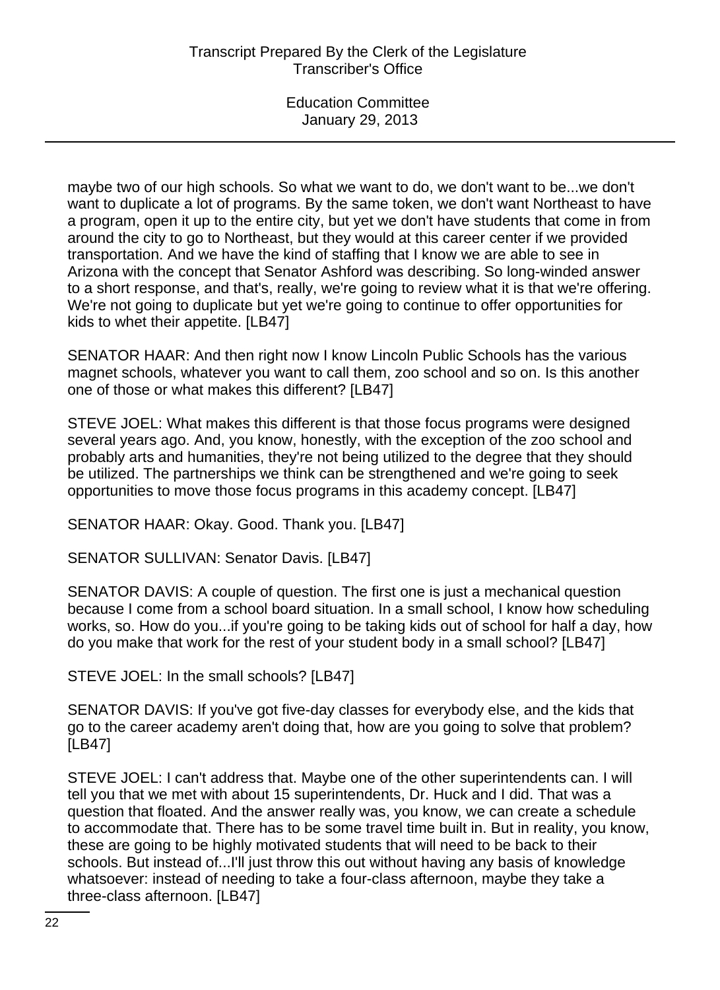maybe two of our high schools. So what we want to do, we don't want to be...we don't want to duplicate a lot of programs. By the same token, we don't want Northeast to have a program, open it up to the entire city, but yet we don't have students that come in from around the city to go to Northeast, but they would at this career center if we provided transportation. And we have the kind of staffing that I know we are able to see in Arizona with the concept that Senator Ashford was describing. So long-winded answer to a short response, and that's, really, we're going to review what it is that we're offering. We're not going to duplicate but yet we're going to continue to offer opportunities for kids to whet their appetite. [LB47]

SENATOR HAAR: And then right now I know Lincoln Public Schools has the various magnet schools, whatever you want to call them, zoo school and so on. Is this another one of those or what makes this different? [LB47]

STEVE JOEL: What makes this different is that those focus programs were designed several years ago. And, you know, honestly, with the exception of the zoo school and probably arts and humanities, they're not being utilized to the degree that they should be utilized. The partnerships we think can be strengthened and we're going to seek opportunities to move those focus programs in this academy concept. [LB47]

SENATOR HAAR: Okay. Good. Thank you. [LB47]

SENATOR SULLIVAN: Senator Davis. [LB47]

SENATOR DAVIS: A couple of question. The first one is just a mechanical question because I come from a school board situation. In a small school, I know how scheduling works, so. How do you...if you're going to be taking kids out of school for half a day, how do you make that work for the rest of your student body in a small school? [LB47]

STEVE JOEL: In the small schools? [LB47]

SENATOR DAVIS: If you've got five-day classes for everybody else, and the kids that go to the career academy aren't doing that, how are you going to solve that problem? [LB47]

STEVE JOEL: I can't address that. Maybe one of the other superintendents can. I will tell you that we met with about 15 superintendents, Dr. Huck and I did. That was a question that floated. And the answer really was, you know, we can create a schedule to accommodate that. There has to be some travel time built in. But in reality, you know, these are going to be highly motivated students that will need to be back to their schools. But instead of...I'll just throw this out without having any basis of knowledge whatsoever: instead of needing to take a four-class afternoon, maybe they take a three-class afternoon. [LB47]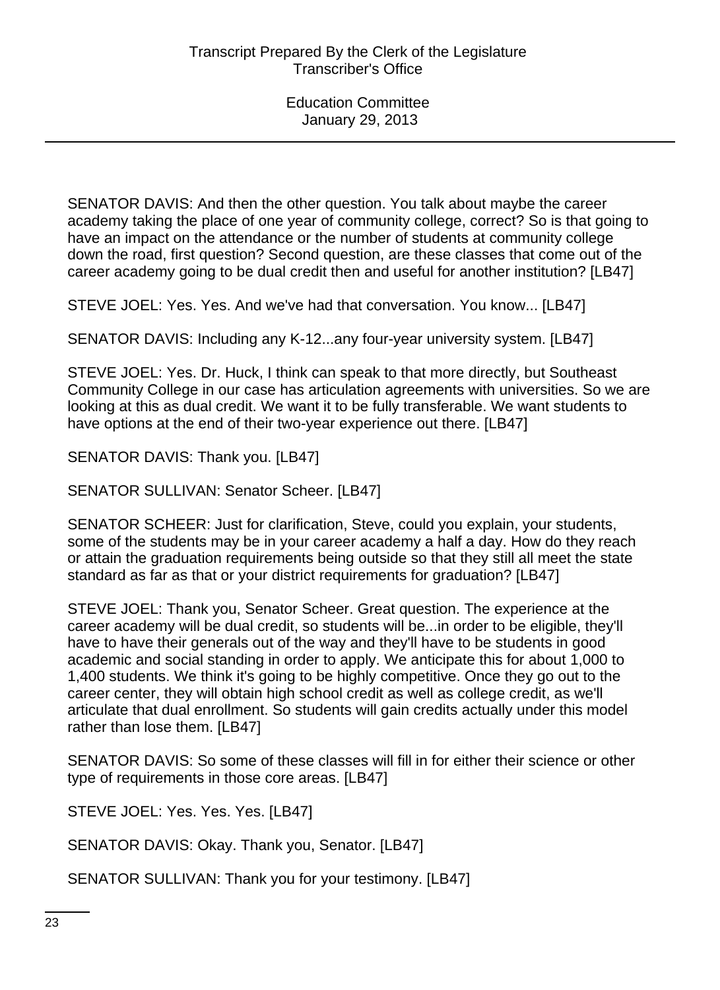SENATOR DAVIS: And then the other question. You talk about maybe the career academy taking the place of one year of community college, correct? So is that going to have an impact on the attendance or the number of students at community college down the road, first question? Second question, are these classes that come out of the career academy going to be dual credit then and useful for another institution? [LB47]

STEVE JOEL: Yes. Yes. And we've had that conversation. You know... [LB47]

SENATOR DAVIS: Including any K-12...any four-year university system. [LB47]

STEVE JOEL: Yes. Dr. Huck, I think can speak to that more directly, but Southeast Community College in our case has articulation agreements with universities. So we are looking at this as dual credit. We want it to be fully transferable. We want students to have options at the end of their two-year experience out there. [LB47]

SENATOR DAVIS: Thank you. [LB47]

SENATOR SULLIVAN: Senator Scheer. [LB47]

SENATOR SCHEER: Just for clarification, Steve, could you explain, your students, some of the students may be in your career academy a half a day. How do they reach or attain the graduation requirements being outside so that they still all meet the state standard as far as that or your district requirements for graduation? [LB47]

STEVE JOEL: Thank you, Senator Scheer. Great question. The experience at the career academy will be dual credit, so students will be...in order to be eligible, they'll have to have their generals out of the way and they'll have to be students in good academic and social standing in order to apply. We anticipate this for about 1,000 to 1,400 students. We think it's going to be highly competitive. Once they go out to the career center, they will obtain high school credit as well as college credit, as we'll articulate that dual enrollment. So students will gain credits actually under this model rather than lose them. [LB47]

SENATOR DAVIS: So some of these classes will fill in for either their science or other type of requirements in those core areas. [LB47]

STEVE JOEL: Yes. Yes. Yes. [LB47]

SENATOR DAVIS: Okay. Thank you, Senator. [LB47]

SENATOR SULLIVAN: Thank you for your testimony. [LB47]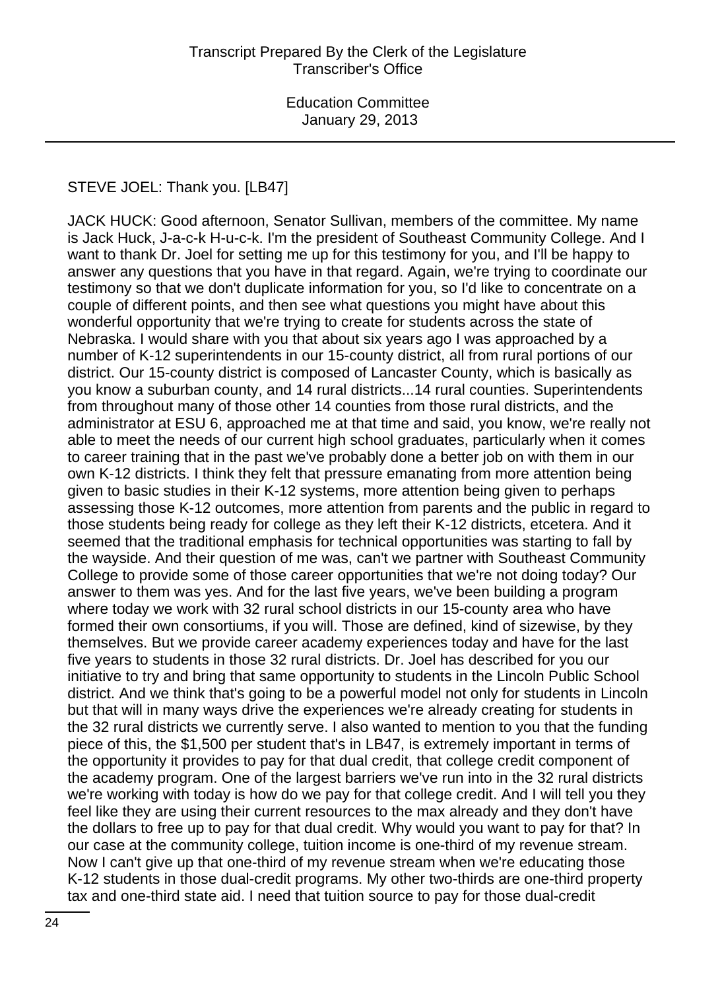### STEVE JOEL: Thank you. [LB47]

JACK HUCK: Good afternoon, Senator Sullivan, members of the committee. My name is Jack Huck, J-a-c-k H-u-c-k. I'm the president of Southeast Community College. And I want to thank Dr. Joel for setting me up for this testimony for you, and I'll be happy to answer any questions that you have in that regard. Again, we're trying to coordinate our testimony so that we don't duplicate information for you, so I'd like to concentrate on a couple of different points, and then see what questions you might have about this wonderful opportunity that we're trying to create for students across the state of Nebraska. I would share with you that about six years ago I was approached by a number of K-12 superintendents in our 15-county district, all from rural portions of our district. Our 15-county district is composed of Lancaster County, which is basically as you know a suburban county, and 14 rural districts...14 rural counties. Superintendents from throughout many of those other 14 counties from those rural districts, and the administrator at ESU 6, approached me at that time and said, you know, we're really not able to meet the needs of our current high school graduates, particularly when it comes to career training that in the past we've probably done a better job on with them in our own K-12 districts. I think they felt that pressure emanating from more attention being given to basic studies in their K-12 systems, more attention being given to perhaps assessing those K-12 outcomes, more attention from parents and the public in regard to those students being ready for college as they left their K-12 districts, etcetera. And it seemed that the traditional emphasis for technical opportunities was starting to fall by the wayside. And their question of me was, can't we partner with Southeast Community College to provide some of those career opportunities that we're not doing today? Our answer to them was yes. And for the last five years, we've been building a program where today we work with 32 rural school districts in our 15-county area who have formed their own consortiums, if you will. Those are defined, kind of sizewise, by they themselves. But we provide career academy experiences today and have for the last five years to students in those 32 rural districts. Dr. Joel has described for you our initiative to try and bring that same opportunity to students in the Lincoln Public School district. And we think that's going to be a powerful model not only for students in Lincoln but that will in many ways drive the experiences we're already creating for students in the 32 rural districts we currently serve. I also wanted to mention to you that the funding piece of this, the \$1,500 per student that's in LB47, is extremely important in terms of the opportunity it provides to pay for that dual credit, that college credit component of the academy program. One of the largest barriers we've run into in the 32 rural districts we're working with today is how do we pay for that college credit. And I will tell you they feel like they are using their current resources to the max already and they don't have the dollars to free up to pay for that dual credit. Why would you want to pay for that? In our case at the community college, tuition income is one-third of my revenue stream. Now I can't give up that one-third of my revenue stream when we're educating those K-12 students in those dual-credit programs. My other two-thirds are one-third property tax and one-third state aid. I need that tuition source to pay for those dual-credit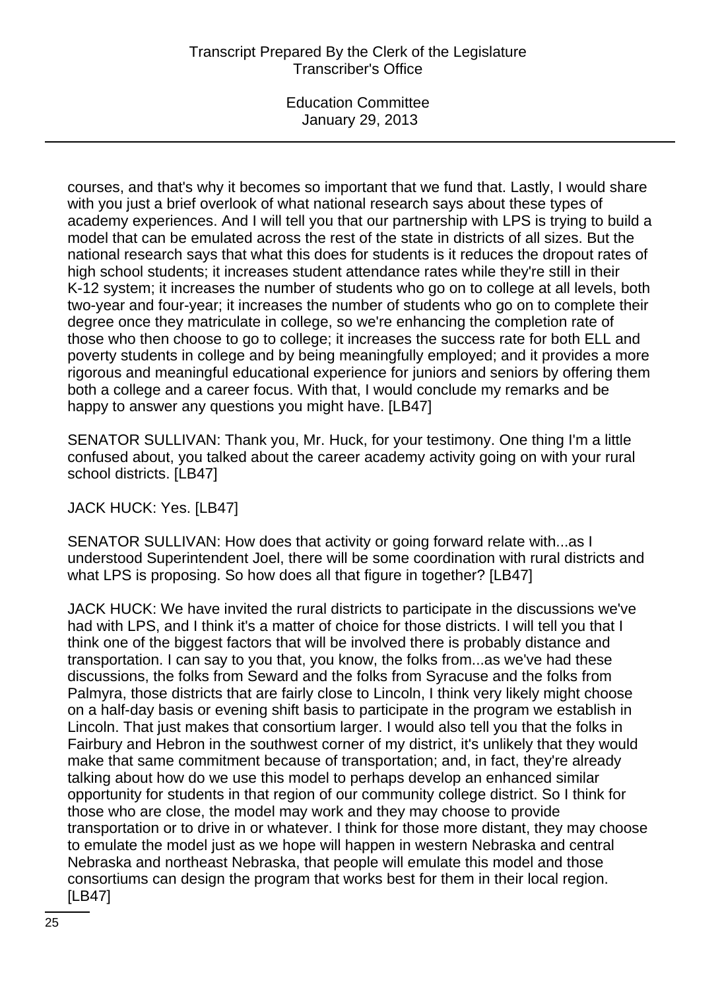courses, and that's why it becomes so important that we fund that. Lastly, I would share with you just a brief overlook of what national research says about these types of academy experiences. And I will tell you that our partnership with LPS is trying to build a model that can be emulated across the rest of the state in districts of all sizes. But the national research says that what this does for students is it reduces the dropout rates of high school students; it increases student attendance rates while they're still in their K-12 system; it increases the number of students who go on to college at all levels, both two-year and four-year; it increases the number of students who go on to complete their degree once they matriculate in college, so we're enhancing the completion rate of those who then choose to go to college; it increases the success rate for both ELL and poverty students in college and by being meaningfully employed; and it provides a more rigorous and meaningful educational experience for juniors and seniors by offering them both a college and a career focus. With that, I would conclude my remarks and be happy to answer any questions you might have. [LB47]

SENATOR SULLIVAN: Thank you, Mr. Huck, for your testimony. One thing I'm a little confused about, you talked about the career academy activity going on with your rural school districts. [LB47]

JACK HUCK: Yes. [LB47]

SENATOR SULLIVAN: How does that activity or going forward relate with...as I understood Superintendent Joel, there will be some coordination with rural districts and what LPS is proposing. So how does all that figure in together? [LB47]

JACK HUCK: We have invited the rural districts to participate in the discussions we've had with LPS, and I think it's a matter of choice for those districts. I will tell you that I think one of the biggest factors that will be involved there is probably distance and transportation. I can say to you that, you know, the folks from...as we've had these discussions, the folks from Seward and the folks from Syracuse and the folks from Palmyra, those districts that are fairly close to Lincoln, I think very likely might choose on a half-day basis or evening shift basis to participate in the program we establish in Lincoln. That just makes that consortium larger. I would also tell you that the folks in Fairbury and Hebron in the southwest corner of my district, it's unlikely that they would make that same commitment because of transportation; and, in fact, they're already talking about how do we use this model to perhaps develop an enhanced similar opportunity for students in that region of our community college district. So I think for those who are close, the model may work and they may choose to provide transportation or to drive in or whatever. I think for those more distant, they may choose to emulate the model just as we hope will happen in western Nebraska and central Nebraska and northeast Nebraska, that people will emulate this model and those consortiums can design the program that works best for them in their local region. [LB47]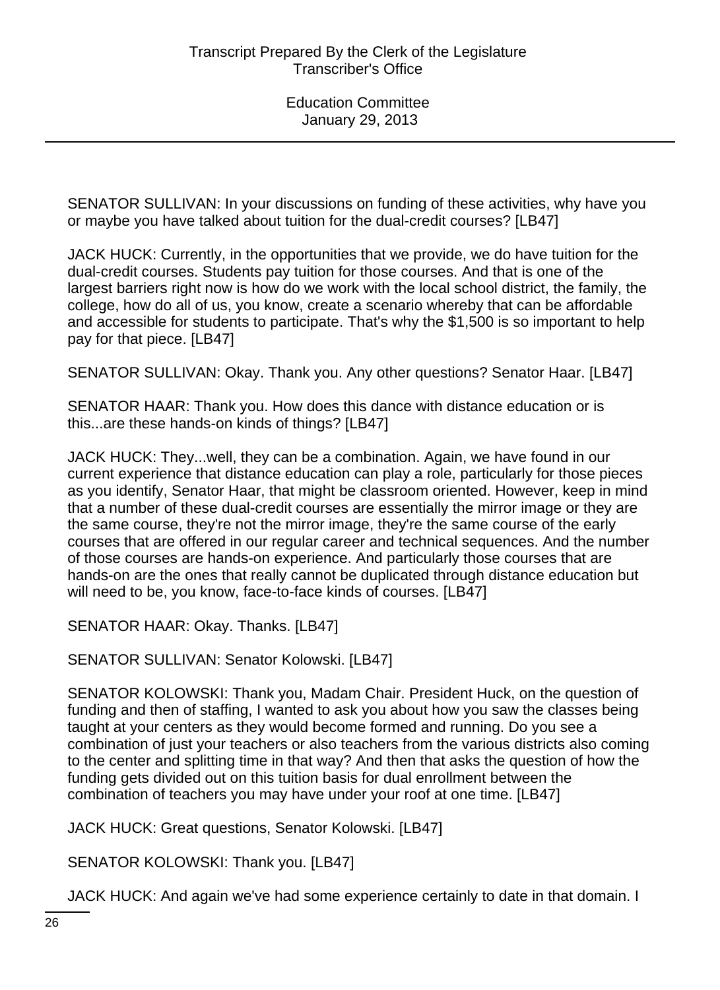SENATOR SULLIVAN: In your discussions on funding of these activities, why have you or maybe you have talked about tuition for the dual-credit courses? [LB47]

JACK HUCK: Currently, in the opportunities that we provide, we do have tuition for the dual-credit courses. Students pay tuition for those courses. And that is one of the largest barriers right now is how do we work with the local school district, the family, the college, how do all of us, you know, create a scenario whereby that can be affordable and accessible for students to participate. That's why the \$1,500 is so important to help pay for that piece. [LB47]

SENATOR SULLIVAN: Okay. Thank you. Any other questions? Senator Haar. [LB47]

SENATOR HAAR: Thank you. How does this dance with distance education or is this...are these hands-on kinds of things? [LB47]

JACK HUCK: They...well, they can be a combination. Again, we have found in our current experience that distance education can play a role, particularly for those pieces as you identify, Senator Haar, that might be classroom oriented. However, keep in mind that a number of these dual-credit courses are essentially the mirror image or they are the same course, they're not the mirror image, they're the same course of the early courses that are offered in our regular career and technical sequences. And the number of those courses are hands-on experience. And particularly those courses that are hands-on are the ones that really cannot be duplicated through distance education but will need to be, you know, face-to-face kinds of courses. [LB47]

SENATOR HAAR: Okay. Thanks. [LB47]

SENATOR SULLIVAN: Senator Kolowski. [LB47]

SENATOR KOLOWSKI: Thank you, Madam Chair. President Huck, on the question of funding and then of staffing, I wanted to ask you about how you saw the classes being taught at your centers as they would become formed and running. Do you see a combination of just your teachers or also teachers from the various districts also coming to the center and splitting time in that way? And then that asks the question of how the funding gets divided out on this tuition basis for dual enrollment between the combination of teachers you may have under your roof at one time. [LB47]

JACK HUCK: Great questions, Senator Kolowski. [LB47]

SENATOR KOLOWSKI: Thank you. [LB47]

JACK HUCK: And again we've had some experience certainly to date in that domain. I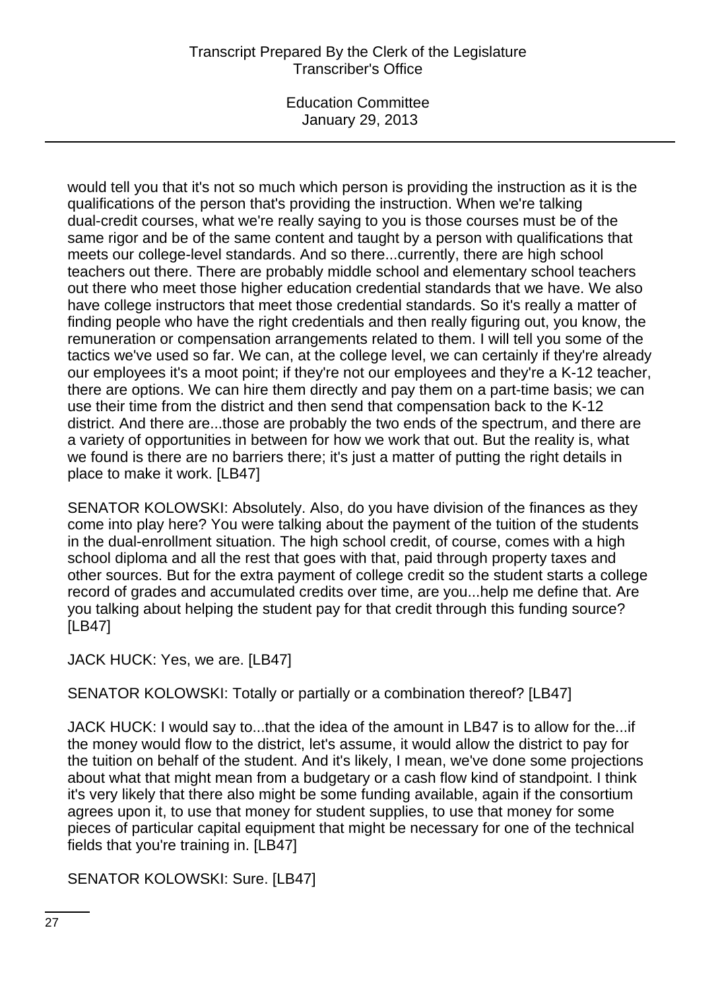# Transcript Prepared By the Clerk of the Legislature Transcriber's Office

Education Committee January 29, 2013

would tell you that it's not so much which person is providing the instruction as it is the qualifications of the person that's providing the instruction. When we're talking dual-credit courses, what we're really saying to you is those courses must be of the same rigor and be of the same content and taught by a person with qualifications that meets our college-level standards. And so there...currently, there are high school teachers out there. There are probably middle school and elementary school teachers out there who meet those higher education credential standards that we have. We also have college instructors that meet those credential standards. So it's really a matter of finding people who have the right credentials and then really figuring out, you know, the remuneration or compensation arrangements related to them. I will tell you some of the tactics we've used so far. We can, at the college level, we can certainly if they're already our employees it's a moot point; if they're not our employees and they're a K-12 teacher, there are options. We can hire them directly and pay them on a part-time basis; we can use their time from the district and then send that compensation back to the K-12 district. And there are...those are probably the two ends of the spectrum, and there are a variety of opportunities in between for how we work that out. But the reality is, what we found is there are no barriers there; it's just a matter of putting the right details in place to make it work. [LB47]

SENATOR KOLOWSKI: Absolutely. Also, do you have division of the finances as they come into play here? You were talking about the payment of the tuition of the students in the dual-enrollment situation. The high school credit, of course, comes with a high school diploma and all the rest that goes with that, paid through property taxes and other sources. But for the extra payment of college credit so the student starts a college record of grades and accumulated credits over time, are you...help me define that. Are you talking about helping the student pay for that credit through this funding source? [LB47]

JACK HUCK: Yes, we are. [LB47]

SENATOR KOLOWSKI: Totally or partially or a combination thereof? [LB47]

JACK HUCK: I would say to...that the idea of the amount in LB47 is to allow for the...if the money would flow to the district, let's assume, it would allow the district to pay for the tuition on behalf of the student. And it's likely, I mean, we've done some projections about what that might mean from a budgetary or a cash flow kind of standpoint. I think it's very likely that there also might be some funding available, again if the consortium agrees upon it, to use that money for student supplies, to use that money for some pieces of particular capital equipment that might be necessary for one of the technical fields that you're training in. [LB47]

SENATOR KOLOWSKI: Sure. [LB47]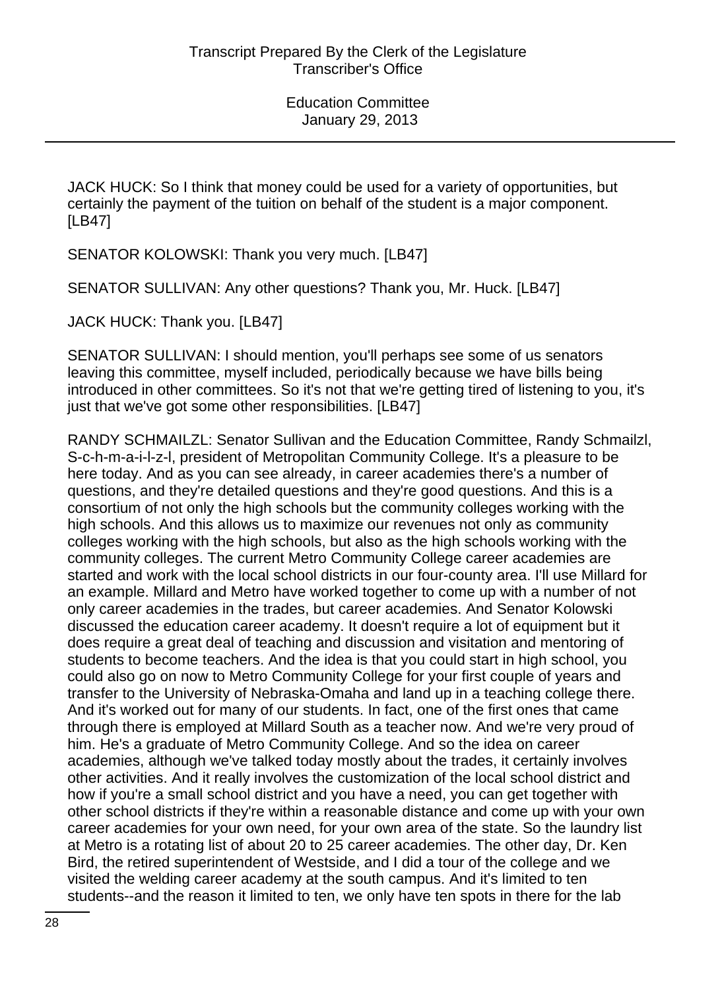JACK HUCK: So I think that money could be used for a variety of opportunities, but certainly the payment of the tuition on behalf of the student is a major component. [LB47]

SENATOR KOLOWSKI: Thank you very much. [LB47]

SENATOR SULLIVAN: Any other questions? Thank you, Mr. Huck. [LB47]

JACK HUCK: Thank you. [LB47]

SENATOR SULLIVAN: I should mention, you'll perhaps see some of us senators leaving this committee, myself included, periodically because we have bills being introduced in other committees. So it's not that we're getting tired of listening to you, it's just that we've got some other responsibilities. [LB47]

RANDY SCHMAILZL: Senator Sullivan and the Education Committee, Randy Schmailzl, S-c-h-m-a-i-l-z-l, president of Metropolitan Community College. It's a pleasure to be here today. And as you can see already, in career academies there's a number of questions, and they're detailed questions and they're good questions. And this is a consortium of not only the high schools but the community colleges working with the high schools. And this allows us to maximize our revenues not only as community colleges working with the high schools, but also as the high schools working with the community colleges. The current Metro Community College career academies are started and work with the local school districts in our four-county area. I'll use Millard for an example. Millard and Metro have worked together to come up with a number of not only career academies in the trades, but career academies. And Senator Kolowski discussed the education career academy. It doesn't require a lot of equipment but it does require a great deal of teaching and discussion and visitation and mentoring of students to become teachers. And the idea is that you could start in high school, you could also go on now to Metro Community College for your first couple of years and transfer to the University of Nebraska-Omaha and land up in a teaching college there. And it's worked out for many of our students. In fact, one of the first ones that came through there is employed at Millard South as a teacher now. And we're very proud of him. He's a graduate of Metro Community College. And so the idea on career academies, although we've talked today mostly about the trades, it certainly involves other activities. And it really involves the customization of the local school district and how if you're a small school district and you have a need, you can get together with other school districts if they're within a reasonable distance and come up with your own career academies for your own need, for your own area of the state. So the laundry list at Metro is a rotating list of about 20 to 25 career academies. The other day, Dr. Ken Bird, the retired superintendent of Westside, and I did a tour of the college and we visited the welding career academy at the south campus. And it's limited to ten students--and the reason it limited to ten, we only have ten spots in there for the lab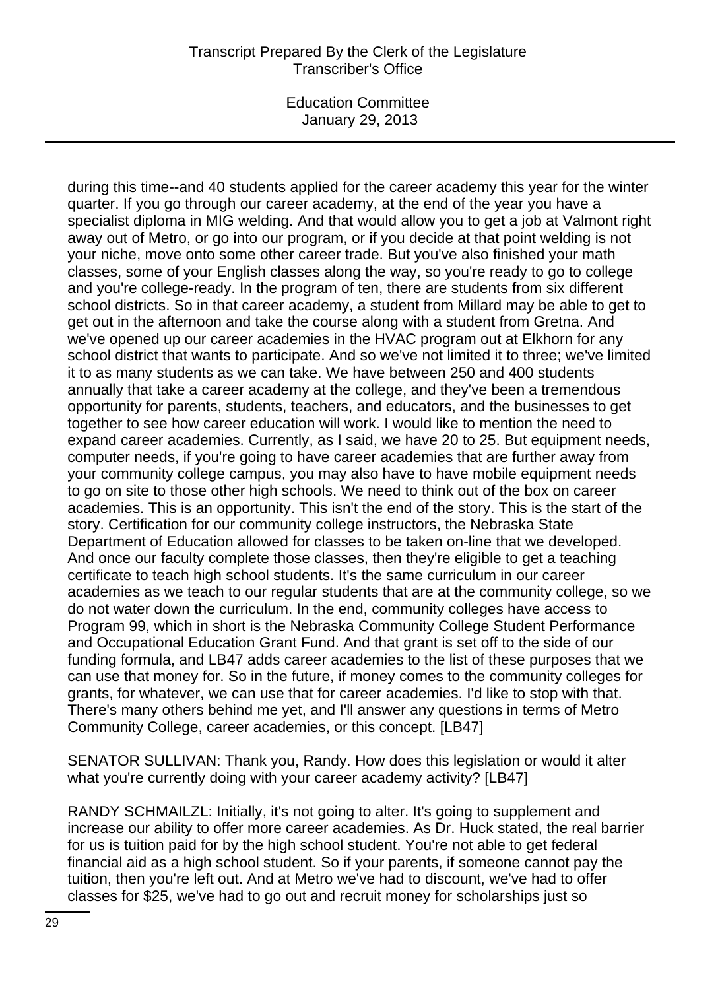## Transcript Prepared By the Clerk of the Legislature Transcriber's Office

Education Committee January 29, 2013

during this time--and 40 students applied for the career academy this year for the winter quarter. If you go through our career academy, at the end of the year you have a specialist diploma in MIG welding. And that would allow you to get a job at Valmont right away out of Metro, or go into our program, or if you decide at that point welding is not your niche, move onto some other career trade. But you've also finished your math classes, some of your English classes along the way, so you're ready to go to college and you're college-ready. In the program of ten, there are students from six different school districts. So in that career academy, a student from Millard may be able to get to get out in the afternoon and take the course along with a student from Gretna. And we've opened up our career academies in the HVAC program out at Elkhorn for any school district that wants to participate. And so we've not limited it to three; we've limited it to as many students as we can take. We have between 250 and 400 students annually that take a career academy at the college, and they've been a tremendous opportunity for parents, students, teachers, and educators, and the businesses to get together to see how career education will work. I would like to mention the need to expand career academies. Currently, as I said, we have 20 to 25. But equipment needs, computer needs, if you're going to have career academies that are further away from your community college campus, you may also have to have mobile equipment needs to go on site to those other high schools. We need to think out of the box on career academies. This is an opportunity. This isn't the end of the story. This is the start of the story. Certification for our community college instructors, the Nebraska State Department of Education allowed for classes to be taken on-line that we developed. And once our faculty complete those classes, then they're eligible to get a teaching certificate to teach high school students. It's the same curriculum in our career academies as we teach to our regular students that are at the community college, so we do not water down the curriculum. In the end, community colleges have access to Program 99, which in short is the Nebraska Community College Student Performance and Occupational Education Grant Fund. And that grant is set off to the side of our funding formula, and LB47 adds career academies to the list of these purposes that we can use that money for. So in the future, if money comes to the community colleges for grants, for whatever, we can use that for career academies. I'd like to stop with that. There's many others behind me yet, and I'll answer any questions in terms of Metro Community College, career academies, or this concept. [LB47]

SENATOR SULLIVAN: Thank you, Randy. How does this legislation or would it alter what you're currently doing with your career academy activity? [LB47]

RANDY SCHMAILZL: Initially, it's not going to alter. It's going to supplement and increase our ability to offer more career academies. As Dr. Huck stated, the real barrier for us is tuition paid for by the high school student. You're not able to get federal financial aid as a high school student. So if your parents, if someone cannot pay the tuition, then you're left out. And at Metro we've had to discount, we've had to offer classes for \$25, we've had to go out and recruit money for scholarships just so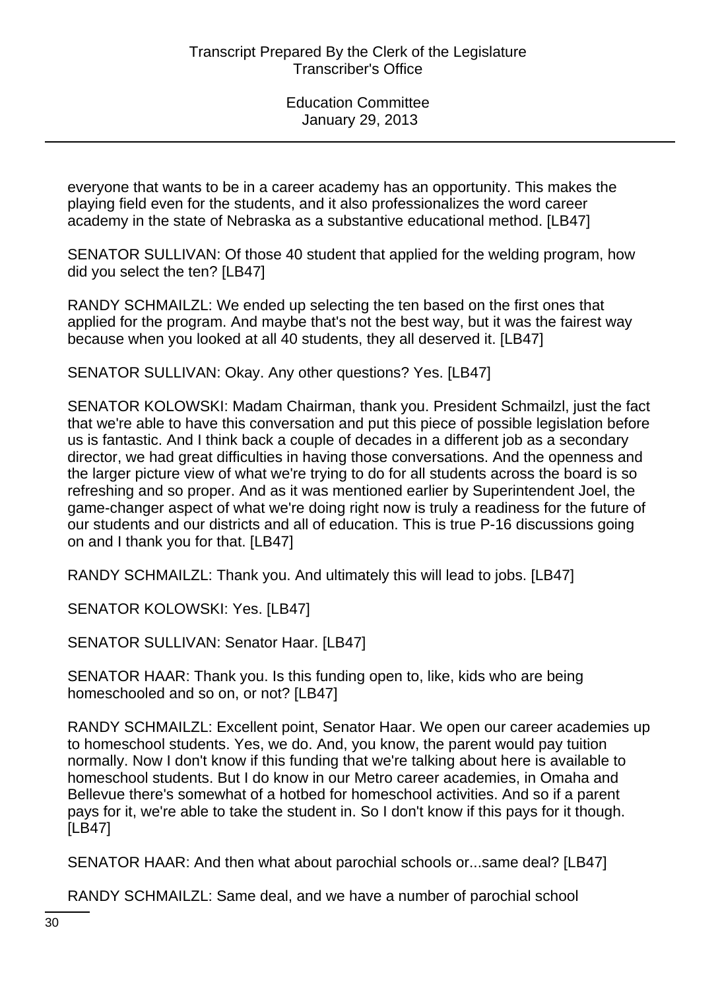everyone that wants to be in a career academy has an opportunity. This makes the playing field even for the students, and it also professionalizes the word career academy in the state of Nebraska as a substantive educational method. [LB47]

SENATOR SULLIVAN: Of those 40 student that applied for the welding program, how did you select the ten? [LB47]

RANDY SCHMAILZL: We ended up selecting the ten based on the first ones that applied for the program. And maybe that's not the best way, but it was the fairest way because when you looked at all 40 students, they all deserved it. [LB47]

SENATOR SULLIVAN: Okay. Any other questions? Yes. [LB47]

SENATOR KOLOWSKI: Madam Chairman, thank you. President Schmailzl, just the fact that we're able to have this conversation and put this piece of possible legislation before us is fantastic. And I think back a couple of decades in a different job as a secondary director, we had great difficulties in having those conversations. And the openness and the larger picture view of what we're trying to do for all students across the board is so refreshing and so proper. And as it was mentioned earlier by Superintendent Joel, the game-changer aspect of what we're doing right now is truly a readiness for the future of our students and our districts and all of education. This is true P-16 discussions going on and I thank you for that. [LB47]

RANDY SCHMAILZL: Thank you. And ultimately this will lead to jobs. [LB47]

SENATOR KOLOWSKI: Yes. [LB47]

SENATOR SULLIVAN: Senator Haar. [LB47]

SENATOR HAAR: Thank you. Is this funding open to, like, kids who are being homeschooled and so on, or not? [LB47]

RANDY SCHMAILZL: Excellent point, Senator Haar. We open our career academies up to homeschool students. Yes, we do. And, you know, the parent would pay tuition normally. Now I don't know if this funding that we're talking about here is available to homeschool students. But I do know in our Metro career academies, in Omaha and Bellevue there's somewhat of a hotbed for homeschool activities. And so if a parent pays for it, we're able to take the student in. So I don't know if this pays for it though. [LB47]

SENATOR HAAR: And then what about parochial schools or...same deal? [LB47]

RANDY SCHMAILZL: Same deal, and we have a number of parochial school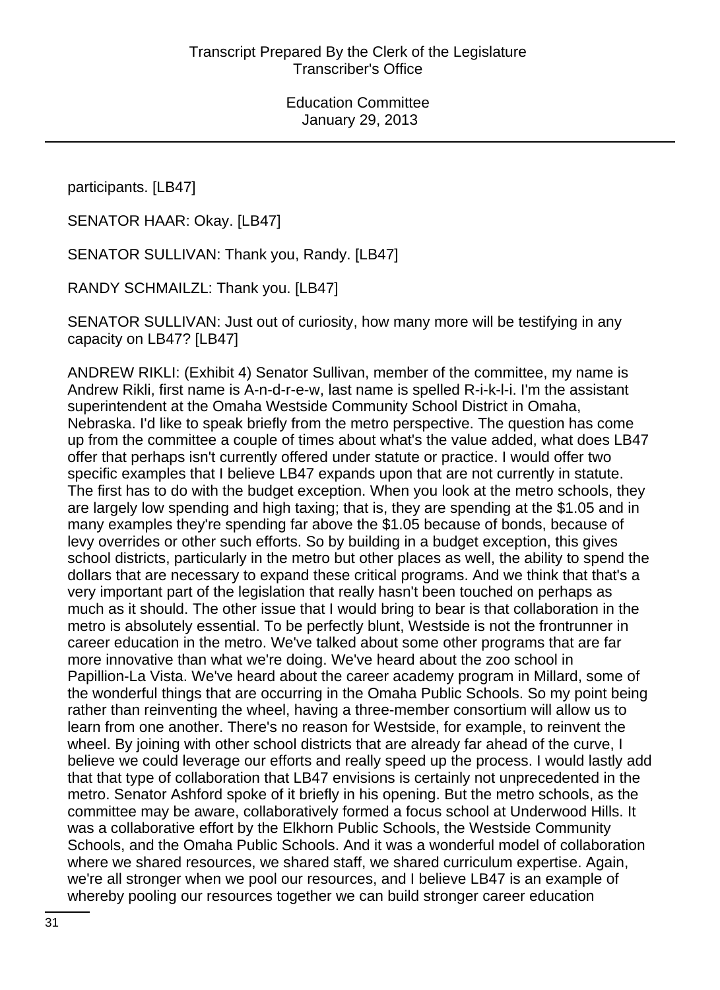participants. [LB47]

SENATOR HAAR: Okay. [LB47]

SENATOR SULLIVAN: Thank you, Randy. [LB47]

RANDY SCHMAILZL: Thank you. [LB47]

SENATOR SULLIVAN: Just out of curiosity, how many more will be testifying in any capacity on LB47? [LB47]

ANDREW RIKLI: (Exhibit 4) Senator Sullivan, member of the committee, my name is Andrew Rikli, first name is A-n-d-r-e-w, last name is spelled R-i-k-l-i. I'm the assistant superintendent at the Omaha Westside Community School District in Omaha, Nebraska. I'd like to speak briefly from the metro perspective. The question has come up from the committee a couple of times about what's the value added, what does LB47 offer that perhaps isn't currently offered under statute or practice. I would offer two specific examples that I believe LB47 expands upon that are not currently in statute. The first has to do with the budget exception. When you look at the metro schools, they are largely low spending and high taxing; that is, they are spending at the \$1.05 and in many examples they're spending far above the \$1.05 because of bonds, because of levy overrides or other such efforts. So by building in a budget exception, this gives school districts, particularly in the metro but other places as well, the ability to spend the dollars that are necessary to expand these critical programs. And we think that that's a very important part of the legislation that really hasn't been touched on perhaps as much as it should. The other issue that I would bring to bear is that collaboration in the metro is absolutely essential. To be perfectly blunt, Westside is not the frontrunner in career education in the metro. We've talked about some other programs that are far more innovative than what we're doing. We've heard about the zoo school in Papillion-La Vista. We've heard about the career academy program in Millard, some of the wonderful things that are occurring in the Omaha Public Schools. So my point being rather than reinventing the wheel, having a three-member consortium will allow us to learn from one another. There's no reason for Westside, for example, to reinvent the wheel. By joining with other school districts that are already far ahead of the curve, I believe we could leverage our efforts and really speed up the process. I would lastly add that that type of collaboration that LB47 envisions is certainly not unprecedented in the metro. Senator Ashford spoke of it briefly in his opening. But the metro schools, as the committee may be aware, collaboratively formed a focus school at Underwood Hills. It was a collaborative effort by the Elkhorn Public Schools, the Westside Community Schools, and the Omaha Public Schools. And it was a wonderful model of collaboration where we shared resources, we shared staff, we shared curriculum expertise. Again, we're all stronger when we pool our resources, and I believe LB47 is an example of whereby pooling our resources together we can build stronger career education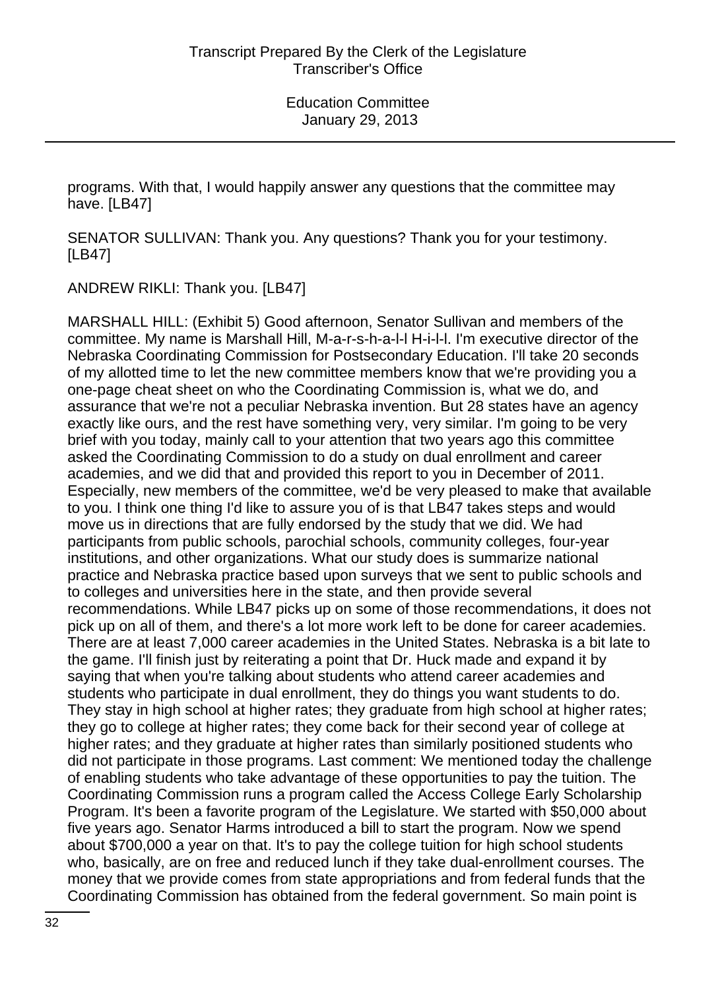programs. With that, I would happily answer any questions that the committee may have. [LB47]

SENATOR SULLIVAN: Thank you. Any questions? Thank you for your testimony. [LB47]

ANDREW RIKLI: Thank you. [LB47]

MARSHALL HILL: (Exhibit 5) Good afternoon, Senator Sullivan and members of the committee. My name is Marshall Hill, M-a-r-s-h-a-l-l H-i-l-l. I'm executive director of the Nebraska Coordinating Commission for Postsecondary Education. I'll take 20 seconds of my allotted time to let the new committee members know that we're providing you a one-page cheat sheet on who the Coordinating Commission is, what we do, and assurance that we're not a peculiar Nebraska invention. But 28 states have an agency exactly like ours, and the rest have something very, very similar. I'm going to be very brief with you today, mainly call to your attention that two years ago this committee asked the Coordinating Commission to do a study on dual enrollment and career academies, and we did that and provided this report to you in December of 2011. Especially, new members of the committee, we'd be very pleased to make that available to you. I think one thing I'd like to assure you of is that LB47 takes steps and would move us in directions that are fully endorsed by the study that we did. We had participants from public schools, parochial schools, community colleges, four-year institutions, and other organizations. What our study does is summarize national practice and Nebraska practice based upon surveys that we sent to public schools and to colleges and universities here in the state, and then provide several recommendations. While LB47 picks up on some of those recommendations, it does not pick up on all of them, and there's a lot more work left to be done for career academies. There are at least 7,000 career academies in the United States. Nebraska is a bit late to the game. I'll finish just by reiterating a point that Dr. Huck made and expand it by saying that when you're talking about students who attend career academies and students who participate in dual enrollment, they do things you want students to do. They stay in high school at higher rates; they graduate from high school at higher rates; they go to college at higher rates; they come back for their second year of college at higher rates; and they graduate at higher rates than similarly positioned students who did not participate in those programs. Last comment: We mentioned today the challenge of enabling students who take advantage of these opportunities to pay the tuition. The Coordinating Commission runs a program called the Access College Early Scholarship Program. It's been a favorite program of the Legislature. We started with \$50,000 about five years ago. Senator Harms introduced a bill to start the program. Now we spend about \$700,000 a year on that. It's to pay the college tuition for high school students who, basically, are on free and reduced lunch if they take dual-enrollment courses. The money that we provide comes from state appropriations and from federal funds that the Coordinating Commission has obtained from the federal government. So main point is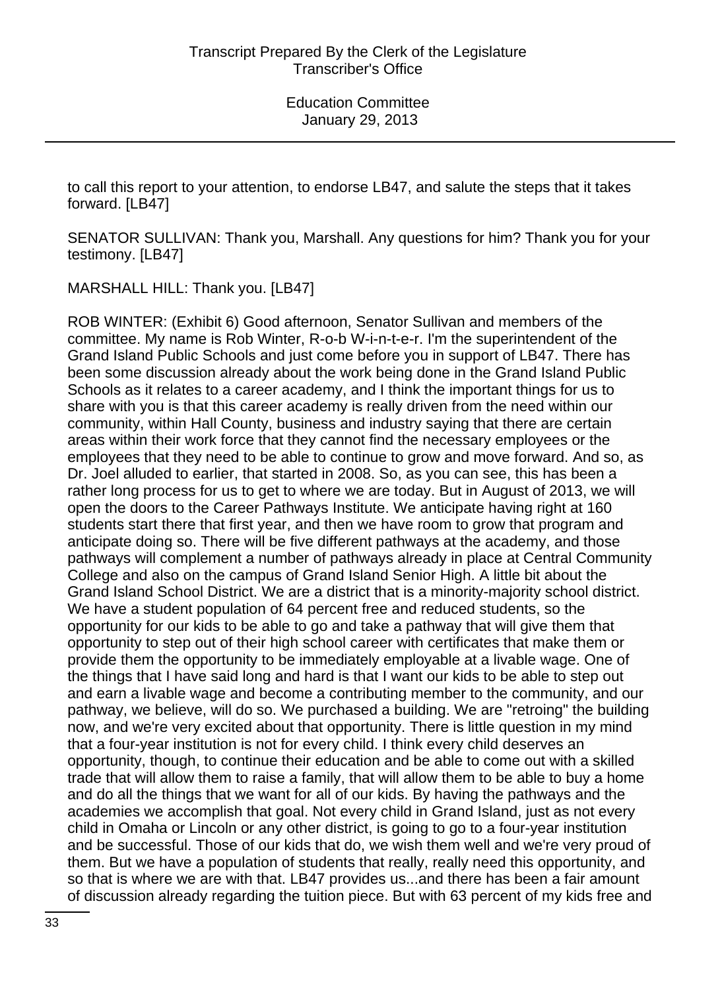to call this report to your attention, to endorse LB47, and salute the steps that it takes forward. [LB47]

SENATOR SULLIVAN: Thank you, Marshall. Any questions for him? Thank you for your testimony. [LB47]

MARSHALL HILL: Thank you. [LB47]

ROB WINTER: (Exhibit 6) Good afternoon, Senator Sullivan and members of the committee. My name is Rob Winter, R-o-b W-i-n-t-e-r. I'm the superintendent of the Grand Island Public Schools and just come before you in support of LB47. There has been some discussion already about the work being done in the Grand Island Public Schools as it relates to a career academy, and I think the important things for us to share with you is that this career academy is really driven from the need within our community, within Hall County, business and industry saying that there are certain areas within their work force that they cannot find the necessary employees or the employees that they need to be able to continue to grow and move forward. And so, as Dr. Joel alluded to earlier, that started in 2008. So, as you can see, this has been a rather long process for us to get to where we are today. But in August of 2013, we will open the doors to the Career Pathways Institute. We anticipate having right at 160 students start there that first year, and then we have room to grow that program and anticipate doing so. There will be five different pathways at the academy, and those pathways will complement a number of pathways already in place at Central Community College and also on the campus of Grand Island Senior High. A little bit about the Grand Island School District. We are a district that is a minority-majority school district. We have a student population of 64 percent free and reduced students, so the opportunity for our kids to be able to go and take a pathway that will give them that opportunity to step out of their high school career with certificates that make them or provide them the opportunity to be immediately employable at a livable wage. One of the things that I have said long and hard is that I want our kids to be able to step out and earn a livable wage and become a contributing member to the community, and our pathway, we believe, will do so. We purchased a building. We are "retroing" the building now, and we're very excited about that opportunity. There is little question in my mind that a four-year institution is not for every child. I think every child deserves an opportunity, though, to continue their education and be able to come out with a skilled trade that will allow them to raise a family, that will allow them to be able to buy a home and do all the things that we want for all of our kids. By having the pathways and the academies we accomplish that goal. Not every child in Grand Island, just as not every child in Omaha or Lincoln or any other district, is going to go to a four-year institution and be successful. Those of our kids that do, we wish them well and we're very proud of them. But we have a population of students that really, really need this opportunity, and so that is where we are with that. LB47 provides us...and there has been a fair amount of discussion already regarding the tuition piece. But with 63 percent of my kids free and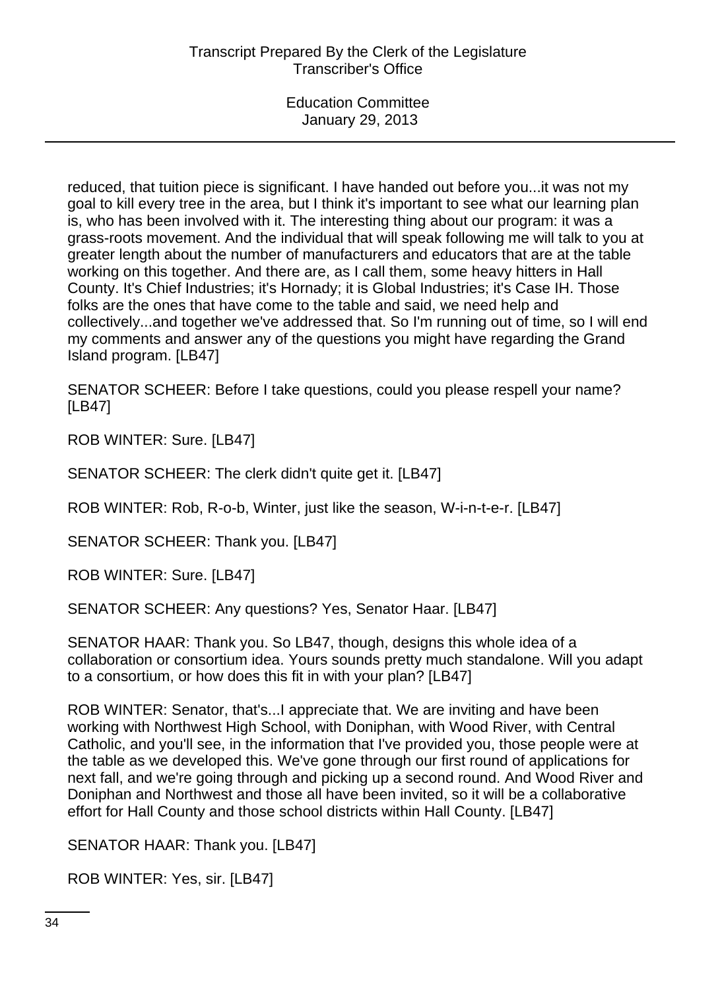reduced, that tuition piece is significant. I have handed out before you...it was not my goal to kill every tree in the area, but I think it's important to see what our learning plan is, who has been involved with it. The interesting thing about our program: it was a grass-roots movement. And the individual that will speak following me will talk to you at greater length about the number of manufacturers and educators that are at the table working on this together. And there are, as I call them, some heavy hitters in Hall County. It's Chief Industries; it's Hornady; it is Global Industries; it's Case IH. Those folks are the ones that have come to the table and said, we need help and collectively...and together we've addressed that. So I'm running out of time, so I will end my comments and answer any of the questions you might have regarding the Grand Island program. [LB47]

SENATOR SCHEER: Before I take questions, could you please respell your name? [LB47]

ROB WINTER: Sure. [LB47]

SENATOR SCHEER: The clerk didn't quite get it. [LB47]

ROB WINTER: Rob, R-o-b, Winter, just like the season, W-i-n-t-e-r. [LB47]

SENATOR SCHEER: Thank you. [LB47]

ROB WINTER: Sure. [LB47]

SENATOR SCHEER: Any questions? Yes, Senator Haar. [LB47]

SENATOR HAAR: Thank you. So LB47, though, designs this whole idea of a collaboration or consortium idea. Yours sounds pretty much standalone. Will you adapt to a consortium, or how does this fit in with your plan? [LB47]

ROB WINTER: Senator, that's...I appreciate that. We are inviting and have been working with Northwest High School, with Doniphan, with Wood River, with Central Catholic, and you'll see, in the information that I've provided you, those people were at the table as we developed this. We've gone through our first round of applications for next fall, and we're going through and picking up a second round. And Wood River and Doniphan and Northwest and those all have been invited, so it will be a collaborative effort for Hall County and those school districts within Hall County. [LB47]

SENATOR HAAR: Thank you. [LB47]

ROB WINTER: Yes, sir. [LB47]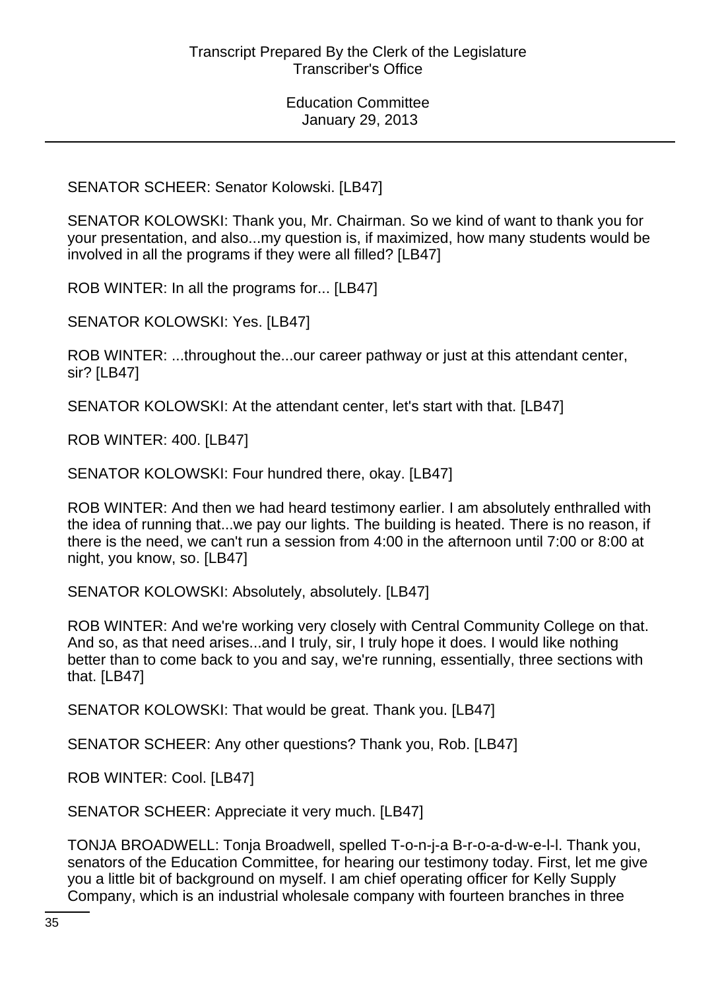SENATOR SCHEER: Senator Kolowski. [LB47]

SENATOR KOLOWSKI: Thank you, Mr. Chairman. So we kind of want to thank you for your presentation, and also...my question is, if maximized, how many students would be involved in all the programs if they were all filled? [LB47]

ROB WINTER: In all the programs for... [LB47]

SENATOR KOLOWSKI: Yes. [LB47]

ROB WINTER: ...throughout the...our career pathway or just at this attendant center, sir? [LB47]

SENATOR KOLOWSKI: At the attendant center, let's start with that. [LB47]

ROB WINTER: 400. [LB47]

SENATOR KOLOWSKI: Four hundred there, okay. [LB47]

ROB WINTER: And then we had heard testimony earlier. I am absolutely enthralled with the idea of running that...we pay our lights. The building is heated. There is no reason, if there is the need, we can't run a session from 4:00 in the afternoon until 7:00 or 8:00 at night, you know, so. [LB47]

SENATOR KOLOWSKI: Absolutely, absolutely. [LB47]

ROB WINTER: And we're working very closely with Central Community College on that. And so, as that need arises...and I truly, sir, I truly hope it does. I would like nothing better than to come back to you and say, we're running, essentially, three sections with that. [LB47]

SENATOR KOLOWSKI: That would be great. Thank you. [LB47]

SENATOR SCHEER: Any other questions? Thank you, Rob. [LB47]

ROB WINTER: Cool. [LB47]

SENATOR SCHEER: Appreciate it very much. [LB47]

TONJA BROADWELL: Tonja Broadwell, spelled T-o-n-j-a B-r-o-a-d-w-e-l-l. Thank you, senators of the Education Committee, for hearing our testimony today. First, let me give you a little bit of background on myself. I am chief operating officer for Kelly Supply Company, which is an industrial wholesale company with fourteen branches in three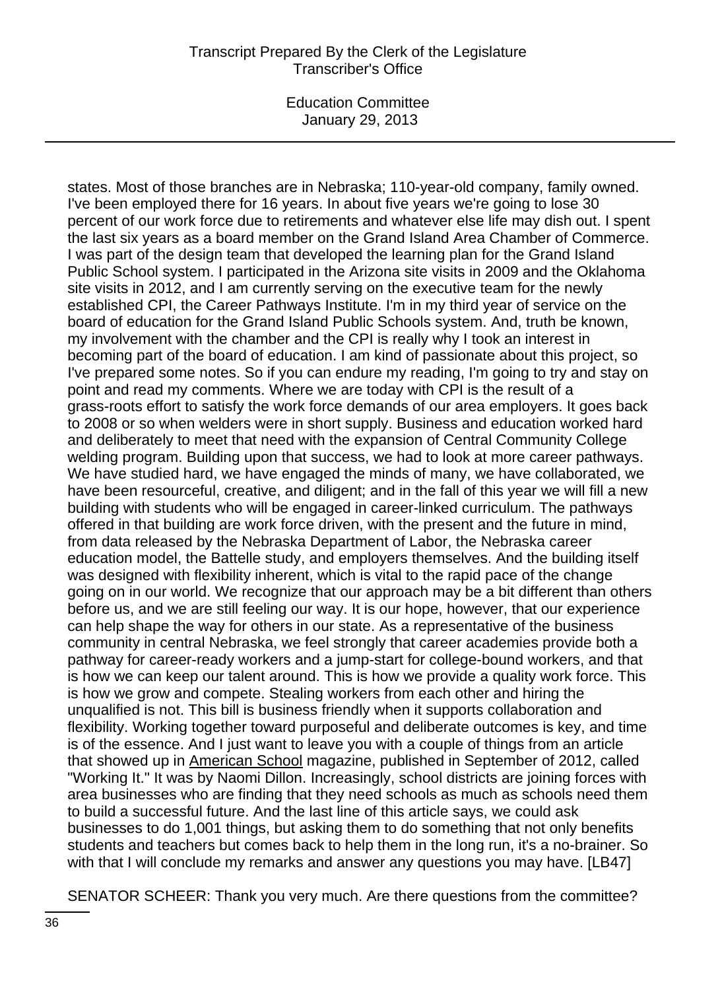## Transcript Prepared By the Clerk of the Legislature Transcriber's Office

Education Committee January 29, 2013

states. Most of those branches are in Nebraska; 110-year-old company, family owned. I've been employed there for 16 years. In about five years we're going to lose 30 percent of our work force due to retirements and whatever else life may dish out. I spent the last six years as a board member on the Grand Island Area Chamber of Commerce. I was part of the design team that developed the learning plan for the Grand Island Public School system. I participated in the Arizona site visits in 2009 and the Oklahoma site visits in 2012, and I am currently serving on the executive team for the newly established CPI, the Career Pathways Institute. I'm in my third year of service on the board of education for the Grand Island Public Schools system. And, truth be known, my involvement with the chamber and the CPI is really why I took an interest in becoming part of the board of education. I am kind of passionate about this project, so I've prepared some notes. So if you can endure my reading, I'm going to try and stay on point and read my comments. Where we are today with CPI is the result of a grass-roots effort to satisfy the work force demands of our area employers. It goes back to 2008 or so when welders were in short supply. Business and education worked hard and deliberately to meet that need with the expansion of Central Community College welding program. Building upon that success, we had to look at more career pathways. We have studied hard, we have engaged the minds of many, we have collaborated, we have been resourceful, creative, and diligent; and in the fall of this year we will fill a new building with students who will be engaged in career-linked curriculum. The pathways offered in that building are work force driven, with the present and the future in mind, from data released by the Nebraska Department of Labor, the Nebraska career education model, the Battelle study, and employers themselves. And the building itself was designed with flexibility inherent, which is vital to the rapid pace of the change going on in our world. We recognize that our approach may be a bit different than others before us, and we are still feeling our way. It is our hope, however, that our experience can help shape the way for others in our state. As a representative of the business community in central Nebraska, we feel strongly that career academies provide both a pathway for career-ready workers and a jump-start for college-bound workers, and that is how we can keep our talent around. This is how we provide a quality work force. This is how we grow and compete. Stealing workers from each other and hiring the unqualified is not. This bill is business friendly when it supports collaboration and flexibility. Working together toward purposeful and deliberate outcomes is key, and time is of the essence. And I just want to leave you with a couple of things from an article that showed up in American School magazine, published in September of 2012, called "Working It." It was by Naomi Dillon. Increasingly, school districts are joining forces with area businesses who are finding that they need schools as much as schools need them to build a successful future. And the last line of this article says, we could ask businesses to do 1,001 things, but asking them to do something that not only benefits students and teachers but comes back to help them in the long run, it's a no-brainer. So with that I will conclude my remarks and answer any questions you may have. [LB47]

SENATOR SCHEER: Thank you very much. Are there questions from the committee?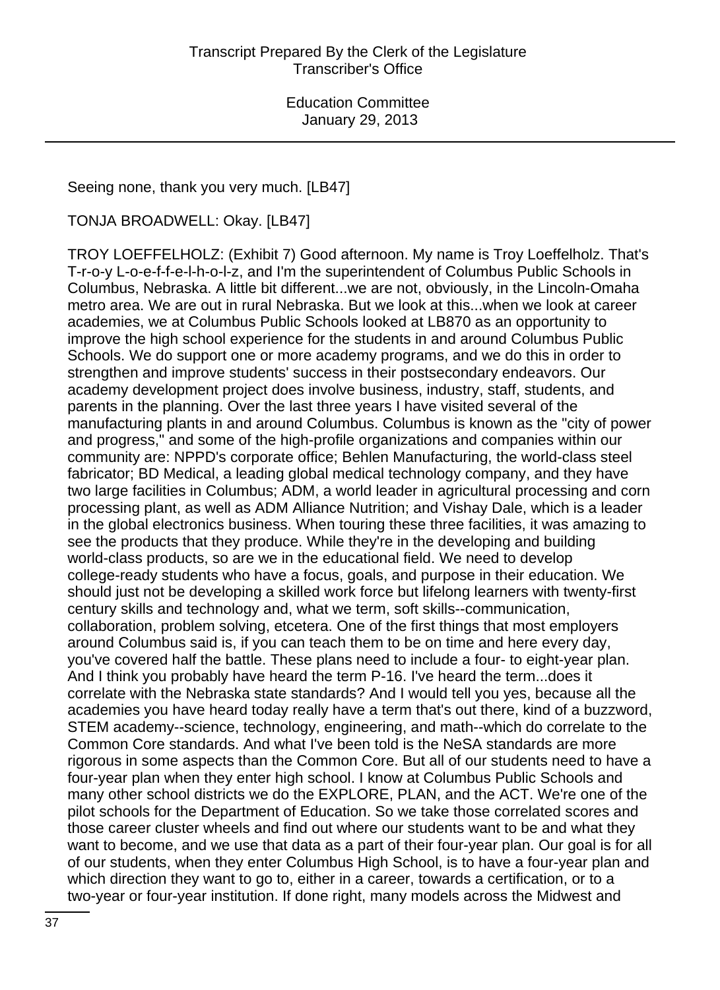Seeing none, thank you very much. [LB47]

TONJA BROADWELL: Okay. [LB47]

TROY LOEFFELHOLZ: (Exhibit 7) Good afternoon. My name is Troy Loeffelholz. That's T-r-o-y L-o-e-f-f-e-l-h-o-l-z, and I'm the superintendent of Columbus Public Schools in Columbus, Nebraska. A little bit different...we are not, obviously, in the Lincoln-Omaha metro area. We are out in rural Nebraska. But we look at this...when we look at career academies, we at Columbus Public Schools looked at LB870 as an opportunity to improve the high school experience for the students in and around Columbus Public Schools. We do support one or more academy programs, and we do this in order to strengthen and improve students' success in their postsecondary endeavors. Our academy development project does involve business, industry, staff, students, and parents in the planning. Over the last three years I have visited several of the manufacturing plants in and around Columbus. Columbus is known as the "city of power and progress," and some of the high-profile organizations and companies within our community are: NPPD's corporate office; Behlen Manufacturing, the world-class steel fabricator; BD Medical, a leading global medical technology company, and they have two large facilities in Columbus; ADM, a world leader in agricultural processing and corn processing plant, as well as ADM Alliance Nutrition; and Vishay Dale, which is a leader in the global electronics business. When touring these three facilities, it was amazing to see the products that they produce. While they're in the developing and building world-class products, so are we in the educational field. We need to develop college-ready students who have a focus, goals, and purpose in their education. We should just not be developing a skilled work force but lifelong learners with twenty-first century skills and technology and, what we term, soft skills--communication, collaboration, problem solving, etcetera. One of the first things that most employers around Columbus said is, if you can teach them to be on time and here every day, you've covered half the battle. These plans need to include a four- to eight-year plan. And I think you probably have heard the term P-16. I've heard the term...does it correlate with the Nebraska state standards? And I would tell you yes, because all the academies you have heard today really have a term that's out there, kind of a buzzword, STEM academy--science, technology, engineering, and math--which do correlate to the Common Core standards. And what I've been told is the NeSA standards are more rigorous in some aspects than the Common Core. But all of our students need to have a four-year plan when they enter high school. I know at Columbus Public Schools and many other school districts we do the EXPLORE, PLAN, and the ACT. We're one of the pilot schools for the Department of Education. So we take those correlated scores and those career cluster wheels and find out where our students want to be and what they want to become, and we use that data as a part of their four-year plan. Our goal is for all of our students, when they enter Columbus High School, is to have a four-year plan and which direction they want to go to, either in a career, towards a certification, or to a two-year or four-year institution. If done right, many models across the Midwest and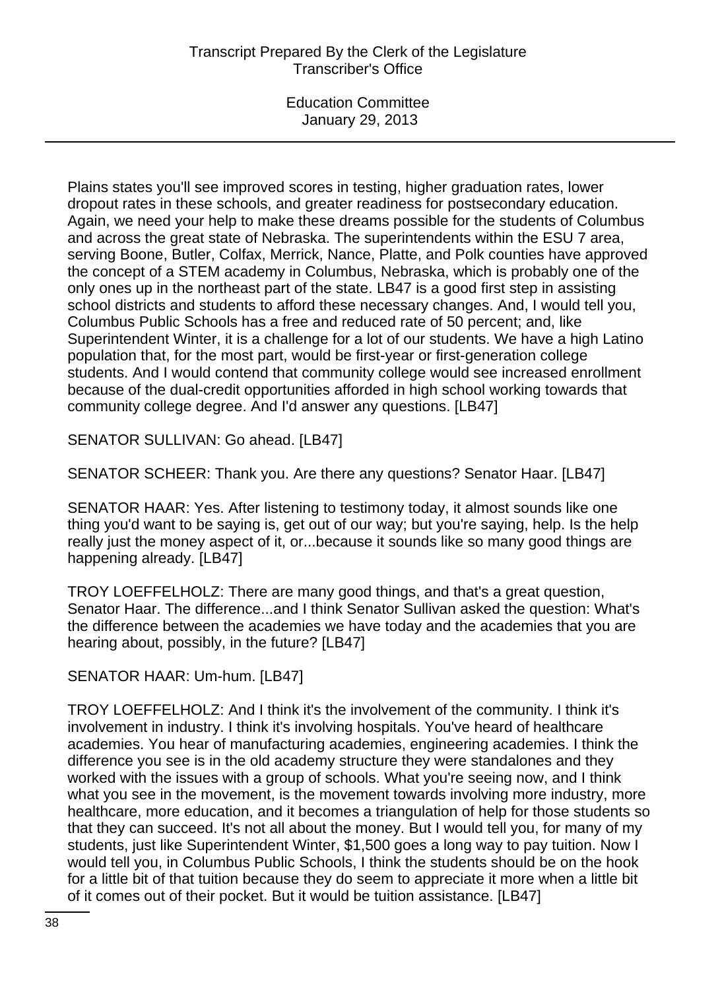Plains states you'll see improved scores in testing, higher graduation rates, lower dropout rates in these schools, and greater readiness for postsecondary education. Again, we need your help to make these dreams possible for the students of Columbus and across the great state of Nebraska. The superintendents within the ESU 7 area, serving Boone, Butler, Colfax, Merrick, Nance, Platte, and Polk counties have approved the concept of a STEM academy in Columbus, Nebraska, which is probably one of the only ones up in the northeast part of the state. LB47 is a good first step in assisting school districts and students to afford these necessary changes. And, I would tell you, Columbus Public Schools has a free and reduced rate of 50 percent; and, like Superintendent Winter, it is a challenge for a lot of our students. We have a high Latino population that, for the most part, would be first-year or first-generation college students. And I would contend that community college would see increased enrollment because of the dual-credit opportunities afforded in high school working towards that community college degree. And I'd answer any questions. [LB47]

SENATOR SULLIVAN: Go ahead. [LB47]

SENATOR SCHEER: Thank you. Are there any questions? Senator Haar. [LB47]

SENATOR HAAR: Yes. After listening to testimony today, it almost sounds like one thing you'd want to be saying is, get out of our way; but you're saying, help. Is the help really just the money aspect of it, or...because it sounds like so many good things are happening already. [LB47]

TROY LOEFFELHOLZ: There are many good things, and that's a great question, Senator Haar. The difference...and I think Senator Sullivan asked the question: What's the difference between the academies we have today and the academies that you are hearing about, possibly, in the future? [LB47]

SENATOR HAAR: Um-hum. [LB47]

TROY LOEFFELHOLZ: And I think it's the involvement of the community. I think it's involvement in industry. I think it's involving hospitals. You've heard of healthcare academies. You hear of manufacturing academies, engineering academies. I think the difference you see is in the old academy structure they were standalones and they worked with the issues with a group of schools. What you're seeing now, and I think what you see in the movement, is the movement towards involving more industry, more healthcare, more education, and it becomes a triangulation of help for those students so that they can succeed. It's not all about the money. But I would tell you, for many of my students, just like Superintendent Winter, \$1,500 goes a long way to pay tuition. Now I would tell you, in Columbus Public Schools, I think the students should be on the hook for a little bit of that tuition because they do seem to appreciate it more when a little bit of it comes out of their pocket. But it would be tuition assistance. [LB47]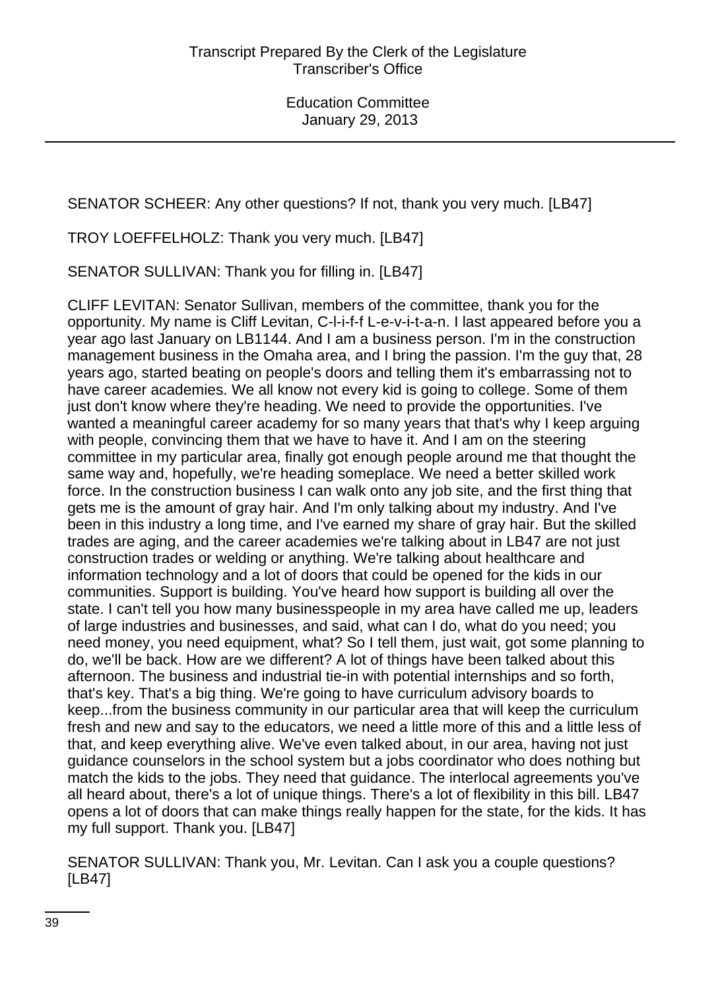SENATOR SCHEER: Any other questions? If not, thank you very much. [LB47]

TROY LOEFFELHOLZ: Thank you very much. [LB47]

SENATOR SULLIVAN: Thank you for filling in. [LB47]

CLIFF LEVITAN: Senator Sullivan, members of the committee, thank you for the opportunity. My name is Cliff Levitan, C-l-i-f-f L-e-v-i-t-a-n. I last appeared before you a year ago last January on LB1144. And I am a business person. I'm in the construction management business in the Omaha area, and I bring the passion. I'm the guy that, 28 years ago, started beating on people's doors and telling them it's embarrassing not to have career academies. We all know not every kid is going to college. Some of them just don't know where they're heading. We need to provide the opportunities. I've wanted a meaningful career academy for so many years that that's why I keep arguing with people, convincing them that we have to have it. And I am on the steering committee in my particular area, finally got enough people around me that thought the same way and, hopefully, we're heading someplace. We need a better skilled work force. In the construction business I can walk onto any job site, and the first thing that gets me is the amount of gray hair. And I'm only talking about my industry. And I've been in this industry a long time, and I've earned my share of gray hair. But the skilled trades are aging, and the career academies we're talking about in LB47 are not just construction trades or welding or anything. We're talking about healthcare and information technology and a lot of doors that could be opened for the kids in our communities. Support is building. You've heard how support is building all over the state. I can't tell you how many businesspeople in my area have called me up, leaders of large industries and businesses, and said, what can I do, what do you need; you need money, you need equipment, what? So I tell them, just wait, got some planning to do, we'll be back. How are we different? A lot of things have been talked about this afternoon. The business and industrial tie-in with potential internships and so forth, that's key. That's a big thing. We're going to have curriculum advisory boards to keep...from the business community in our particular area that will keep the curriculum fresh and new and say to the educators, we need a little more of this and a little less of that, and keep everything alive. We've even talked about, in our area, having not just guidance counselors in the school system but a jobs coordinator who does nothing but match the kids to the jobs. They need that guidance. The interlocal agreements you've all heard about, there's a lot of unique things. There's a lot of flexibility in this bill. LB47 opens a lot of doors that can make things really happen for the state, for the kids. It has my full support. Thank you. [LB47]

SENATOR SULLIVAN: Thank you, Mr. Levitan. Can I ask you a couple questions? [LB47]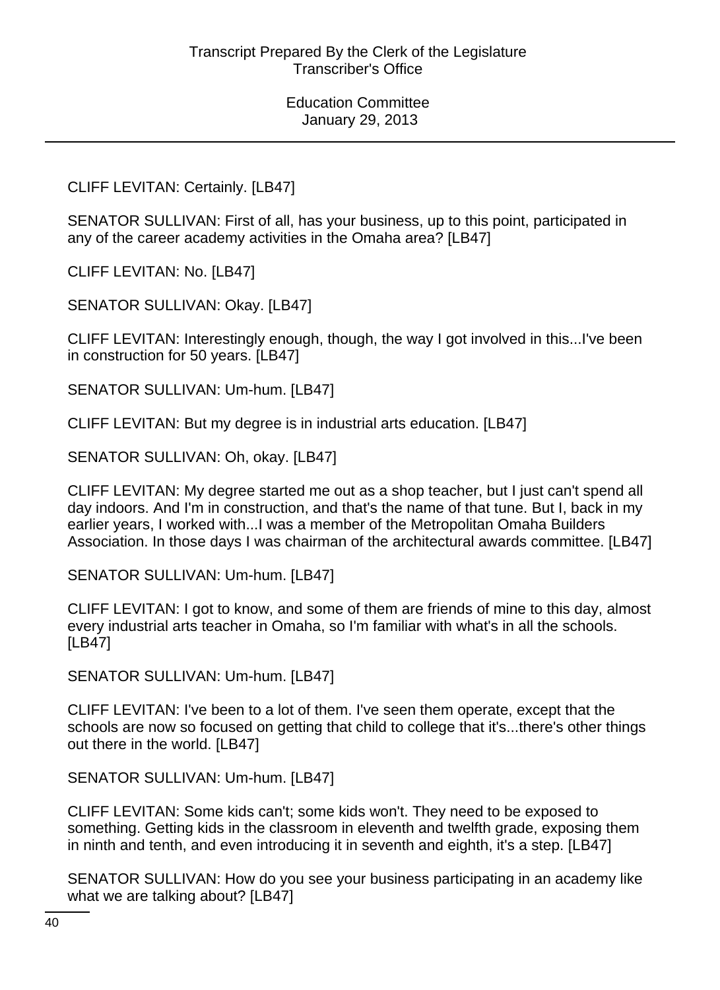CLIFF LEVITAN: Certainly. [LB47]

SENATOR SULLIVAN: First of all, has your business, up to this point, participated in any of the career academy activities in the Omaha area? [LB47]

CLIFF LEVITAN: No. [LB47]

SENATOR SULLIVAN: Okay. [LB47]

CLIFF LEVITAN: Interestingly enough, though, the way I got involved in this...I've been in construction for 50 years. [LB47]

SENATOR SULLIVAN: Um-hum. [LB47]

CLIFF LEVITAN: But my degree is in industrial arts education. [LB47]

SENATOR SULLIVAN: Oh, okay. [LB47]

CLIFF LEVITAN: My degree started me out as a shop teacher, but I just can't spend all day indoors. And I'm in construction, and that's the name of that tune. But I, back in my earlier years, I worked with...I was a member of the Metropolitan Omaha Builders Association. In those days I was chairman of the architectural awards committee. [LB47]

SENATOR SULLIVAN: Um-hum. [LB47]

CLIFF LEVITAN: I got to know, and some of them are friends of mine to this day, almost every industrial arts teacher in Omaha, so I'm familiar with what's in all the schools. [LB47]

SENATOR SULLIVAN: Um-hum. [LB47]

CLIFF LEVITAN: I've been to a lot of them. I've seen them operate, except that the schools are now so focused on getting that child to college that it's...there's other things out there in the world. [LB47]

SENATOR SULLIVAN: Um-hum. [LB47]

CLIFF LEVITAN: Some kids can't; some kids won't. They need to be exposed to something. Getting kids in the classroom in eleventh and twelfth grade, exposing them in ninth and tenth, and even introducing it in seventh and eighth, it's a step. [LB47]

SENATOR SULLIVAN: How do you see your business participating in an academy like what we are talking about? [LB47]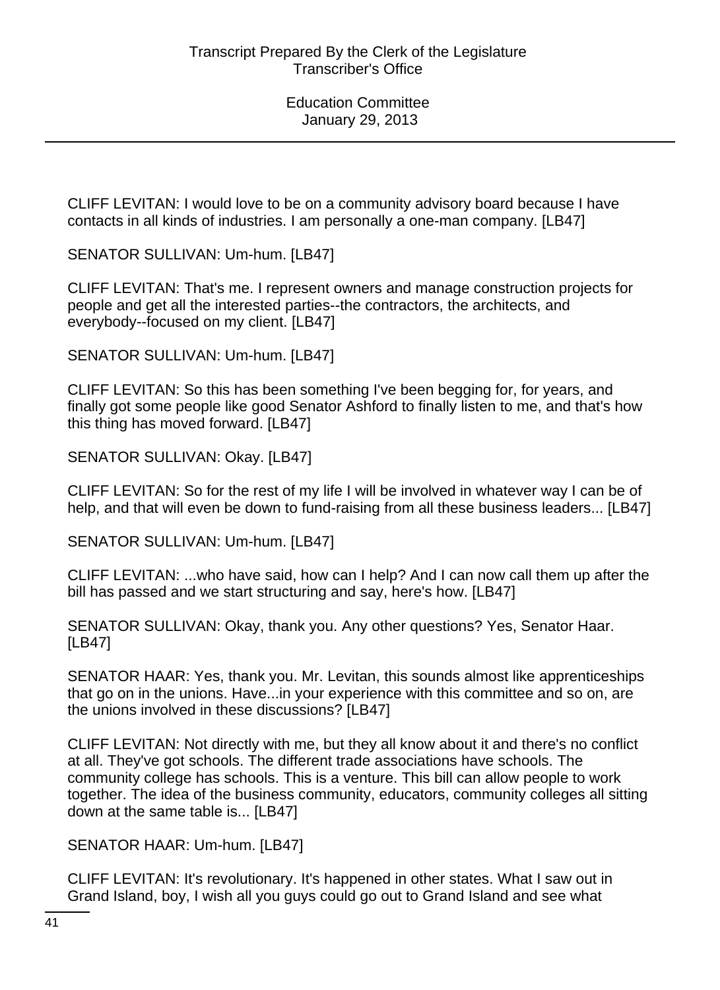CLIFF LEVITAN: I would love to be on a community advisory board because I have contacts in all kinds of industries. I am personally a one-man company. [LB47]

SENATOR SULLIVAN: Um-hum. [LB47]

CLIFF LEVITAN: That's me. I represent owners and manage construction projects for people and get all the interested parties--the contractors, the architects, and everybody--focused on my client. [LB47]

SENATOR SULLIVAN: Um-hum. [LB47]

CLIFF LEVITAN: So this has been something I've been begging for, for years, and finally got some people like good Senator Ashford to finally listen to me, and that's how this thing has moved forward. [LB47]

SENATOR SULLIVAN: Okay. [LB47]

CLIFF LEVITAN: So for the rest of my life I will be involved in whatever way I can be of help, and that will even be down to fund-raising from all these business leaders... [LB47]

SENATOR SULLIVAN: Um-hum. [LB47]

CLIFF LEVITAN: ...who have said, how can I help? And I can now call them up after the bill has passed and we start structuring and say, here's how. [LB47]

SENATOR SULLIVAN: Okay, thank you. Any other questions? Yes, Senator Haar. [LB47]

SENATOR HAAR: Yes, thank you. Mr. Levitan, this sounds almost like apprenticeships that go on in the unions. Have...in your experience with this committee and so on, are the unions involved in these discussions? [LB47]

CLIFF LEVITAN: Not directly with me, but they all know about it and there's no conflict at all. They've got schools. The different trade associations have schools. The community college has schools. This is a venture. This bill can allow people to work together. The idea of the business community, educators, community colleges all sitting down at the same table is... [LB47]

SENATOR HAAR: Um-hum. [LB47]

CLIFF LEVITAN: It's revolutionary. It's happened in other states. What I saw out in Grand Island, boy, I wish all you guys could go out to Grand Island and see what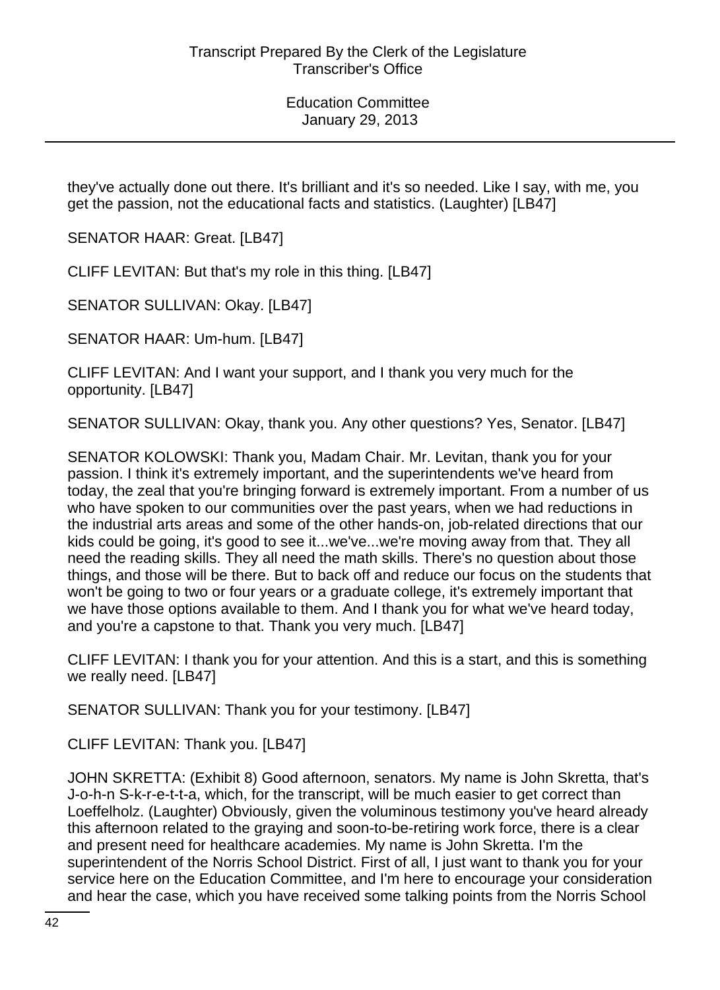they've actually done out there. It's brilliant and it's so needed. Like I say, with me, you get the passion, not the educational facts and statistics. (Laughter) [LB47]

SENATOR HAAR: Great. [LB47]

CLIFF LEVITAN: But that's my role in this thing. [LB47]

SENATOR SULLIVAN: Okay. [LB47]

SENATOR HAAR: Um-hum. [LB47]

CLIFF LEVITAN: And I want your support, and I thank you very much for the opportunity. [LB47]

SENATOR SULLIVAN: Okay, thank you. Any other questions? Yes, Senator. [LB47]

SENATOR KOLOWSKI: Thank you, Madam Chair. Mr. Levitan, thank you for your passion. I think it's extremely important, and the superintendents we've heard from today, the zeal that you're bringing forward is extremely important. From a number of us who have spoken to our communities over the past years, when we had reductions in the industrial arts areas and some of the other hands-on, job-related directions that our kids could be going, it's good to see it...we've...we're moving away from that. They all need the reading skills. They all need the math skills. There's no question about those things, and those will be there. But to back off and reduce our focus on the students that won't be going to two or four years or a graduate college, it's extremely important that we have those options available to them. And I thank you for what we've heard today, and you're a capstone to that. Thank you very much. [LB47]

CLIFF LEVITAN: I thank you for your attention. And this is a start, and this is something we really need. [LB47]

SENATOR SULLIVAN: Thank you for your testimony. [LB47]

CLIFF LEVITAN: Thank you. [LB47]

JOHN SKRETTA: (Exhibit 8) Good afternoon, senators. My name is John Skretta, that's J-o-h-n S-k-r-e-t-t-a, which, for the transcript, will be much easier to get correct than Loeffelholz. (Laughter) Obviously, given the voluminous testimony you've heard already this afternoon related to the graying and soon-to-be-retiring work force, there is a clear and present need for healthcare academies. My name is John Skretta. I'm the superintendent of the Norris School District. First of all, I just want to thank you for your service here on the Education Committee, and I'm here to encourage your consideration and hear the case, which you have received some talking points from the Norris School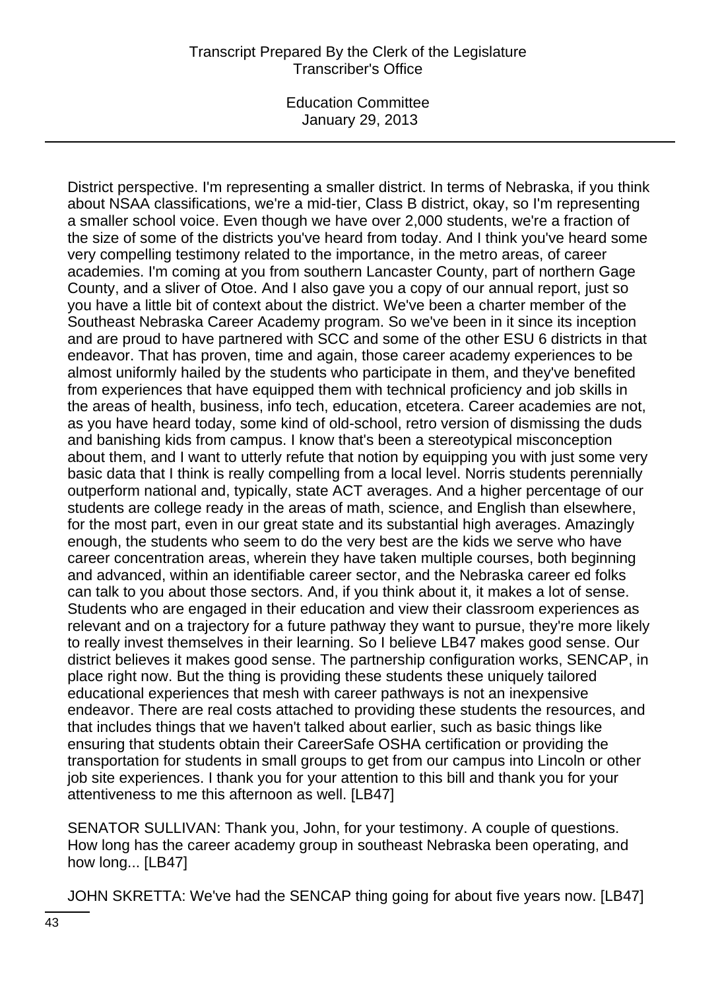## Transcript Prepared By the Clerk of the Legislature Transcriber's Office

Education Committee January 29, 2013

District perspective. I'm representing a smaller district. In terms of Nebraska, if you think about NSAA classifications, we're a mid-tier, Class B district, okay, so I'm representing a smaller school voice. Even though we have over 2,000 students, we're a fraction of the size of some of the districts you've heard from today. And I think you've heard some very compelling testimony related to the importance, in the metro areas, of career academies. I'm coming at you from southern Lancaster County, part of northern Gage County, and a sliver of Otoe. And I also gave you a copy of our annual report, just so you have a little bit of context about the district. We've been a charter member of the Southeast Nebraska Career Academy program. So we've been in it since its inception and are proud to have partnered with SCC and some of the other ESU 6 districts in that endeavor. That has proven, time and again, those career academy experiences to be almost uniformly hailed by the students who participate in them, and they've benefited from experiences that have equipped them with technical proficiency and job skills in the areas of health, business, info tech, education, etcetera. Career academies are not, as you have heard today, some kind of old-school, retro version of dismissing the duds and banishing kids from campus. I know that's been a stereotypical misconception about them, and I want to utterly refute that notion by equipping you with just some very basic data that I think is really compelling from a local level. Norris students perennially outperform national and, typically, state ACT averages. And a higher percentage of our students are college ready in the areas of math, science, and English than elsewhere, for the most part, even in our great state and its substantial high averages. Amazingly enough, the students who seem to do the very best are the kids we serve who have career concentration areas, wherein they have taken multiple courses, both beginning and advanced, within an identifiable career sector, and the Nebraska career ed folks can talk to you about those sectors. And, if you think about it, it makes a lot of sense. Students who are engaged in their education and view their classroom experiences as relevant and on a trajectory for a future pathway they want to pursue, they're more likely to really invest themselves in their learning. So I believe LB47 makes good sense. Our district believes it makes good sense. The partnership configuration works, SENCAP, in place right now. But the thing is providing these students these uniquely tailored educational experiences that mesh with career pathways is not an inexpensive endeavor. There are real costs attached to providing these students the resources, and that includes things that we haven't talked about earlier, such as basic things like ensuring that students obtain their CareerSafe OSHA certification or providing the transportation for students in small groups to get from our campus into Lincoln or other job site experiences. I thank you for your attention to this bill and thank you for your attentiveness to me this afternoon as well. [LB47]

SENATOR SULLIVAN: Thank you, John, for your testimony. A couple of questions. How long has the career academy group in southeast Nebraska been operating, and how long... [LB47]

JOHN SKRETTA: We've had the SENCAP thing going for about five years now. [LB47]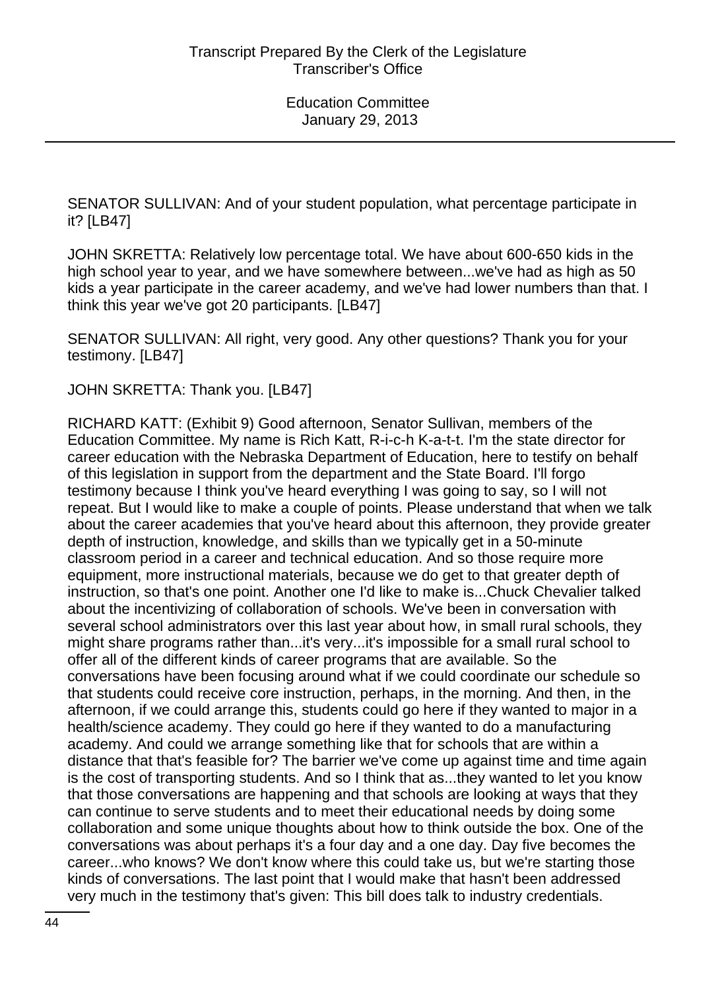SENATOR SULLIVAN: And of your student population, what percentage participate in it? [LB47]

JOHN SKRETTA: Relatively low percentage total. We have about 600-650 kids in the high school year to year, and we have somewhere between...we've had as high as 50 kids a year participate in the career academy, and we've had lower numbers than that. I think this year we've got 20 participants. [LB47]

SENATOR SULLIVAN: All right, very good. Any other questions? Thank you for your testimony. [LB47]

JOHN SKRETTA: Thank you. [LB47]

RICHARD KATT: (Exhibit 9) Good afternoon, Senator Sullivan, members of the Education Committee. My name is Rich Katt, R-i-c-h K-a-t-t. I'm the state director for career education with the Nebraska Department of Education, here to testify on behalf of this legislation in support from the department and the State Board. I'll forgo testimony because I think you've heard everything I was going to say, so I will not repeat. But I would like to make a couple of points. Please understand that when we talk about the career academies that you've heard about this afternoon, they provide greater depth of instruction, knowledge, and skills than we typically get in a 50-minute classroom period in a career and technical education. And so those require more equipment, more instructional materials, because we do get to that greater depth of instruction, so that's one point. Another one I'd like to make is...Chuck Chevalier talked about the incentivizing of collaboration of schools. We've been in conversation with several school administrators over this last year about how, in small rural schools, they might share programs rather than...it's very...it's impossible for a small rural school to offer all of the different kinds of career programs that are available. So the conversations have been focusing around what if we could coordinate our schedule so that students could receive core instruction, perhaps, in the morning. And then, in the afternoon, if we could arrange this, students could go here if they wanted to major in a health/science academy. They could go here if they wanted to do a manufacturing academy. And could we arrange something like that for schools that are within a distance that that's feasible for? The barrier we've come up against time and time again is the cost of transporting students. And so I think that as...they wanted to let you know that those conversations are happening and that schools are looking at ways that they can continue to serve students and to meet their educational needs by doing some collaboration and some unique thoughts about how to think outside the box. One of the conversations was about perhaps it's a four day and a one day. Day five becomes the career...who knows? We don't know where this could take us, but we're starting those kinds of conversations. The last point that I would make that hasn't been addressed very much in the testimony that's given: This bill does talk to industry credentials.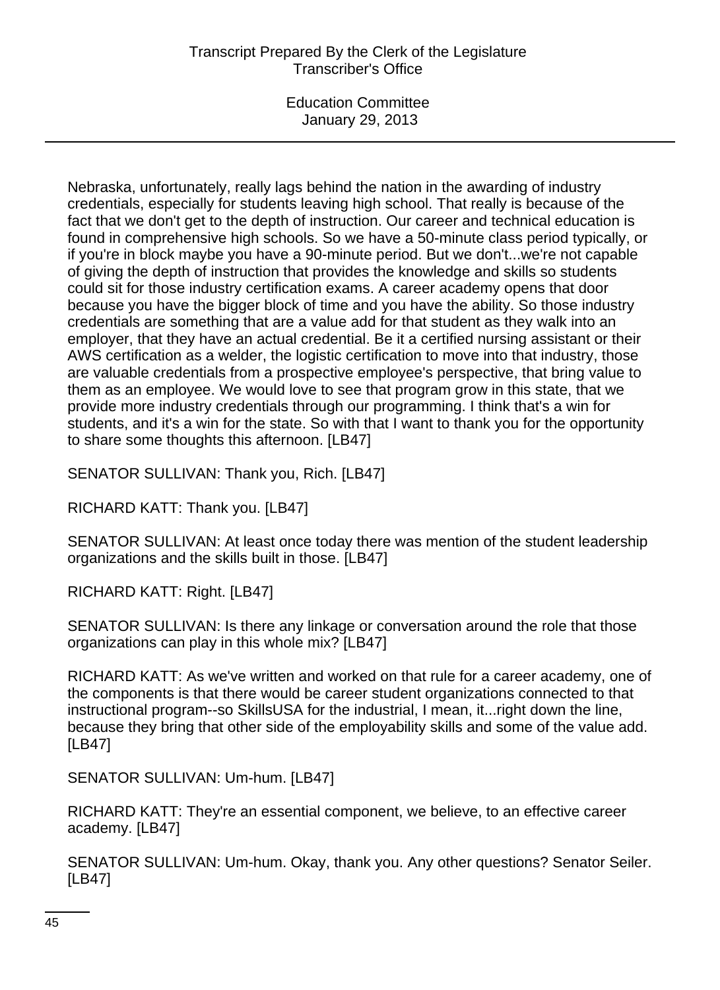# Transcript Prepared By the Clerk of the Legislature Transcriber's Office

Education Committee January 29, 2013

Nebraska, unfortunately, really lags behind the nation in the awarding of industry credentials, especially for students leaving high school. That really is because of the fact that we don't get to the depth of instruction. Our career and technical education is found in comprehensive high schools. So we have a 50-minute class period typically, or if you're in block maybe you have a 90-minute period. But we don't...we're not capable of giving the depth of instruction that provides the knowledge and skills so students could sit for those industry certification exams. A career academy opens that door because you have the bigger block of time and you have the ability. So those industry credentials are something that are a value add for that student as they walk into an employer, that they have an actual credential. Be it a certified nursing assistant or their AWS certification as a welder, the logistic certification to move into that industry, those are valuable credentials from a prospective employee's perspective, that bring value to them as an employee. We would love to see that program grow in this state, that we provide more industry credentials through our programming. I think that's a win for students, and it's a win for the state. So with that I want to thank you for the opportunity to share some thoughts this afternoon. [LB47]

SENATOR SULLIVAN: Thank you, Rich. [LB47]

RICHARD KATT: Thank you. [LB47]

SENATOR SULLIVAN: At least once today there was mention of the student leadership organizations and the skills built in those. [LB47]

RICHARD KATT: Right. [LB47]

SENATOR SULLIVAN: Is there any linkage or conversation around the role that those organizations can play in this whole mix? [LB47]

RICHARD KATT: As we've written and worked on that rule for a career academy, one of the components is that there would be career student organizations connected to that instructional program--so SkillsUSA for the industrial, I mean, it...right down the line, because they bring that other side of the employability skills and some of the value add. [LB47]

SENATOR SULLIVAN: Um-hum. [LB47]

RICHARD KATT: They're an essential component, we believe, to an effective career academy. [LB47]

SENATOR SULLIVAN: Um-hum. Okay, thank you. Any other questions? Senator Seiler. [LB47]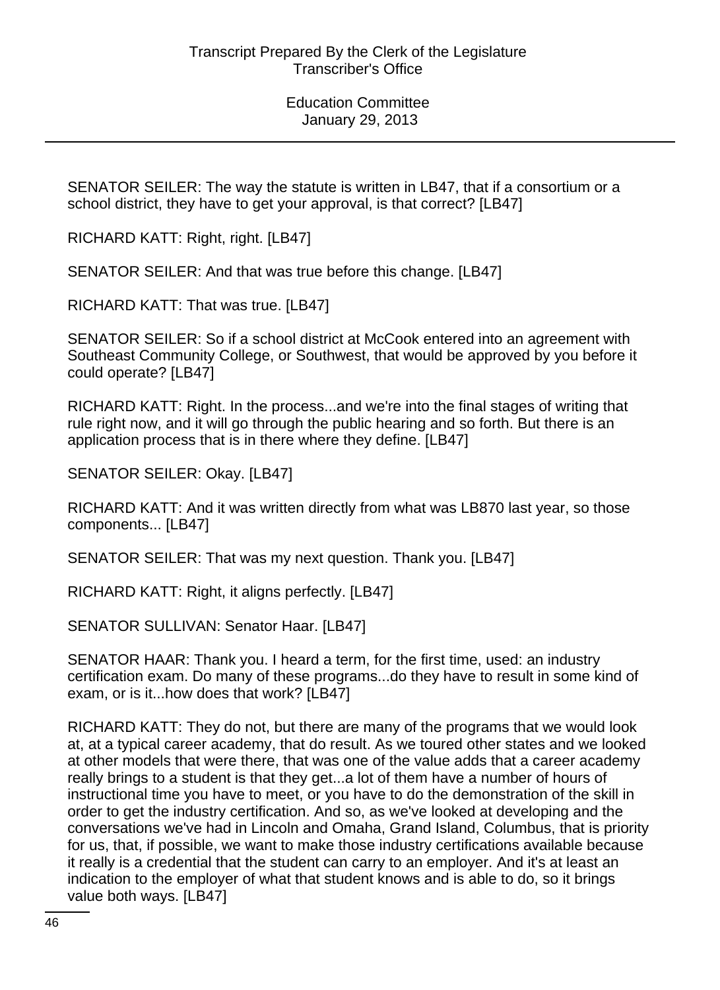SENATOR SEILER: The way the statute is written in LB47, that if a consortium or a school district, they have to get your approval, is that correct? [LB47]

RICHARD KATT: Right, right. [LB47]

SENATOR SEILER: And that was true before this change. [LB47]

RICHARD KATT: That was true. [LB47]

SENATOR SEILER: So if a school district at McCook entered into an agreement with Southeast Community College, or Southwest, that would be approved by you before it could operate? [LB47]

RICHARD KATT: Right. In the process...and we're into the final stages of writing that rule right now, and it will go through the public hearing and so forth. But there is an application process that is in there where they define. [LB47]

SENATOR SEILER: Okay. [LB47]

RICHARD KATT: And it was written directly from what was LB870 last year, so those components... [LB47]

SENATOR SEILER: That was my next question. Thank you. [LB47]

RICHARD KATT: Right, it aligns perfectly. [LB47]

SENATOR SULLIVAN: Senator Haar. [LB47]

SENATOR HAAR: Thank you. I heard a term, for the first time, used: an industry certification exam. Do many of these programs...do they have to result in some kind of exam, or is it...how does that work? [LB47]

RICHARD KATT: They do not, but there are many of the programs that we would look at, at a typical career academy, that do result. As we toured other states and we looked at other models that were there, that was one of the value adds that a career academy really brings to a student is that they get...a lot of them have a number of hours of instructional time you have to meet, or you have to do the demonstration of the skill in order to get the industry certification. And so, as we've looked at developing and the conversations we've had in Lincoln and Omaha, Grand Island, Columbus, that is priority for us, that, if possible, we want to make those industry certifications available because it really is a credential that the student can carry to an employer. And it's at least an indication to the employer of what that student knows and is able to do, so it brings value both ways. [LB47]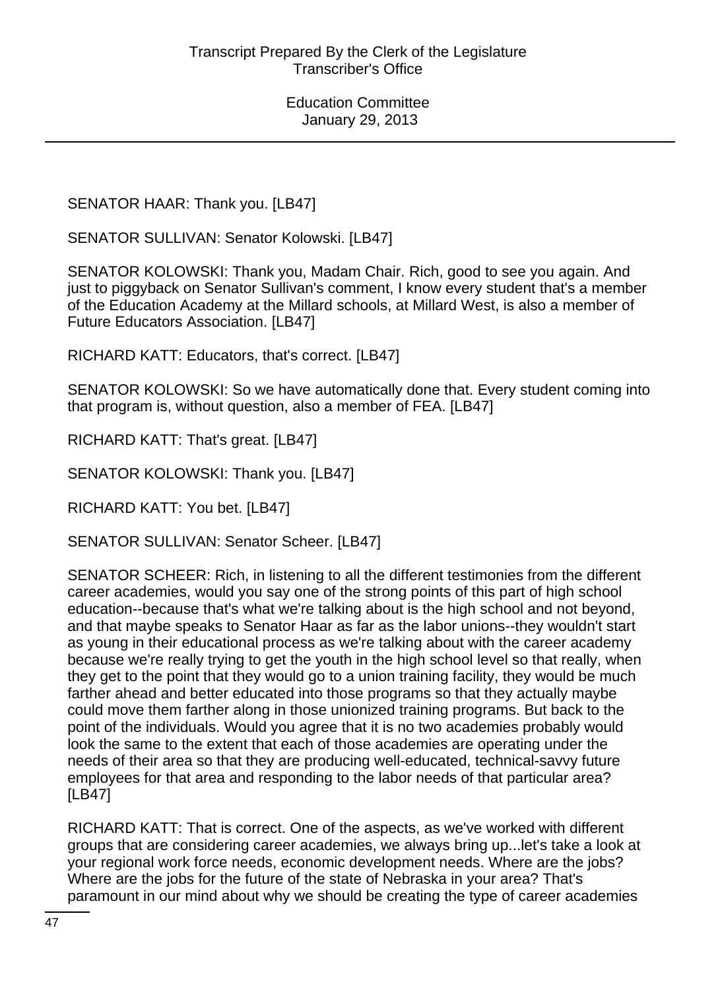SENATOR HAAR: Thank you. [LB47]

SENATOR SULLIVAN: Senator Kolowski. [LB47]

SENATOR KOLOWSKI: Thank you, Madam Chair. Rich, good to see you again. And just to piggyback on Senator Sullivan's comment, I know every student that's a member of the Education Academy at the Millard schools, at Millard West, is also a member of Future Educators Association. [LB47]

RICHARD KATT: Educators, that's correct. [LB47]

SENATOR KOLOWSKI: So we have automatically done that. Every student coming into that program is, without question, also a member of FEA. [LB47]

RICHARD KATT: That's great. [LB47]

SENATOR KOLOWSKI: Thank you. [LB47]

RICHARD KATT: You bet. [LB47]

SENATOR SULLIVAN: Senator Scheer. [LB47]

SENATOR SCHEER: Rich, in listening to all the different testimonies from the different career academies, would you say one of the strong points of this part of high school education--because that's what we're talking about is the high school and not beyond, and that maybe speaks to Senator Haar as far as the labor unions--they wouldn't start as young in their educational process as we're talking about with the career academy because we're really trying to get the youth in the high school level so that really, when they get to the point that they would go to a union training facility, they would be much farther ahead and better educated into those programs so that they actually maybe could move them farther along in those unionized training programs. But back to the point of the individuals. Would you agree that it is no two academies probably would look the same to the extent that each of those academies are operating under the needs of their area so that they are producing well-educated, technical-savvy future employees for that area and responding to the labor needs of that particular area? [LB47]

RICHARD KATT: That is correct. One of the aspects, as we've worked with different groups that are considering career academies, we always bring up...let's take a look at your regional work force needs, economic development needs. Where are the jobs? Where are the jobs for the future of the state of Nebraska in your area? That's paramount in our mind about why we should be creating the type of career academies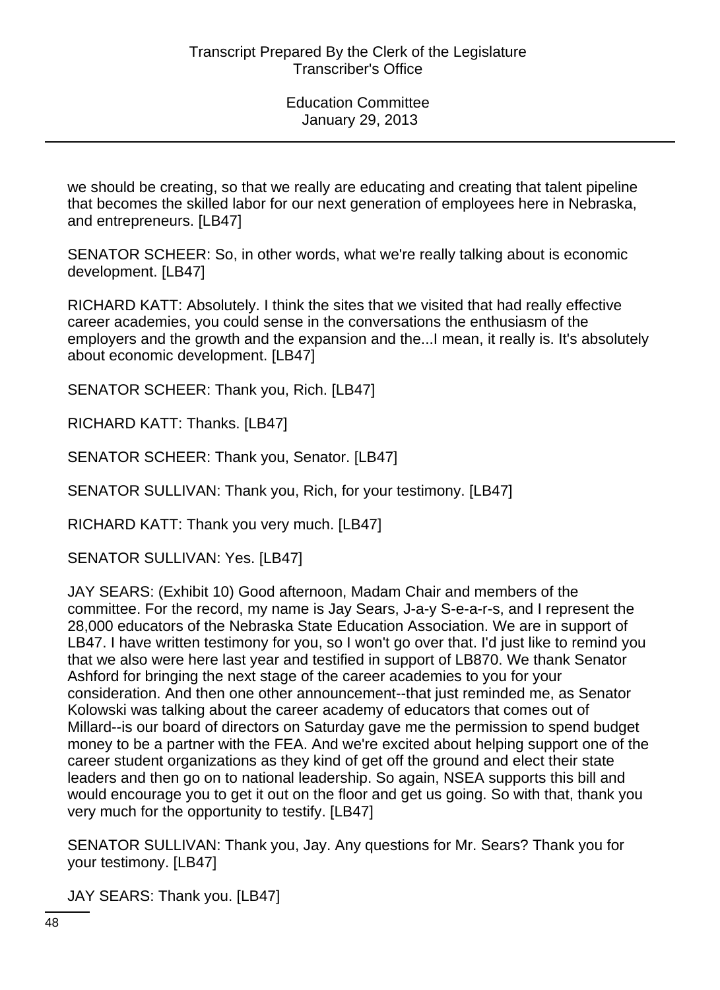we should be creating, so that we really are educating and creating that talent pipeline that becomes the skilled labor for our next generation of employees here in Nebraska, and entrepreneurs. [LB47]

SENATOR SCHEER: So, in other words, what we're really talking about is economic development. [LB47]

RICHARD KATT: Absolutely. I think the sites that we visited that had really effective career academies, you could sense in the conversations the enthusiasm of the employers and the growth and the expansion and the...I mean, it really is. It's absolutely about economic development. [LB47]

SENATOR SCHEER: Thank you, Rich. [LB47]

RICHARD KATT: Thanks. [LB47]

SENATOR SCHEER: Thank you, Senator. [LB47]

SENATOR SULLIVAN: Thank you, Rich, for your testimony. [LB47]

RICHARD KATT: Thank you very much. [LB47]

SENATOR SULLIVAN: Yes. [LB47]

JAY SEARS: (Exhibit 10) Good afternoon, Madam Chair and members of the committee. For the record, my name is Jay Sears, J-a-y S-e-a-r-s, and I represent the 28,000 educators of the Nebraska State Education Association. We are in support of LB47. I have written testimony for you, so I won't go over that. I'd just like to remind you that we also were here last year and testified in support of LB870. We thank Senator Ashford for bringing the next stage of the career academies to you for your consideration. And then one other announcement--that just reminded me, as Senator Kolowski was talking about the career academy of educators that comes out of Millard--is our board of directors on Saturday gave me the permission to spend budget money to be a partner with the FEA. And we're excited about helping support one of the career student organizations as they kind of get off the ground and elect their state leaders and then go on to national leadership. So again, NSEA supports this bill and would encourage you to get it out on the floor and get us going. So with that, thank you very much for the opportunity to testify. [LB47]

SENATOR SULLIVAN: Thank you, Jay. Any questions for Mr. Sears? Thank you for your testimony. [LB47]

JAY SEARS: Thank you. [LB47]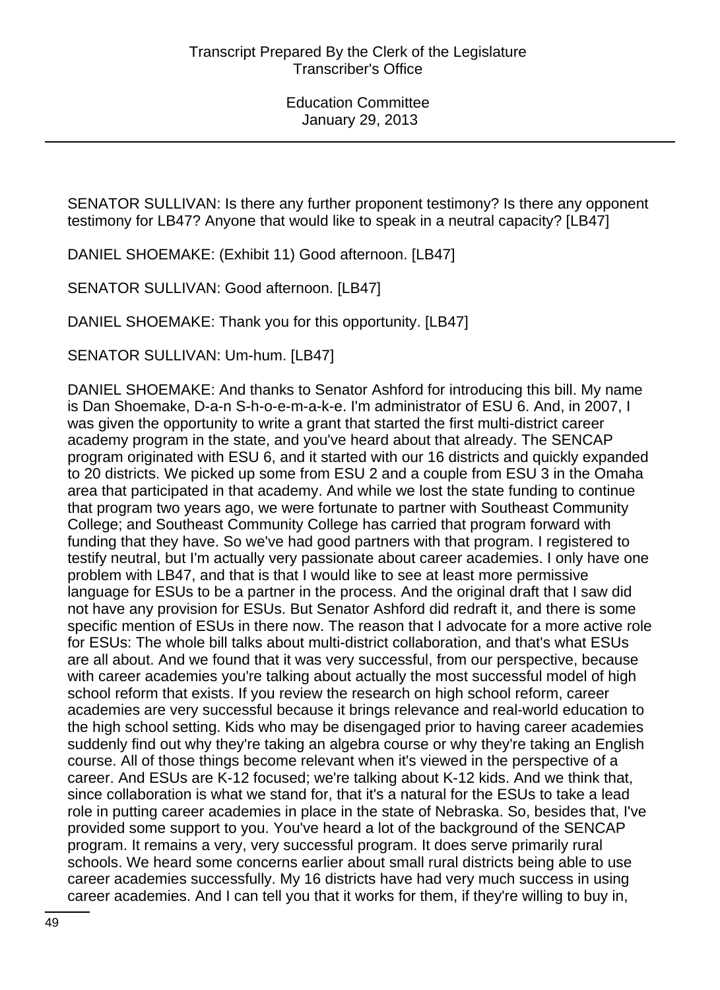SENATOR SULLIVAN: Is there any further proponent testimony? Is there any opponent testimony for LB47? Anyone that would like to speak in a neutral capacity? [LB47]

DANIEL SHOEMAKE: (Exhibit 11) Good afternoon. [LB47]

SENATOR SULLIVAN: Good afternoon. [LB47]

DANIEL SHOEMAKE: Thank you for this opportunity. [LB47]

SENATOR SULLIVAN: Um-hum. [LB47]

DANIEL SHOEMAKE: And thanks to Senator Ashford for introducing this bill. My name is Dan Shoemake, D-a-n S-h-o-e-m-a-k-e. I'm administrator of ESU 6. And, in 2007, I was given the opportunity to write a grant that started the first multi-district career academy program in the state, and you've heard about that already. The SENCAP program originated with ESU 6, and it started with our 16 districts and quickly expanded to 20 districts. We picked up some from ESU 2 and a couple from ESU 3 in the Omaha area that participated in that academy. And while we lost the state funding to continue that program two years ago, we were fortunate to partner with Southeast Community College; and Southeast Community College has carried that program forward with funding that they have. So we've had good partners with that program. I registered to testify neutral, but I'm actually very passionate about career academies. I only have one problem with LB47, and that is that I would like to see at least more permissive language for ESUs to be a partner in the process. And the original draft that I saw did not have any provision for ESUs. But Senator Ashford did redraft it, and there is some specific mention of ESUs in there now. The reason that I advocate for a more active role for ESUs: The whole bill talks about multi-district collaboration, and that's what ESUs are all about. And we found that it was very successful, from our perspective, because with career academies you're talking about actually the most successful model of high school reform that exists. If you review the research on high school reform, career academies are very successful because it brings relevance and real-world education to the high school setting. Kids who may be disengaged prior to having career academies suddenly find out why they're taking an algebra course or why they're taking an English course. All of those things become relevant when it's viewed in the perspective of a career. And ESUs are K-12 focused; we're talking about K-12 kids. And we think that, since collaboration is what we stand for, that it's a natural for the ESUs to take a lead role in putting career academies in place in the state of Nebraska. So, besides that, I've provided some support to you. You've heard a lot of the background of the SENCAP program. It remains a very, very successful program. It does serve primarily rural schools. We heard some concerns earlier about small rural districts being able to use career academies successfully. My 16 districts have had very much success in using career academies. And I can tell you that it works for them, if they're willing to buy in,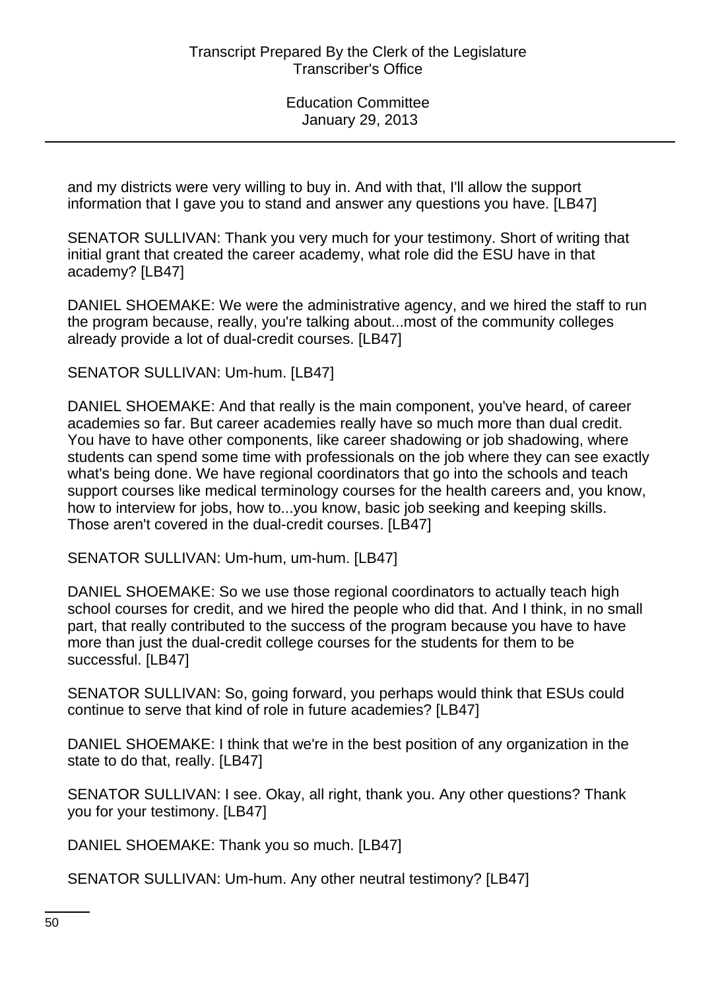and my districts were very willing to buy in. And with that, I'll allow the support information that I gave you to stand and answer any questions you have. [LB47]

SENATOR SULLIVAN: Thank you very much for your testimony. Short of writing that initial grant that created the career academy, what role did the ESU have in that academy? [LB47]

DANIEL SHOEMAKE: We were the administrative agency, and we hired the staff to run the program because, really, you're talking about...most of the community colleges already provide a lot of dual-credit courses. [LB47]

SENATOR SULLIVAN: Um-hum. [LB47]

DANIEL SHOEMAKE: And that really is the main component, you've heard, of career academies so far. But career academies really have so much more than dual credit. You have to have other components, like career shadowing or job shadowing, where students can spend some time with professionals on the job where they can see exactly what's being done. We have regional coordinators that go into the schools and teach support courses like medical terminology courses for the health careers and, you know, how to interview for jobs, how to...you know, basic job seeking and keeping skills. Those aren't covered in the dual-credit courses. [LB47]

SENATOR SULLIVAN: Um-hum, um-hum. [LB47]

DANIEL SHOEMAKE: So we use those regional coordinators to actually teach high school courses for credit, and we hired the people who did that. And I think, in no small part, that really contributed to the success of the program because you have to have more than just the dual-credit college courses for the students for them to be successful. [LB47]

SENATOR SULLIVAN: So, going forward, you perhaps would think that ESUs could continue to serve that kind of role in future academies? [LB47]

DANIEL SHOEMAKE: I think that we're in the best position of any organization in the state to do that, really. [LB47]

SENATOR SULLIVAN: I see. Okay, all right, thank you. Any other questions? Thank you for your testimony. [LB47]

DANIEL SHOEMAKE: Thank you so much. [LB47]

SENATOR SULLIVAN: Um-hum. Any other neutral testimony? [LB47]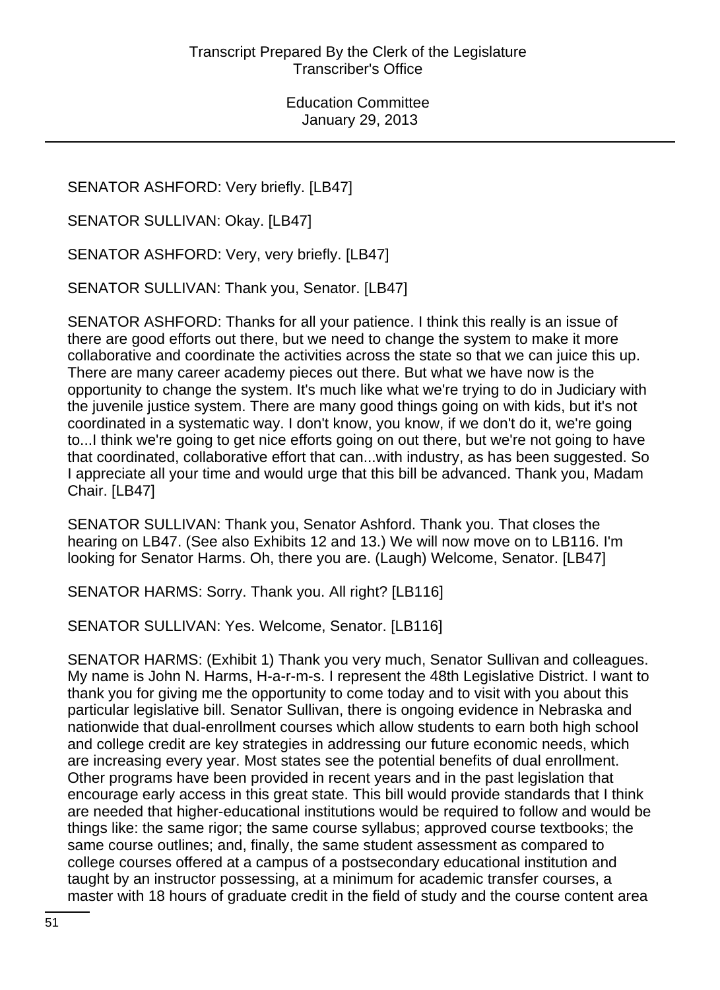SENATOR ASHFORD: Very briefly. [LB47]

SENATOR SULLIVAN: Okay. [LB47]

SENATOR ASHFORD: Very, very briefly. [LB47]

SENATOR SULLIVAN: Thank you, Senator. [LB47]

SENATOR ASHFORD: Thanks for all your patience. I think this really is an issue of there are good efforts out there, but we need to change the system to make it more collaborative and coordinate the activities across the state so that we can juice this up. There are many career academy pieces out there. But what we have now is the opportunity to change the system. It's much like what we're trying to do in Judiciary with the juvenile justice system. There are many good things going on with kids, but it's not coordinated in a systematic way. I don't know, you know, if we don't do it, we're going to...I think we're going to get nice efforts going on out there, but we're not going to have that coordinated, collaborative effort that can...with industry, as has been suggested. So I appreciate all your time and would urge that this bill be advanced. Thank you, Madam Chair. [LB47]

SENATOR SULLIVAN: Thank you, Senator Ashford. Thank you. That closes the hearing on LB47. (See also Exhibits 12 and 13.) We will now move on to LB116. I'm looking for Senator Harms. Oh, there you are. (Laugh) Welcome, Senator. [LB47]

SENATOR HARMS: Sorry. Thank you. All right? [LB116]

SENATOR SULLIVAN: Yes. Welcome, Senator. [LB116]

SENATOR HARMS: (Exhibit 1) Thank you very much, Senator Sullivan and colleagues. My name is John N. Harms, H-a-r-m-s. I represent the 48th Legislative District. I want to thank you for giving me the opportunity to come today and to visit with you about this particular legislative bill. Senator Sullivan, there is ongoing evidence in Nebraska and nationwide that dual-enrollment courses which allow students to earn both high school and college credit are key strategies in addressing our future economic needs, which are increasing every year. Most states see the potential benefits of dual enrollment. Other programs have been provided in recent years and in the past legislation that encourage early access in this great state. This bill would provide standards that I think are needed that higher-educational institutions would be required to follow and would be things like: the same rigor; the same course syllabus; approved course textbooks; the same course outlines; and, finally, the same student assessment as compared to college courses offered at a campus of a postsecondary educational institution and taught by an instructor possessing, at a minimum for academic transfer courses, a master with 18 hours of graduate credit in the field of study and the course content area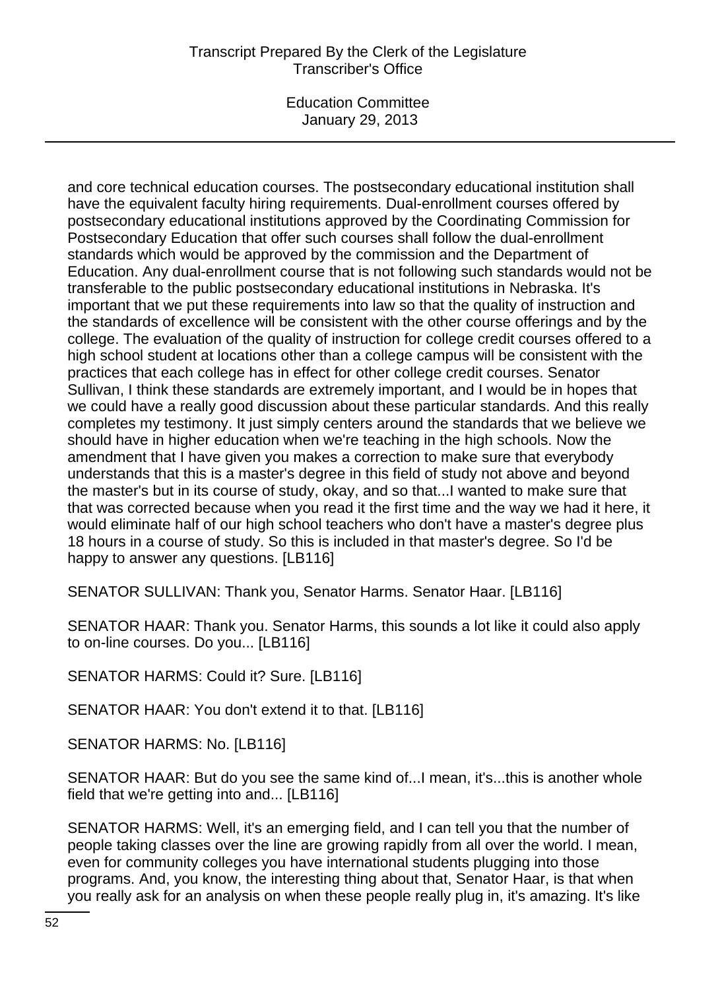# Transcript Prepared By the Clerk of the Legislature Transcriber's Office

Education Committee January 29, 2013

and core technical education courses. The postsecondary educational institution shall have the equivalent faculty hiring requirements. Dual-enrollment courses offered by postsecondary educational institutions approved by the Coordinating Commission for Postsecondary Education that offer such courses shall follow the dual-enrollment standards which would be approved by the commission and the Department of Education. Any dual-enrollment course that is not following such standards would not be transferable to the public postsecondary educational institutions in Nebraska. It's important that we put these requirements into law so that the quality of instruction and the standards of excellence will be consistent with the other course offerings and by the college. The evaluation of the quality of instruction for college credit courses offered to a high school student at locations other than a college campus will be consistent with the practices that each college has in effect for other college credit courses. Senator Sullivan, I think these standards are extremely important, and I would be in hopes that we could have a really good discussion about these particular standards. And this really completes my testimony. It just simply centers around the standards that we believe we should have in higher education when we're teaching in the high schools. Now the amendment that I have given you makes a correction to make sure that everybody understands that this is a master's degree in this field of study not above and beyond the master's but in its course of study, okay, and so that...I wanted to make sure that that was corrected because when you read it the first time and the way we had it here, it would eliminate half of our high school teachers who don't have a master's degree plus 18 hours in a course of study. So this is included in that master's degree. So I'd be happy to answer any questions. [LB116]

SENATOR SULLIVAN: Thank you, Senator Harms. Senator Haar. [LB116]

SENATOR HAAR: Thank you. Senator Harms, this sounds a lot like it could also apply to on-line courses. Do you... [LB116]

SENATOR HARMS: Could it? Sure. [LB116]

SENATOR HAAR: You don't extend it to that. [LB116]

SENATOR HARMS: No. [LB116]

SENATOR HAAR: But do you see the same kind of...I mean, it's...this is another whole field that we're getting into and... [LB116]

SENATOR HARMS: Well, it's an emerging field, and I can tell you that the number of people taking classes over the line are growing rapidly from all over the world. I mean, even for community colleges you have international students plugging into those programs. And, you know, the interesting thing about that, Senator Haar, is that when you really ask for an analysis on when these people really plug in, it's amazing. It's like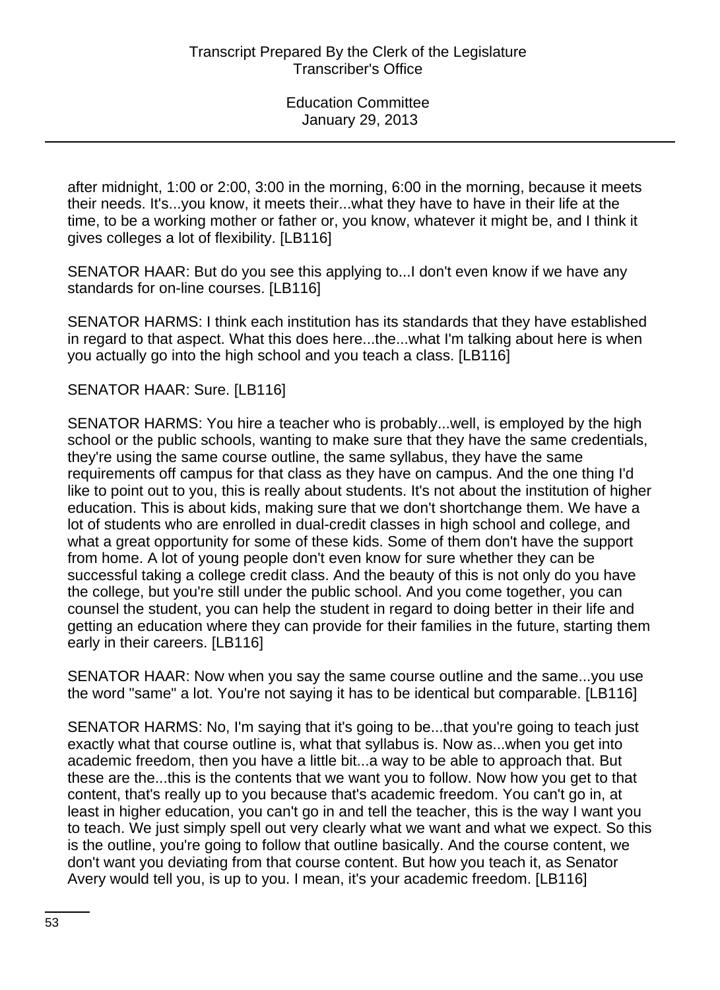after midnight, 1:00 or 2:00, 3:00 in the morning, 6:00 in the morning, because it meets their needs. It's...you know, it meets their...what they have to have in their life at the time, to be a working mother or father or, you know, whatever it might be, and I think it gives colleges a lot of flexibility. [LB116]

SENATOR HAAR: But do you see this applying to...I don't even know if we have any standards for on-line courses. [LB116]

SENATOR HARMS: I think each institution has its standards that they have established in regard to that aspect. What this does here...the...what I'm talking about here is when you actually go into the high school and you teach a class. [LB116]

## SENATOR HAAR: Sure. [LB116]

SENATOR HARMS: You hire a teacher who is probably...well, is employed by the high school or the public schools, wanting to make sure that they have the same credentials, they're using the same course outline, the same syllabus, they have the same requirements off campus for that class as they have on campus. And the one thing I'd like to point out to you, this is really about students. It's not about the institution of higher education. This is about kids, making sure that we don't shortchange them. We have a lot of students who are enrolled in dual-credit classes in high school and college, and what a great opportunity for some of these kids. Some of them don't have the support from home. A lot of young people don't even know for sure whether they can be successful taking a college credit class. And the beauty of this is not only do you have the college, but you're still under the public school. And you come together, you can counsel the student, you can help the student in regard to doing better in their life and getting an education where they can provide for their families in the future, starting them early in their careers. [LB116]

SENATOR HAAR: Now when you say the same course outline and the same...you use the word "same" a lot. You're not saying it has to be identical but comparable. [LB116]

SENATOR HARMS: No, I'm saying that it's going to be...that you're going to teach just exactly what that course outline is, what that syllabus is. Now as...when you get into academic freedom, then you have a little bit...a way to be able to approach that. But these are the...this is the contents that we want you to follow. Now how you get to that content, that's really up to you because that's academic freedom. You can't go in, at least in higher education, you can't go in and tell the teacher, this is the way I want you to teach. We just simply spell out very clearly what we want and what we expect. So this is the outline, you're going to follow that outline basically. And the course content, we don't want you deviating from that course content. But how you teach it, as Senator Avery would tell you, is up to you. I mean, it's your academic freedom. [LB116]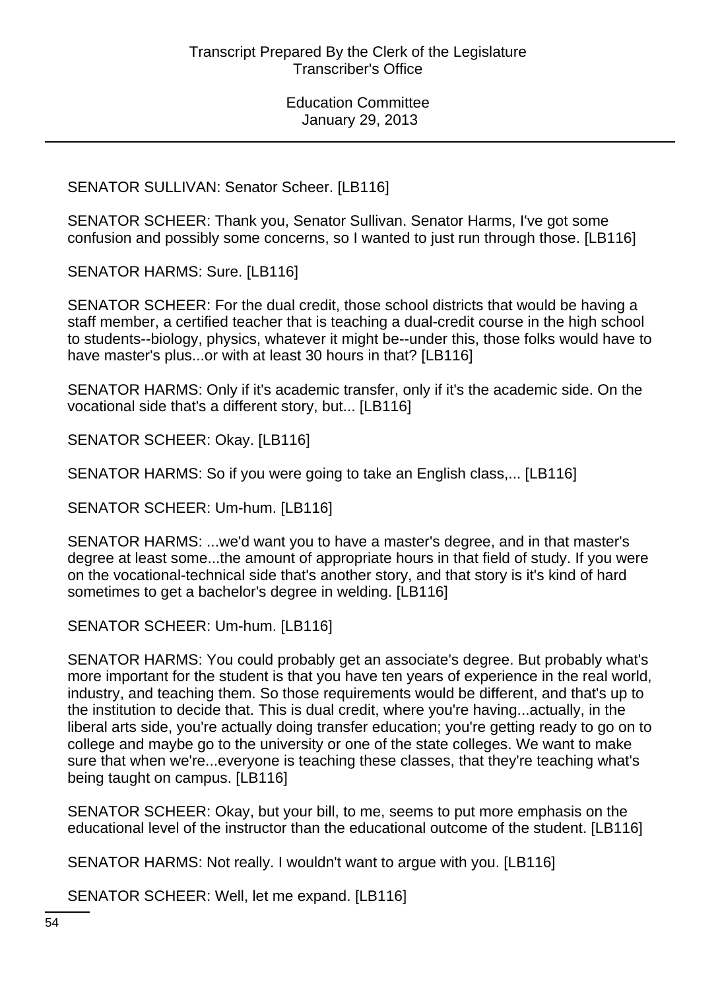SENATOR SULLIVAN: Senator Scheer. [LB116]

SENATOR SCHEER: Thank you, Senator Sullivan. Senator Harms, I've got some confusion and possibly some concerns, so I wanted to just run through those. [LB116]

SENATOR HARMS: Sure. [LB116]

SENATOR SCHEER: For the dual credit, those school districts that would be having a staff member, a certified teacher that is teaching a dual-credit course in the high school to students--biology, physics, whatever it might be--under this, those folks would have to have master's plus...or with at least 30 hours in that? [LB116]

SENATOR HARMS: Only if it's academic transfer, only if it's the academic side. On the vocational side that's a different story, but... [LB116]

SENATOR SCHEER: Okay. [LB116]

SENATOR HARMS: So if you were going to take an English class,... [LB116]

SENATOR SCHEER: Um-hum. [LB116]

SENATOR HARMS: ...we'd want you to have a master's degree, and in that master's degree at least some...the amount of appropriate hours in that field of study. If you were on the vocational-technical side that's another story, and that story is it's kind of hard sometimes to get a bachelor's degree in welding. [LB116]

SENATOR SCHEER: Um-hum. [LB116]

SENATOR HARMS: You could probably get an associate's degree. But probably what's more important for the student is that you have ten years of experience in the real world, industry, and teaching them. So those requirements would be different, and that's up to the institution to decide that. This is dual credit, where you're having...actually, in the liberal arts side, you're actually doing transfer education; you're getting ready to go on to college and maybe go to the university or one of the state colleges. We want to make sure that when we're...everyone is teaching these classes, that they're teaching what's being taught on campus. [LB116]

SENATOR SCHEER: Okay, but your bill, to me, seems to put more emphasis on the educational level of the instructor than the educational outcome of the student. [LB116]

SENATOR HARMS: Not really. I wouldn't want to argue with you. [LB116]

SENATOR SCHEER: Well, let me expand. [LB116]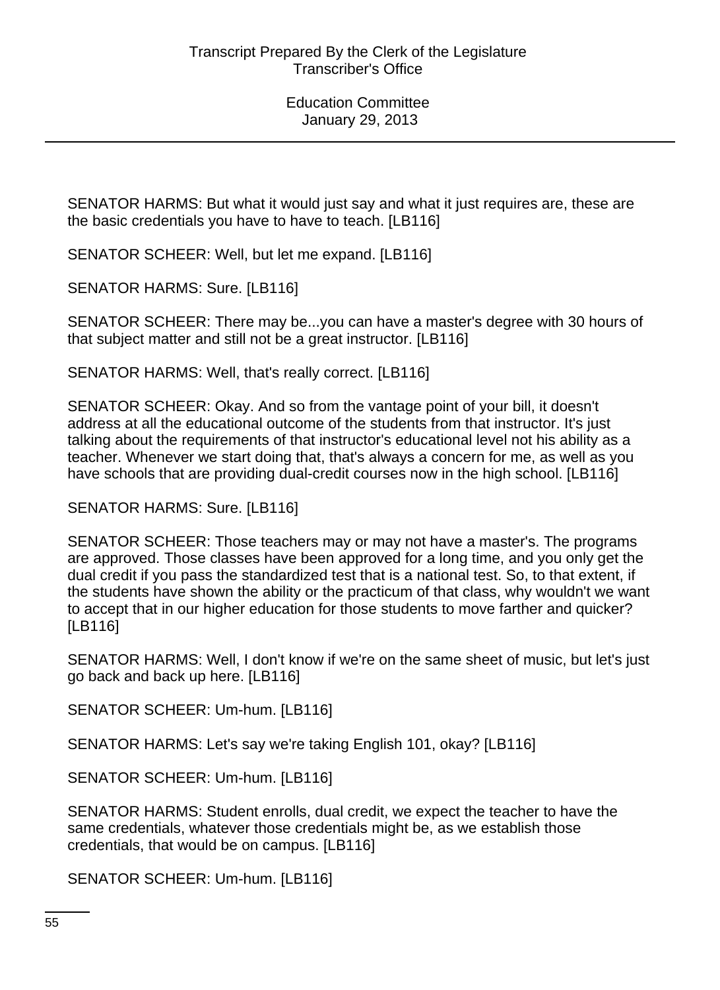SENATOR HARMS: But what it would just say and what it just requires are, these are the basic credentials you have to have to teach. [LB116]

SENATOR SCHEER: Well, but let me expand. [LB116]

SENATOR HARMS: Sure. [LB116]

SENATOR SCHEER: There may be...you can have a master's degree with 30 hours of that subject matter and still not be a great instructor. [LB116]

SENATOR HARMS: Well, that's really correct. [LB116]

SENATOR SCHEER: Okay. And so from the vantage point of your bill, it doesn't address at all the educational outcome of the students from that instructor. It's just talking about the requirements of that instructor's educational level not his ability as a teacher. Whenever we start doing that, that's always a concern for me, as well as you have schools that are providing dual-credit courses now in the high school. [LB116]

SENATOR HARMS: Sure. [LB116]

SENATOR SCHEER: Those teachers may or may not have a master's. The programs are approved. Those classes have been approved for a long time, and you only get the dual credit if you pass the standardized test that is a national test. So, to that extent, if the students have shown the ability or the practicum of that class, why wouldn't we want to accept that in our higher education for those students to move farther and quicker? [LB116]

SENATOR HARMS: Well, I don't know if we're on the same sheet of music, but let's just go back and back up here. [LB116]

SENATOR SCHEER: Um-hum. [LB116]

SENATOR HARMS: Let's say we're taking English 101, okay? [LB116]

SENATOR SCHEER: Um-hum. [LB116]

SENATOR HARMS: Student enrolls, dual credit, we expect the teacher to have the same credentials, whatever those credentials might be, as we establish those credentials, that would be on campus. [LB116]

SENATOR SCHEER: Um-hum. [LB116]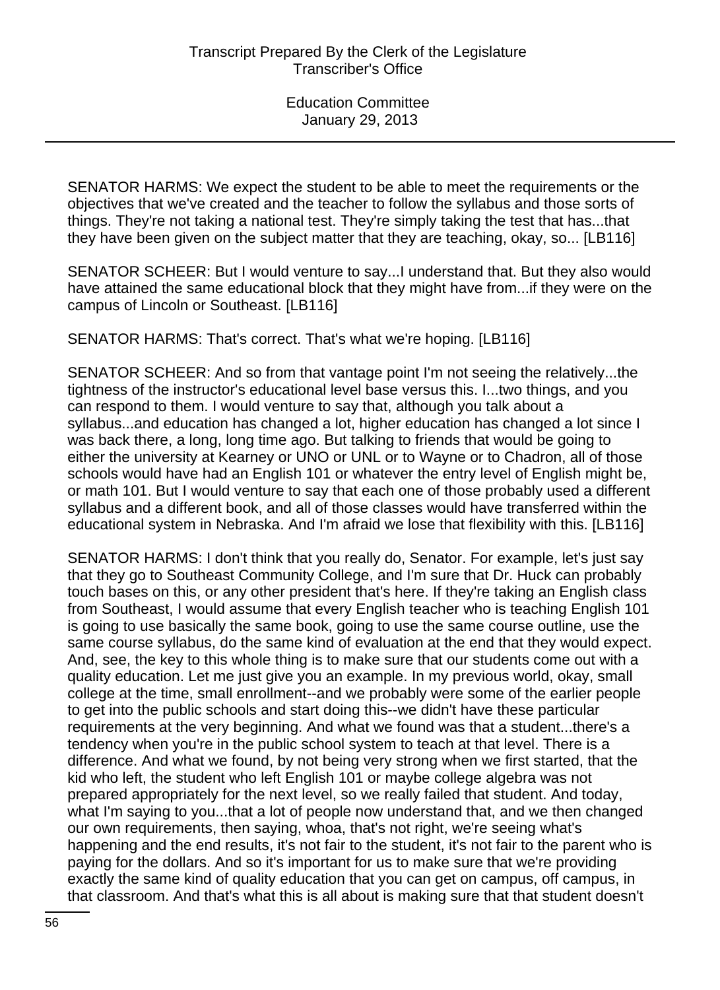SENATOR HARMS: We expect the student to be able to meet the requirements or the objectives that we've created and the teacher to follow the syllabus and those sorts of things. They're not taking a national test. They're simply taking the test that has...that they have been given on the subject matter that they are teaching, okay, so... [LB116]

SENATOR SCHEER: But I would venture to say...I understand that. But they also would have attained the same educational block that they might have from...if they were on the campus of Lincoln or Southeast. [LB116]

SENATOR HARMS: That's correct. That's what we're hoping. [LB116]

SENATOR SCHEER: And so from that vantage point I'm not seeing the relatively...the tightness of the instructor's educational level base versus this. I...two things, and you can respond to them. I would venture to say that, although you talk about a syllabus...and education has changed a lot, higher education has changed a lot since I was back there, a long, long time ago. But talking to friends that would be going to either the university at Kearney or UNO or UNL or to Wayne or to Chadron, all of those schools would have had an English 101 or whatever the entry level of English might be, or math 101. But I would venture to say that each one of those probably used a different syllabus and a different book, and all of those classes would have transferred within the educational system in Nebraska. And I'm afraid we lose that flexibility with this. [LB116]

SENATOR HARMS: I don't think that you really do, Senator. For example, let's just say that they go to Southeast Community College, and I'm sure that Dr. Huck can probably touch bases on this, or any other president that's here. If they're taking an English class from Southeast, I would assume that every English teacher who is teaching English 101 is going to use basically the same book, going to use the same course outline, use the same course syllabus, do the same kind of evaluation at the end that they would expect. And, see, the key to this whole thing is to make sure that our students come out with a quality education. Let me just give you an example. In my previous world, okay, small college at the time, small enrollment--and we probably were some of the earlier people to get into the public schools and start doing this--we didn't have these particular requirements at the very beginning. And what we found was that a student...there's a tendency when you're in the public school system to teach at that level. There is a difference. And what we found, by not being very strong when we first started, that the kid who left, the student who left English 101 or maybe college algebra was not prepared appropriately for the next level, so we really failed that student. And today, what I'm saying to you...that a lot of people now understand that, and we then changed our own requirements, then saying, whoa, that's not right, we're seeing what's happening and the end results, it's not fair to the student, it's not fair to the parent who is paying for the dollars. And so it's important for us to make sure that we're providing exactly the same kind of quality education that you can get on campus, off campus, in that classroom. And that's what this is all about is making sure that that student doesn't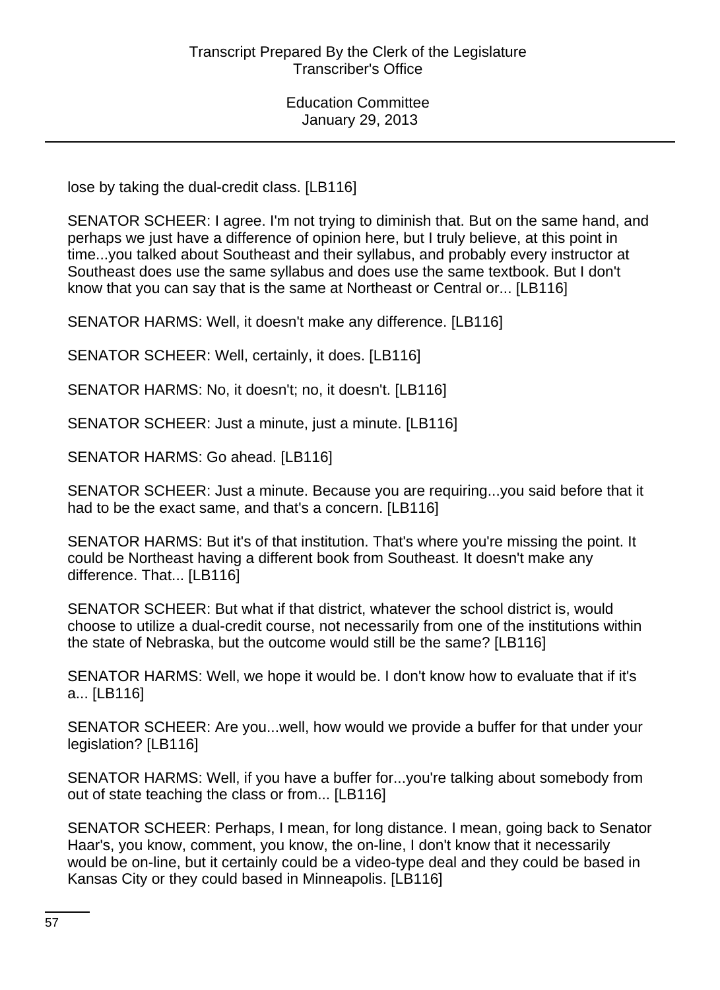lose by taking the dual-credit class. [LB116]

SENATOR SCHEER: I agree. I'm not trying to diminish that. But on the same hand, and perhaps we just have a difference of opinion here, but I truly believe, at this point in time...you talked about Southeast and their syllabus, and probably every instructor at Southeast does use the same syllabus and does use the same textbook. But I don't know that you can say that is the same at Northeast or Central or... [LB116]

SENATOR HARMS: Well, it doesn't make any difference. [LB116]

SENATOR SCHEER: Well, certainly, it does. [LB116]

SENATOR HARMS: No, it doesn't; no, it doesn't. [LB116]

SENATOR SCHEER: Just a minute, just a minute. [LB116]

SENATOR HARMS: Go ahead. [LB116]

SENATOR SCHEER: Just a minute. Because you are requiring...you said before that it had to be the exact same, and that's a concern. [LB116]

SENATOR HARMS: But it's of that institution. That's where you're missing the point. It could be Northeast having a different book from Southeast. It doesn't make any difference. That... [LB116]

SENATOR SCHEER: But what if that district, whatever the school district is, would choose to utilize a dual-credit course, not necessarily from one of the institutions within the state of Nebraska, but the outcome would still be the same? [LB116]

SENATOR HARMS: Well, we hope it would be. I don't know how to evaluate that if it's a... [LB116]

SENATOR SCHEER: Are you...well, how would we provide a buffer for that under your legislation? [LB116]

SENATOR HARMS: Well, if you have a buffer for...you're talking about somebody from out of state teaching the class or from... [LB116]

SENATOR SCHEER: Perhaps, I mean, for long distance. I mean, going back to Senator Haar's, you know, comment, you know, the on-line, I don't know that it necessarily would be on-line, but it certainly could be a video-type deal and they could be based in Kansas City or they could based in Minneapolis. [LB116]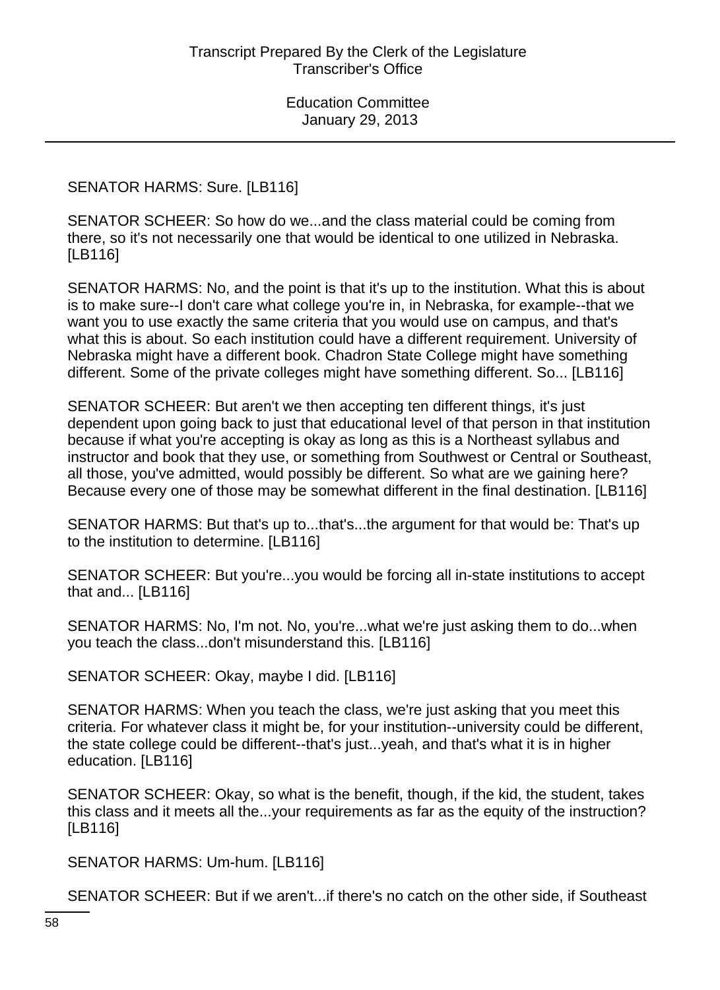SENATOR HARMS: Sure. [LB116]

SENATOR SCHEER: So how do we...and the class material could be coming from there, so it's not necessarily one that would be identical to one utilized in Nebraska. [LB116]

SENATOR HARMS: No, and the point is that it's up to the institution. What this is about is to make sure--I don't care what college you're in, in Nebraska, for example--that we want you to use exactly the same criteria that you would use on campus, and that's what this is about. So each institution could have a different requirement. University of Nebraska might have a different book. Chadron State College might have something different. Some of the private colleges might have something different. So... [LB116]

SENATOR SCHEER: But aren't we then accepting ten different things, it's just dependent upon going back to just that educational level of that person in that institution because if what you're accepting is okay as long as this is a Northeast syllabus and instructor and book that they use, or something from Southwest or Central or Southeast, all those, you've admitted, would possibly be different. So what are we gaining here? Because every one of those may be somewhat different in the final destination. [LB116]

SENATOR HARMS: But that's up to...that's...the argument for that would be: That's up to the institution to determine. [LB116]

SENATOR SCHEER: But you're...you would be forcing all in-state institutions to accept that and... [LB116]

SENATOR HARMS: No, I'm not. No, you're...what we're just asking them to do...when you teach the class...don't misunderstand this. [LB116]

SENATOR SCHEER: Okay, maybe I did. [LB116]

SENATOR HARMS: When you teach the class, we're just asking that you meet this criteria. For whatever class it might be, for your institution--university could be different, the state college could be different--that's just...yeah, and that's what it is in higher education. [LB116]

SENATOR SCHEER: Okay, so what is the benefit, though, if the kid, the student, takes this class and it meets all the...your requirements as far as the equity of the instruction? [LB116]

SENATOR HARMS: Um-hum. [LB116]

SENATOR SCHEER: But if we aren't...if there's no catch on the other side, if Southeast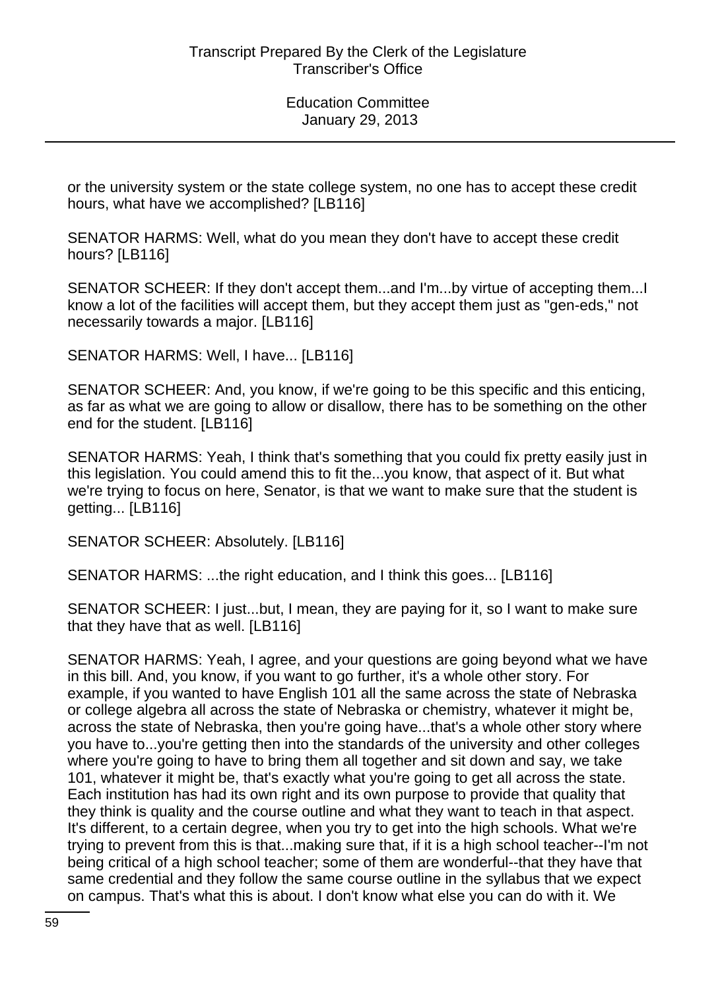or the university system or the state college system, no one has to accept these credit hours, what have we accomplished? [LB116]

SENATOR HARMS: Well, what do you mean they don't have to accept these credit hours? [LB116]

SENATOR SCHEER: If they don't accept them...and I'm...by virtue of accepting them...I know a lot of the facilities will accept them, but they accept them just as "gen-eds," not necessarily towards a major. [LB116]

SENATOR HARMS: Well, I have... [LB116]

SENATOR SCHEER: And, you know, if we're going to be this specific and this enticing, as far as what we are going to allow or disallow, there has to be something on the other end for the student. [LB116]

SENATOR HARMS: Yeah, I think that's something that you could fix pretty easily just in this legislation. You could amend this to fit the...you know, that aspect of it. But what we're trying to focus on here, Senator, is that we want to make sure that the student is getting... [LB116]

SENATOR SCHEER: Absolutely. [LB116]

SENATOR HARMS: ...the right education, and I think this goes... [LB116]

SENATOR SCHEER: I just...but, I mean, they are paying for it, so I want to make sure that they have that as well. [LB116]

SENATOR HARMS: Yeah, I agree, and your questions are going beyond what we have in this bill. And, you know, if you want to go further, it's a whole other story. For example, if you wanted to have English 101 all the same across the state of Nebraska or college algebra all across the state of Nebraska or chemistry, whatever it might be, across the state of Nebraska, then you're going have...that's a whole other story where you have to...you're getting then into the standards of the university and other colleges where you're going to have to bring them all together and sit down and say, we take 101, whatever it might be, that's exactly what you're going to get all across the state. Each institution has had its own right and its own purpose to provide that quality that they think is quality and the course outline and what they want to teach in that aspect. It's different, to a certain degree, when you try to get into the high schools. What we're trying to prevent from this is that...making sure that, if it is a high school teacher--I'm not being critical of a high school teacher; some of them are wonderful--that they have that same credential and they follow the same course outline in the syllabus that we expect on campus. That's what this is about. I don't know what else you can do with it. We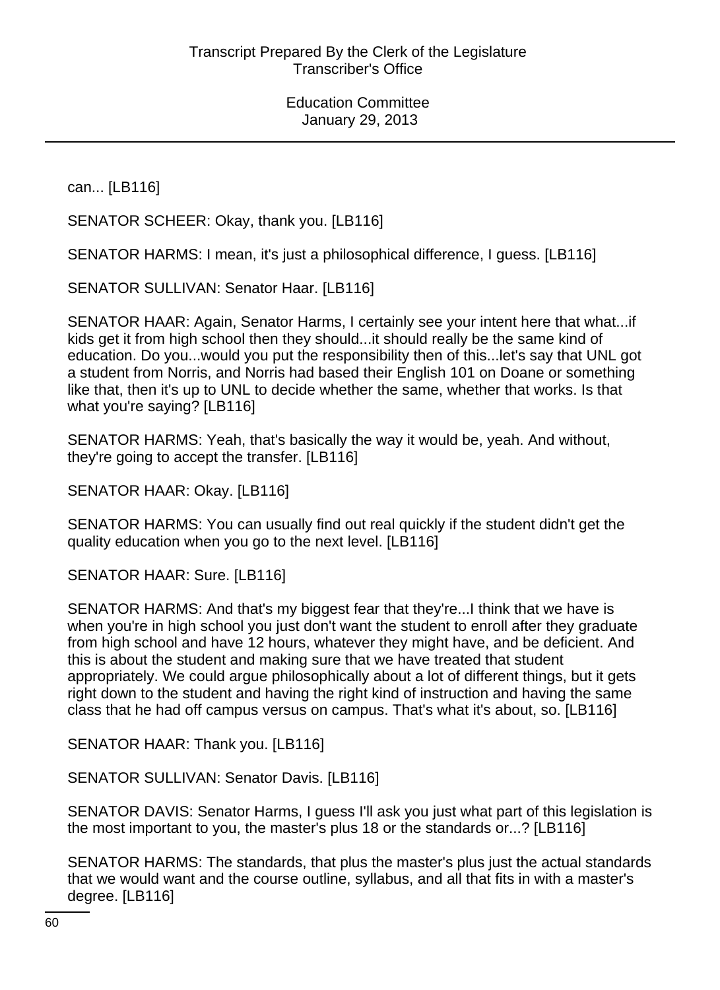can... [LB116]

SENATOR SCHEER: Okay, thank you. [LB116]

SENATOR HARMS: I mean, it's just a philosophical difference, I guess. [LB116]

SENATOR SULLIVAN: Senator Haar. [LB116]

SENATOR HAAR: Again, Senator Harms, I certainly see your intent here that what...if kids get it from high school then they should...it should really be the same kind of education. Do you...would you put the responsibility then of this...let's say that UNL got a student from Norris, and Norris had based their English 101 on Doane or something like that, then it's up to UNL to decide whether the same, whether that works. Is that what you're saying? [LB116]

SENATOR HARMS: Yeah, that's basically the way it would be, yeah. And without, they're going to accept the transfer. [LB116]

SENATOR HAAR: Okay. [LB116]

SENATOR HARMS: You can usually find out real quickly if the student didn't get the quality education when you go to the next level. [LB116]

SENATOR HAAR: Sure. [LB116]

SENATOR HARMS: And that's my biggest fear that they're...I think that we have is when you're in high school you just don't want the student to enroll after they graduate from high school and have 12 hours, whatever they might have, and be deficient. And this is about the student and making sure that we have treated that student appropriately. We could argue philosophically about a lot of different things, but it gets right down to the student and having the right kind of instruction and having the same class that he had off campus versus on campus. That's what it's about, so. [LB116]

SENATOR HAAR: Thank you. [LB116]

SENATOR SULLIVAN: Senator Davis. [LB116]

SENATOR DAVIS: Senator Harms, I guess I'll ask you just what part of this legislation is the most important to you, the master's plus 18 or the standards or...? [LB116]

SENATOR HARMS: The standards, that plus the master's plus just the actual standards that we would want and the course outline, syllabus, and all that fits in with a master's degree. [LB116]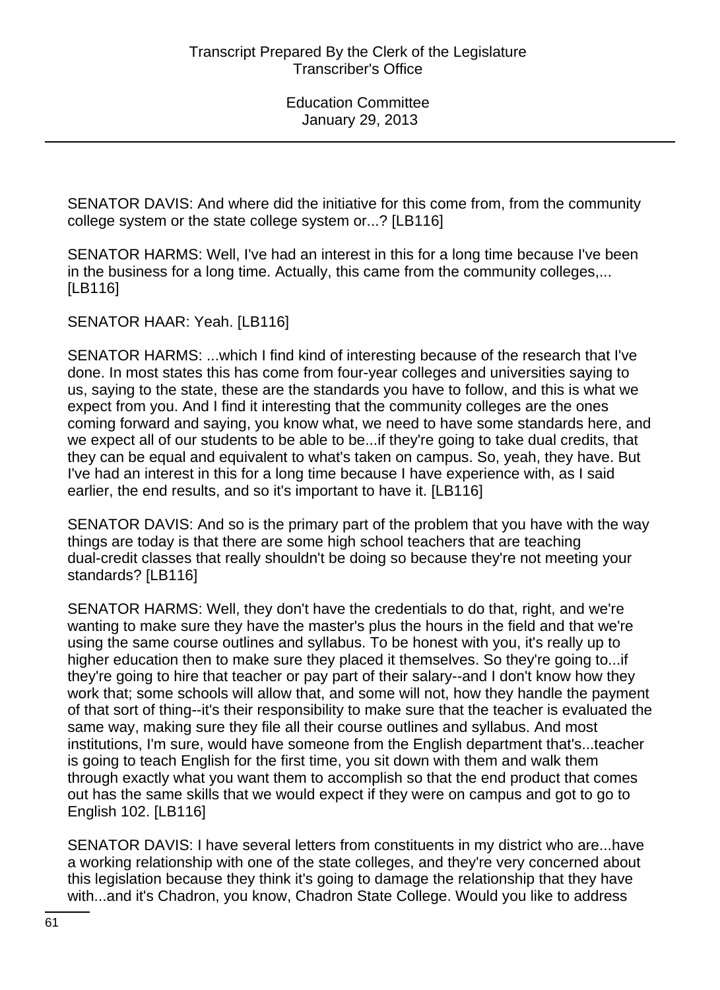SENATOR DAVIS: And where did the initiative for this come from, from the community college system or the state college system or...? [LB116]

SENATOR HARMS: Well, I've had an interest in this for a long time because I've been in the business for a long time. Actually, this came from the community colleges,... [LB116]

SENATOR HAAR: Yeah. [LB116]

SENATOR HARMS: ...which I find kind of interesting because of the research that I've done. In most states this has come from four-year colleges and universities saying to us, saying to the state, these are the standards you have to follow, and this is what we expect from you. And I find it interesting that the community colleges are the ones coming forward and saying, you know what, we need to have some standards here, and we expect all of our students to be able to be...if they're going to take dual credits, that they can be equal and equivalent to what's taken on campus. So, yeah, they have. But I've had an interest in this for a long time because I have experience with, as I said earlier, the end results, and so it's important to have it. [LB116]

SENATOR DAVIS: And so is the primary part of the problem that you have with the way things are today is that there are some high school teachers that are teaching dual-credit classes that really shouldn't be doing so because they're not meeting your standards? [LB116]

SENATOR HARMS: Well, they don't have the credentials to do that, right, and we're wanting to make sure they have the master's plus the hours in the field and that we're using the same course outlines and syllabus. To be honest with you, it's really up to higher education then to make sure they placed it themselves. So they're going to...if they're going to hire that teacher or pay part of their salary--and I don't know how they work that; some schools will allow that, and some will not, how they handle the payment of that sort of thing--it's their responsibility to make sure that the teacher is evaluated the same way, making sure they file all their course outlines and syllabus. And most institutions, I'm sure, would have someone from the English department that's...teacher is going to teach English for the first time, you sit down with them and walk them through exactly what you want them to accomplish so that the end product that comes out has the same skills that we would expect if they were on campus and got to go to English 102. [LB116]

SENATOR DAVIS: I have several letters from constituents in my district who are...have a working relationship with one of the state colleges, and they're very concerned about this legislation because they think it's going to damage the relationship that they have with...and it's Chadron, you know, Chadron State College. Would you like to address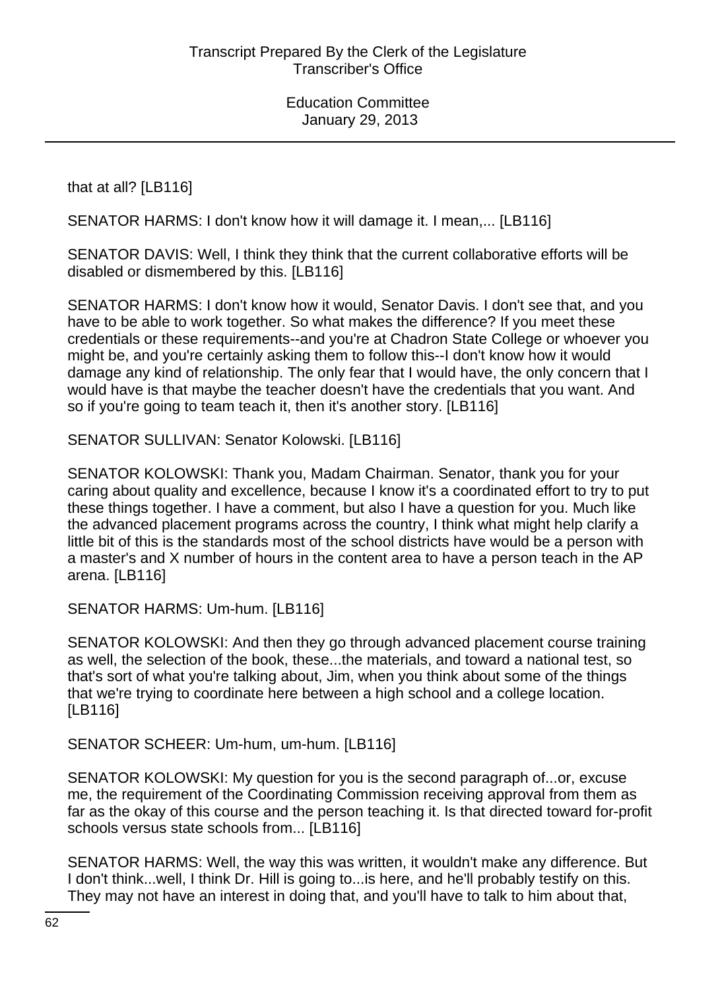that at all? [LB116]

SENATOR HARMS: I don't know how it will damage it. I mean,... [LB116]

SENATOR DAVIS: Well, I think they think that the current collaborative efforts will be disabled or dismembered by this. [LB116]

SENATOR HARMS: I don't know how it would, Senator Davis. I don't see that, and you have to be able to work together. So what makes the difference? If you meet these credentials or these requirements--and you're at Chadron State College or whoever you might be, and you're certainly asking them to follow this--I don't know how it would damage any kind of relationship. The only fear that I would have, the only concern that I would have is that maybe the teacher doesn't have the credentials that you want. And so if you're going to team teach it, then it's another story. [LB116]

SENATOR SULLIVAN: Senator Kolowski. [LB116]

SENATOR KOLOWSKI: Thank you, Madam Chairman. Senator, thank you for your caring about quality and excellence, because I know it's a coordinated effort to try to put these things together. I have a comment, but also I have a question for you. Much like the advanced placement programs across the country, I think what might help clarify a little bit of this is the standards most of the school districts have would be a person with a master's and X number of hours in the content area to have a person teach in the AP arena. [LB116]

SENATOR HARMS: Um-hum. [LB116]

SENATOR KOLOWSKI: And then they go through advanced placement course training as well, the selection of the book, these...the materials, and toward a national test, so that's sort of what you're talking about, Jim, when you think about some of the things that we're trying to coordinate here between a high school and a college location. [LB116]

#### SENATOR SCHEER: Um-hum, um-hum. [LB116]

SENATOR KOLOWSKI: My question for you is the second paragraph of...or, excuse me, the requirement of the Coordinating Commission receiving approval from them as far as the okay of this course and the person teaching it. Is that directed toward for-profit schools versus state schools from... [LB116]

SENATOR HARMS: Well, the way this was written, it wouldn't make any difference. But I don't think...well, I think Dr. Hill is going to...is here, and he'll probably testify on this. They may not have an interest in doing that, and you'll have to talk to him about that,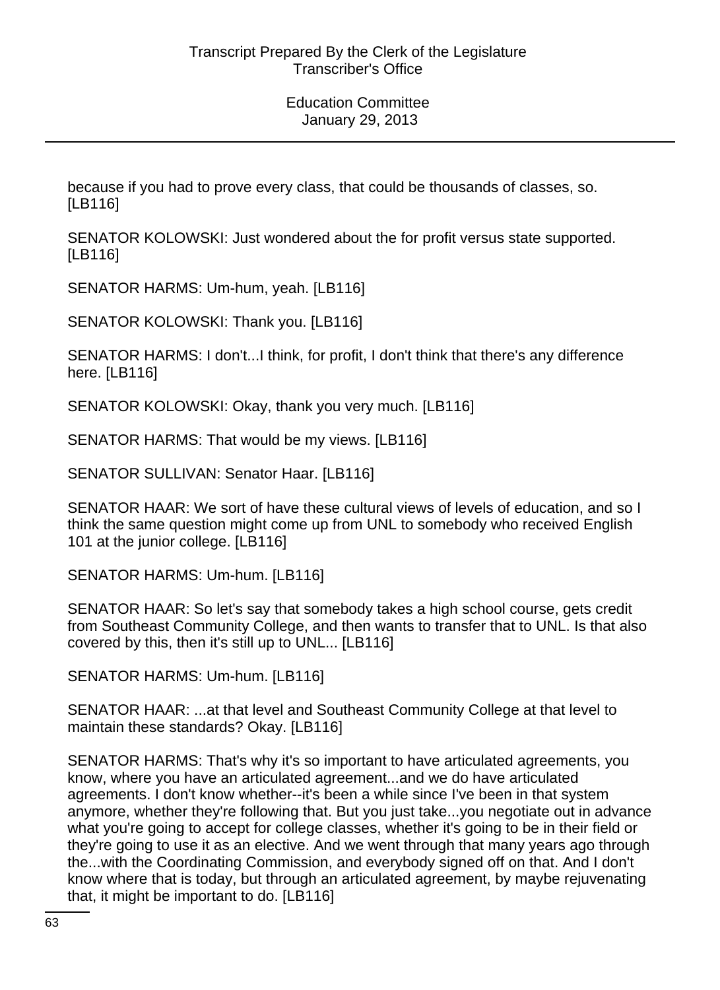because if you had to prove every class, that could be thousands of classes, so. [LB116]

SENATOR KOLOWSKI: Just wondered about the for profit versus state supported. [LB116]

SENATOR HARMS: Um-hum, yeah. [LB116]

SENATOR KOLOWSKI: Thank you. [LB116]

SENATOR HARMS: I don't...I think, for profit, I don't think that there's any difference here. [LB116]

SENATOR KOLOWSKI: Okay, thank you very much. [LB116]

SENATOR HARMS: That would be my views. [LB116]

SENATOR SULLIVAN: Senator Haar. [LB116]

SENATOR HAAR: We sort of have these cultural views of levels of education, and so I think the same question might come up from UNL to somebody who received English 101 at the junior college. [LB116]

SENATOR HARMS: Um-hum. [LB116]

SENATOR HAAR: So let's say that somebody takes a high school course, gets credit from Southeast Community College, and then wants to transfer that to UNL. Is that also covered by this, then it's still up to UNL... [LB116]

SENATOR HARMS: Um-hum. [LB116]

SENATOR HAAR: ...at that level and Southeast Community College at that level to maintain these standards? Okay. [LB116]

SENATOR HARMS: That's why it's so important to have articulated agreements, you know, where you have an articulated agreement...and we do have articulated agreements. I don't know whether--it's been a while since I've been in that system anymore, whether they're following that. But you just take...you negotiate out in advance what you're going to accept for college classes, whether it's going to be in their field or they're going to use it as an elective. And we went through that many years ago through the...with the Coordinating Commission, and everybody signed off on that. And I don't know where that is today, but through an articulated agreement, by maybe rejuvenating that, it might be important to do. [LB116]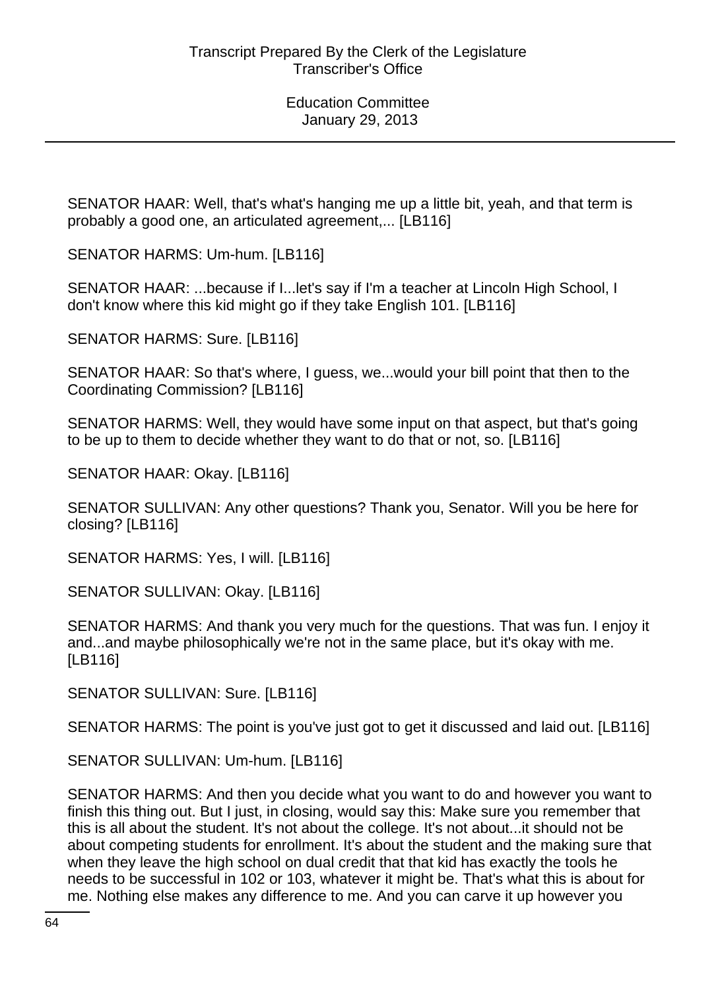SENATOR HAAR: Well, that's what's hanging me up a little bit, yeah, and that term is probably a good one, an articulated agreement,... [LB116]

SENATOR HARMS: Um-hum. [LB116]

SENATOR HAAR: ...because if I...let's say if I'm a teacher at Lincoln High School, I don't know where this kid might go if they take English 101. [LB116]

SENATOR HARMS: Sure. [LB116]

SENATOR HAAR: So that's where, I guess, we...would your bill point that then to the Coordinating Commission? [LB116]

SENATOR HARMS: Well, they would have some input on that aspect, but that's going to be up to them to decide whether they want to do that or not, so. [LB116]

SENATOR HAAR: Okay. [LB116]

SENATOR SULLIVAN: Any other questions? Thank you, Senator. Will you be here for closing? [LB116]

SENATOR HARMS: Yes, I will. [LB116]

SENATOR SULLIVAN: Okay. [LB116]

SENATOR HARMS: And thank you very much for the questions. That was fun. I enjoy it and...and maybe philosophically we're not in the same place, but it's okay with me. [LB116]

SENATOR SULLIVAN: Sure. [LB116]

SENATOR HARMS: The point is you've just got to get it discussed and laid out. [LB116]

SENATOR SULLIVAN: Um-hum. [LB116]

SENATOR HARMS: And then you decide what you want to do and however you want to finish this thing out. But I just, in closing, would say this: Make sure you remember that this is all about the student. It's not about the college. It's not about...it should not be about competing students for enrollment. It's about the student and the making sure that when they leave the high school on dual credit that that kid has exactly the tools he needs to be successful in 102 or 103, whatever it might be. That's what this is about for me. Nothing else makes any difference to me. And you can carve it up however you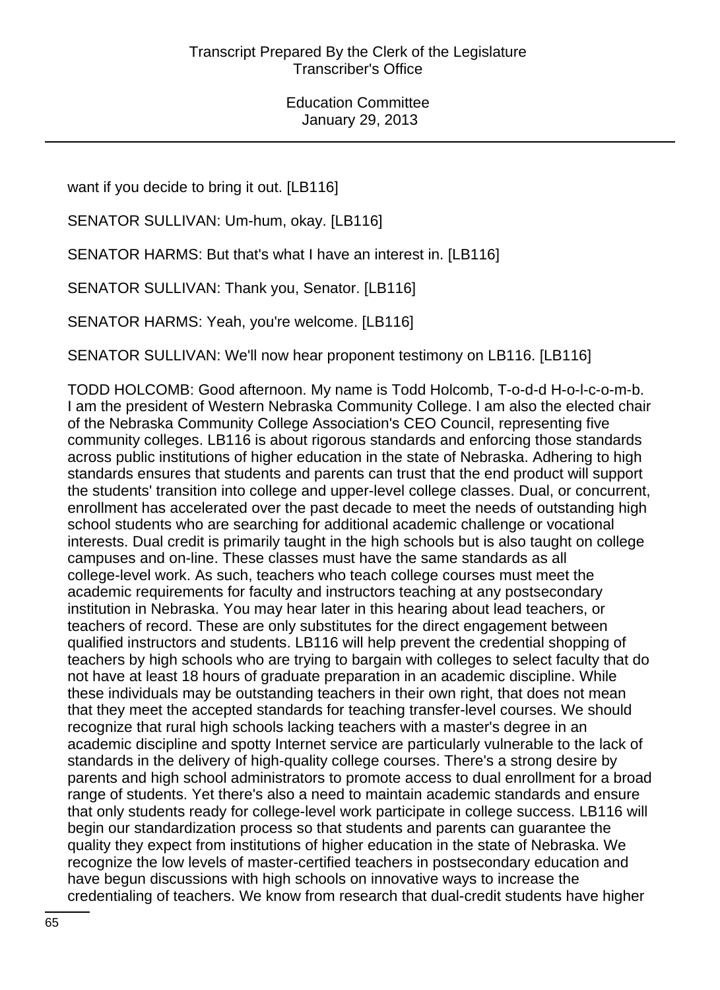want if you decide to bring it out. [LB116]

SENATOR SULLIVAN: Um-hum, okay. [LB116]

SENATOR HARMS: But that's what I have an interest in. [LB116]

SENATOR SULLIVAN: Thank you, Senator. [LB116]

SENATOR HARMS: Yeah, you're welcome. [LB116]

SENATOR SULLIVAN: We'll now hear proponent testimony on LB116. [LB116]

TODD HOLCOMB: Good afternoon. My name is Todd Holcomb, T-o-d-d H-o-l-c-o-m-b. I am the president of Western Nebraska Community College. I am also the elected chair of the Nebraska Community College Association's CEO Council, representing five community colleges. LB116 is about rigorous standards and enforcing those standards across public institutions of higher education in the state of Nebraska. Adhering to high standards ensures that students and parents can trust that the end product will support the students' transition into college and upper-level college classes. Dual, or concurrent, enrollment has accelerated over the past decade to meet the needs of outstanding high school students who are searching for additional academic challenge or vocational interests. Dual credit is primarily taught in the high schools but is also taught on college campuses and on-line. These classes must have the same standards as all college-level work. As such, teachers who teach college courses must meet the academic requirements for faculty and instructors teaching at any postsecondary institution in Nebraska. You may hear later in this hearing about lead teachers, or teachers of record. These are only substitutes for the direct engagement between qualified instructors and students. LB116 will help prevent the credential shopping of teachers by high schools who are trying to bargain with colleges to select faculty that do not have at least 18 hours of graduate preparation in an academic discipline. While these individuals may be outstanding teachers in their own right, that does not mean that they meet the accepted standards for teaching transfer-level courses. We should recognize that rural high schools lacking teachers with a master's degree in an academic discipline and spotty Internet service are particularly vulnerable to the lack of standards in the delivery of high-quality college courses. There's a strong desire by parents and high school administrators to promote access to dual enrollment for a broad range of students. Yet there's also a need to maintain academic standards and ensure that only students ready for college-level work participate in college success. LB116 will begin our standardization process so that students and parents can guarantee the quality they expect from institutions of higher education in the state of Nebraska. We recognize the low levels of master-certified teachers in postsecondary education and have begun discussions with high schools on innovative ways to increase the credentialing of teachers. We know from research that dual-credit students have higher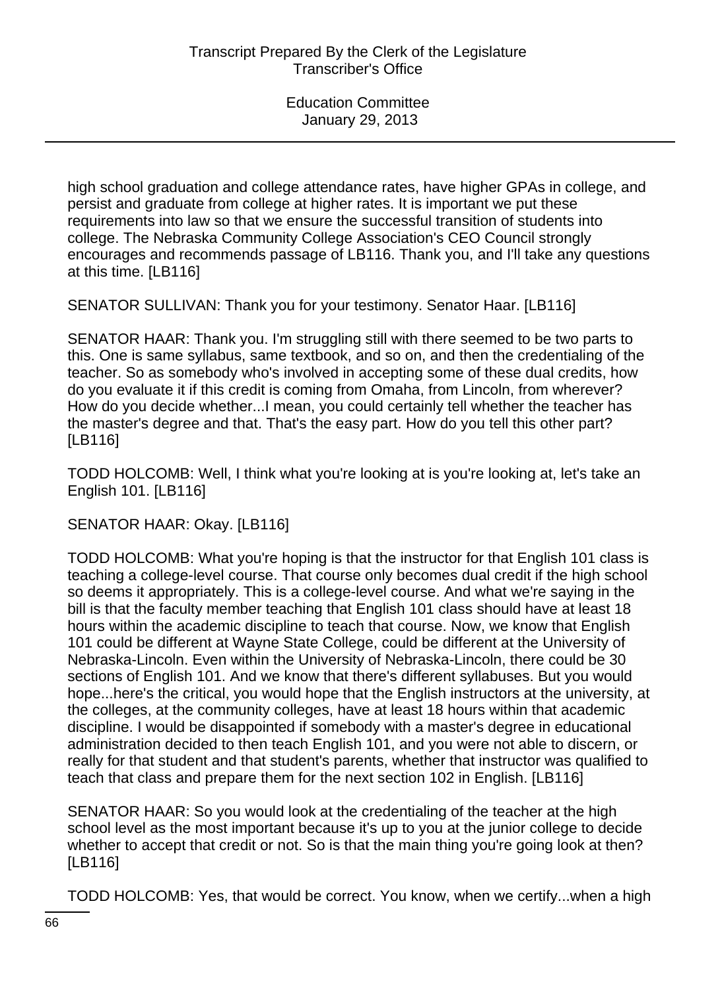high school graduation and college attendance rates, have higher GPAs in college, and persist and graduate from college at higher rates. It is important we put these requirements into law so that we ensure the successful transition of students into college. The Nebraska Community College Association's CEO Council strongly encourages and recommends passage of LB116. Thank you, and I'll take any questions at this time. [LB116]

SENATOR SULLIVAN: Thank you for your testimony. Senator Haar. [LB116]

SENATOR HAAR: Thank you. I'm struggling still with there seemed to be two parts to this. One is same syllabus, same textbook, and so on, and then the credentialing of the teacher. So as somebody who's involved in accepting some of these dual credits, how do you evaluate it if this credit is coming from Omaha, from Lincoln, from wherever? How do you decide whether...I mean, you could certainly tell whether the teacher has the master's degree and that. That's the easy part. How do you tell this other part? [LB116]

TODD HOLCOMB: Well, I think what you're looking at is you're looking at, let's take an English 101. [LB116]

SENATOR HAAR: Okay. [LB116]

TODD HOLCOMB: What you're hoping is that the instructor for that English 101 class is teaching a college-level course. That course only becomes dual credit if the high school so deems it appropriately. This is a college-level course. And what we're saying in the bill is that the faculty member teaching that English 101 class should have at least 18 hours within the academic discipline to teach that course. Now, we know that English 101 could be different at Wayne State College, could be different at the University of Nebraska-Lincoln. Even within the University of Nebraska-Lincoln, there could be 30 sections of English 101. And we know that there's different syllabuses. But you would hope...here's the critical, you would hope that the English instructors at the university, at the colleges, at the community colleges, have at least 18 hours within that academic discipline. I would be disappointed if somebody with a master's degree in educational administration decided to then teach English 101, and you were not able to discern, or really for that student and that student's parents, whether that instructor was qualified to teach that class and prepare them for the next section 102 in English. [LB116]

SENATOR HAAR: So you would look at the credentialing of the teacher at the high school level as the most important because it's up to you at the junior college to decide whether to accept that credit or not. So is that the main thing you're going look at then? [LB116]

TODD HOLCOMB: Yes, that would be correct. You know, when we certify...when a high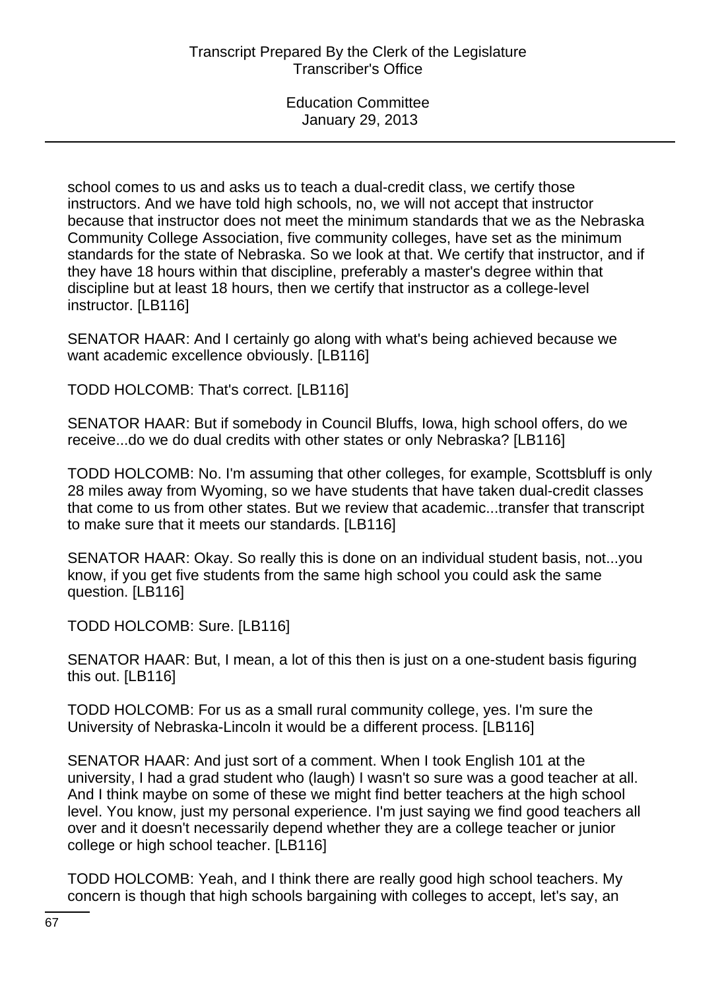school comes to us and asks us to teach a dual-credit class, we certify those instructors. And we have told high schools, no, we will not accept that instructor because that instructor does not meet the minimum standards that we as the Nebraska Community College Association, five community colleges, have set as the minimum standards for the state of Nebraska. So we look at that. We certify that instructor, and if they have 18 hours within that discipline, preferably a master's degree within that discipline but at least 18 hours, then we certify that instructor as a college-level instructor. [LB116]

SENATOR HAAR: And I certainly go along with what's being achieved because we want academic excellence obviously. [LB116]

TODD HOLCOMB: That's correct. [LB116]

SENATOR HAAR: But if somebody in Council Bluffs, Iowa, high school offers, do we receive...do we do dual credits with other states or only Nebraska? [LB116]

TODD HOLCOMB: No. I'm assuming that other colleges, for example, Scottsbluff is only 28 miles away from Wyoming, so we have students that have taken dual-credit classes that come to us from other states. But we review that academic...transfer that transcript to make sure that it meets our standards. [LB116]

SENATOR HAAR: Okay. So really this is done on an individual student basis, not...you know, if you get five students from the same high school you could ask the same question. [LB116]

TODD HOLCOMB: Sure. [LB116]

SENATOR HAAR: But, I mean, a lot of this then is just on a one-student basis figuring this out. [LB116]

TODD HOLCOMB: For us as a small rural community college, yes. I'm sure the University of Nebraska-Lincoln it would be a different process. [LB116]

SENATOR HAAR: And just sort of a comment. When I took English 101 at the university, I had a grad student who (laugh) I wasn't so sure was a good teacher at all. And I think maybe on some of these we might find better teachers at the high school level. You know, just my personal experience. I'm just saying we find good teachers all over and it doesn't necessarily depend whether they are a college teacher or junior college or high school teacher. [LB116]

TODD HOLCOMB: Yeah, and I think there are really good high school teachers. My concern is though that high schools bargaining with colleges to accept, let's say, an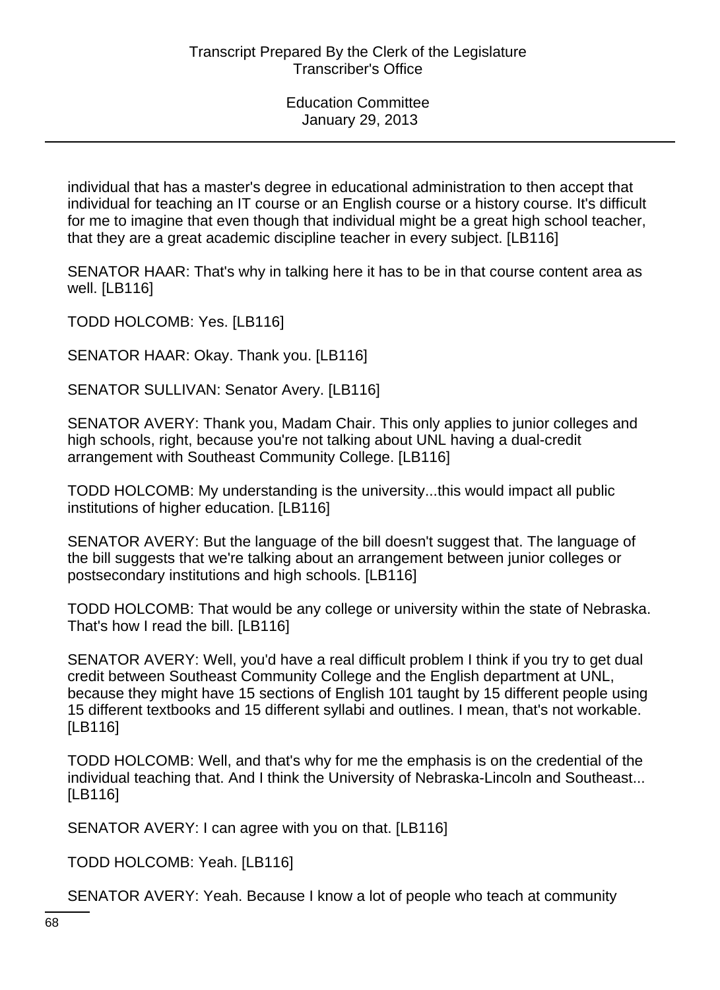individual that has a master's degree in educational administration to then accept that individual for teaching an IT course or an English course or a history course. It's difficult for me to imagine that even though that individual might be a great high school teacher, that they are a great academic discipline teacher in every subject. [LB116]

SENATOR HAAR: That's why in talking here it has to be in that course content area as well. [LB116]

TODD HOLCOMB: Yes. [LB116]

SENATOR HAAR: Okay. Thank you. [LB116]

SENATOR SULLIVAN: Senator Avery. [LB116]

SENATOR AVERY: Thank you, Madam Chair. This only applies to junior colleges and high schools, right, because you're not talking about UNL having a dual-credit arrangement with Southeast Community College. [LB116]

TODD HOLCOMB: My understanding is the university...this would impact all public institutions of higher education. [LB116]

SENATOR AVERY: But the language of the bill doesn't suggest that. The language of the bill suggests that we're talking about an arrangement between junior colleges or postsecondary institutions and high schools. [LB116]

TODD HOLCOMB: That would be any college or university within the state of Nebraska. That's how I read the bill. [LB116]

SENATOR AVERY: Well, you'd have a real difficult problem I think if you try to get dual credit between Southeast Community College and the English department at UNL, because they might have 15 sections of English 101 taught by 15 different people using 15 different textbooks and 15 different syllabi and outlines. I mean, that's not workable. [LB116]

TODD HOLCOMB: Well, and that's why for me the emphasis is on the credential of the individual teaching that. And I think the University of Nebraska-Lincoln and Southeast... [LB116]

SENATOR AVERY: I can agree with you on that. [LB116]

TODD HOLCOMB: Yeah. [LB116]

SENATOR AVERY: Yeah. Because I know a lot of people who teach at community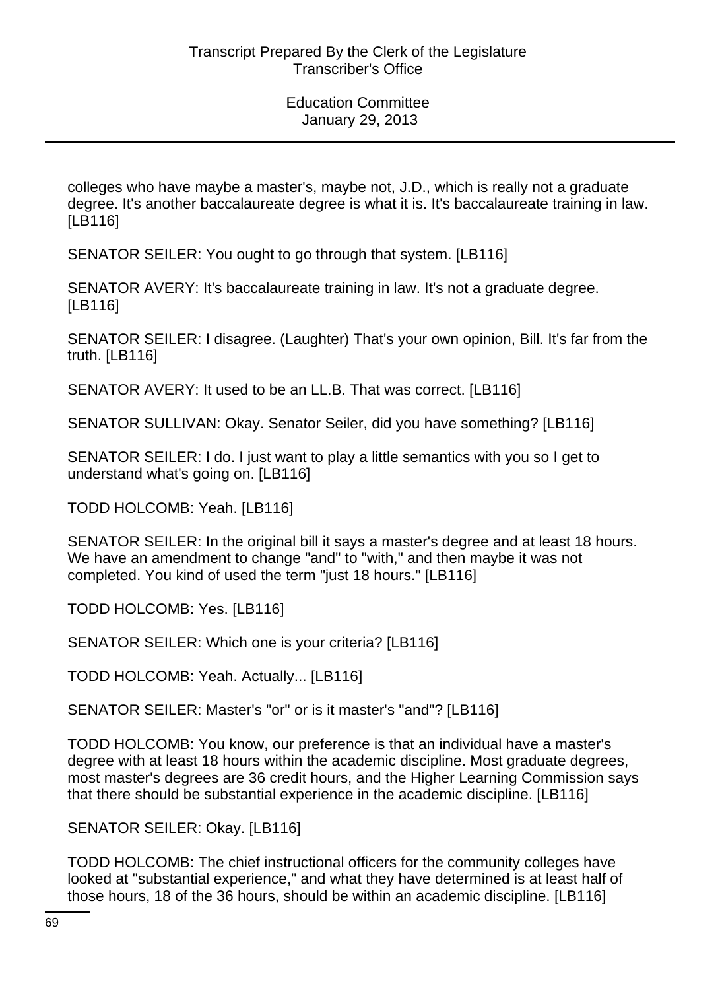colleges who have maybe a master's, maybe not, J.D., which is really not a graduate degree. It's another baccalaureate degree is what it is. It's baccalaureate training in law. [LB116]

SENATOR SEILER: You ought to go through that system. [LB116]

SENATOR AVERY: It's baccalaureate training in law. It's not a graduate degree. [LB116]

SENATOR SEILER: I disagree. (Laughter) That's your own opinion, Bill. It's far from the truth. [LB116]

SENATOR AVERY: It used to be an LL.B. That was correct. [LB116]

SENATOR SULLIVAN: Okay. Senator Seiler, did you have something? [LB116]

SENATOR SEILER: I do. I just want to play a little semantics with you so I get to understand what's going on. [LB116]

TODD HOLCOMB: Yeah. [LB116]

SENATOR SEILER: In the original bill it says a master's degree and at least 18 hours. We have an amendment to change "and" to "with," and then maybe it was not completed. You kind of used the term "just 18 hours." [LB116]

TODD HOLCOMB: Yes. [LB116]

SENATOR SEILER: Which one is your criteria? [LB116]

TODD HOLCOMB: Yeah. Actually... [LB116]

SENATOR SEILER: Master's "or" or is it master's "and"? [LB116]

TODD HOLCOMB: You know, our preference is that an individual have a master's degree with at least 18 hours within the academic discipline. Most graduate degrees, most master's degrees are 36 credit hours, and the Higher Learning Commission says that there should be substantial experience in the academic discipline. [LB116]

SENATOR SEILER: Okay. [LB116]

TODD HOLCOMB: The chief instructional officers for the community colleges have looked at "substantial experience," and what they have determined is at least half of those hours, 18 of the 36 hours, should be within an academic discipline. [LB116]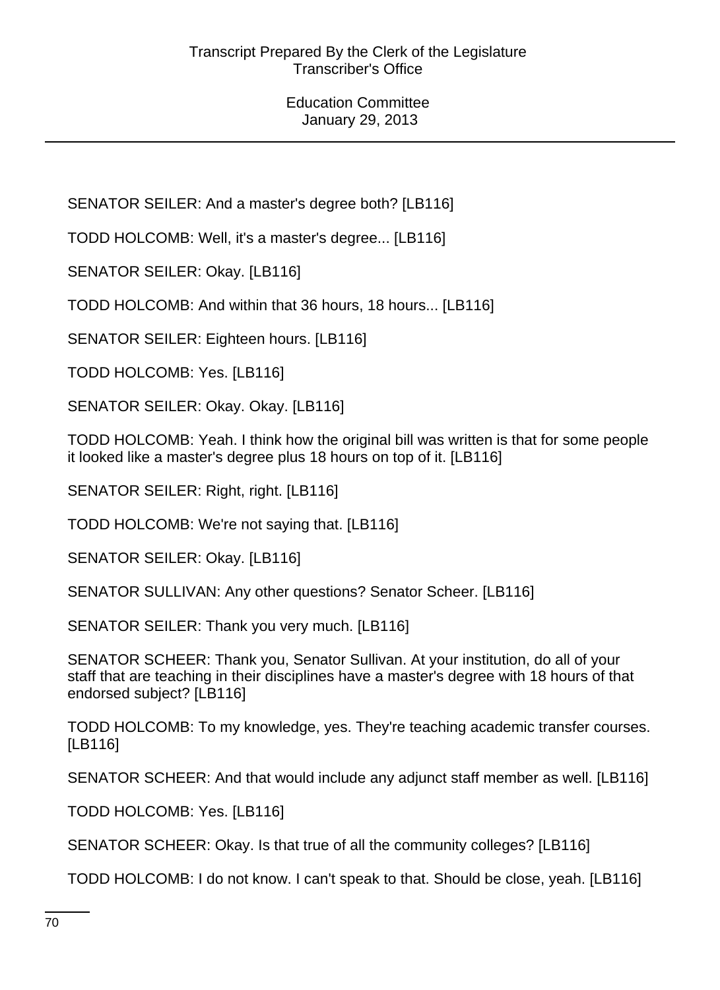SENATOR SEILER: And a master's degree both? [LB116]

TODD HOLCOMB: Well, it's a master's degree... [LB116]

SENATOR SEILER: Okay. [LB116]

TODD HOLCOMB: And within that 36 hours, 18 hours... [LB116]

SENATOR SEILER: Eighteen hours. [LB116]

TODD HOLCOMB: Yes. [LB116]

SENATOR SEILER: Okay. Okay. [LB116]

TODD HOLCOMB: Yeah. I think how the original bill was written is that for some people it looked like a master's degree plus 18 hours on top of it. [LB116]

SENATOR SEILER: Right, right. [LB116]

TODD HOLCOMB: We're not saying that. [LB116]

SENATOR SEILER: Okay. [LB116]

SENATOR SULLIVAN: Any other questions? Senator Scheer. [LB116]

SENATOR SEILER: Thank you very much. [LB116]

SENATOR SCHEER: Thank you, Senator Sullivan. At your institution, do all of your staff that are teaching in their disciplines have a master's degree with 18 hours of that endorsed subject? [LB116]

TODD HOLCOMB: To my knowledge, yes. They're teaching academic transfer courses. [LB116]

SENATOR SCHEER: And that would include any adjunct staff member as well. [LB116]

TODD HOLCOMB: Yes. [LB116]

SENATOR SCHEER: Okay. Is that true of all the community colleges? [LB116]

TODD HOLCOMB: I do not know. I can't speak to that. Should be close, yeah. [LB116]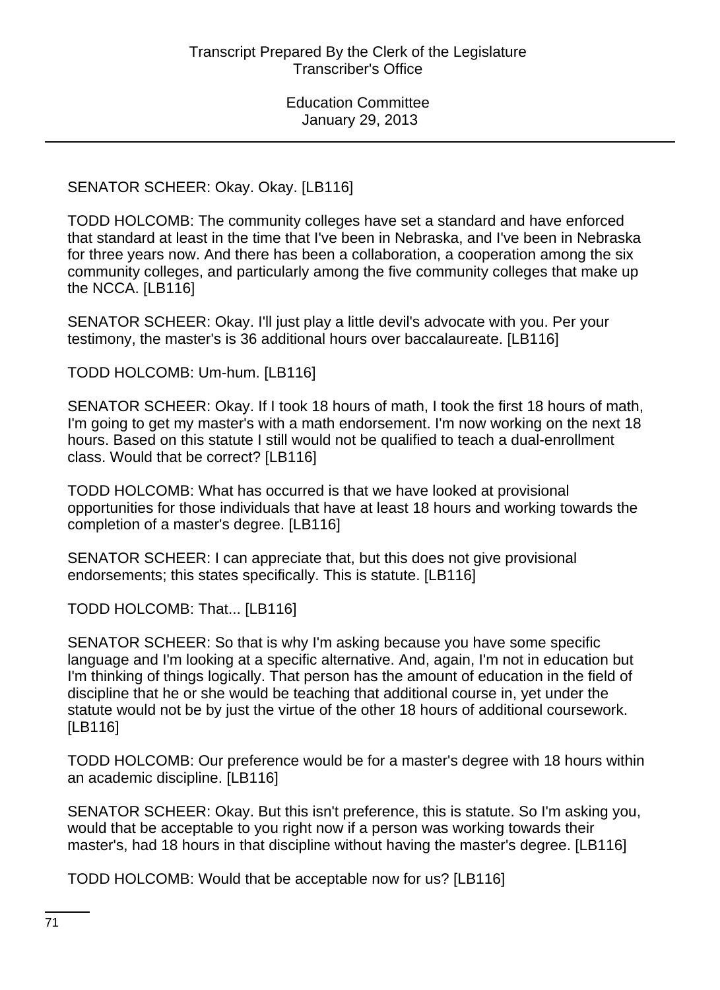SENATOR SCHEER: Okay. Okay. [LB116]

TODD HOLCOMB: The community colleges have set a standard and have enforced that standard at least in the time that I've been in Nebraska, and I've been in Nebraska for three years now. And there has been a collaboration, a cooperation among the six community colleges, and particularly among the five community colleges that make up the NCCA. [LB116]

SENATOR SCHEER: Okay. I'll just play a little devil's advocate with you. Per your testimony, the master's is 36 additional hours over baccalaureate. [LB116]

TODD HOLCOMB: Um-hum. [LB116]

SENATOR SCHEER: Okay. If I took 18 hours of math, I took the first 18 hours of math, I'm going to get my master's with a math endorsement. I'm now working on the next 18 hours. Based on this statute I still would not be qualified to teach a dual-enrollment class. Would that be correct? [LB116]

TODD HOLCOMB: What has occurred is that we have looked at provisional opportunities for those individuals that have at least 18 hours and working towards the completion of a master's degree. [LB116]

SENATOR SCHEER: I can appreciate that, but this does not give provisional endorsements; this states specifically. This is statute. [LB116]

TODD HOLCOMB: That... [LB116]

SENATOR SCHEER: So that is why I'm asking because you have some specific language and I'm looking at a specific alternative. And, again, I'm not in education but I'm thinking of things logically. That person has the amount of education in the field of discipline that he or she would be teaching that additional course in, yet under the statute would not be by just the virtue of the other 18 hours of additional coursework. [LB116]

TODD HOLCOMB: Our preference would be for a master's degree with 18 hours within an academic discipline. [LB116]

SENATOR SCHEER: Okay. But this isn't preference, this is statute. So I'm asking you, would that be acceptable to you right now if a person was working towards their master's, had 18 hours in that discipline without having the master's degree. [LB116]

TODD HOLCOMB: Would that be acceptable now for us? [LB116]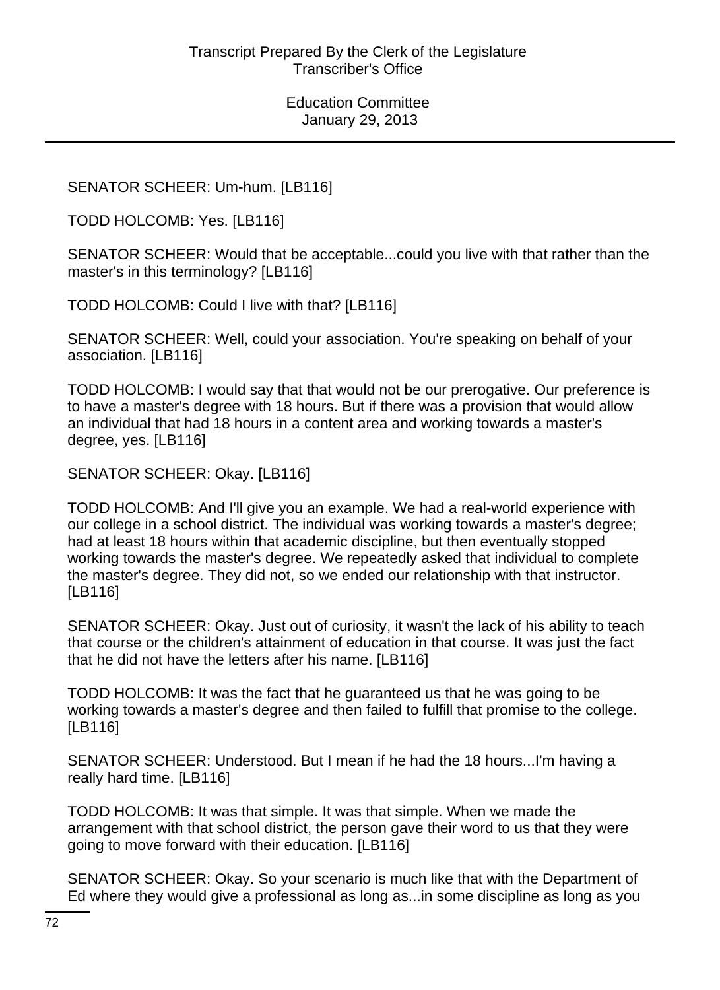# SENATOR SCHEER: Um-hum. [LB116]

TODD HOLCOMB: Yes. [LB116]

SENATOR SCHEER: Would that be acceptable...could you live with that rather than the master's in this terminology? [LB116]

TODD HOLCOMB: Could I live with that? [LB116]

SENATOR SCHEER: Well, could your association. You're speaking on behalf of your association. [LB116]

TODD HOLCOMB: I would say that that would not be our prerogative. Our preference is to have a master's degree with 18 hours. But if there was a provision that would allow an individual that had 18 hours in a content area and working towards a master's degree, yes. [LB116]

SENATOR SCHEER: Okay. [LB116]

TODD HOLCOMB: And I'll give you an example. We had a real-world experience with our college in a school district. The individual was working towards a master's degree; had at least 18 hours within that academic discipline, but then eventually stopped working towards the master's degree. We repeatedly asked that individual to complete the master's degree. They did not, so we ended our relationship with that instructor. [LB116]

SENATOR SCHEER: Okay. Just out of curiosity, it wasn't the lack of his ability to teach that course or the children's attainment of education in that course. It was just the fact that he did not have the letters after his name. [LB116]

TODD HOLCOMB: It was the fact that he guaranteed us that he was going to be working towards a master's degree and then failed to fulfill that promise to the college. [LB116]

SENATOR SCHEER: Understood. But I mean if he had the 18 hours...I'm having a really hard time. [LB116]

TODD HOLCOMB: It was that simple. It was that simple. When we made the arrangement with that school district, the person gave their word to us that they were going to move forward with their education. [LB116]

SENATOR SCHEER: Okay. So your scenario is much like that with the Department of Ed where they would give a professional as long as...in some discipline as long as you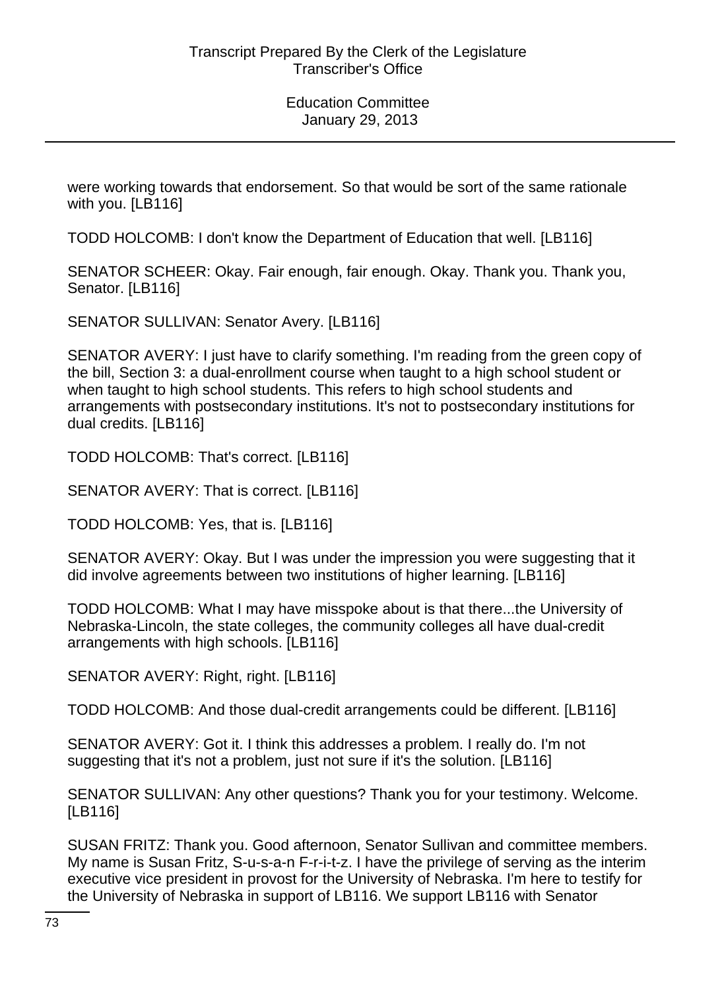were working towards that endorsement. So that would be sort of the same rationale with you. [LB116]

TODD HOLCOMB: I don't know the Department of Education that well. [LB116]

SENATOR SCHEER: Okay. Fair enough, fair enough. Okay. Thank you. Thank you, Senator. [LB116]

SENATOR SULLIVAN: Senator Avery. [LB116]

SENATOR AVERY: I just have to clarify something. I'm reading from the green copy of the bill, Section 3: a dual-enrollment course when taught to a high school student or when taught to high school students. This refers to high school students and arrangements with postsecondary institutions. It's not to postsecondary institutions for dual credits. [LB116]

TODD HOLCOMB: That's correct. [LB116]

SENATOR AVERY: That is correct. [LB116]

TODD HOLCOMB: Yes, that is. [LB116]

SENATOR AVERY: Okay. But I was under the impression you were suggesting that it did involve agreements between two institutions of higher learning. [LB116]

TODD HOLCOMB: What I may have misspoke about is that there...the University of Nebraska-Lincoln, the state colleges, the community colleges all have dual-credit arrangements with high schools. [LB116]

SENATOR AVERY: Right, right. [LB116]

TODD HOLCOMB: And those dual-credit arrangements could be different. [LB116]

SENATOR AVERY: Got it. I think this addresses a problem. I really do. I'm not suggesting that it's not a problem, just not sure if it's the solution. [LB116]

SENATOR SULLIVAN: Any other questions? Thank you for your testimony. Welcome. [LB116]

SUSAN FRITZ: Thank you. Good afternoon, Senator Sullivan and committee members. My name is Susan Fritz, S-u-s-a-n F-r-i-t-z. I have the privilege of serving as the interim executive vice president in provost for the University of Nebraska. I'm here to testify for the University of Nebraska in support of LB116. We support LB116 with Senator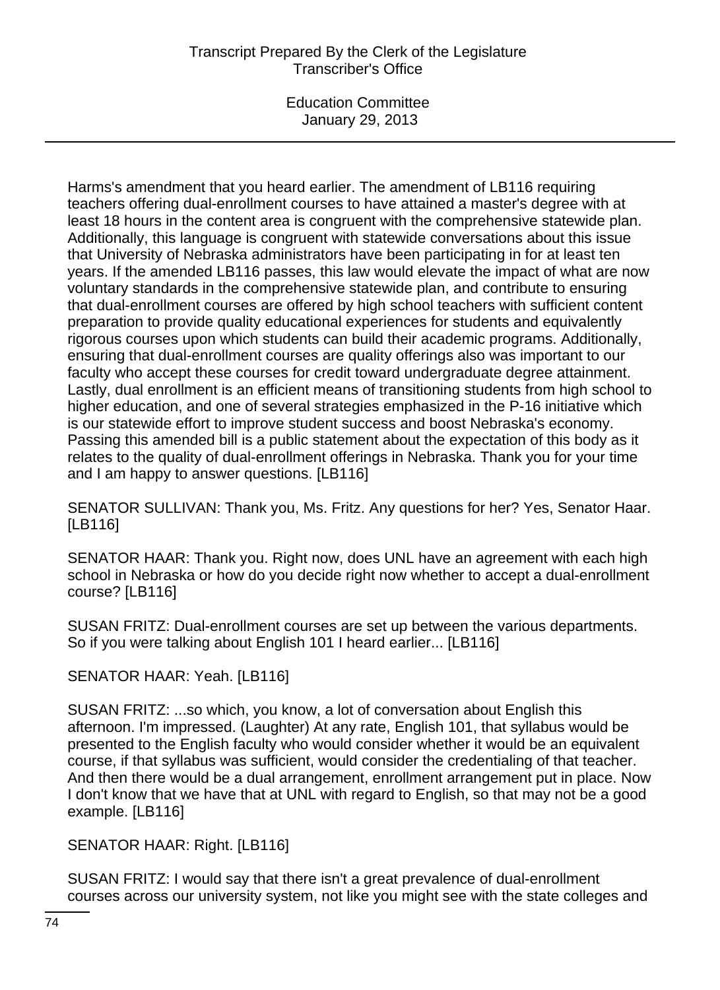# Transcript Prepared By the Clerk of the Legislature Transcriber's Office

Education Committee January 29, 2013

Harms's amendment that you heard earlier. The amendment of LB116 requiring teachers offering dual-enrollment courses to have attained a master's degree with at least 18 hours in the content area is congruent with the comprehensive statewide plan. Additionally, this language is congruent with statewide conversations about this issue that University of Nebraska administrators have been participating in for at least ten years. If the amended LB116 passes, this law would elevate the impact of what are now voluntary standards in the comprehensive statewide plan, and contribute to ensuring that dual-enrollment courses are offered by high school teachers with sufficient content preparation to provide quality educational experiences for students and equivalently rigorous courses upon which students can build their academic programs. Additionally, ensuring that dual-enrollment courses are quality offerings also was important to our faculty who accept these courses for credit toward undergraduate degree attainment. Lastly, dual enrollment is an efficient means of transitioning students from high school to higher education, and one of several strategies emphasized in the P-16 initiative which is our statewide effort to improve student success and boost Nebraska's economy. Passing this amended bill is a public statement about the expectation of this body as it relates to the quality of dual-enrollment offerings in Nebraska. Thank you for your time and I am happy to answer questions. [LB116]

SENATOR SULLIVAN: Thank you, Ms. Fritz. Any questions for her? Yes, Senator Haar. [LB116]

SENATOR HAAR: Thank you. Right now, does UNL have an agreement with each high school in Nebraska or how do you decide right now whether to accept a dual-enrollment course? [LB116]

SUSAN FRITZ: Dual-enrollment courses are set up between the various departments. So if you were talking about English 101 I heard earlier... [LB116]

SENATOR HAAR: Yeah. [LB116]

SUSAN FRITZ: ...so which, you know, a lot of conversation about English this afternoon. I'm impressed. (Laughter) At any rate, English 101, that syllabus would be presented to the English faculty who would consider whether it would be an equivalent course, if that syllabus was sufficient, would consider the credentialing of that teacher. And then there would be a dual arrangement, enrollment arrangement put in place. Now I don't know that we have that at UNL with regard to English, so that may not be a good example. [LB116]

SENATOR HAAR: Right. [LB116]

SUSAN FRITZ: I would say that there isn't a great prevalence of dual-enrollment courses across our university system, not like you might see with the state colleges and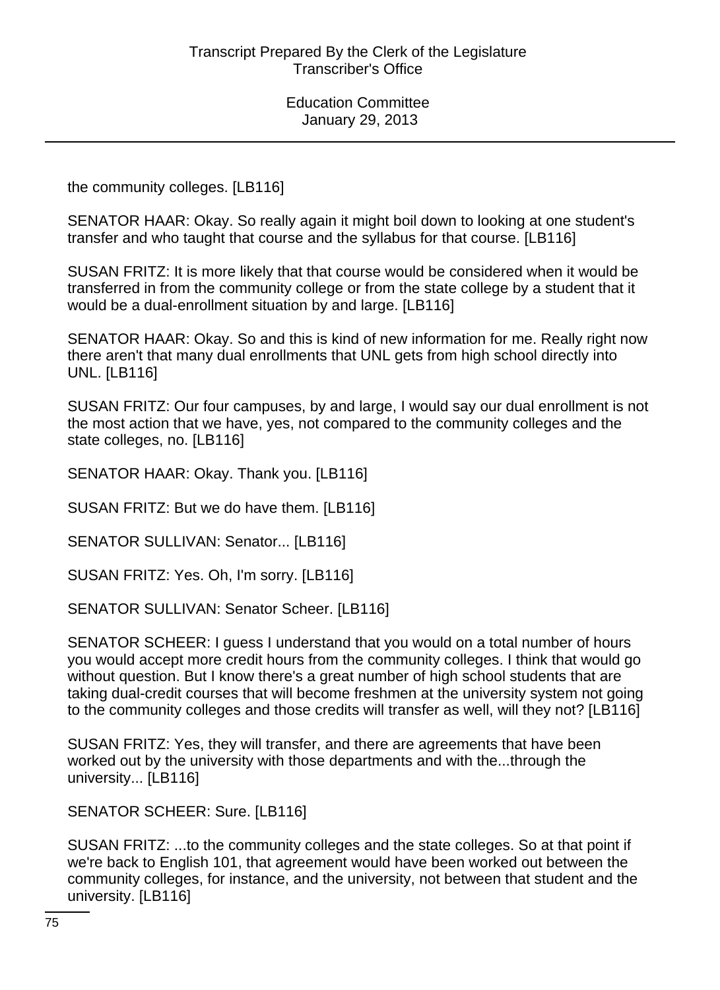the community colleges. [LB116]

SENATOR HAAR: Okay. So really again it might boil down to looking at one student's transfer and who taught that course and the syllabus for that course. [LB116]

SUSAN FRITZ: It is more likely that that course would be considered when it would be transferred in from the community college or from the state college by a student that it would be a dual-enrollment situation by and large. [LB116]

SENATOR HAAR: Okay. So and this is kind of new information for me. Really right now there aren't that many dual enrollments that UNL gets from high school directly into UNL. [LB116]

SUSAN FRITZ: Our four campuses, by and large, I would say our dual enrollment is not the most action that we have, yes, not compared to the community colleges and the state colleges, no. [LB116]

SENATOR HAAR: Okay. Thank you. [LB116]

SUSAN FRITZ: But we do have them. [LB116]

SENATOR SULLIVAN: Senator... [LB116]

SUSAN FRITZ: Yes. Oh, I'm sorry. [LB116]

SENATOR SULLIVAN: Senator Scheer. [LB116]

SENATOR SCHEER: I guess I understand that you would on a total number of hours you would accept more credit hours from the community colleges. I think that would go without question. But I know there's a great number of high school students that are taking dual-credit courses that will become freshmen at the university system not going to the community colleges and those credits will transfer as well, will they not? [LB116]

SUSAN FRITZ: Yes, they will transfer, and there are agreements that have been worked out by the university with those departments and with the...through the university... [LB116]

SENATOR SCHEER: Sure. [LB116]

SUSAN FRITZ: ...to the community colleges and the state colleges. So at that point if we're back to English 101, that agreement would have been worked out between the community colleges, for instance, and the university, not between that student and the university. [LB116]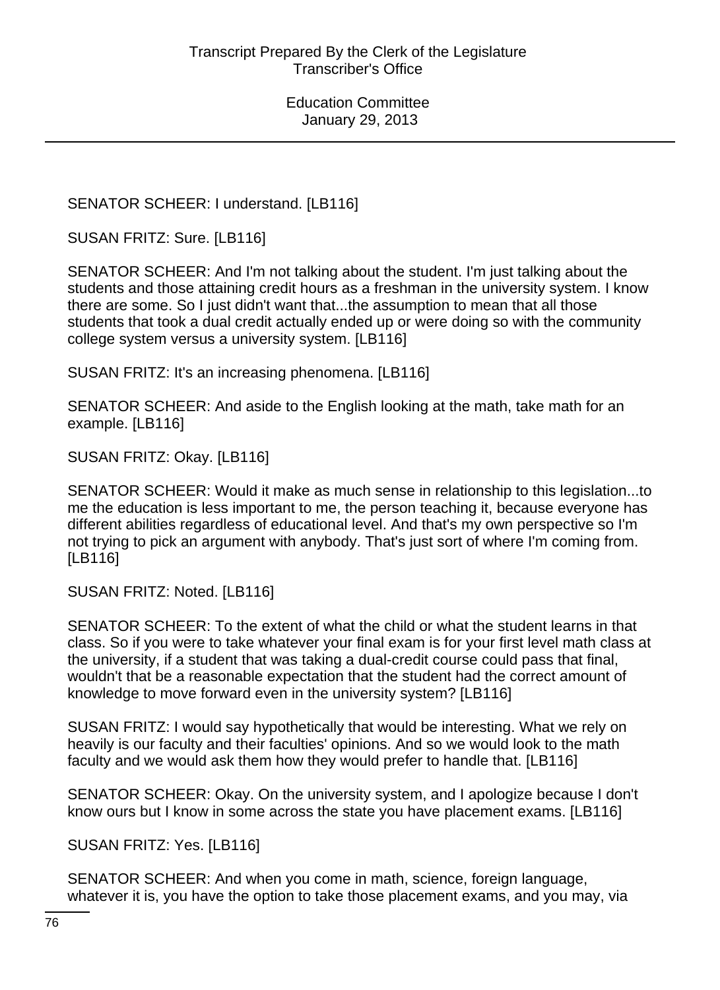SENATOR SCHEER: I understand. [LB116]

SUSAN FRITZ: Sure. [LB116]

SENATOR SCHEER: And I'm not talking about the student. I'm just talking about the students and those attaining credit hours as a freshman in the university system. I know there are some. So I just didn't want that...the assumption to mean that all those students that took a dual credit actually ended up or were doing so with the community college system versus a university system. [LB116]

SUSAN FRITZ: It's an increasing phenomena. [LB116]

SENATOR SCHEER: And aside to the English looking at the math, take math for an example. [LB116]

SUSAN FRITZ: Okay. [LB116]

SENATOR SCHEER: Would it make as much sense in relationship to this legislation...to me the education is less important to me, the person teaching it, because everyone has different abilities regardless of educational level. And that's my own perspective so I'm not trying to pick an argument with anybody. That's just sort of where I'm coming from. [LB116]

SUSAN FRITZ: Noted. [LB116]

SENATOR SCHEER: To the extent of what the child or what the student learns in that class. So if you were to take whatever your final exam is for your first level math class at the university, if a student that was taking a dual-credit course could pass that final, wouldn't that be a reasonable expectation that the student had the correct amount of knowledge to move forward even in the university system? [LB116]

SUSAN FRITZ: I would say hypothetically that would be interesting. What we rely on heavily is our faculty and their faculties' opinions. And so we would look to the math faculty and we would ask them how they would prefer to handle that. [LB116]

SENATOR SCHEER: Okay. On the university system, and I apologize because I don't know ours but I know in some across the state you have placement exams. [LB116]

SUSAN FRITZ: Yes. [LB116]

SENATOR SCHEER: And when you come in math, science, foreign language, whatever it is, you have the option to take those placement exams, and you may, via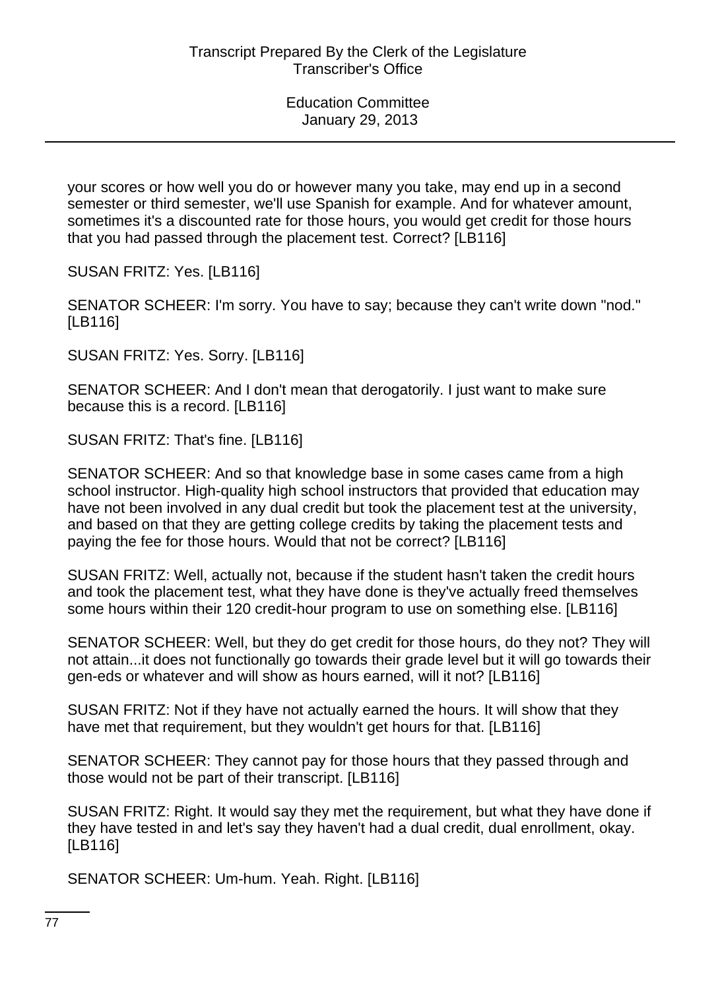your scores or how well you do or however many you take, may end up in a second semester or third semester, we'll use Spanish for example. And for whatever amount, sometimes it's a discounted rate for those hours, you would get credit for those hours that you had passed through the placement test. Correct? [LB116]

SUSAN FRITZ: Yes. [LB116]

SENATOR SCHEER: I'm sorry. You have to say; because they can't write down "nod." [LB116]

SUSAN FRITZ: Yes. Sorry. [LB116]

SENATOR SCHEER: And I don't mean that derogatorily. I just want to make sure because this is a record. [LB116]

SUSAN FRITZ: That's fine. [LB116]

SENATOR SCHEER: And so that knowledge base in some cases came from a high school instructor. High-quality high school instructors that provided that education may have not been involved in any dual credit but took the placement test at the university, and based on that they are getting college credits by taking the placement tests and paying the fee for those hours. Would that not be correct? [LB116]

SUSAN FRITZ: Well, actually not, because if the student hasn't taken the credit hours and took the placement test, what they have done is they've actually freed themselves some hours within their 120 credit-hour program to use on something else. [LB116]

SENATOR SCHEER: Well, but they do get credit for those hours, do they not? They will not attain...it does not functionally go towards their grade level but it will go towards their gen-eds or whatever and will show as hours earned, will it not? [LB116]

SUSAN FRITZ: Not if they have not actually earned the hours. It will show that they have met that requirement, but they wouldn't get hours for that. [LB116]

SENATOR SCHEER: They cannot pay for those hours that they passed through and those would not be part of their transcript. [LB116]

SUSAN FRITZ: Right. It would say they met the requirement, but what they have done if they have tested in and let's say they haven't had a dual credit, dual enrollment, okay. [LB116]

SENATOR SCHEER: Um-hum. Yeah. Right. [LB116]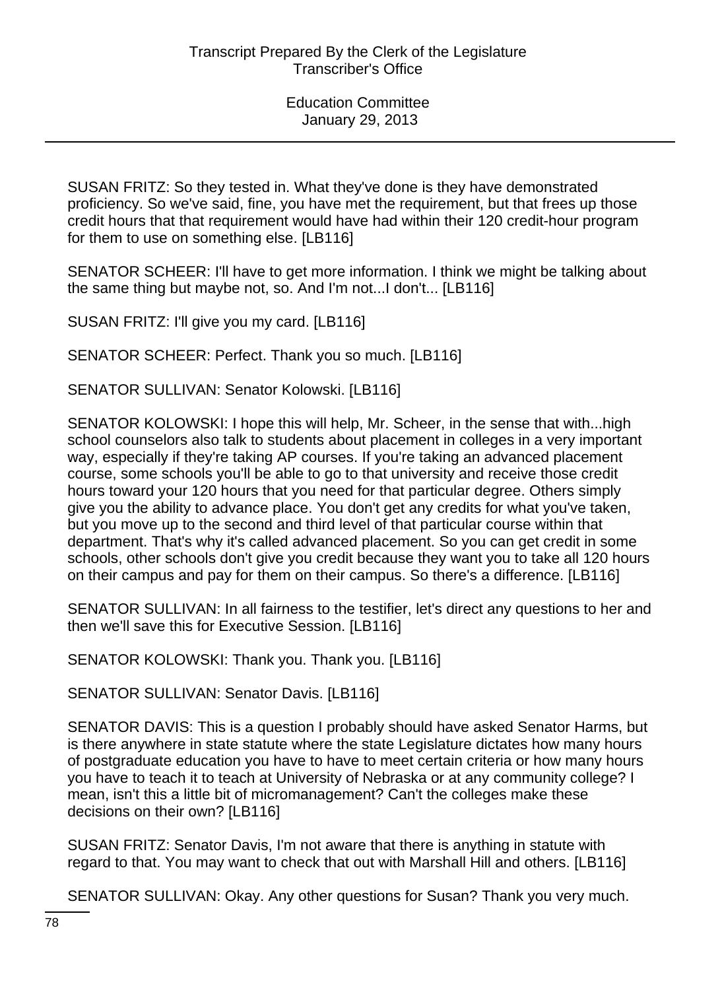SUSAN FRITZ: So they tested in. What they've done is they have demonstrated proficiency. So we've said, fine, you have met the requirement, but that frees up those credit hours that that requirement would have had within their 120 credit-hour program for them to use on something else. [LB116]

SENATOR SCHEER: I'll have to get more information. I think we might be talking about the same thing but maybe not, so. And I'm not...I don't... [LB116]

SUSAN FRITZ: I'll give you my card. [LB116]

SENATOR SCHEER: Perfect. Thank you so much. [LB116]

SENATOR SULLIVAN: Senator Kolowski. [LB116]

SENATOR KOLOWSKI: I hope this will help, Mr. Scheer, in the sense that with...high school counselors also talk to students about placement in colleges in a very important way, especially if they're taking AP courses. If you're taking an advanced placement course, some schools you'll be able to go to that university and receive those credit hours toward your 120 hours that you need for that particular degree. Others simply give you the ability to advance place. You don't get any credits for what you've taken, but you move up to the second and third level of that particular course within that department. That's why it's called advanced placement. So you can get credit in some schools, other schools don't give you credit because they want you to take all 120 hours on their campus and pay for them on their campus. So there's a difference. [LB116]

SENATOR SULLIVAN: In all fairness to the testifier, let's direct any questions to her and then we'll save this for Executive Session. [LB116]

SENATOR KOLOWSKI: Thank you. Thank you. [LB116]

SENATOR SULLIVAN: Senator Davis. [LB116]

SENATOR DAVIS: This is a question I probably should have asked Senator Harms, but is there anywhere in state statute where the state Legislature dictates how many hours of postgraduate education you have to have to meet certain criteria or how many hours you have to teach it to teach at University of Nebraska or at any community college? I mean, isn't this a little bit of micromanagement? Can't the colleges make these decisions on their own? [LB116]

SUSAN FRITZ: Senator Davis, I'm not aware that there is anything in statute with regard to that. You may want to check that out with Marshall Hill and others. [LB116]

SENATOR SULLIVAN: Okay. Any other questions for Susan? Thank you very much.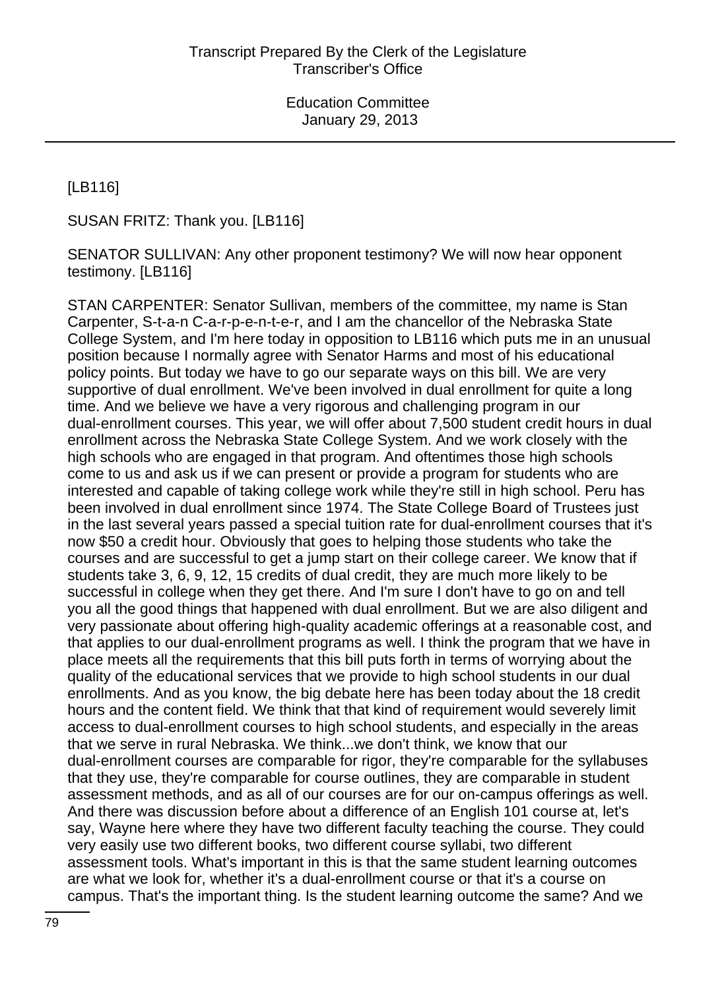[LB116]

SUSAN FRITZ: Thank you. [LB116]

SENATOR SULLIVAN: Any other proponent testimony? We will now hear opponent testimony. [LB116]

STAN CARPENTER: Senator Sullivan, members of the committee, my name is Stan Carpenter, S-t-a-n C-a-r-p-e-n-t-e-r, and I am the chancellor of the Nebraska State College System, and I'm here today in opposition to LB116 which puts me in an unusual position because I normally agree with Senator Harms and most of his educational policy points. But today we have to go our separate ways on this bill. We are very supportive of dual enrollment. We've been involved in dual enrollment for quite a long time. And we believe we have a very rigorous and challenging program in our dual-enrollment courses. This year, we will offer about 7,500 student credit hours in dual enrollment across the Nebraska State College System. And we work closely with the high schools who are engaged in that program. And oftentimes those high schools come to us and ask us if we can present or provide a program for students who are interested and capable of taking college work while they're still in high school. Peru has been involved in dual enrollment since 1974. The State College Board of Trustees just in the last several years passed a special tuition rate for dual-enrollment courses that it's now \$50 a credit hour. Obviously that goes to helping those students who take the courses and are successful to get a jump start on their college career. We know that if students take 3, 6, 9, 12, 15 credits of dual credit, they are much more likely to be successful in college when they get there. And I'm sure I don't have to go on and tell you all the good things that happened with dual enrollment. But we are also diligent and very passionate about offering high-quality academic offerings at a reasonable cost, and that applies to our dual-enrollment programs as well. I think the program that we have in place meets all the requirements that this bill puts forth in terms of worrying about the quality of the educational services that we provide to high school students in our dual enrollments. And as you know, the big debate here has been today about the 18 credit hours and the content field. We think that that kind of requirement would severely limit access to dual-enrollment courses to high school students, and especially in the areas that we serve in rural Nebraska. We think...we don't think, we know that our dual-enrollment courses are comparable for rigor, they're comparable for the syllabuses that they use, they're comparable for course outlines, they are comparable in student assessment methods, and as all of our courses are for our on-campus offerings as well. And there was discussion before about a difference of an English 101 course at, let's say, Wayne here where they have two different faculty teaching the course. They could very easily use two different books, two different course syllabi, two different assessment tools. What's important in this is that the same student learning outcomes are what we look for, whether it's a dual-enrollment course or that it's a course on campus. That's the important thing. Is the student learning outcome the same? And we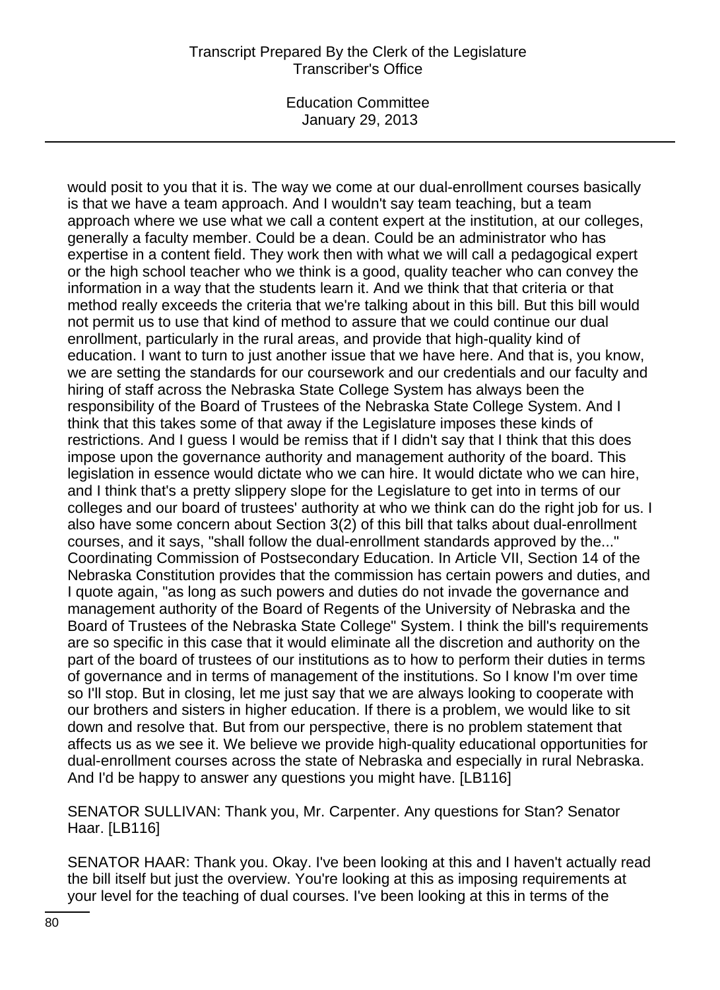### Transcript Prepared By the Clerk of the Legislature Transcriber's Office

Education Committee January 29, 2013

would posit to you that it is. The way we come at our dual-enrollment courses basically is that we have a team approach. And I wouldn't say team teaching, but a team approach where we use what we call a content expert at the institution, at our colleges, generally a faculty member. Could be a dean. Could be an administrator who has expertise in a content field. They work then with what we will call a pedagogical expert or the high school teacher who we think is a good, quality teacher who can convey the information in a way that the students learn it. And we think that that criteria or that method really exceeds the criteria that we're talking about in this bill. But this bill would not permit us to use that kind of method to assure that we could continue our dual enrollment, particularly in the rural areas, and provide that high-quality kind of education. I want to turn to just another issue that we have here. And that is, you know, we are setting the standards for our coursework and our credentials and our faculty and hiring of staff across the Nebraska State College System has always been the responsibility of the Board of Trustees of the Nebraska State College System. And I think that this takes some of that away if the Legislature imposes these kinds of restrictions. And I guess I would be remiss that if I didn't say that I think that this does impose upon the governance authority and management authority of the board. This legislation in essence would dictate who we can hire. It would dictate who we can hire, and I think that's a pretty slippery slope for the Legislature to get into in terms of our colleges and our board of trustees' authority at who we think can do the right job for us. I also have some concern about Section 3(2) of this bill that talks about dual-enrollment courses, and it says, "shall follow the dual-enrollment standards approved by the..." Coordinating Commission of Postsecondary Education. In Article VII, Section 14 of the Nebraska Constitution provides that the commission has certain powers and duties, and I quote again, "as long as such powers and duties do not invade the governance and management authority of the Board of Regents of the University of Nebraska and the Board of Trustees of the Nebraska State College" System. I think the bill's requirements are so specific in this case that it would eliminate all the discretion and authority on the part of the board of trustees of our institutions as to how to perform their duties in terms of governance and in terms of management of the institutions. So I know I'm over time so I'll stop. But in closing, let me just say that we are always looking to cooperate with our brothers and sisters in higher education. If there is a problem, we would like to sit down and resolve that. But from our perspective, there is no problem statement that affects us as we see it. We believe we provide high-quality educational opportunities for dual-enrollment courses across the state of Nebraska and especially in rural Nebraska. And I'd be happy to answer any questions you might have. [LB116]

SENATOR SULLIVAN: Thank you, Mr. Carpenter. Any questions for Stan? Senator Haar. [LB116]

SENATOR HAAR: Thank you. Okay. I've been looking at this and I haven't actually read the bill itself but just the overview. You're looking at this as imposing requirements at your level for the teaching of dual courses. I've been looking at this in terms of the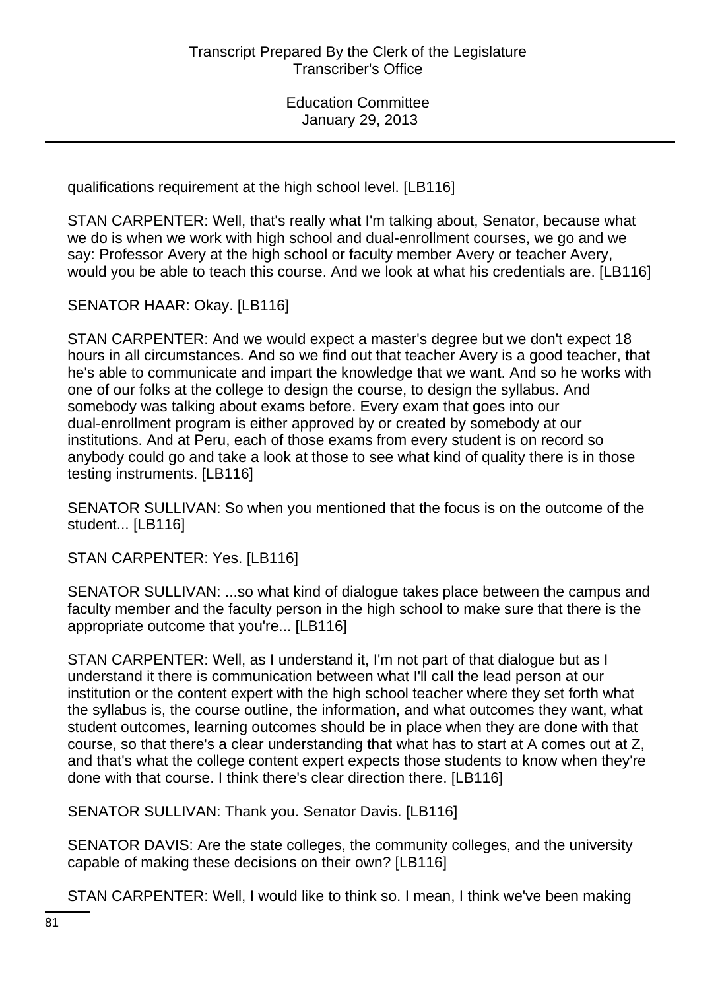qualifications requirement at the high school level. [LB116]

STAN CARPENTER: Well, that's really what I'm talking about, Senator, because what we do is when we work with high school and dual-enrollment courses, we go and we say: Professor Avery at the high school or faculty member Avery or teacher Avery, would you be able to teach this course. And we look at what his credentials are. [LB116]

SENATOR HAAR: Okay. [LB116]

STAN CARPENTER: And we would expect a master's degree but we don't expect 18 hours in all circumstances. And so we find out that teacher Avery is a good teacher, that he's able to communicate and impart the knowledge that we want. And so he works with one of our folks at the college to design the course, to design the syllabus. And somebody was talking about exams before. Every exam that goes into our dual-enrollment program is either approved by or created by somebody at our institutions. And at Peru, each of those exams from every student is on record so anybody could go and take a look at those to see what kind of quality there is in those testing instruments. [LB116]

SENATOR SULLIVAN: So when you mentioned that the focus is on the outcome of the student... [LB116]

STAN CARPENTER: Yes. [LB116]

SENATOR SULLIVAN: ...so what kind of dialogue takes place between the campus and faculty member and the faculty person in the high school to make sure that there is the appropriate outcome that you're... [LB116]

STAN CARPENTER: Well, as I understand it, I'm not part of that dialogue but as I understand it there is communication between what I'll call the lead person at our institution or the content expert with the high school teacher where they set forth what the syllabus is, the course outline, the information, and what outcomes they want, what student outcomes, learning outcomes should be in place when they are done with that course, so that there's a clear understanding that what has to start at A comes out at Z, and that's what the college content expert expects those students to know when they're done with that course. I think there's clear direction there. [LB116]

SENATOR SULLIVAN: Thank you. Senator Davis. [LB116]

SENATOR DAVIS: Are the state colleges, the community colleges, and the university capable of making these decisions on their own? [LB116]

STAN CARPENTER: Well, I would like to think so. I mean, I think we've been making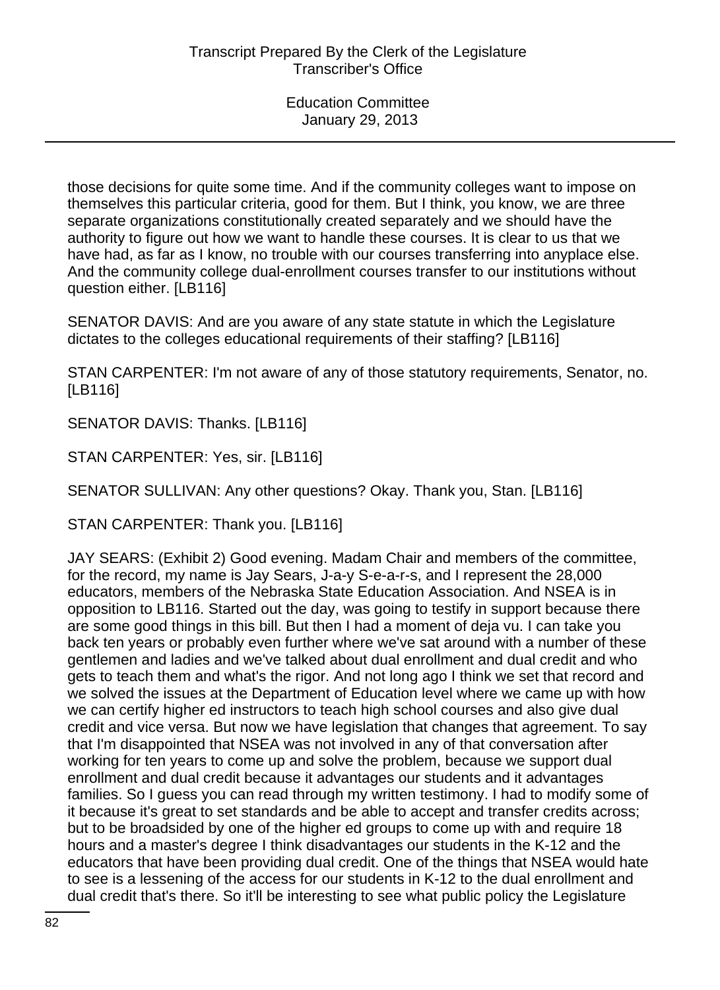those decisions for quite some time. And if the community colleges want to impose on themselves this particular criteria, good for them. But I think, you know, we are three separate organizations constitutionally created separately and we should have the authority to figure out how we want to handle these courses. It is clear to us that we have had, as far as I know, no trouble with our courses transferring into anyplace else. And the community college dual-enrollment courses transfer to our institutions without question either. [LB116]

SENATOR DAVIS: And are you aware of any state statute in which the Legislature dictates to the colleges educational requirements of their staffing? [LB116]

STAN CARPENTER: I'm not aware of any of those statutory requirements, Senator, no. [LB116]

SENATOR DAVIS: Thanks. [LB116]

STAN CARPENTER: Yes, sir. [LB116]

SENATOR SULLIVAN: Any other questions? Okay. Thank you, Stan. [LB116]

STAN CARPENTER: Thank you. [LB116]

JAY SEARS: (Exhibit 2) Good evening. Madam Chair and members of the committee, for the record, my name is Jay Sears, J-a-y S-e-a-r-s, and I represent the 28,000 educators, members of the Nebraska State Education Association. And NSEA is in opposition to LB116. Started out the day, was going to testify in support because there are some good things in this bill. But then I had a moment of deja vu. I can take you back ten years or probably even further where we've sat around with a number of these gentlemen and ladies and we've talked about dual enrollment and dual credit and who gets to teach them and what's the rigor. And not long ago I think we set that record and we solved the issues at the Department of Education level where we came up with how we can certify higher ed instructors to teach high school courses and also give dual credit and vice versa. But now we have legislation that changes that agreement. To say that I'm disappointed that NSEA was not involved in any of that conversation after working for ten years to come up and solve the problem, because we support dual enrollment and dual credit because it advantages our students and it advantages families. So I guess you can read through my written testimony. I had to modify some of it because it's great to set standards and be able to accept and transfer credits across; but to be broadsided by one of the higher ed groups to come up with and require 18 hours and a master's degree I think disadvantages our students in the K-12 and the educators that have been providing dual credit. One of the things that NSEA would hate to see is a lessening of the access for our students in K-12 to the dual enrollment and dual credit that's there. So it'll be interesting to see what public policy the Legislature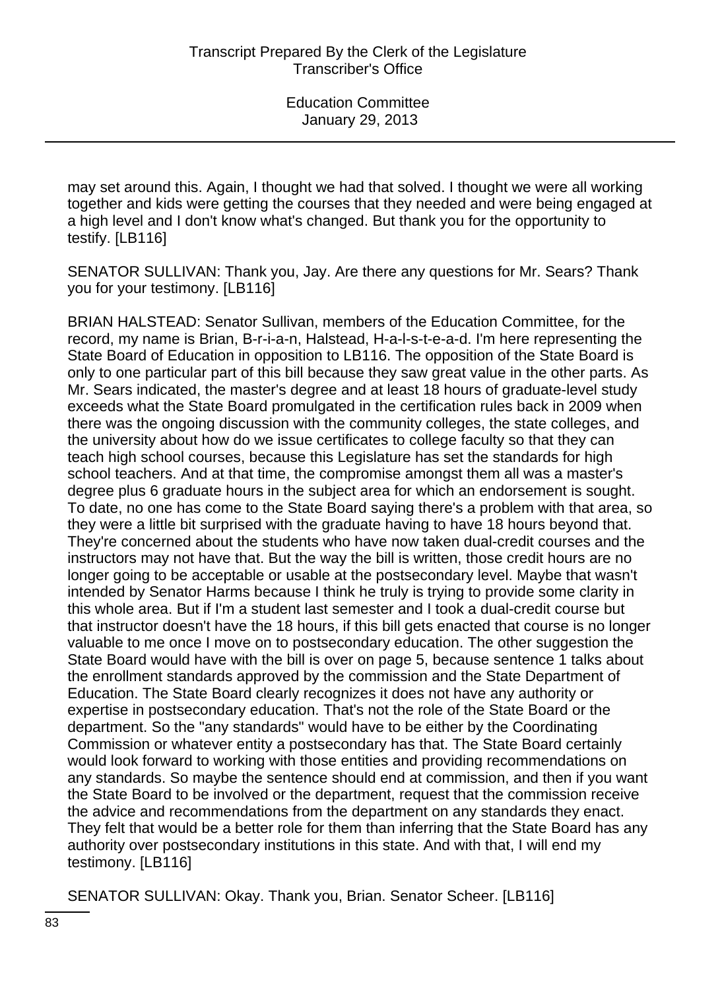may set around this. Again, I thought we had that solved. I thought we were all working together and kids were getting the courses that they needed and were being engaged at a high level and I don't know what's changed. But thank you for the opportunity to testify. [LB116]

SENATOR SULLIVAN: Thank you, Jay. Are there any questions for Mr. Sears? Thank you for your testimony. [LB116]

BRIAN HALSTEAD: Senator Sullivan, members of the Education Committee, for the record, my name is Brian, B-r-i-a-n, Halstead, H-a-l-s-t-e-a-d. I'm here representing the State Board of Education in opposition to LB116. The opposition of the State Board is only to one particular part of this bill because they saw great value in the other parts. As Mr. Sears indicated, the master's degree and at least 18 hours of graduate-level study exceeds what the State Board promulgated in the certification rules back in 2009 when there was the ongoing discussion with the community colleges, the state colleges, and the university about how do we issue certificates to college faculty so that they can teach high school courses, because this Legislature has set the standards for high school teachers. And at that time, the compromise amongst them all was a master's degree plus 6 graduate hours in the subject area for which an endorsement is sought. To date, no one has come to the State Board saying there's a problem with that area, so they were a little bit surprised with the graduate having to have 18 hours beyond that. They're concerned about the students who have now taken dual-credit courses and the instructors may not have that. But the way the bill is written, those credit hours are no longer going to be acceptable or usable at the postsecondary level. Maybe that wasn't intended by Senator Harms because I think he truly is trying to provide some clarity in this whole area. But if I'm a student last semester and I took a dual-credit course but that instructor doesn't have the 18 hours, if this bill gets enacted that course is no longer valuable to me once I move on to postsecondary education. The other suggestion the State Board would have with the bill is over on page 5, because sentence 1 talks about the enrollment standards approved by the commission and the State Department of Education. The State Board clearly recognizes it does not have any authority or expertise in postsecondary education. That's not the role of the State Board or the department. So the "any standards" would have to be either by the Coordinating Commission or whatever entity a postsecondary has that. The State Board certainly would look forward to working with those entities and providing recommendations on any standards. So maybe the sentence should end at commission, and then if you want the State Board to be involved or the department, request that the commission receive the advice and recommendations from the department on any standards they enact. They felt that would be a better role for them than inferring that the State Board has any authority over postsecondary institutions in this state. And with that, I will end my testimony. [LB116]

SENATOR SULLIVAN: Okay. Thank you, Brian. Senator Scheer. [LB116]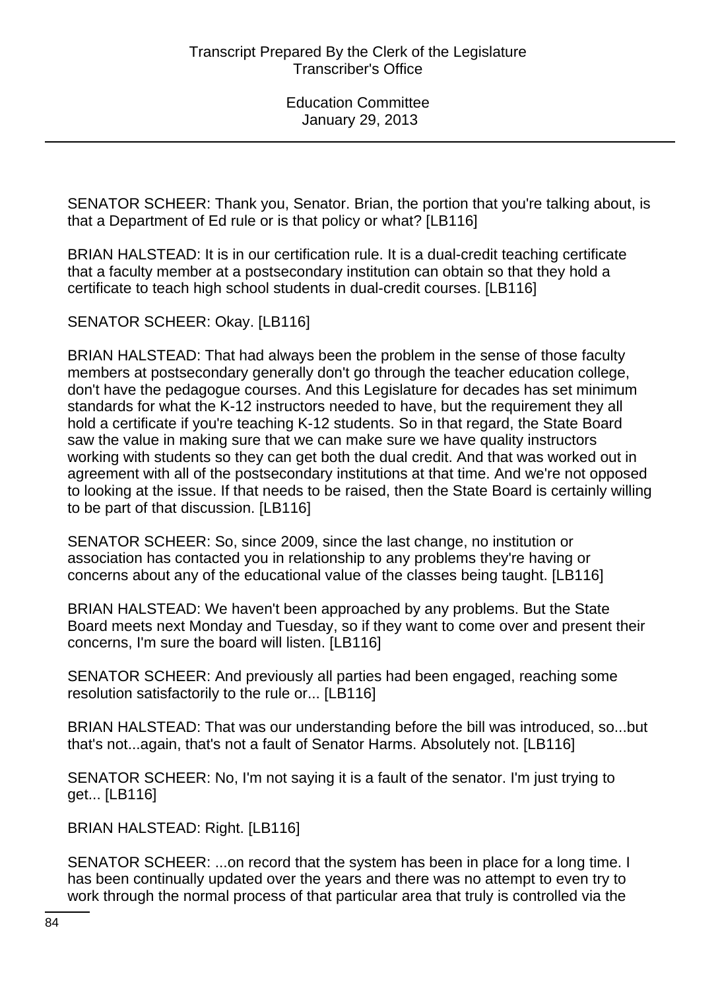SENATOR SCHEER: Thank you, Senator. Brian, the portion that you're talking about, is that a Department of Ed rule or is that policy or what? [LB116]

BRIAN HALSTEAD: It is in our certification rule. It is a dual-credit teaching certificate that a faculty member at a postsecondary institution can obtain so that they hold a certificate to teach high school students in dual-credit courses. [LB116]

SENATOR SCHEER: Okay. [LB116]

BRIAN HALSTEAD: That had always been the problem in the sense of those faculty members at postsecondary generally don't go through the teacher education college, don't have the pedagogue courses. And this Legislature for decades has set minimum standards for what the K-12 instructors needed to have, but the requirement they all hold a certificate if you're teaching K-12 students. So in that regard, the State Board saw the value in making sure that we can make sure we have quality instructors working with students so they can get both the dual credit. And that was worked out in agreement with all of the postsecondary institutions at that time. And we're not opposed to looking at the issue. If that needs to be raised, then the State Board is certainly willing to be part of that discussion. [LB116]

SENATOR SCHEER: So, since 2009, since the last change, no institution or association has contacted you in relationship to any problems they're having or concerns about any of the educational value of the classes being taught. [LB116]

BRIAN HALSTEAD: We haven't been approached by any problems. But the State Board meets next Monday and Tuesday, so if they want to come over and present their concerns, I'm sure the board will listen. [LB116]

SENATOR SCHEER: And previously all parties had been engaged, reaching some resolution satisfactorily to the rule or... [LB116]

BRIAN HALSTEAD: That was our understanding before the bill was introduced, so...but that's not...again, that's not a fault of Senator Harms. Absolutely not. [LB116]

SENATOR SCHEER: No, I'm not saying it is a fault of the senator. I'm just trying to get... [LB116]

BRIAN HALSTEAD: Right. [LB116]

SENATOR SCHEER: ...on record that the system has been in place for a long time. I has been continually updated over the years and there was no attempt to even try to work through the normal process of that particular area that truly is controlled via the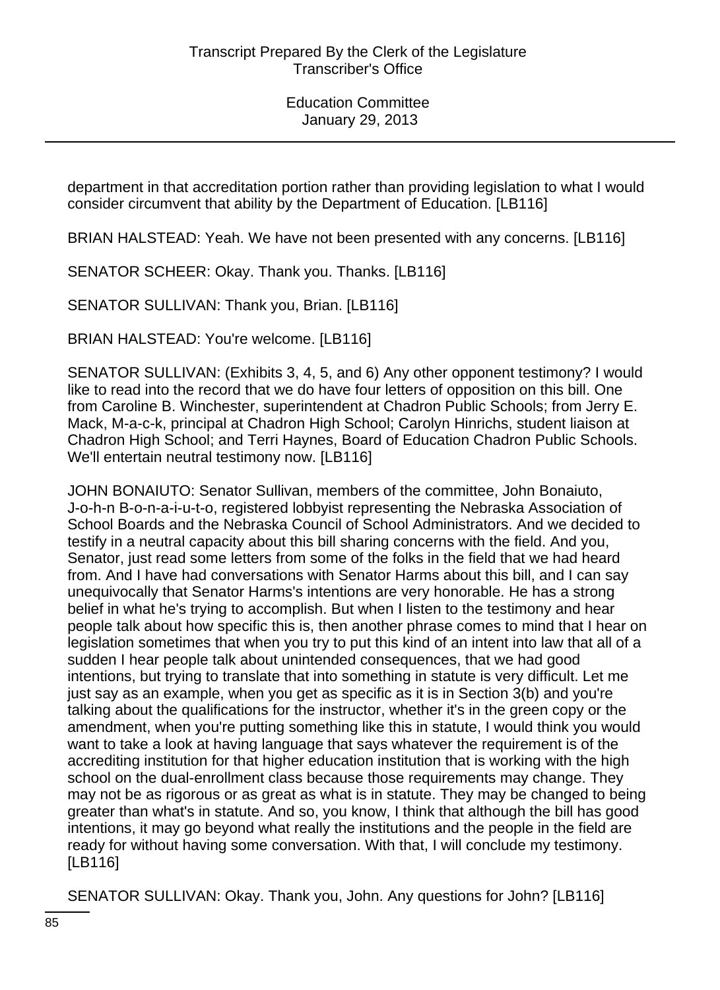department in that accreditation portion rather than providing legislation to what I would consider circumvent that ability by the Department of Education. [LB116]

BRIAN HALSTEAD: Yeah. We have not been presented with any concerns. [LB116]

SENATOR SCHEER: Okay. Thank you. Thanks. [LB116]

SENATOR SULLIVAN: Thank you, Brian. [LB116]

BRIAN HALSTEAD: You're welcome. [LB116]

SENATOR SULLIVAN: (Exhibits 3, 4, 5, and 6) Any other opponent testimony? I would like to read into the record that we do have four letters of opposition on this bill. One from Caroline B. Winchester, superintendent at Chadron Public Schools; from Jerry E. Mack, M-a-c-k, principal at Chadron High School; Carolyn Hinrichs, student liaison at Chadron High School; and Terri Haynes, Board of Education Chadron Public Schools. We'll entertain neutral testimony now. [LB116]

JOHN BONAIUTO: Senator Sullivan, members of the committee, John Bonaiuto, J-o-h-n B-o-n-a-i-u-t-o, registered lobbyist representing the Nebraska Association of School Boards and the Nebraska Council of School Administrators. And we decided to testify in a neutral capacity about this bill sharing concerns with the field. And you, Senator, just read some letters from some of the folks in the field that we had heard from. And I have had conversations with Senator Harms about this bill, and I can say unequivocally that Senator Harms's intentions are very honorable. He has a strong belief in what he's trying to accomplish. But when I listen to the testimony and hear people talk about how specific this is, then another phrase comes to mind that I hear on legislation sometimes that when you try to put this kind of an intent into law that all of a sudden I hear people talk about unintended consequences, that we had good intentions, but trying to translate that into something in statute is very difficult. Let me just say as an example, when you get as specific as it is in Section 3(b) and you're talking about the qualifications for the instructor, whether it's in the green copy or the amendment, when you're putting something like this in statute, I would think you would want to take a look at having language that says whatever the requirement is of the accrediting institution for that higher education institution that is working with the high school on the dual-enrollment class because those requirements may change. They may not be as rigorous or as great as what is in statute. They may be changed to being greater than what's in statute. And so, you know, I think that although the bill has good intentions, it may go beyond what really the institutions and the people in the field are ready for without having some conversation. With that, I will conclude my testimony. [LB116]

SENATOR SULLIVAN: Okay. Thank you, John. Any questions for John? [LB116]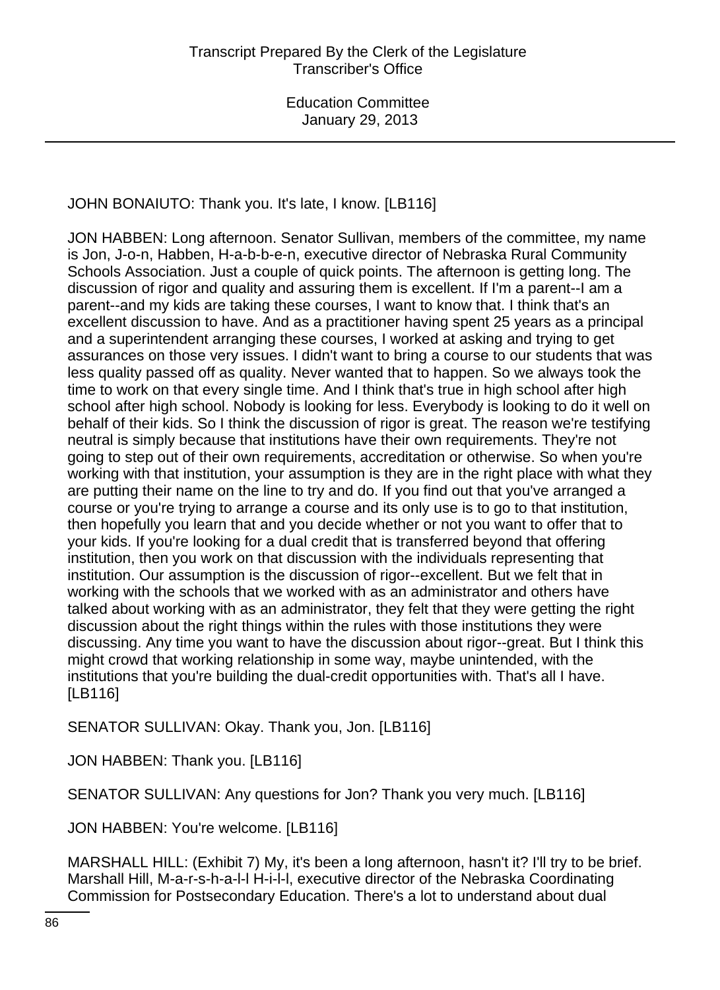JOHN BONAIUTO: Thank you. It's late, I know. [LB116]

JON HABBEN: Long afternoon. Senator Sullivan, members of the committee, my name is Jon, J-o-n, Habben, H-a-b-b-e-n, executive director of Nebraska Rural Community Schools Association. Just a couple of quick points. The afternoon is getting long. The discussion of rigor and quality and assuring them is excellent. If I'm a parent--I am a parent--and my kids are taking these courses, I want to know that. I think that's an excellent discussion to have. And as a practitioner having spent 25 years as a principal and a superintendent arranging these courses, I worked at asking and trying to get assurances on those very issues. I didn't want to bring a course to our students that was less quality passed off as quality. Never wanted that to happen. So we always took the time to work on that every single time. And I think that's true in high school after high school after high school. Nobody is looking for less. Everybody is looking to do it well on behalf of their kids. So I think the discussion of rigor is great. The reason we're testifying neutral is simply because that institutions have their own requirements. They're not going to step out of their own requirements, accreditation or otherwise. So when you're working with that institution, your assumption is they are in the right place with what they are putting their name on the line to try and do. If you find out that you've arranged a course or you're trying to arrange a course and its only use is to go to that institution, then hopefully you learn that and you decide whether or not you want to offer that to your kids. If you're looking for a dual credit that is transferred beyond that offering institution, then you work on that discussion with the individuals representing that institution. Our assumption is the discussion of rigor--excellent. But we felt that in working with the schools that we worked with as an administrator and others have talked about working with as an administrator, they felt that they were getting the right discussion about the right things within the rules with those institutions they were discussing. Any time you want to have the discussion about rigor--great. But I think this might crowd that working relationship in some way, maybe unintended, with the institutions that you're building the dual-credit opportunities with. That's all I have. [LB116]

SENATOR SULLIVAN: Okay. Thank you, Jon. [LB116]

JON HABBEN: Thank you. [LB116]

SENATOR SULLIVAN: Any questions for Jon? Thank you very much. [LB116]

JON HABBEN: You're welcome. [LB116]

MARSHALL HILL: (Exhibit 7) My, it's been a long afternoon, hasn't it? I'll try to be brief. Marshall Hill, M-a-r-s-h-a-l-l H-i-l-l, executive director of the Nebraska Coordinating Commission for Postsecondary Education. There's a lot to understand about dual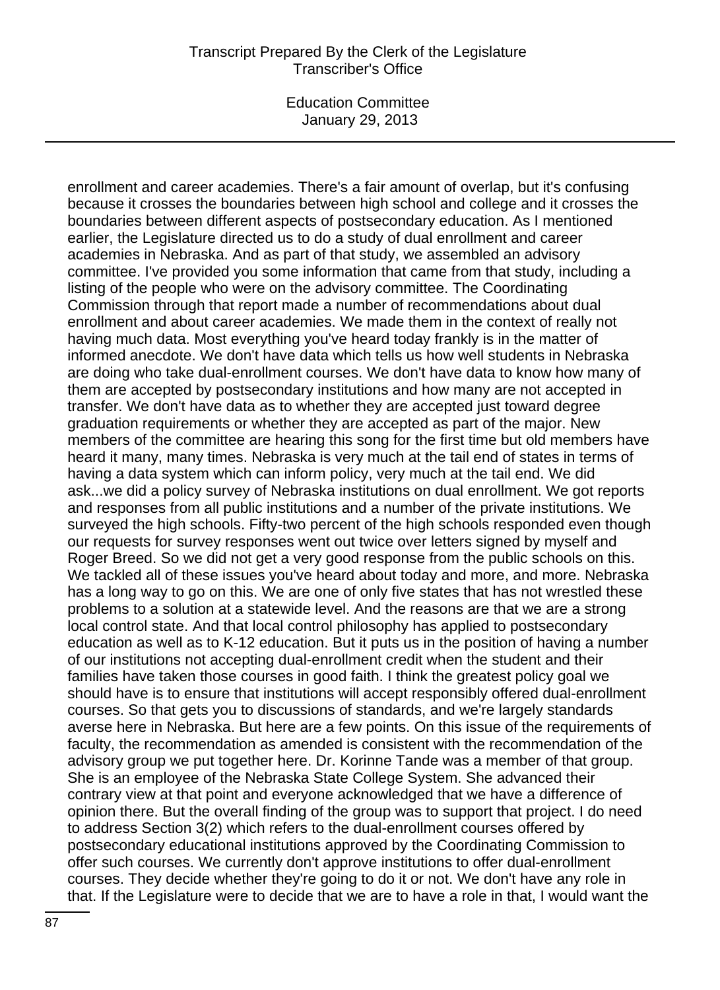#### Transcript Prepared By the Clerk of the Legislature Transcriber's Office

Education Committee January 29, 2013

enrollment and career academies. There's a fair amount of overlap, but it's confusing because it crosses the boundaries between high school and college and it crosses the boundaries between different aspects of postsecondary education. As I mentioned earlier, the Legislature directed us to do a study of dual enrollment and career academies in Nebraska. And as part of that study, we assembled an advisory committee. I've provided you some information that came from that study, including a listing of the people who were on the advisory committee. The Coordinating Commission through that report made a number of recommendations about dual enrollment and about career academies. We made them in the context of really not having much data. Most everything you've heard today frankly is in the matter of informed anecdote. We don't have data which tells us how well students in Nebraska are doing who take dual-enrollment courses. We don't have data to know how many of them are accepted by postsecondary institutions and how many are not accepted in transfer. We don't have data as to whether they are accepted just toward degree graduation requirements or whether they are accepted as part of the major. New members of the committee are hearing this song for the first time but old members have heard it many, many times. Nebraska is very much at the tail end of states in terms of having a data system which can inform policy, very much at the tail end. We did ask...we did a policy survey of Nebraska institutions on dual enrollment. We got reports and responses from all public institutions and a number of the private institutions. We surveyed the high schools. Fifty-two percent of the high schools responded even though our requests for survey responses went out twice over letters signed by myself and Roger Breed. So we did not get a very good response from the public schools on this. We tackled all of these issues you've heard about today and more, and more. Nebraska has a long way to go on this. We are one of only five states that has not wrestled these problems to a solution at a statewide level. And the reasons are that we are a strong local control state. And that local control philosophy has applied to postsecondary education as well as to K-12 education. But it puts us in the position of having a number of our institutions not accepting dual-enrollment credit when the student and their families have taken those courses in good faith. I think the greatest policy goal we should have is to ensure that institutions will accept responsibly offered dual-enrollment courses. So that gets you to discussions of standards, and we're largely standards averse here in Nebraska. But here are a few points. On this issue of the requirements of faculty, the recommendation as amended is consistent with the recommendation of the advisory group we put together here. Dr. Korinne Tande was a member of that group. She is an employee of the Nebraska State College System. She advanced their contrary view at that point and everyone acknowledged that we have a difference of opinion there. But the overall finding of the group was to support that project. I do need to address Section 3(2) which refers to the dual-enrollment courses offered by postsecondary educational institutions approved by the Coordinating Commission to offer such courses. We currently don't approve institutions to offer dual-enrollment courses. They decide whether they're going to do it or not. We don't have any role in that. If the Legislature were to decide that we are to have a role in that, I would want the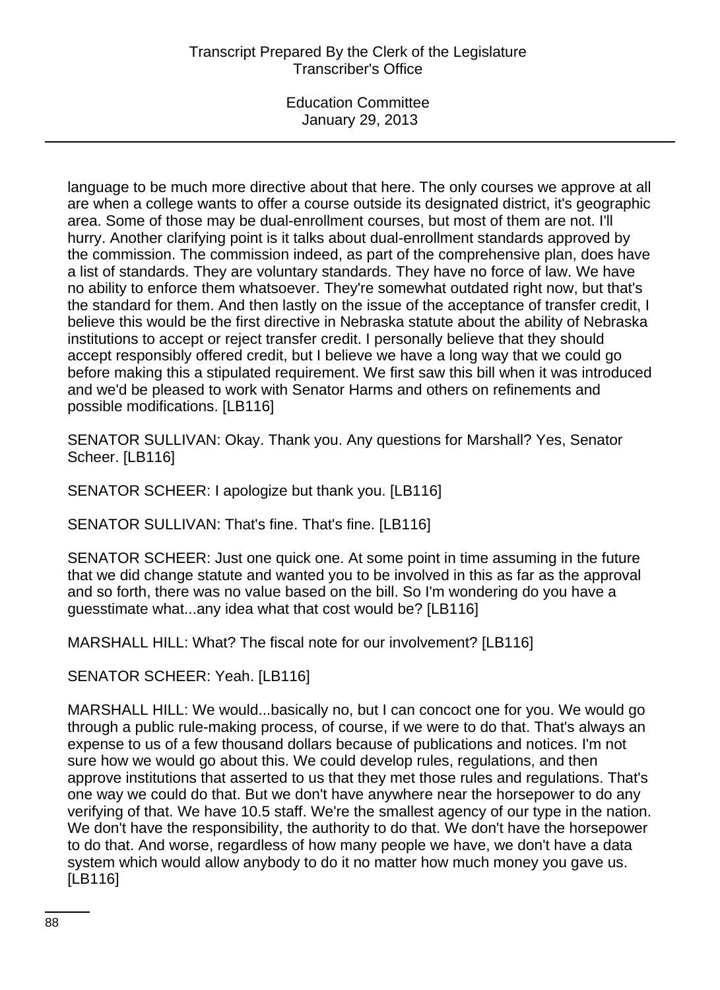language to be much more directive about that here. The only courses we approve at all are when a college wants to offer a course outside its designated district, it's geographic area. Some of those may be dual-enrollment courses, but most of them are not. I'll hurry. Another clarifying point is it talks about dual-enrollment standards approved by the commission. The commission indeed, as part of the comprehensive plan, does have a list of standards. They are voluntary standards. They have no force of law. We have no ability to enforce them whatsoever. They're somewhat outdated right now, but that's the standard for them. And then lastly on the issue of the acceptance of transfer credit, I believe this would be the first directive in Nebraska statute about the ability of Nebraska institutions to accept or reject transfer credit. I personally believe that they should accept responsibly offered credit, but I believe we have a long way that we could go before making this a stipulated requirement. We first saw this bill when it was introduced and we'd be pleased to work with Senator Harms and others on refinements and possible modifications. [LB116]

SENATOR SULLIVAN: Okay. Thank you. Any questions for Marshall? Yes, Senator Scheer. [LB116]

SENATOR SCHEER: I apologize but thank you. [LB116]

SENATOR SULLIVAN: That's fine. That's fine. [LB116]

SENATOR SCHEER: Just one quick one. At some point in time assuming in the future that we did change statute and wanted you to be involved in this as far as the approval and so forth, there was no value based on the bill. So I'm wondering do you have a guesstimate what...any idea what that cost would be? [LB116]

MARSHALL HILL: What? The fiscal note for our involvement? [LB116]

SENATOR SCHEER: Yeah. [LB116]

MARSHALL HILL: We would...basically no, but I can concoct one for you. We would go through a public rule-making process, of course, if we were to do that. That's always an expense to us of a few thousand dollars because of publications and notices. I'm not sure how we would go about this. We could develop rules, regulations, and then approve institutions that asserted to us that they met those rules and regulations. That's one way we could do that. But we don't have anywhere near the horsepower to do any verifying of that. We have 10.5 staff. We're the smallest agency of our type in the nation. We don't have the responsibility, the authority to do that. We don't have the horsepower to do that. And worse, regardless of how many people we have, we don't have a data system which would allow anybody to do it no matter how much money you gave us. [LB116]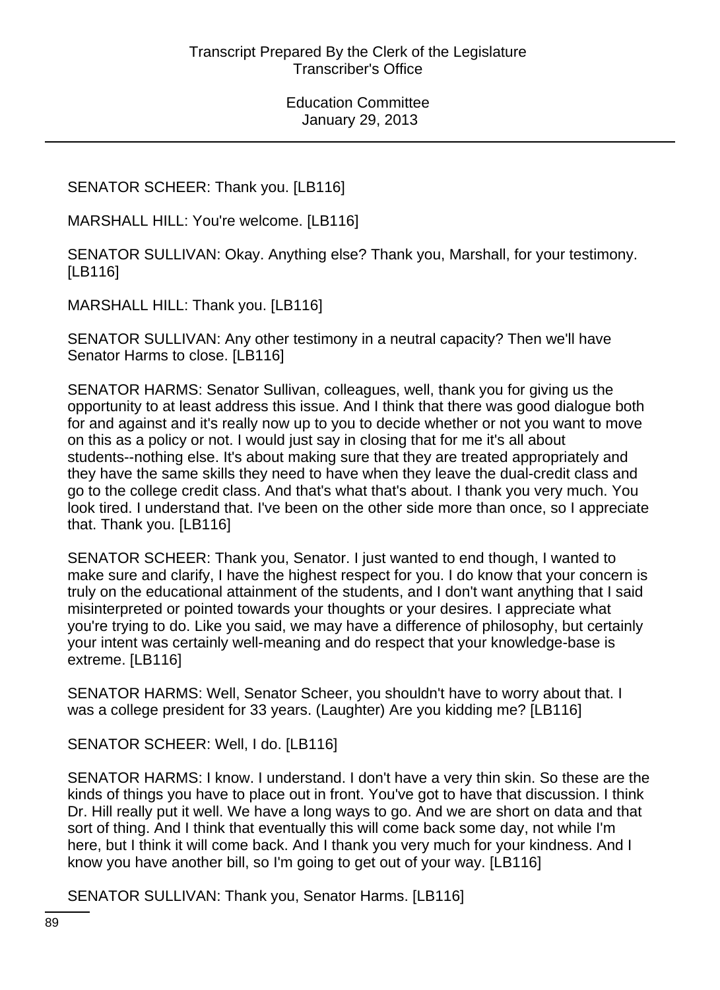# SENATOR SCHEER: Thank you. [LB116]

MARSHALL HILL: You're welcome. [LB116]

SENATOR SULLIVAN: Okay. Anything else? Thank you, Marshall, for your testimony. [LB116]

MARSHALL HILL: Thank you. [LB116]

SENATOR SULLIVAN: Any other testimony in a neutral capacity? Then we'll have Senator Harms to close. [LB116]

SENATOR HARMS: Senator Sullivan, colleagues, well, thank you for giving us the opportunity to at least address this issue. And I think that there was good dialogue both for and against and it's really now up to you to decide whether or not you want to move on this as a policy or not. I would just say in closing that for me it's all about students--nothing else. It's about making sure that they are treated appropriately and they have the same skills they need to have when they leave the dual-credit class and go to the college credit class. And that's what that's about. I thank you very much. You look tired. I understand that. I've been on the other side more than once, so I appreciate that. Thank you. [LB116]

SENATOR SCHEER: Thank you, Senator. I just wanted to end though, I wanted to make sure and clarify, I have the highest respect for you. I do know that your concern is truly on the educational attainment of the students, and I don't want anything that I said misinterpreted or pointed towards your thoughts or your desires. I appreciate what you're trying to do. Like you said, we may have a difference of philosophy, but certainly your intent was certainly well-meaning and do respect that your knowledge-base is extreme. [LB116]

SENATOR HARMS: Well, Senator Scheer, you shouldn't have to worry about that. I was a college president for 33 years. (Laughter) Are you kidding me? [LB116]

SENATOR SCHEER: Well, I do. [LB116]

SENATOR HARMS: I know. I understand. I don't have a very thin skin. So these are the kinds of things you have to place out in front. You've got to have that discussion. I think Dr. Hill really put it well. We have a long ways to go. And we are short on data and that sort of thing. And I think that eventually this will come back some day, not while I'm here, but I think it will come back. And I thank you very much for your kindness. And I know you have another bill, so I'm going to get out of your way. [LB116]

SENATOR SULLIVAN: Thank you, Senator Harms. [LB116]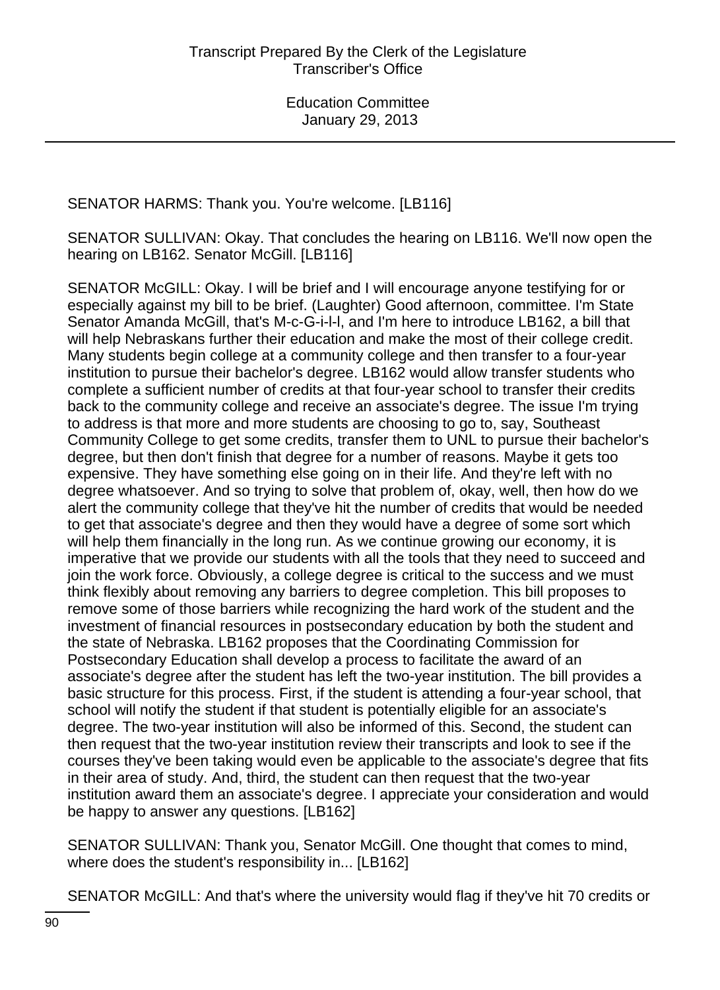SENATOR HARMS: Thank you. You're welcome. [LB116]

SENATOR SULLIVAN: Okay. That concludes the hearing on LB116. We'll now open the hearing on LB162. Senator McGill. [LB116]

SENATOR McGILL: Okay. I will be brief and I will encourage anyone testifying for or especially against my bill to be brief. (Laughter) Good afternoon, committee. I'm State Senator Amanda McGill, that's M-c-G-i-l-l, and I'm here to introduce LB162, a bill that will help Nebraskans further their education and make the most of their college credit. Many students begin college at a community college and then transfer to a four-year institution to pursue their bachelor's degree. LB162 would allow transfer students who complete a sufficient number of credits at that four-year school to transfer their credits back to the community college and receive an associate's degree. The issue I'm trying to address is that more and more students are choosing to go to, say, Southeast Community College to get some credits, transfer them to UNL to pursue their bachelor's degree, but then don't finish that degree for a number of reasons. Maybe it gets too expensive. They have something else going on in their life. And they're left with no degree whatsoever. And so trying to solve that problem of, okay, well, then how do we alert the community college that they've hit the number of credits that would be needed to get that associate's degree and then they would have a degree of some sort which will help them financially in the long run. As we continue growing our economy, it is imperative that we provide our students with all the tools that they need to succeed and join the work force. Obviously, a college degree is critical to the success and we must think flexibly about removing any barriers to degree completion. This bill proposes to remove some of those barriers while recognizing the hard work of the student and the investment of financial resources in postsecondary education by both the student and the state of Nebraska. LB162 proposes that the Coordinating Commission for Postsecondary Education shall develop a process to facilitate the award of an associate's degree after the student has left the two-year institution. The bill provides a basic structure for this process. First, if the student is attending a four-year school, that school will notify the student if that student is potentially eligible for an associate's degree. The two-year institution will also be informed of this. Second, the student can then request that the two-year institution review their transcripts and look to see if the courses they've been taking would even be applicable to the associate's degree that fits in their area of study. And, third, the student can then request that the two-year institution award them an associate's degree. I appreciate your consideration and would be happy to answer any questions. [LB162]

SENATOR SULLIVAN: Thank you, Senator McGill. One thought that comes to mind, where does the student's responsibility in... [LB162]

SENATOR McGILL: And that's where the university would flag if they've hit 70 credits or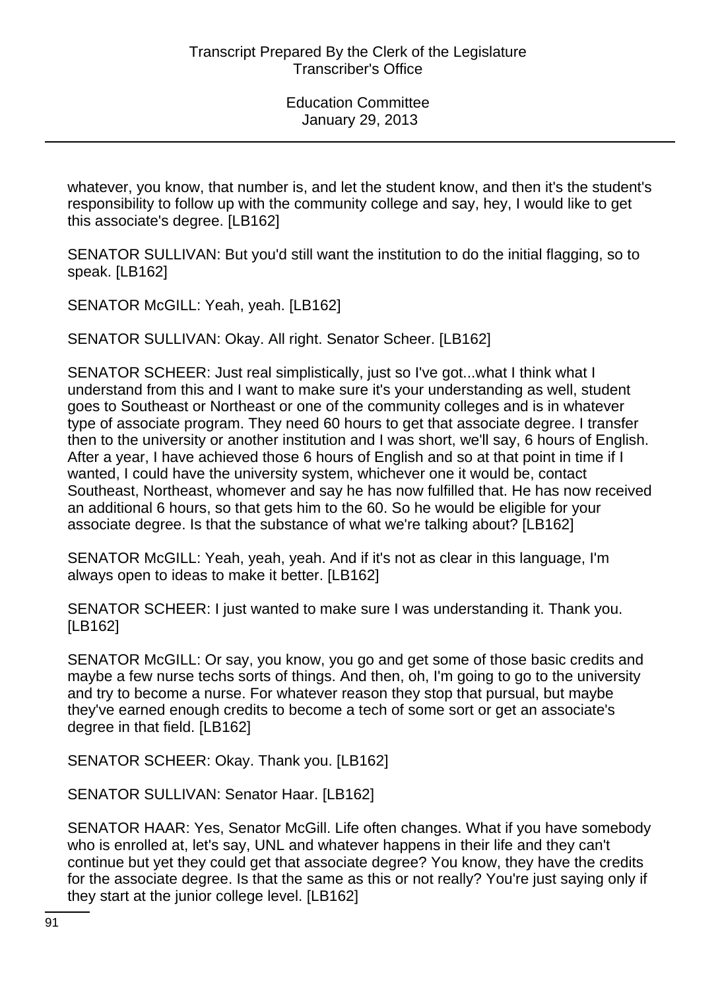whatever, you know, that number is, and let the student know, and then it's the student's responsibility to follow up with the community college and say, hey, I would like to get this associate's degree. [LB162]

SENATOR SULLIVAN: But you'd still want the institution to do the initial flagging, so to speak. [LB162]

SENATOR McGILL: Yeah, yeah. [LB162]

SENATOR SULLIVAN: Okay. All right. Senator Scheer. [LB162]

SENATOR SCHEER: Just real simplistically, just so I've got...what I think what I understand from this and I want to make sure it's your understanding as well, student goes to Southeast or Northeast or one of the community colleges and is in whatever type of associate program. They need 60 hours to get that associate degree. I transfer then to the university or another institution and I was short, we'll say, 6 hours of English. After a year, I have achieved those 6 hours of English and so at that point in time if I wanted, I could have the university system, whichever one it would be, contact Southeast, Northeast, whomever and say he has now fulfilled that. He has now received an additional 6 hours, so that gets him to the 60. So he would be eligible for your associate degree. Is that the substance of what we're talking about? [LB162]

SENATOR McGILL: Yeah, yeah, yeah. And if it's not as clear in this language, I'm always open to ideas to make it better. [LB162]

SENATOR SCHEER: I just wanted to make sure I was understanding it. Thank you. [LB162]

SENATOR McGILL: Or say, you know, you go and get some of those basic credits and maybe a few nurse techs sorts of things. And then, oh, I'm going to go to the university and try to become a nurse. For whatever reason they stop that pursual, but maybe they've earned enough credits to become a tech of some sort or get an associate's degree in that field. [LB162]

SENATOR SCHEER: Okay. Thank you. [LB162]

SENATOR SULLIVAN: Senator Haar. [LB162]

SENATOR HAAR: Yes, Senator McGill. Life often changes. What if you have somebody who is enrolled at, let's say, UNL and whatever happens in their life and they can't continue but yet they could get that associate degree? You know, they have the credits for the associate degree. Is that the same as this or not really? You're just saying only if they start at the junior college level. [LB162]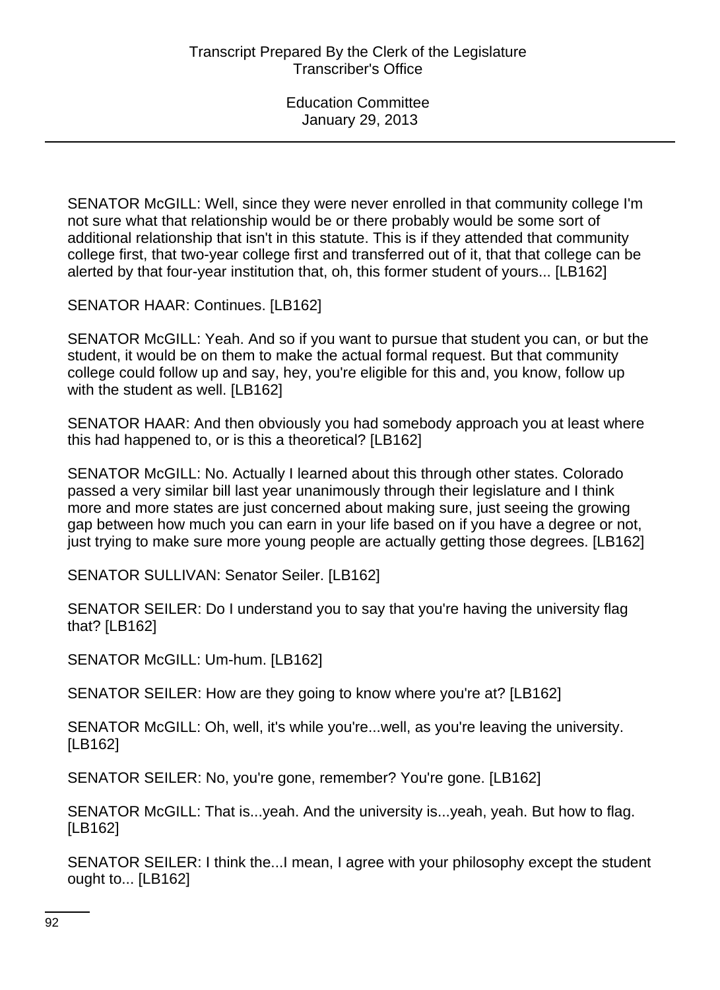SENATOR McGILL: Well, since they were never enrolled in that community college I'm not sure what that relationship would be or there probably would be some sort of additional relationship that isn't in this statute. This is if they attended that community college first, that two-year college first and transferred out of it, that that college can be alerted by that four-year institution that, oh, this former student of yours... [LB162]

SENATOR HAAR: Continues. [LB162]

SENATOR McGILL: Yeah. And so if you want to pursue that student you can, or but the student, it would be on them to make the actual formal request. But that community college could follow up and say, hey, you're eligible for this and, you know, follow up with the student as well. [LB162]

SENATOR HAAR: And then obviously you had somebody approach you at least where this had happened to, or is this a theoretical? [LB162]

SENATOR McGILL: No. Actually I learned about this through other states. Colorado passed a very similar bill last year unanimously through their legislature and I think more and more states are just concerned about making sure, just seeing the growing gap between how much you can earn in your life based on if you have a degree or not, just trying to make sure more young people are actually getting those degrees. [LB162]

SENATOR SULLIVAN: Senator Seiler. [LB162]

SENATOR SEILER: Do I understand you to say that you're having the university flag that? [LB162]

SENATOR McGILL: Um-hum. [LB162]

SENATOR SEILER: How are they going to know where you're at? [LB162]

SENATOR McGILL: Oh, well, it's while you're...well, as you're leaving the university. [LB162]

SENATOR SEILER: No, you're gone, remember? You're gone. [LB162]

SENATOR McGILL: That is...yeah. And the university is...yeah, yeah. But how to flag. [LB162]

SENATOR SEILER: I think the...I mean, I agree with your philosophy except the student ought to... [LB162]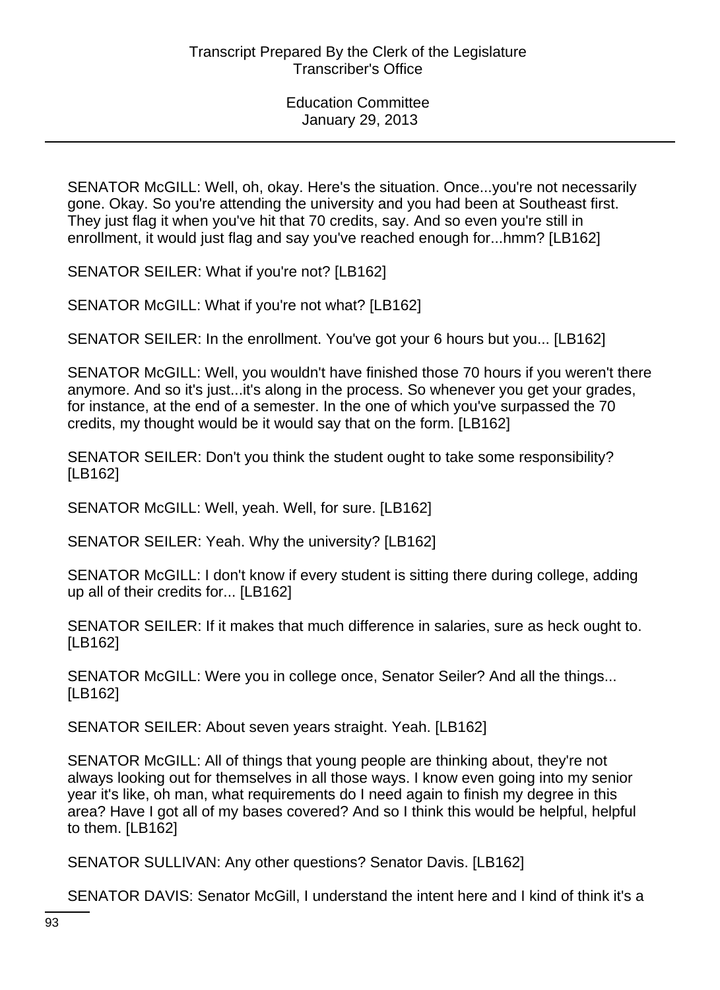SENATOR McGILL: Well, oh, okay. Here's the situation. Once...you're not necessarily gone. Okay. So you're attending the university and you had been at Southeast first. They just flag it when you've hit that 70 credits, say. And so even you're still in enrollment, it would just flag and say you've reached enough for...hmm? [LB162]

SENATOR SEILER: What if you're not? [LB162]

SENATOR McGILL: What if you're not what? [LB162]

SENATOR SEILER: In the enrollment. You've got your 6 hours but you... [LB162]

SENATOR McGILL: Well, you wouldn't have finished those 70 hours if you weren't there anymore. And so it's just...it's along in the process. So whenever you get your grades, for instance, at the end of a semester. In the one of which you've surpassed the 70 credits, my thought would be it would say that on the form. [LB162]

SENATOR SEILER: Don't you think the student ought to take some responsibility? [LB162]

SENATOR McGILL: Well, yeah. Well, for sure. [LB162]

SENATOR SEILER: Yeah. Why the university? [LB162]

SENATOR McGILL: I don't know if every student is sitting there during college, adding up all of their credits for... [LB162]

SENATOR SEILER: If it makes that much difference in salaries, sure as heck ought to. [LB162]

SENATOR McGILL: Were you in college once, Senator Seiler? And all the things... [LB162]

SENATOR SEILER: About seven years straight. Yeah. [LB162]

SENATOR McGILL: All of things that young people are thinking about, they're not always looking out for themselves in all those ways. I know even going into my senior year it's like, oh man, what requirements do I need again to finish my degree in this area? Have I got all of my bases covered? And so I think this would be helpful, helpful to them. [LB162]

SENATOR SULLIVAN: Any other questions? Senator Davis. [LB162]

SENATOR DAVIS: Senator McGill, I understand the intent here and I kind of think it's a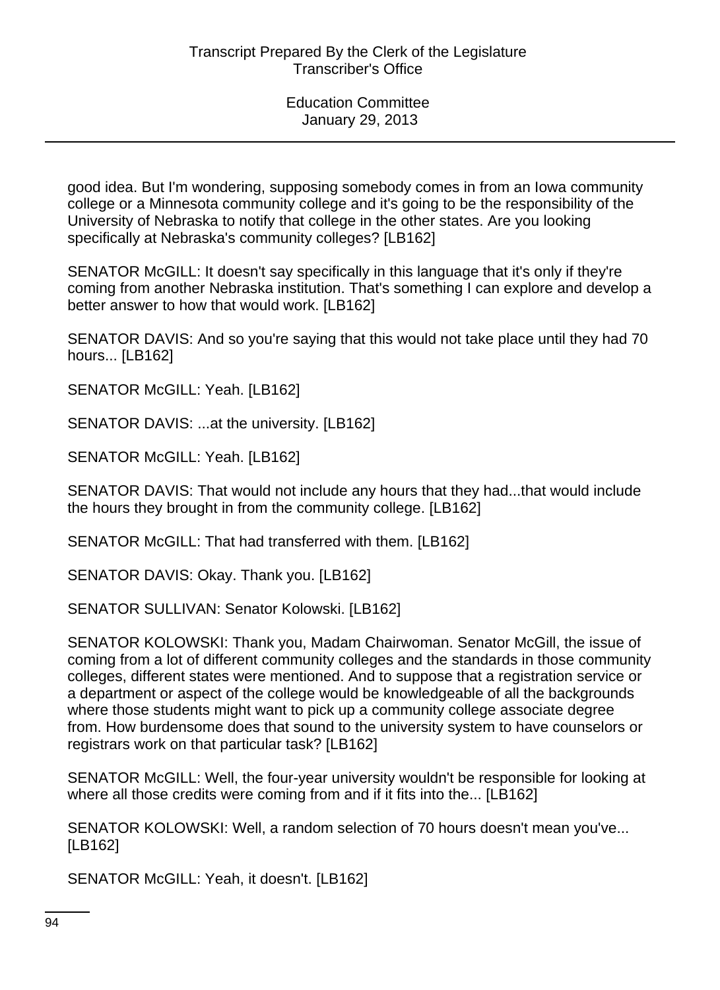good idea. But I'm wondering, supposing somebody comes in from an Iowa community college or a Minnesota community college and it's going to be the responsibility of the University of Nebraska to notify that college in the other states. Are you looking specifically at Nebraska's community colleges? [LB162]

SENATOR McGILL: It doesn't say specifically in this language that it's only if they're coming from another Nebraska institution. That's something I can explore and develop a better answer to how that would work. [LB162]

SENATOR DAVIS: And so you're saying that this would not take place until they had 70 hours... [LB162]

SENATOR McGILL: Yeah. [LB162]

SENATOR DAVIS: ...at the university. [LB162]

SENATOR McGILL: Yeah. [LB162]

SENATOR DAVIS: That would not include any hours that they had...that would include the hours they brought in from the community college. [LB162]

SENATOR McGILL: That had transferred with them. [LB162]

SENATOR DAVIS: Okay. Thank you. [LB162]

SENATOR SULLIVAN: Senator Kolowski. [LB162]

SENATOR KOLOWSKI: Thank you, Madam Chairwoman. Senator McGill, the issue of coming from a lot of different community colleges and the standards in those community colleges, different states were mentioned. And to suppose that a registration service or a department or aspect of the college would be knowledgeable of all the backgrounds where those students might want to pick up a community college associate degree from. How burdensome does that sound to the university system to have counselors or registrars work on that particular task? [LB162]

SENATOR McGILL: Well, the four-year university wouldn't be responsible for looking at where all those credits were coming from and if it fits into the... [LB162]

SENATOR KOLOWSKI: Well, a random selection of 70 hours doesn't mean you've... [LB162]

SENATOR McGILL: Yeah, it doesn't. [LB162]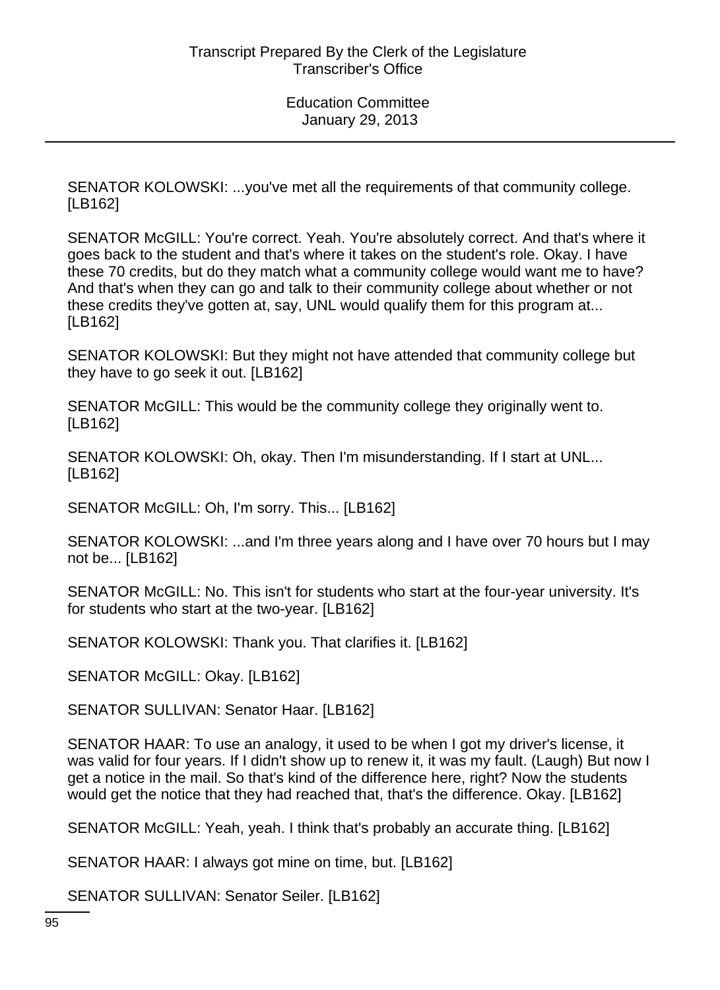SENATOR KOLOWSKI: ...you've met all the requirements of that community college. [LB162]

SENATOR McGILL: You're correct. Yeah. You're absolutely correct. And that's where it goes back to the student and that's where it takes on the student's role. Okay. I have these 70 credits, but do they match what a community college would want me to have? And that's when they can go and talk to their community college about whether or not these credits they've gotten at, say, UNL would qualify them for this program at... [LB162]

SENATOR KOLOWSKI: But they might not have attended that community college but they have to go seek it out. [LB162]

SENATOR McGILL: This would be the community college they originally went to. [LB162]

SENATOR KOLOWSKI: Oh, okay. Then I'm misunderstanding. If I start at UNL... [LB162]

SENATOR McGILL: Oh, I'm sorry. This... [LB162]

SENATOR KOLOWSKI: ...and I'm three years along and I have over 70 hours but I may not be... [LB162]

SENATOR McGILL: No. This isn't for students who start at the four-year university. It's for students who start at the two-year. [LB162]

SENATOR KOLOWSKI: Thank you. That clarifies it. [LB162]

SENATOR McGILL: Okay. [LB162]

SENATOR SULLIVAN: Senator Haar. [LB162]

SENATOR HAAR: To use an analogy, it used to be when I got my driver's license, it was valid for four years. If I didn't show up to renew it, it was my fault. (Laugh) But now I get a notice in the mail. So that's kind of the difference here, right? Now the students would get the notice that they had reached that, that's the difference. Okay. [LB162]

SENATOR McGILL: Yeah, yeah. I think that's probably an accurate thing. [LB162]

SENATOR HAAR: I always got mine on time, but. [LB162]

SENATOR SULLIVAN: Senator Seiler. [LB162]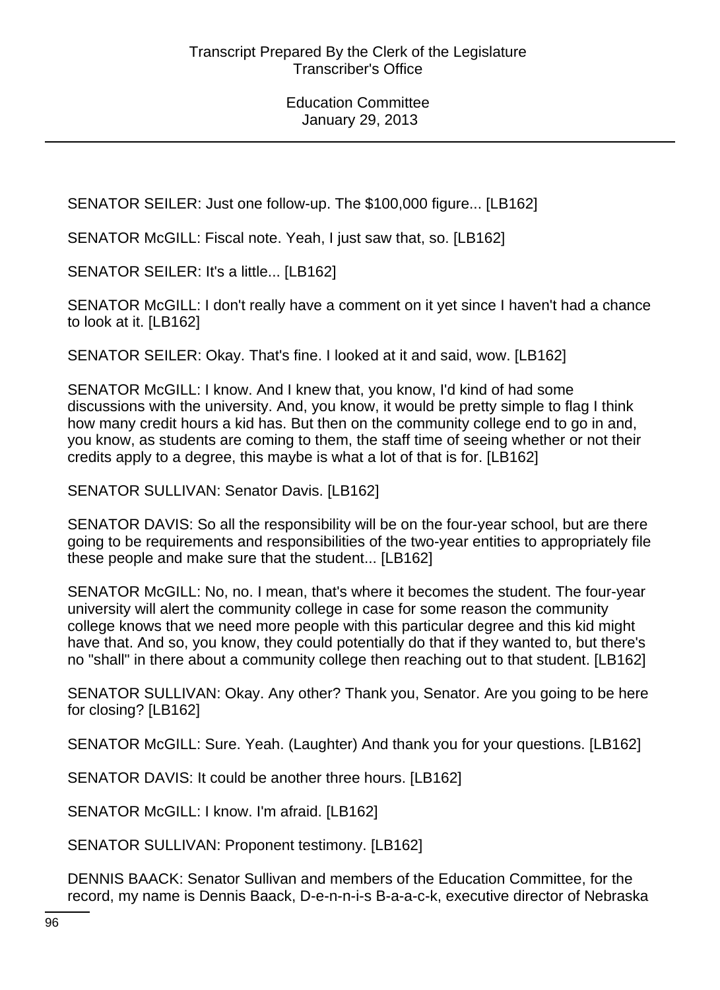SENATOR SEILER: Just one follow-up. The \$100,000 figure... [LB162]

SENATOR McGILL: Fiscal note. Yeah, I just saw that, so. [LB162]

SENATOR SEILER: It's a little... [LB162]

SENATOR McGILL: I don't really have a comment on it yet since I haven't had a chance to look at it. [LB162]

SENATOR SEILER: Okay. That's fine. I looked at it and said, wow. [LB162]

SENATOR McGILL: I know. And I knew that, you know, I'd kind of had some discussions with the university. And, you know, it would be pretty simple to flag I think how many credit hours a kid has. But then on the community college end to go in and, you know, as students are coming to them, the staff time of seeing whether or not their credits apply to a degree, this maybe is what a lot of that is for. [LB162]

SENATOR SULLIVAN: Senator Davis. [LB162]

SENATOR DAVIS: So all the responsibility will be on the four-year school, but are there going to be requirements and responsibilities of the two-year entities to appropriately file these people and make sure that the student... [LB162]

SENATOR McGILL: No, no. I mean, that's where it becomes the student. The four-year university will alert the community college in case for some reason the community college knows that we need more people with this particular degree and this kid might have that. And so, you know, they could potentially do that if they wanted to, but there's no "shall" in there about a community college then reaching out to that student. [LB162]

SENATOR SULLIVAN: Okay. Any other? Thank you, Senator. Are you going to be here for closing? [LB162]

SENATOR McGILL: Sure. Yeah. (Laughter) And thank you for your questions. [LB162]

SENATOR DAVIS: It could be another three hours. [LB162]

SENATOR McGILL: I know. I'm afraid. [LB162]

SENATOR SULLIVAN: Proponent testimony. [LB162]

DENNIS BAACK: Senator Sullivan and members of the Education Committee, for the record, my name is Dennis Baack, D-e-n-n-i-s B-a-a-c-k, executive director of Nebraska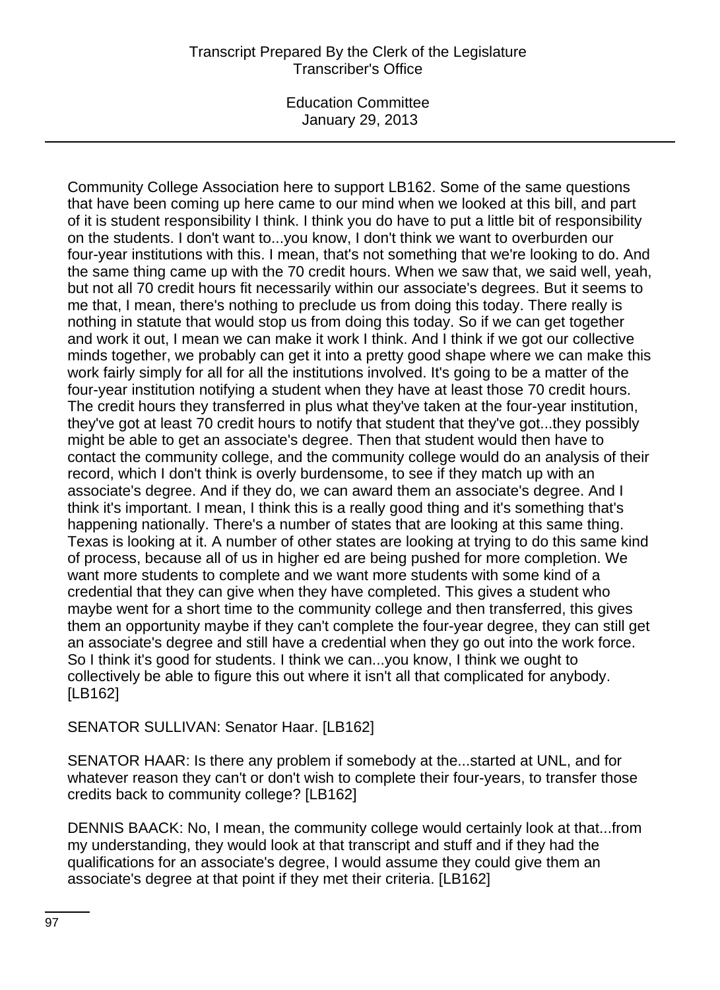## Transcript Prepared By the Clerk of the Legislature Transcriber's Office

Education Committee January 29, 2013

Community College Association here to support LB162. Some of the same questions that have been coming up here came to our mind when we looked at this bill, and part of it is student responsibility I think. I think you do have to put a little bit of responsibility on the students. I don't want to...you know, I don't think we want to overburden our four-year institutions with this. I mean, that's not something that we're looking to do. And the same thing came up with the 70 credit hours. When we saw that, we said well, yeah, but not all 70 credit hours fit necessarily within our associate's degrees. But it seems to me that, I mean, there's nothing to preclude us from doing this today. There really is nothing in statute that would stop us from doing this today. So if we can get together and work it out, I mean we can make it work I think. And I think if we got our collective minds together, we probably can get it into a pretty good shape where we can make this work fairly simply for all for all the institutions involved. It's going to be a matter of the four-year institution notifying a student when they have at least those 70 credit hours. The credit hours they transferred in plus what they've taken at the four-year institution, they've got at least 70 credit hours to notify that student that they've got...they possibly might be able to get an associate's degree. Then that student would then have to contact the community college, and the community college would do an analysis of their record, which I don't think is overly burdensome, to see if they match up with an associate's degree. And if they do, we can award them an associate's degree. And I think it's important. I mean, I think this is a really good thing and it's something that's happening nationally. There's a number of states that are looking at this same thing. Texas is looking at it. A number of other states are looking at trying to do this same kind of process, because all of us in higher ed are being pushed for more completion. We want more students to complete and we want more students with some kind of a credential that they can give when they have completed. This gives a student who maybe went for a short time to the community college and then transferred, this gives them an opportunity maybe if they can't complete the four-year degree, they can still get an associate's degree and still have a credential when they go out into the work force. So I think it's good for students. I think we can...you know, I think we ought to collectively be able to figure this out where it isn't all that complicated for anybody. [LB162]

SENATOR SULLIVAN: Senator Haar. [LB162]

SENATOR HAAR: Is there any problem if somebody at the...started at UNL, and for whatever reason they can't or don't wish to complete their four-years, to transfer those credits back to community college? [LB162]

DENNIS BAACK: No, I mean, the community college would certainly look at that...from my understanding, they would look at that transcript and stuff and if they had the qualifications for an associate's degree, I would assume they could give them an associate's degree at that point if they met their criteria. [LB162]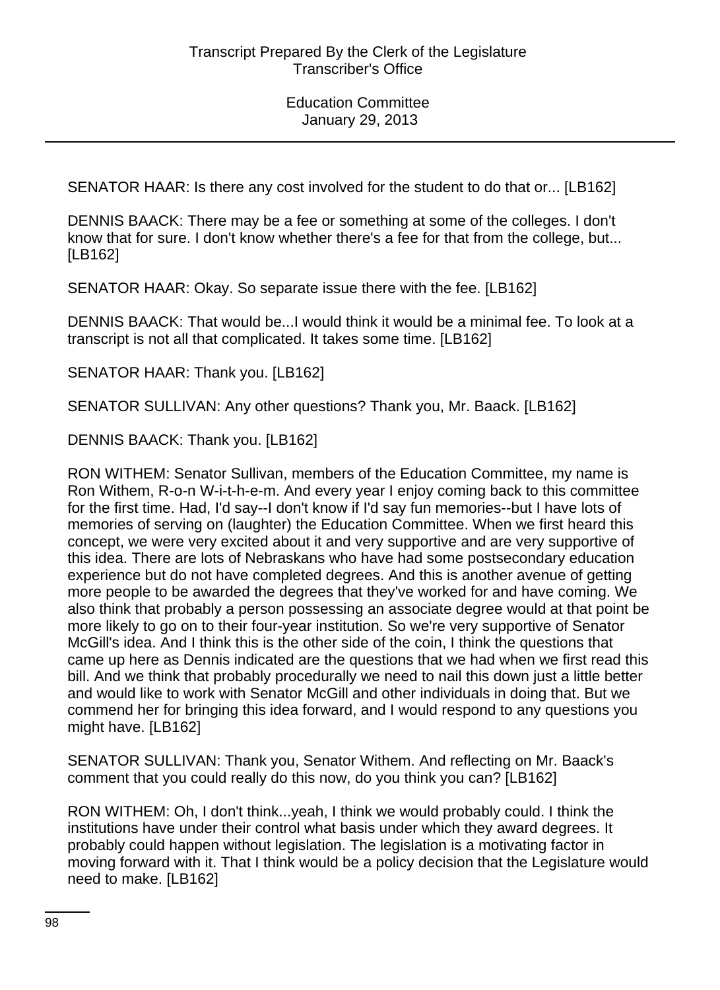SENATOR HAAR: Is there any cost involved for the student to do that or... [LB162]

DENNIS BAACK: There may be a fee or something at some of the colleges. I don't know that for sure. I don't know whether there's a fee for that from the college, but... [LB162]

SENATOR HAAR: Okay. So separate issue there with the fee. [LB162]

DENNIS BAACK: That would be...I would think it would be a minimal fee. To look at a transcript is not all that complicated. It takes some time. [LB162]

SENATOR HAAR: Thank you. [LB162]

SENATOR SULLIVAN: Any other questions? Thank you, Mr. Baack. [LB162]

DENNIS BAACK: Thank you. [LB162]

RON WITHEM: Senator Sullivan, members of the Education Committee, my name is Ron Withem, R-o-n W-i-t-h-e-m. And every year I enjoy coming back to this committee for the first time. Had, I'd say--I don't know if I'd say fun memories--but I have lots of memories of serving on (laughter) the Education Committee. When we first heard this concept, we were very excited about it and very supportive and are very supportive of this idea. There are lots of Nebraskans who have had some postsecondary education experience but do not have completed degrees. And this is another avenue of getting more people to be awarded the degrees that they've worked for and have coming. We also think that probably a person possessing an associate degree would at that point be more likely to go on to their four-year institution. So we're very supportive of Senator McGill's idea. And I think this is the other side of the coin, I think the questions that came up here as Dennis indicated are the questions that we had when we first read this bill. And we think that probably procedurally we need to nail this down just a little better and would like to work with Senator McGill and other individuals in doing that. But we commend her for bringing this idea forward, and I would respond to any questions you might have. [LB162]

SENATOR SULLIVAN: Thank you, Senator Withem. And reflecting on Mr. Baack's comment that you could really do this now, do you think you can? [LB162]

RON WITHEM: Oh, I don't think...yeah, I think we would probably could. I think the institutions have under their control what basis under which they award degrees. It probably could happen without legislation. The legislation is a motivating factor in moving forward with it. That I think would be a policy decision that the Legislature would need to make. [LB162]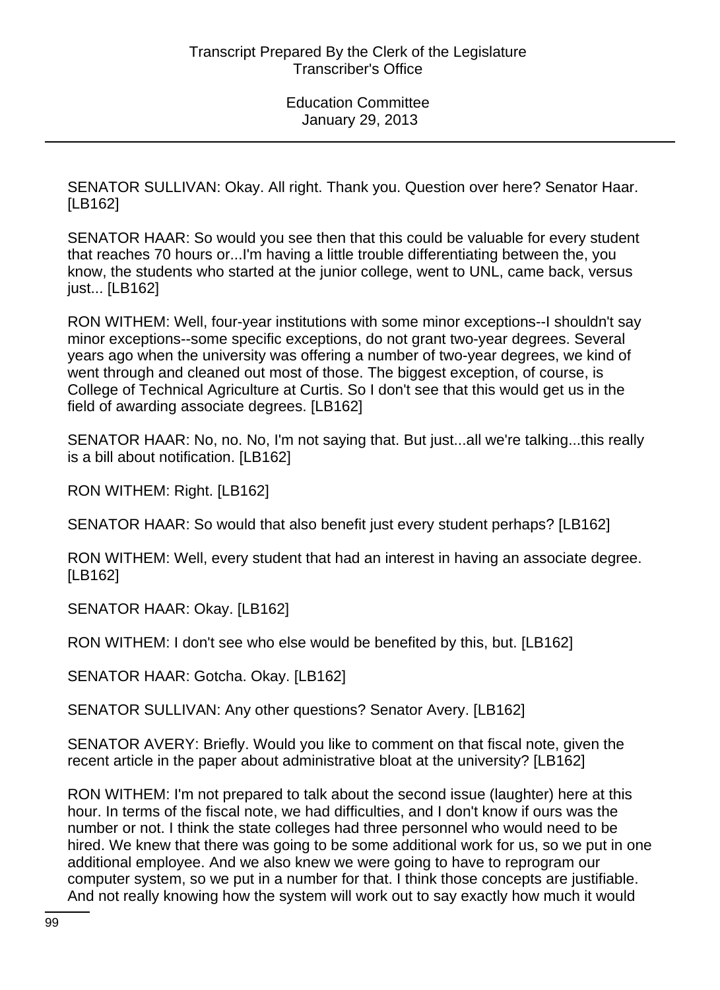SENATOR SULLIVAN: Okay. All right. Thank you. Question over here? Senator Haar. [LB162]

SENATOR HAAR: So would you see then that this could be valuable for every student that reaches 70 hours or...I'm having a little trouble differentiating between the, you know, the students who started at the junior college, went to UNL, came back, versus just... [LB162]

RON WITHEM: Well, four-year institutions with some minor exceptions--I shouldn't say minor exceptions--some specific exceptions, do not grant two-year degrees. Several years ago when the university was offering a number of two-year degrees, we kind of went through and cleaned out most of those. The biggest exception, of course, is College of Technical Agriculture at Curtis. So I don't see that this would get us in the field of awarding associate degrees. [LB162]

SENATOR HAAR: No, no. No, I'm not saying that. But just...all we're talking...this really is a bill about notification. [LB162]

RON WITHEM: Right. [LB162]

SENATOR HAAR: So would that also benefit just every student perhaps? [LB162]

RON WITHEM: Well, every student that had an interest in having an associate degree. [LB162]

SENATOR HAAR: Okay. [LB162]

RON WITHEM: I don't see who else would be benefited by this, but. [LB162]

SENATOR HAAR: Gotcha. Okay. [LB162]

SENATOR SULLIVAN: Any other questions? Senator Avery. [LB162]

SENATOR AVERY: Briefly. Would you like to comment on that fiscal note, given the recent article in the paper about administrative bloat at the university? [LB162]

RON WITHEM: I'm not prepared to talk about the second issue (laughter) here at this hour. In terms of the fiscal note, we had difficulties, and I don't know if ours was the number or not. I think the state colleges had three personnel who would need to be hired. We knew that there was going to be some additional work for us, so we put in one additional employee. And we also knew we were going to have to reprogram our computer system, so we put in a number for that. I think those concepts are justifiable. And not really knowing how the system will work out to say exactly how much it would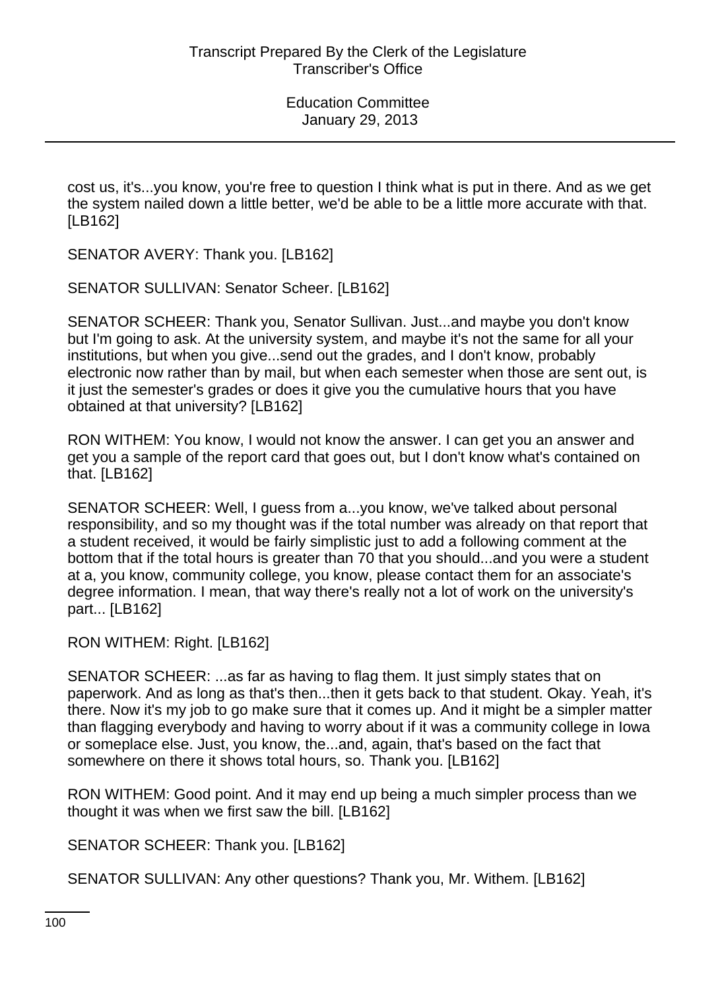cost us, it's...you know, you're free to question I think what is put in there. And as we get the system nailed down a little better, we'd be able to be a little more accurate with that. [LB162]

SENATOR AVERY: Thank you. [LB162]

SENATOR SULLIVAN: Senator Scheer. [LB162]

SENATOR SCHEER: Thank you, Senator Sullivan. Just...and maybe you don't know but I'm going to ask. At the university system, and maybe it's not the same for all your institutions, but when you give...send out the grades, and I don't know, probably electronic now rather than by mail, but when each semester when those are sent out, is it just the semester's grades or does it give you the cumulative hours that you have obtained at that university? [LB162]

RON WITHEM: You know, I would not know the answer. I can get you an answer and get you a sample of the report card that goes out, but I don't know what's contained on that. [LB162]

SENATOR SCHEER: Well, I guess from a...you know, we've talked about personal responsibility, and so my thought was if the total number was already on that report that a student received, it would be fairly simplistic just to add a following comment at the bottom that if the total hours is greater than 70 that you should...and you were a student at a, you know, community college, you know, please contact them for an associate's degree information. I mean, that way there's really not a lot of work on the university's part... [LB162]

RON WITHEM: Right. [LB162]

SENATOR SCHEER: ...as far as having to flag them. It just simply states that on paperwork. And as long as that's then...then it gets back to that student. Okay. Yeah, it's there. Now it's my job to go make sure that it comes up. And it might be a simpler matter than flagging everybody and having to worry about if it was a community college in Iowa or someplace else. Just, you know, the...and, again, that's based on the fact that somewhere on there it shows total hours, so. Thank you. [LB162]

RON WITHEM: Good point. And it may end up being a much simpler process than we thought it was when we first saw the bill. [LB162]

SENATOR SCHEER: Thank you. [LB162]

SENATOR SULLIVAN: Any other questions? Thank you, Mr. Withem. [LB162]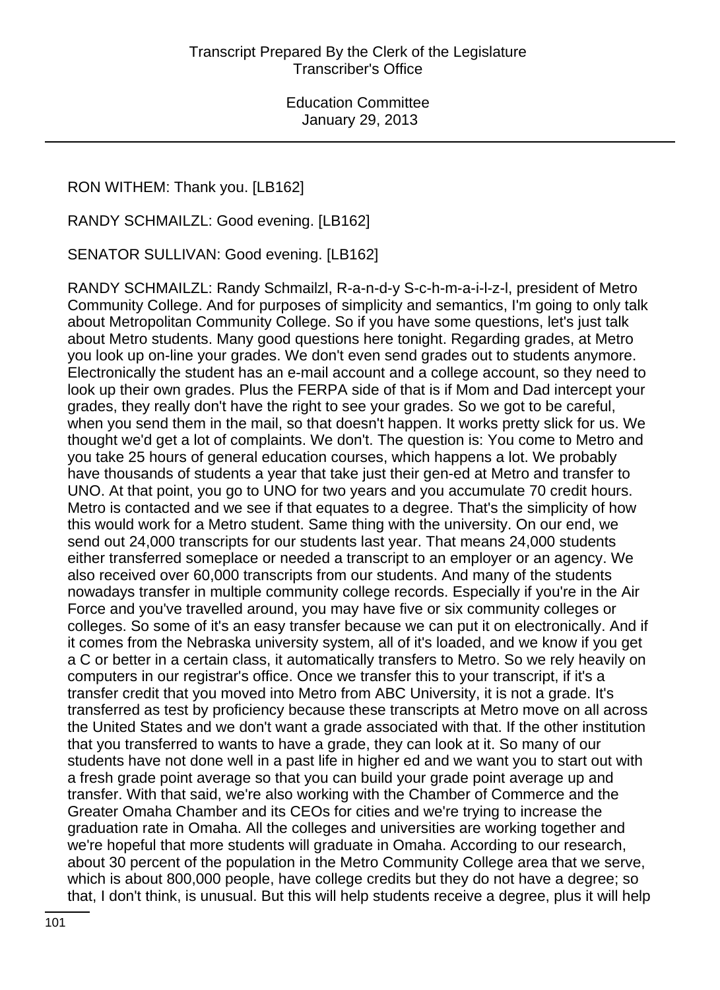RON WITHEM: Thank you. [LB162]

RANDY SCHMAILZL: Good evening. [LB162]

SENATOR SULLIVAN: Good evening. [LB162]

RANDY SCHMAILZL: Randy Schmailzl, R-a-n-d-y S-c-h-m-a-i-l-z-l, president of Metro Community College. And for purposes of simplicity and semantics, I'm going to only talk about Metropolitan Community College. So if you have some questions, let's just talk about Metro students. Many good questions here tonight. Regarding grades, at Metro you look up on-line your grades. We don't even send grades out to students anymore. Electronically the student has an e-mail account and a college account, so they need to look up their own grades. Plus the FERPA side of that is if Mom and Dad intercept your grades, they really don't have the right to see your grades. So we got to be careful, when you send them in the mail, so that doesn't happen. It works pretty slick for us. We thought we'd get a lot of complaints. We don't. The question is: You come to Metro and you take 25 hours of general education courses, which happens a lot. We probably have thousands of students a year that take just their gen-ed at Metro and transfer to UNO. At that point, you go to UNO for two years and you accumulate 70 credit hours. Metro is contacted and we see if that equates to a degree. That's the simplicity of how this would work for a Metro student. Same thing with the university. On our end, we send out 24,000 transcripts for our students last year. That means 24,000 students either transferred someplace or needed a transcript to an employer or an agency. We also received over 60,000 transcripts from our students. And many of the students nowadays transfer in multiple community college records. Especially if you're in the Air Force and you've travelled around, you may have five or six community colleges or colleges. So some of it's an easy transfer because we can put it on electronically. And if it comes from the Nebraska university system, all of it's loaded, and we know if you get a C or better in a certain class, it automatically transfers to Metro. So we rely heavily on computers in our registrar's office. Once we transfer this to your transcript, if it's a transfer credit that you moved into Metro from ABC University, it is not a grade. It's transferred as test by proficiency because these transcripts at Metro move on all across the United States and we don't want a grade associated with that. If the other institution that you transferred to wants to have a grade, they can look at it. So many of our students have not done well in a past life in higher ed and we want you to start out with a fresh grade point average so that you can build your grade point average up and transfer. With that said, we're also working with the Chamber of Commerce and the Greater Omaha Chamber and its CEOs for cities and we're trying to increase the graduation rate in Omaha. All the colleges and universities are working together and we're hopeful that more students will graduate in Omaha. According to our research, about 30 percent of the population in the Metro Community College area that we serve, which is about 800,000 people, have college credits but they do not have a degree; so that, I don't think, is unusual. But this will help students receive a degree, plus it will help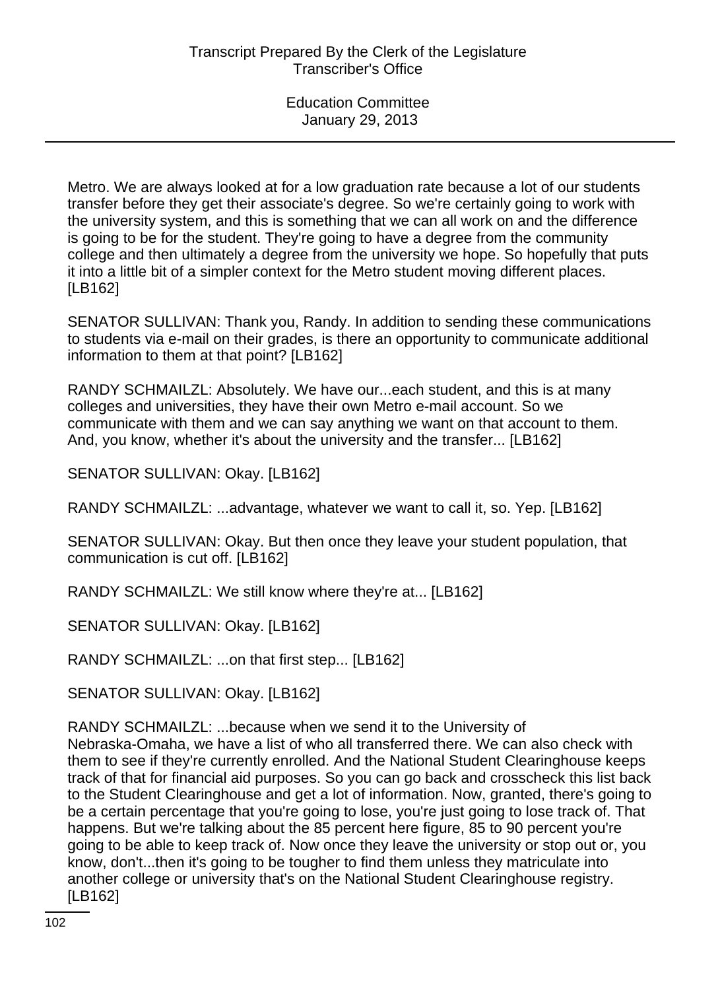Metro. We are always looked at for a low graduation rate because a lot of our students transfer before they get their associate's degree. So we're certainly going to work with the university system, and this is something that we can all work on and the difference is going to be for the student. They're going to have a degree from the community college and then ultimately a degree from the university we hope. So hopefully that puts it into a little bit of a simpler context for the Metro student moving different places. [LB162]

SENATOR SULLIVAN: Thank you, Randy. In addition to sending these communications to students via e-mail on their grades, is there an opportunity to communicate additional information to them at that point? [LB162]

RANDY SCHMAILZL: Absolutely. We have our...each student, and this is at many colleges and universities, they have their own Metro e-mail account. So we communicate with them and we can say anything we want on that account to them. And, you know, whether it's about the university and the transfer... [LB162]

SENATOR SULLIVAN: Okay. [LB162]

RANDY SCHMAILZL: ...advantage, whatever we want to call it, so. Yep. [LB162]

SENATOR SULLIVAN: Okay. But then once they leave your student population, that communication is cut off. [LB162]

RANDY SCHMAILZL: We still know where they're at... [LB162]

SENATOR SULLIVAN: Okay. [LB162]

RANDY SCHMAILZL: ...on that first step... [LB162]

SENATOR SULLIVAN: Okay. [LB162]

RANDY SCHMAILZL: ...because when we send it to the University of Nebraska-Omaha, we have a list of who all transferred there. We can also check with them to see if they're currently enrolled. And the National Student Clearinghouse keeps track of that for financial aid purposes. So you can go back and crosscheck this list back to the Student Clearinghouse and get a lot of information. Now, granted, there's going to be a certain percentage that you're going to lose, you're just going to lose track of. That happens. But we're talking about the 85 percent here figure, 85 to 90 percent you're going to be able to keep track of. Now once they leave the university or stop out or, you know, don't...then it's going to be tougher to find them unless they matriculate into another college or university that's on the National Student Clearinghouse registry. [LB162]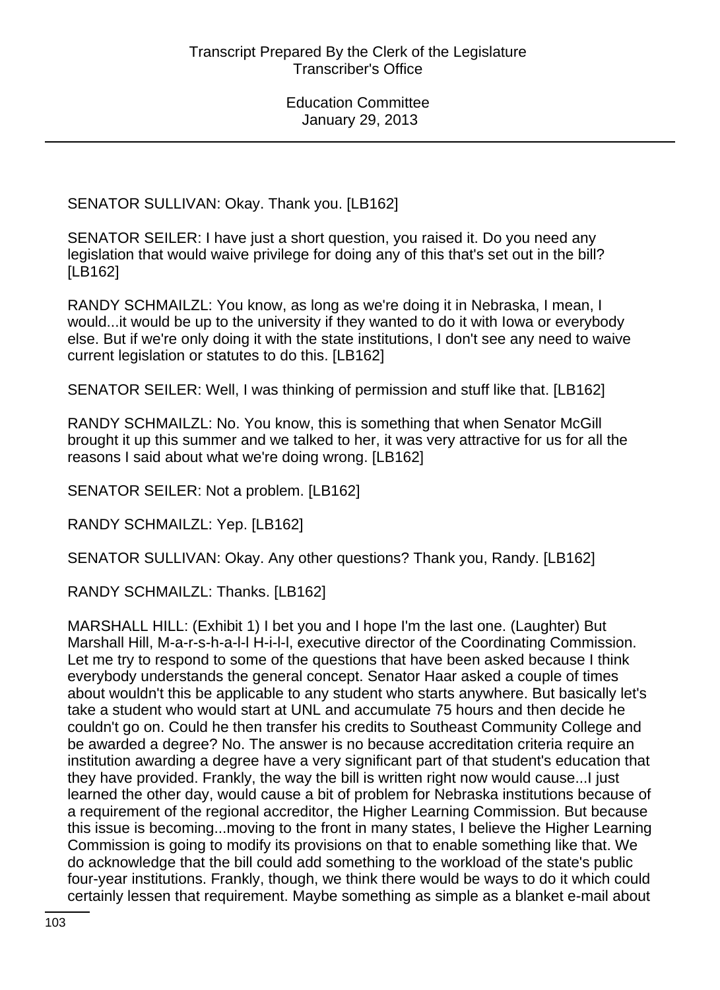SENATOR SULLIVAN: Okay. Thank you. [LB162]

SENATOR SEILER: I have just a short question, you raised it. Do you need any legislation that would waive privilege for doing any of this that's set out in the bill? [LB162]

RANDY SCHMAILZL: You know, as long as we're doing it in Nebraska, I mean, I would...it would be up to the university if they wanted to do it with Iowa or everybody else. But if we're only doing it with the state institutions, I don't see any need to waive current legislation or statutes to do this. [LB162]

SENATOR SEILER: Well, I was thinking of permission and stuff like that. [LB162]

RANDY SCHMAILZL: No. You know, this is something that when Senator McGill brought it up this summer and we talked to her, it was very attractive for us for all the reasons I said about what we're doing wrong. [LB162]

SENATOR SEILER: Not a problem. [LB162]

RANDY SCHMAILZL: Yep. [LB162]

SENATOR SULLIVAN: Okay. Any other questions? Thank you, Randy. [LB162]

RANDY SCHMAILZL: Thanks. [LB162]

MARSHALL HILL: (Exhibit 1) I bet you and I hope I'm the last one. (Laughter) But Marshall Hill, M-a-r-s-h-a-l-l H-i-l-l, executive director of the Coordinating Commission. Let me try to respond to some of the questions that have been asked because I think everybody understands the general concept. Senator Haar asked a couple of times about wouldn't this be applicable to any student who starts anywhere. But basically let's take a student who would start at UNL and accumulate 75 hours and then decide he couldn't go on. Could he then transfer his credits to Southeast Community College and be awarded a degree? No. The answer is no because accreditation criteria require an institution awarding a degree have a very significant part of that student's education that they have provided. Frankly, the way the bill is written right now would cause...I just learned the other day, would cause a bit of problem for Nebraska institutions because of a requirement of the regional accreditor, the Higher Learning Commission. But because this issue is becoming...moving to the front in many states, I believe the Higher Learning Commission is going to modify its provisions on that to enable something like that. We do acknowledge that the bill could add something to the workload of the state's public four-year institutions. Frankly, though, we think there would be ways to do it which could certainly lessen that requirement. Maybe something as simple as a blanket e-mail about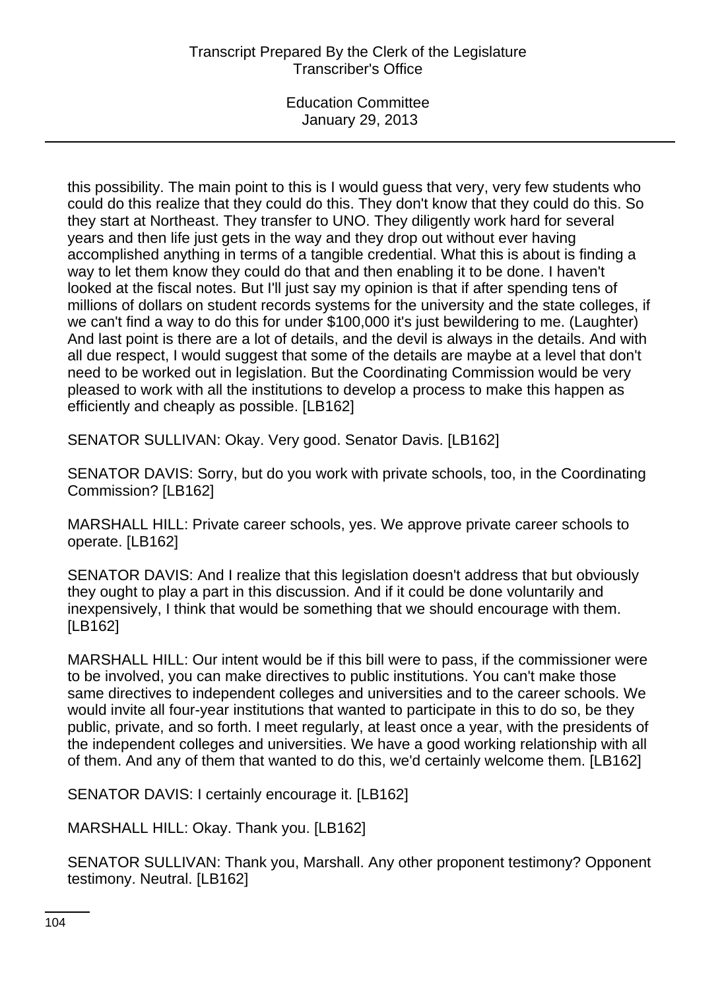this possibility. The main point to this is I would guess that very, very few students who could do this realize that they could do this. They don't know that they could do this. So they start at Northeast. They transfer to UNO. They diligently work hard for several years and then life just gets in the way and they drop out without ever having accomplished anything in terms of a tangible credential. What this is about is finding a way to let them know they could do that and then enabling it to be done. I haven't looked at the fiscal notes. But I'll just say my opinion is that if after spending tens of millions of dollars on student records systems for the university and the state colleges, if we can't find a way to do this for under \$100,000 it's just bewildering to me. (Laughter) And last point is there are a lot of details, and the devil is always in the details. And with all due respect, I would suggest that some of the details are maybe at a level that don't need to be worked out in legislation. But the Coordinating Commission would be very pleased to work with all the institutions to develop a process to make this happen as efficiently and cheaply as possible. [LB162]

SENATOR SULLIVAN: Okay. Very good. Senator Davis. [LB162]

SENATOR DAVIS: Sorry, but do you work with private schools, too, in the Coordinating Commission? [LB162]

MARSHALL HILL: Private career schools, yes. We approve private career schools to operate. [LB162]

SENATOR DAVIS: And I realize that this legislation doesn't address that but obviously they ought to play a part in this discussion. And if it could be done voluntarily and inexpensively, I think that would be something that we should encourage with them. [LB162]

MARSHALL HILL: Our intent would be if this bill were to pass, if the commissioner were to be involved, you can make directives to public institutions. You can't make those same directives to independent colleges and universities and to the career schools. We would invite all four-year institutions that wanted to participate in this to do so, be they public, private, and so forth. I meet regularly, at least once a year, with the presidents of the independent colleges and universities. We have a good working relationship with all of them. And any of them that wanted to do this, we'd certainly welcome them. [LB162]

SENATOR DAVIS: I certainly encourage it. [LB162]

MARSHALL HILL: Okay. Thank you. [LB162]

SENATOR SULLIVAN: Thank you, Marshall. Any other proponent testimony? Opponent testimony. Neutral. [LB162]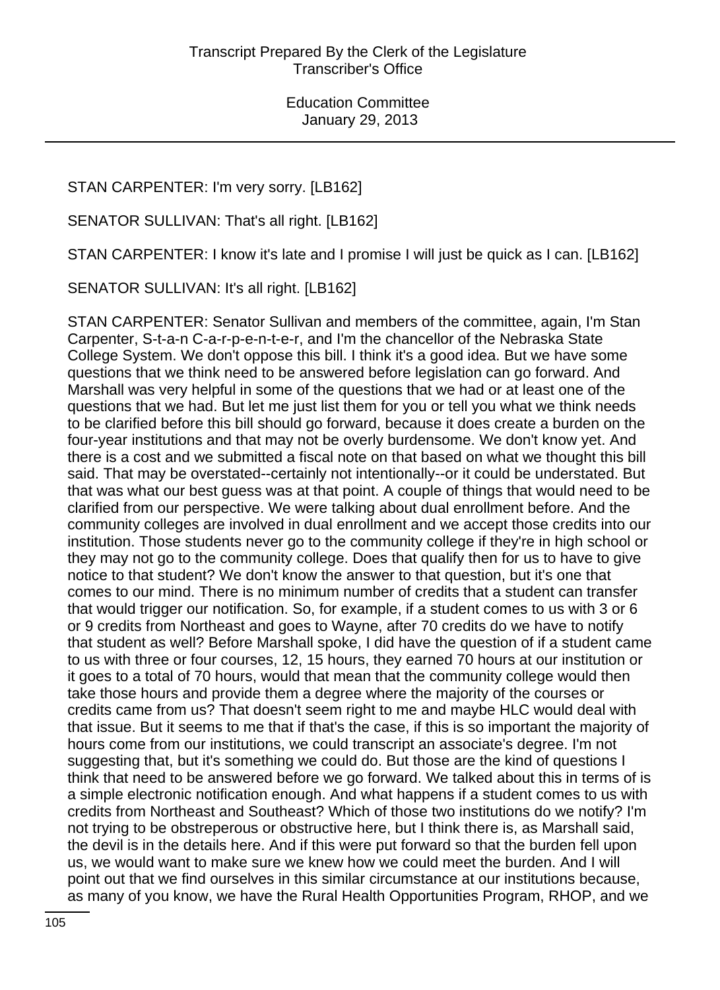# STAN CARPENTER: I'm very sorry. [LB162]

SENATOR SULLIVAN: That's all right. [LB162]

STAN CARPENTER: I know it's late and I promise I will just be quick as I can. [LB162]

SENATOR SULLIVAN: It's all right. [LB162]

STAN CARPENTER: Senator Sullivan and members of the committee, again, I'm Stan Carpenter, S-t-a-n C-a-r-p-e-n-t-e-r, and I'm the chancellor of the Nebraska State College System. We don't oppose this bill. I think it's a good idea. But we have some questions that we think need to be answered before legislation can go forward. And Marshall was very helpful in some of the questions that we had or at least one of the questions that we had. But let me just list them for you or tell you what we think needs to be clarified before this bill should go forward, because it does create a burden on the four-year institutions and that may not be overly burdensome. We don't know yet. And there is a cost and we submitted a fiscal note on that based on what we thought this bill said. That may be overstated--certainly not intentionally--or it could be understated. But that was what our best guess was at that point. A couple of things that would need to be clarified from our perspective. We were talking about dual enrollment before. And the community colleges are involved in dual enrollment and we accept those credits into our institution. Those students never go to the community college if they're in high school or they may not go to the community college. Does that qualify then for us to have to give notice to that student? We don't know the answer to that question, but it's one that comes to our mind. There is no minimum number of credits that a student can transfer that would trigger our notification. So, for example, if a student comes to us with 3 or 6 or 9 credits from Northeast and goes to Wayne, after 70 credits do we have to notify that student as well? Before Marshall spoke, I did have the question of if a student came to us with three or four courses, 12, 15 hours, they earned 70 hours at our institution or it goes to a total of 70 hours, would that mean that the community college would then take those hours and provide them a degree where the majority of the courses or credits came from us? That doesn't seem right to me and maybe HLC would deal with that issue. But it seems to me that if that's the case, if this is so important the majority of hours come from our institutions, we could transcript an associate's degree. I'm not suggesting that, but it's something we could do. But those are the kind of questions I think that need to be answered before we go forward. We talked about this in terms of is a simple electronic notification enough. And what happens if a student comes to us with credits from Northeast and Southeast? Which of those two institutions do we notify? I'm not trying to be obstreperous or obstructive here, but I think there is, as Marshall said, the devil is in the details here. And if this were put forward so that the burden fell upon us, we would want to make sure we knew how we could meet the burden. And I will point out that we find ourselves in this similar circumstance at our institutions because, as many of you know, we have the Rural Health Opportunities Program, RHOP, and we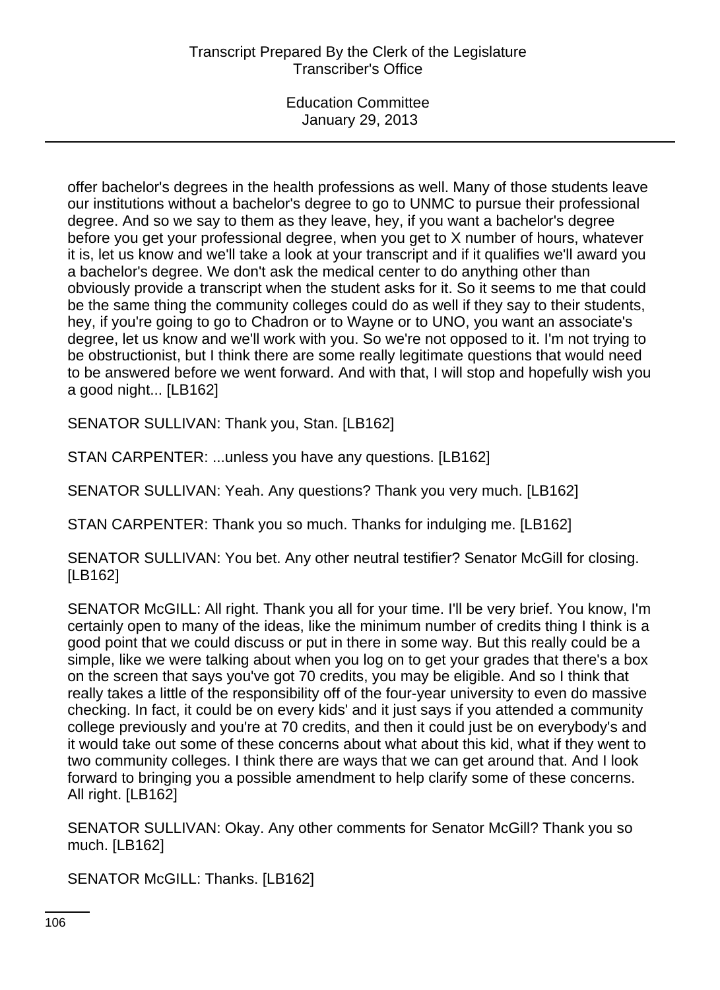offer bachelor's degrees in the health professions as well. Many of those students leave our institutions without a bachelor's degree to go to UNMC to pursue their professional degree. And so we say to them as they leave, hey, if you want a bachelor's degree before you get your professional degree, when you get to X number of hours, whatever it is, let us know and we'll take a look at your transcript and if it qualifies we'll award you a bachelor's degree. We don't ask the medical center to do anything other than obviously provide a transcript when the student asks for it. So it seems to me that could be the same thing the community colleges could do as well if they say to their students, hey, if you're going to go to Chadron or to Wayne or to UNO, you want an associate's degree, let us know and we'll work with you. So we're not opposed to it. I'm not trying to be obstructionist, but I think there are some really legitimate questions that would need to be answered before we went forward. And with that, I will stop and hopefully wish you a good night... [LB162]

SENATOR SULLIVAN: Thank you, Stan. [LB162]

STAN CARPENTER: ...unless you have any questions. [LB162]

SENATOR SULLIVAN: Yeah. Any questions? Thank you very much. [LB162]

STAN CARPENTER: Thank you so much. Thanks for indulging me. [LB162]

SENATOR SULLIVAN: You bet. Any other neutral testifier? Senator McGill for closing. [LB162]

SENATOR McGILL: All right. Thank you all for your time. I'll be very brief. You know, I'm certainly open to many of the ideas, like the minimum number of credits thing I think is a good point that we could discuss or put in there in some way. But this really could be a simple, like we were talking about when you log on to get your grades that there's a box on the screen that says you've got 70 credits, you may be eligible. And so I think that really takes a little of the responsibility off of the four-year university to even do massive checking. In fact, it could be on every kids' and it just says if you attended a community college previously and you're at 70 credits, and then it could just be on everybody's and it would take out some of these concerns about what about this kid, what if they went to two community colleges. I think there are ways that we can get around that. And I look forward to bringing you a possible amendment to help clarify some of these concerns. All right. [LB162]

SENATOR SULLIVAN: Okay. Any other comments for Senator McGill? Thank you so much. [LB162]

SENATOR McGILL: Thanks. [LB162]